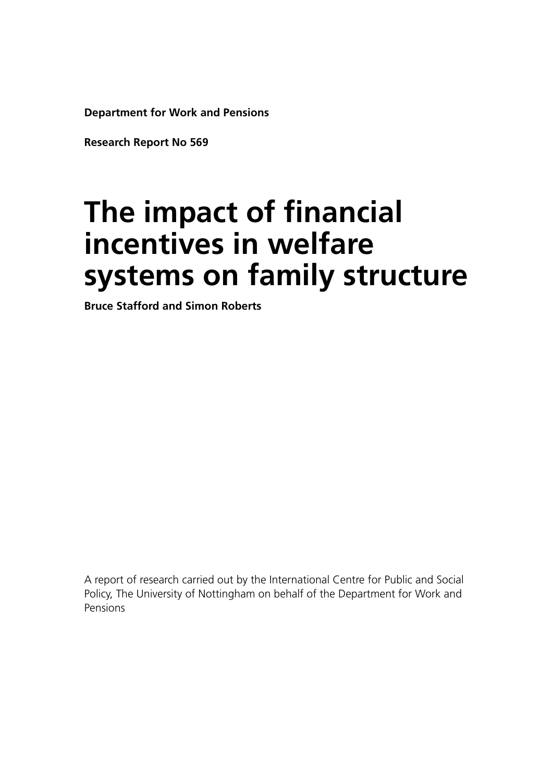**Department for Work and Pensions**

**Research Report No 569**

# **The impact of financial incentives in welfare systems on family structure**

**Bruce Stafford and Simon Roberts**

A report of research carried out by the International Centre for Public and Social Policy, The University of Nottingham on behalf of the Department for Work and Pensions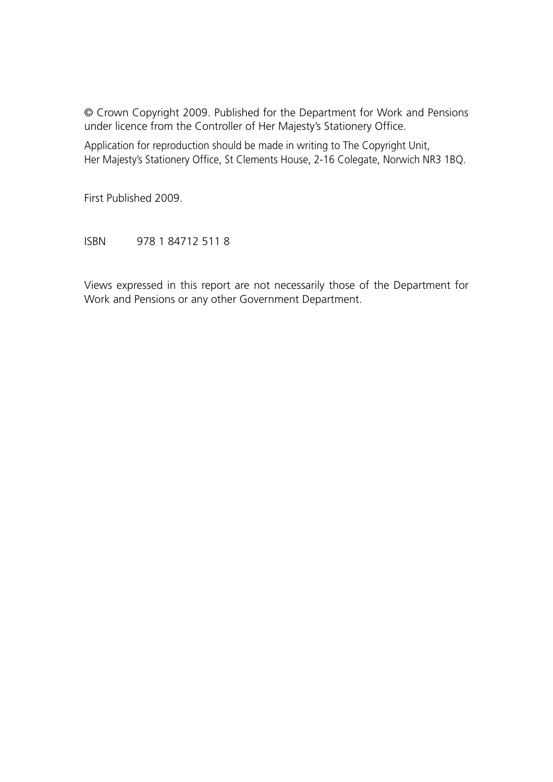© Crown Copyright 2009. Published for the Department for Work and Pensions under licence from the Controller of Her Majesty's Stationery Office.

Application for reproduction should be made in writing to The Copyright Unit, Her Majesty's Stationery Office, St Clements House, 2-16 Colegate, Norwich NR3 1BQ.

First Published 2009.

ISBN 978 1 84712 511 8

Views expressed in this report are not necessarily those of the Department for Work and Pensions or any other Government Department.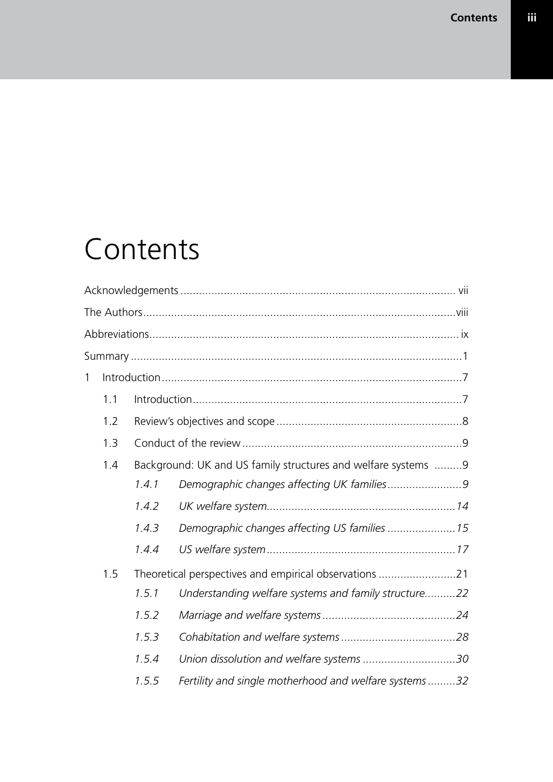# **Contents**

| 1   |                                                                      |                                                        |                                                       |  |
|-----|----------------------------------------------------------------------|--------------------------------------------------------|-------------------------------------------------------|--|
|     | 1.1                                                                  |                                                        |                                                       |  |
|     | 1.2                                                                  |                                                        |                                                       |  |
| 1.3 |                                                                      |                                                        |                                                       |  |
|     | 1.4<br>Background: UK and US family structures and welfare systems 9 |                                                        |                                                       |  |
|     |                                                                      | 1.4.1                                                  |                                                       |  |
|     |                                                                      | 1.4.2                                                  |                                                       |  |
|     |                                                                      | 1.4.3                                                  | Demographic changes affecting US families  15         |  |
|     |                                                                      | 1.4.4                                                  |                                                       |  |
|     | 1.5                                                                  | Theoretical perspectives and empirical observations 21 |                                                       |  |
|     |                                                                      | 1.5.1                                                  | Understanding welfare systems and family structure22  |  |
|     |                                                                      | 1.5.2                                                  |                                                       |  |
|     |                                                                      | 1.5.3                                                  |                                                       |  |
|     |                                                                      | 1.5.4                                                  | Union dissolution and welfare systems 30              |  |
|     |                                                                      | 1.5.5                                                  | Fertility and single motherhood and welfare systems32 |  |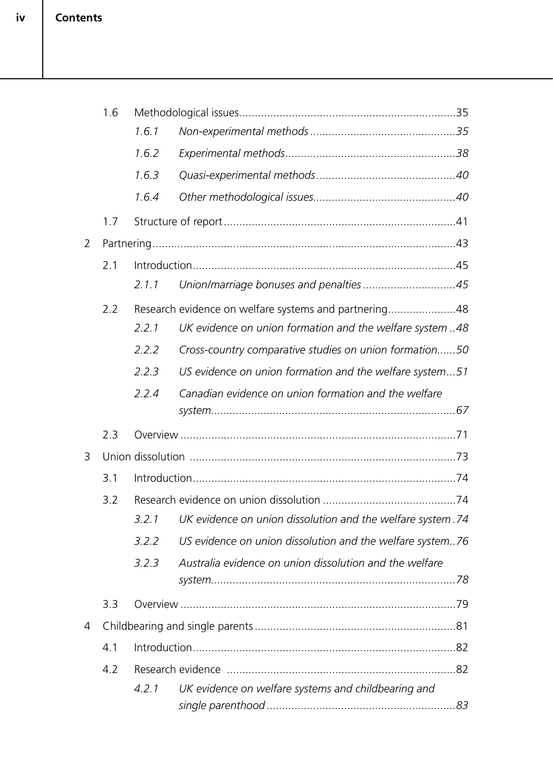|     | 1.6 |       |                                                                  |  |
|-----|-----|-------|------------------------------------------------------------------|--|
|     |     | 1.6.1 |                                                                  |  |
|     |     | 1.6.2 |                                                                  |  |
|     |     | 1.6.3 |                                                                  |  |
|     |     | 1.6.4 |                                                                  |  |
|     | 1.7 |       |                                                                  |  |
| 2   |     |       |                                                                  |  |
|     | 2.1 |       |                                                                  |  |
|     |     | 2.1.1 |                                                                  |  |
|     | 2.2 |       | Research evidence on welfare systems and partnering48            |  |
|     |     | 2.2.1 | UK evidence on union formation and the welfare system 48         |  |
|     |     | 2.2.2 | Cross-country comparative studies on union formation50           |  |
|     |     | 2.2.3 | US evidence on union formation and the welfare system51          |  |
|     |     | 2.2.4 | Canadian evidence on union formation and the welfare             |  |
|     |     |       |                                                                  |  |
|     | 2.3 |       |                                                                  |  |
| 3   |     |       |                                                                  |  |
|     | 3.1 |       |                                                                  |  |
| 3.2 |     |       |                                                                  |  |
|     |     |       | 3.2.1 UK evidence on union dissolution and the welfare system.74 |  |
|     |     | 3.2.2 | US evidence on union dissolution and the welfare system76        |  |
|     |     | 3.2.3 | Australia evidence on union dissolution and the welfare          |  |
|     | 3.3 |       |                                                                  |  |
| 4   |     |       |                                                                  |  |
|     | 4.1 |       |                                                                  |  |
|     | 4.2 |       |                                                                  |  |
|     |     | 4.2.1 | UK evidence on welfare systems and childbearing and              |  |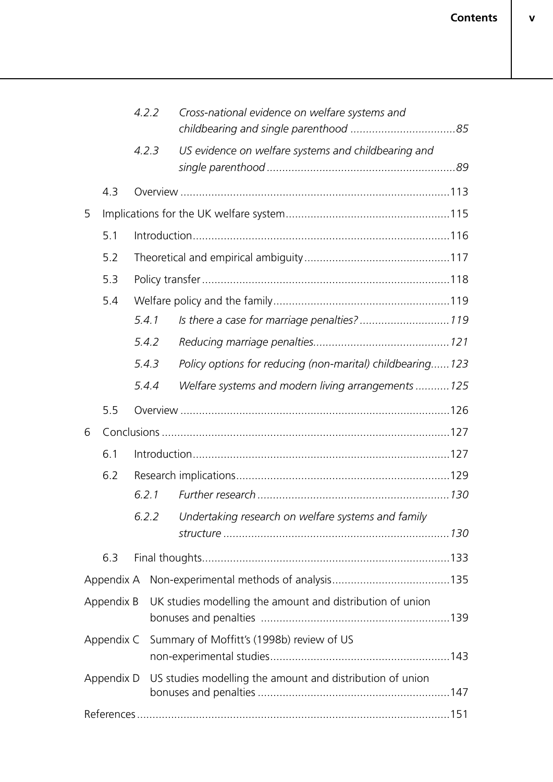|            |            | 4.2.2 |                                                           | Cross-national evidence on welfare systems and            |  |
|------------|------------|-------|-----------------------------------------------------------|-----------------------------------------------------------|--|
|            |            | 4.2.3 |                                                           | US evidence on welfare systems and childbearing and       |  |
|            | 4.3        |       |                                                           |                                                           |  |
| 5          |            |       |                                                           |                                                           |  |
|            | 5.1        |       |                                                           |                                                           |  |
|            | 5.2        |       |                                                           |                                                           |  |
|            | 5.3        |       |                                                           |                                                           |  |
|            | 5.4        |       |                                                           |                                                           |  |
|            |            | 5.4.1 |                                                           |                                                           |  |
|            |            | 5.4.2 |                                                           |                                                           |  |
|            |            | 5.4.3 |                                                           | Policy options for reducing (non-marital) childbearing123 |  |
|            |            | 5.4.4 |                                                           | Welfare systems and modern living arrangements  125       |  |
|            | 5.5        |       |                                                           |                                                           |  |
| 6          |            |       |                                                           |                                                           |  |
|            | 6.1        |       |                                                           |                                                           |  |
|            | 6.2        |       |                                                           |                                                           |  |
|            |            | 6.2.1 |                                                           |                                                           |  |
|            |            |       |                                                           | 6.2.2 Undertaking research on welfare systems and family  |  |
|            |            |       |                                                           |                                                           |  |
|            | 6.3        |       |                                                           |                                                           |  |
|            | Appendix A |       |                                                           |                                                           |  |
| Appendix B |            |       | UK studies modelling the amount and distribution of union |                                                           |  |
| Appendix C |            |       | Summary of Moffitt's (1998b) review of US                 |                                                           |  |
| Appendix D |            |       | US studies modelling the amount and distribution of union |                                                           |  |
|            |            |       |                                                           |                                                           |  |

**v**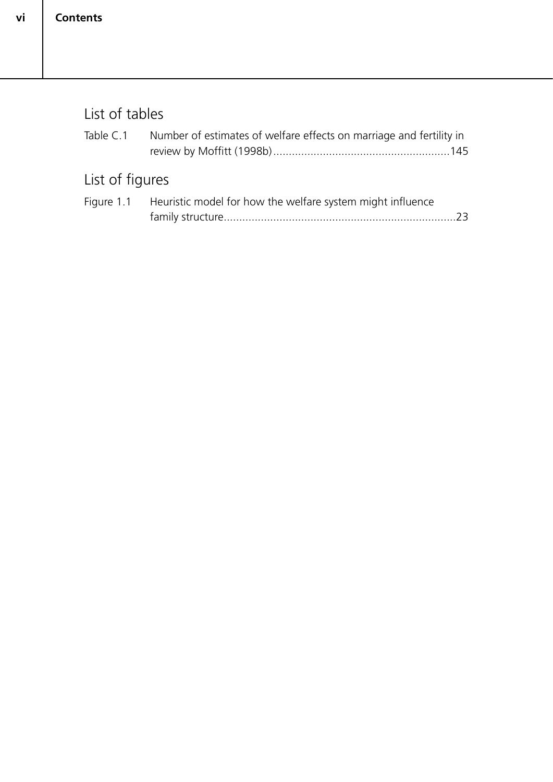**vi**

# List of tables

| Table C.1       | Number of estimates of welfare effects on marriage and fertility in   |    |
|-----------------|-----------------------------------------------------------------------|----|
|                 |                                                                       |    |
| List of figures |                                                                       |    |
|                 | Figure 1.1 Heuristic model for how the welfare system might influence |    |
|                 |                                                                       | 23 |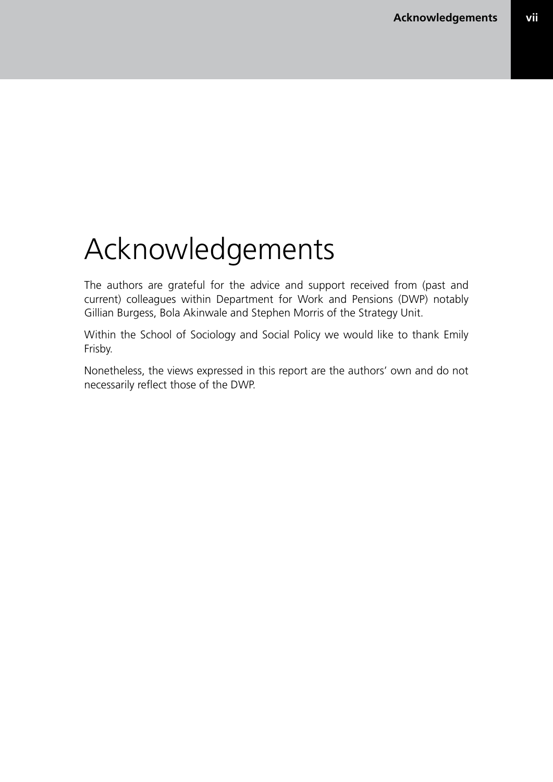# Acknowledgements

The authors are grateful for the advice and support received from (past and current) colleagues within Department for Work and Pensions (DWP) notably Gillian Burgess, Bola Akinwale and Stephen Morris of the Strategy Unit.

Within the School of Sociology and Social Policy we would like to thank Emily Frisby.

Nonetheless, the views expressed in this report are the authors' own and do not necessarily reflect those of the DWP.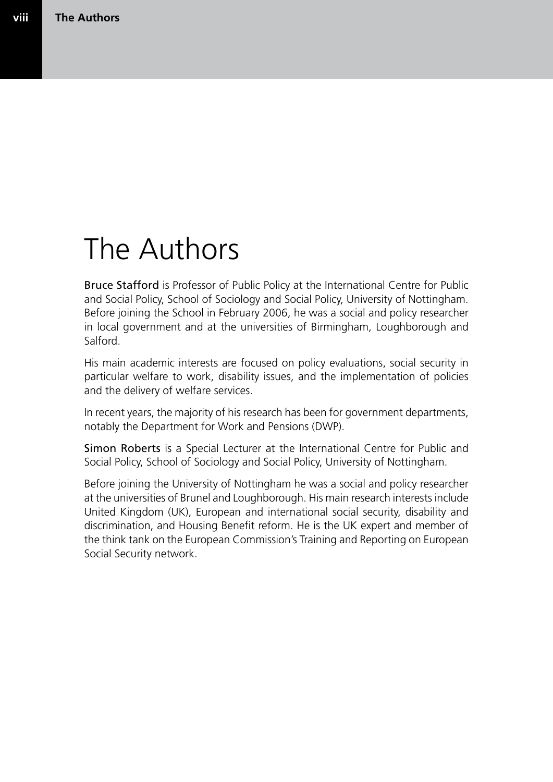# The Authors

Bruce Stafford is Professor of Public Policy at the International Centre for Public and Social Policy, School of Sociology and Social Policy, University of Nottingham. Before joining the School in February 2006, he was a social and policy researcher in local government and at the universities of Birmingham, Loughborough and Salford.

His main academic interests are focused on policy evaluations, social security in particular welfare to work, disability issues, and the implementation of policies and the delivery of welfare services.

In recent years, the majority of his research has been for government departments, notably the Department for Work and Pensions (DWP).

Simon Roberts is a Special Lecturer at the International Centre for Public and Social Policy, School of Sociology and Social Policy, University of Nottingham.

Before joining the University of Nottingham he was a social and policy researcher at the universities of Brunel and Loughborough. His main research interests include United Kingdom (UK), European and international social security, disability and discrimination, and Housing Benefit reform. He is the UK expert and member of the think tank on the European Commission's Training and Reporting on European Social Security network.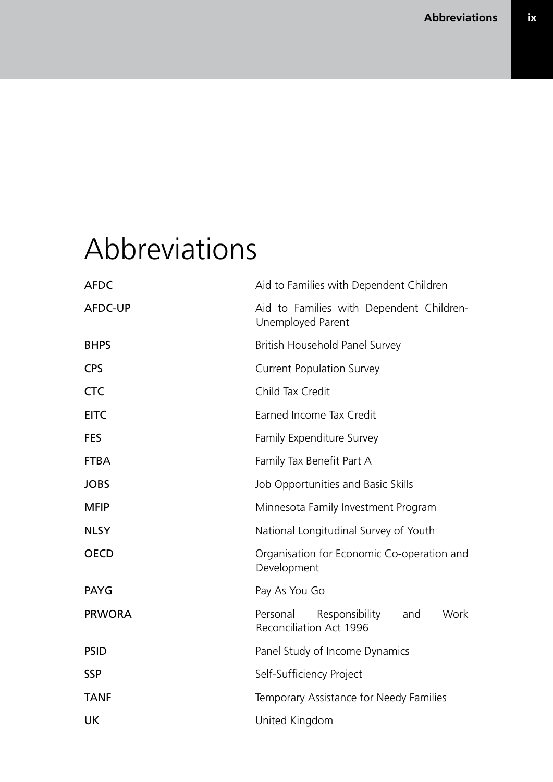# Abbreviations

| <b>AFDC</b>   | Aid to Families with Dependent Children                              |
|---------------|----------------------------------------------------------------------|
| AFDC-UP       | Aid to Families with Dependent Children-<br>Unemployed Parent        |
| <b>BHPS</b>   | British Household Panel Survey                                       |
| <b>CPS</b>    | <b>Current Population Survey</b>                                     |
| <b>CTC</b>    | Child Tax Credit                                                     |
| <b>EITC</b>   | Earned Income Tax Credit                                             |
| <b>FES</b>    | Family Expenditure Survey                                            |
| <b>FTBA</b>   | Family Tax Benefit Part A                                            |
| <b>JOBS</b>   | Job Opportunities and Basic Skills                                   |
| <b>MFIP</b>   | Minnesota Family Investment Program                                  |
| <b>NLSY</b>   | National Longitudinal Survey of Youth                                |
| <b>OECD</b>   | Organisation for Economic Co-operation and<br>Development            |
| <b>PAYG</b>   | Pay As You Go                                                        |
| <b>PRWORA</b> | Personal<br>Responsibility<br>Work<br>and<br>Reconciliation Act 1996 |
| <b>PSID</b>   | Panel Study of Income Dynamics                                       |
| <b>SSP</b>    | Self-Sufficiency Project                                             |
| <b>TANF</b>   | Temporary Assistance for Needy Families                              |
| <b>UK</b>     | United Kingdom                                                       |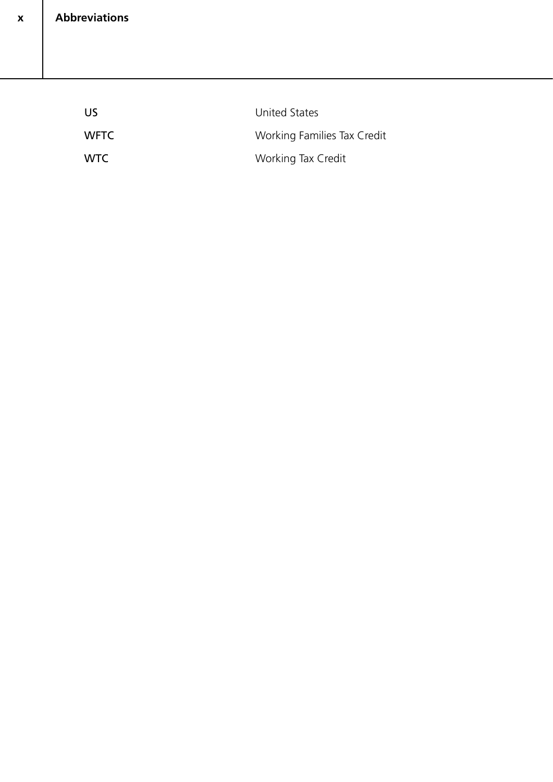| US          | United States               |
|-------------|-----------------------------|
| <b>WFTC</b> | Working Families Tax Credit |
| <b>WTC</b>  | Working Tax Credit          |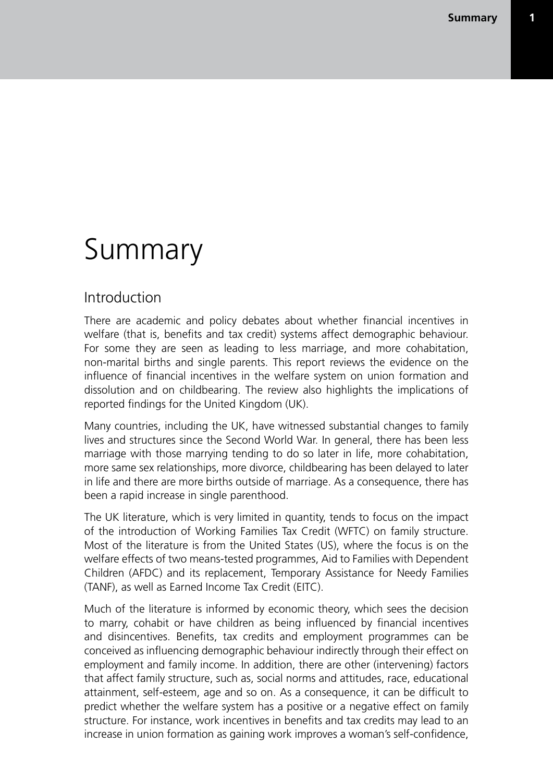# Summary

## Introduction

There are academic and policy debates about whether financial incentives in welfare (that is, benefits and tax credit) systems affect demographic behaviour. For some they are seen as leading to less marriage, and more cohabitation, non-marital births and single parents. This report reviews the evidence on the influence of financial incentives in the welfare system on union formation and dissolution and on childbearing. The review also highlights the implications of reported findings for the United Kingdom (UK).

Many countries, including the UK, have witnessed substantial changes to family lives and structures since the Second World War. In general, there has been less marriage with those marrying tending to do so later in life, more cohabitation, more same sex relationships, more divorce, childbearing has been delayed to later in life and there are more births outside of marriage. As a consequence, there has been a rapid increase in single parenthood.

The UK literature, which is very limited in quantity, tends to focus on the impact of the introduction of Working Families Tax Credit (WFTC) on family structure. Most of the literature is from the United States (US), where the focus is on the welfare effects of two means-tested programmes, Aid to Families with Dependent Children (AFDC) and its replacement, Temporary Assistance for Needy Families (TANF), as well as Earned Income Tax Credit (EITC).

Much of the literature is informed by economic theory, which sees the decision to marry, cohabit or have children as being influenced by financial incentives and disincentives. Benefits, tax credits and employment programmes can be conceived as influencing demographic behaviour indirectly through their effect on employment and family income. In addition, there are other (intervening) factors that affect family structure, such as, social norms and attitudes, race, educational attainment, self-esteem, age and so on. As a consequence, it can be difficult to predict whether the welfare system has a positive or a negative effect on family structure. For instance, work incentives in benefits and tax credits may lead to an increase in union formation as gaining work improves a woman's self-confidence,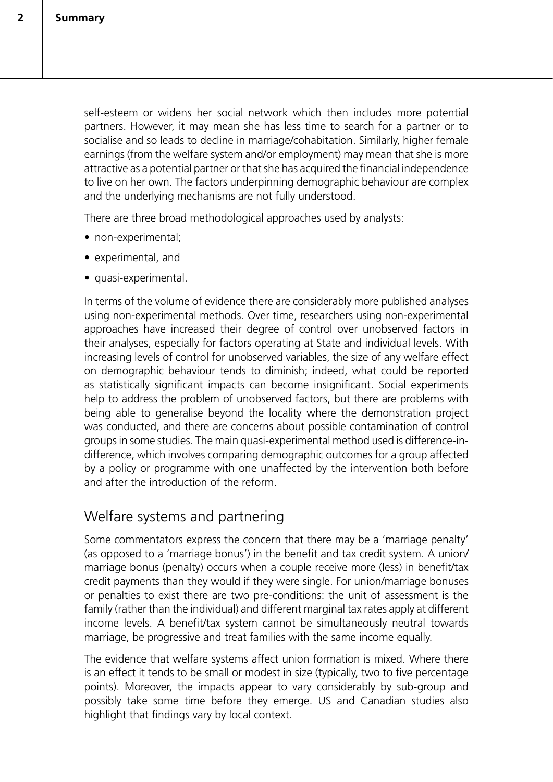**2**

self-esteem or widens her social network which then includes more potential partners. However, it may mean she has less time to search for a partner or to socialise and so leads to decline in marriage/cohabitation. Similarly, higher female earnings (from the welfare system and/or employment) may mean that she is more attractive as a potential partner or that she has acquired the financial independence to live on her own. The factors underpinning demographic behaviour are complex and the underlying mechanisms are not fully understood.

There are three broad methodological approaches used by analysts:

- non-experimental;
- experimental, and
- quasi-experimental.

In terms of the volume of evidence there are considerably more published analyses using non-experimental methods. Over time, researchers using non-experimental approaches have increased their degree of control over unobserved factors in their analyses, especially for factors operating at State and individual levels. With increasing levels of control for unobserved variables, the size of any welfare effect on demographic behaviour tends to diminish; indeed, what could be reported as statistically significant impacts can become insignificant. Social experiments help to address the problem of unobserved factors, but there are problems with being able to generalise beyond the locality where the demonstration project was conducted, and there are concerns about possible contamination of control groups in some studies. The main quasi-experimental method used is difference-indifference, which involves comparing demographic outcomes for a group affected by a policy or programme with one unaffected by the intervention both before and after the introduction of the reform.

# Welfare systems and partnering

Some commentators express the concern that there may be a 'marriage penalty' (as opposed to a 'marriage bonus') in the benefit and tax credit system. A union/ marriage bonus (penalty) occurs when a couple receive more (less) in benefit/tax credit payments than they would if they were single. For union/marriage bonuses or penalties to exist there are two pre-conditions: the unit of assessment is the family (rather than the individual) and different marginal tax rates apply at different income levels. A benefit/tax system cannot be simultaneously neutral towards marriage, be progressive and treat families with the same income equally.

The evidence that welfare systems affect union formation is mixed. Where there is an effect it tends to be small or modest in size (typically, two to five percentage points). Moreover, the impacts appear to vary considerably by sub-group and possibly take some time before they emerge. US and Canadian studies also highlight that findings vary by local context.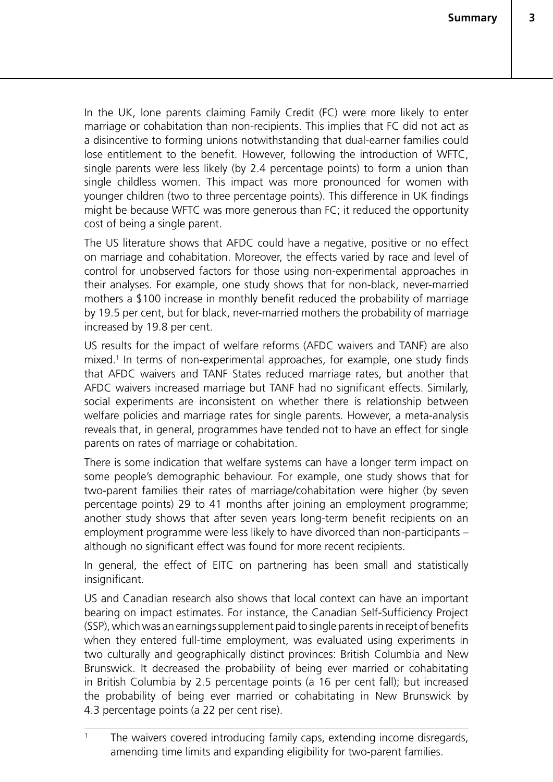In the UK, lone parents claiming Family Credit (FC) were more likely to enter marriage or cohabitation than non-recipients. This implies that FC did not act as a disincentive to forming unions notwithstanding that dual-earner families could lose entitlement to the benefit. However, following the introduction of WFTC, single parents were less likely (by 2.4 percentage points) to form a union than single childless women. This impact was more pronounced for women with younger children (two to three percentage points). This difference in UK findings might be because WFTC was more generous than FC; it reduced the opportunity cost of being a single parent.

The US literature shows that AFDC could have a negative, positive or no effect on marriage and cohabitation. Moreover, the effects varied by race and level of control for unobserved factors for those using non-experimental approaches in their analyses. For example, one study shows that for non-black, never-married mothers a \$100 increase in monthly benefit reduced the probability of marriage by 19.5 per cent, but for black, never-married mothers the probability of marriage increased by 19.8 per cent.

US results for the impact of welfare reforms (AFDC waivers and TANF) are also mixed.<sup>1</sup> In terms of non-experimental approaches, for example, one study finds that AFDC waivers and TANF States reduced marriage rates, but another that AFDC waivers increased marriage but TANF had no significant effects. Similarly, social experiments are inconsistent on whether there is relationship between welfare policies and marriage rates for single parents. However, a meta-analysis reveals that, in general, programmes have tended not to have an effect for single parents on rates of marriage or cohabitation.

There is some indication that welfare systems can have a longer term impact on some people's demographic behaviour. For example, one study shows that for two-parent families their rates of marriage/cohabitation were higher (by seven percentage points) 29 to 41 months after joining an employment programme; another study shows that after seven years long-term benefit recipients on an employment programme were less likely to have divorced than non-participants – although no significant effect was found for more recent recipients.

In general, the effect of EITC on partnering has been small and statistically insignificant.

US and Canadian research also shows that local context can have an important bearing on impact estimates. For instance, the Canadian Self-Sufficiency Project (SSP), which was an earnings supplement paid to single parents in receipt of benefits when they entered full-time employment, was evaluated using experiments in two culturally and geographically distinct provinces: British Columbia and New Brunswick. It decreased the probability of being ever married or cohabitating in British Columbia by 2.5 percentage points (a 16 per cent fall); but increased the probability of being ever married or cohabitating in New Brunswick by 4.3 percentage points (a 22 per cent rise).

<sup>&</sup>lt;sup>1</sup> The waivers covered introducing family caps, extending income disregards, amending time limits and expanding eligibility for two-parent families.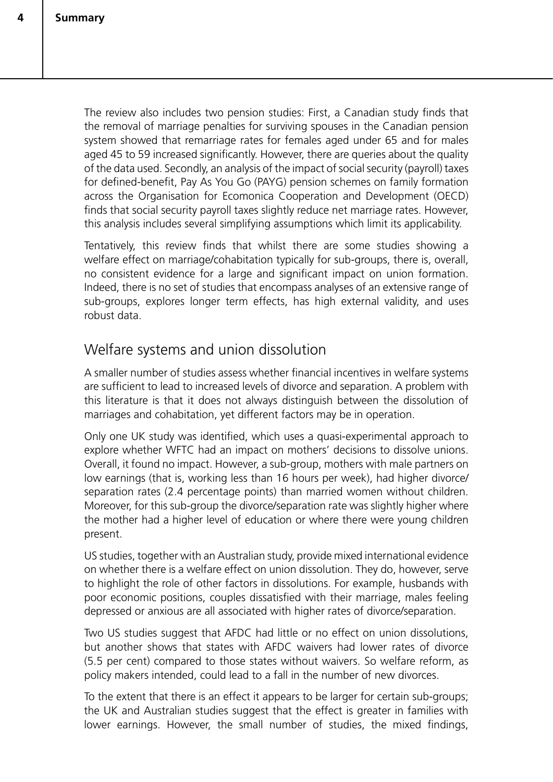The review also includes two pension studies: First, a Canadian study finds that the removal of marriage penalties for surviving spouses in the Canadian pension system showed that remarriage rates for females aged under 65 and for males aged 45 to 59 increased significantly. However, there are queries about the quality of the data used. Secondly, an analysis of the impact of social security (payroll) taxes for defined-benefit, Pay As You Go (PAYG) pension schemes on family formation across the Organisation for Ecomonica Cooperation and Development (OECD) finds that social security payroll taxes slightly reduce net marriage rates. However, this analysis includes several simplifying assumptions which limit its applicability.

Tentatively, this review finds that whilst there are some studies showing a welfare effect on marriage/cohabitation typically for sub-groups, there is, overall, no consistent evidence for a large and significant impact on union formation. Indeed, there is no set of studies that encompass analyses of an extensive range of sub-groups, explores longer term effects, has high external validity, and uses robust data.

## Welfare systems and union dissolution

A smaller number of studies assess whether financial incentives in welfare systems are sufficient to lead to increased levels of divorce and separation. A problem with this literature is that it does not always distinguish between the dissolution of marriages and cohabitation, yet different factors may be in operation.

Only one UK study was identified, which uses a quasi-experimental approach to explore whether WFTC had an impact on mothers' decisions to dissolve unions. Overall, it found no impact. However, a sub-group, mothers with male partners on low earnings (that is, working less than 16 hours per week), had higher divorce/ separation rates (2.4 percentage points) than married women without children. Moreover, for this sub-group the divorce/separation rate was slightly higher where the mother had a higher level of education or where there were young children present.

US studies, together with an Australian study, provide mixed international evidence on whether there is a welfare effect on union dissolution. They do, however, serve to highlight the role of other factors in dissolutions. For example, husbands with poor economic positions, couples dissatisfied with their marriage, males feeling depressed or anxious are all associated with higher rates of divorce/separation.

Two US studies suggest that AFDC had little or no effect on union dissolutions, but another shows that states with AFDC waivers had lower rates of divorce (5.5 per cent) compared to those states without waivers. So welfare reform, as policy makers intended, could lead to a fall in the number of new divorces.

To the extent that there is an effect it appears to be larger for certain sub-groups; the UK and Australian studies suggest that the effect is greater in families with lower earnings. However, the small number of studies, the mixed findings,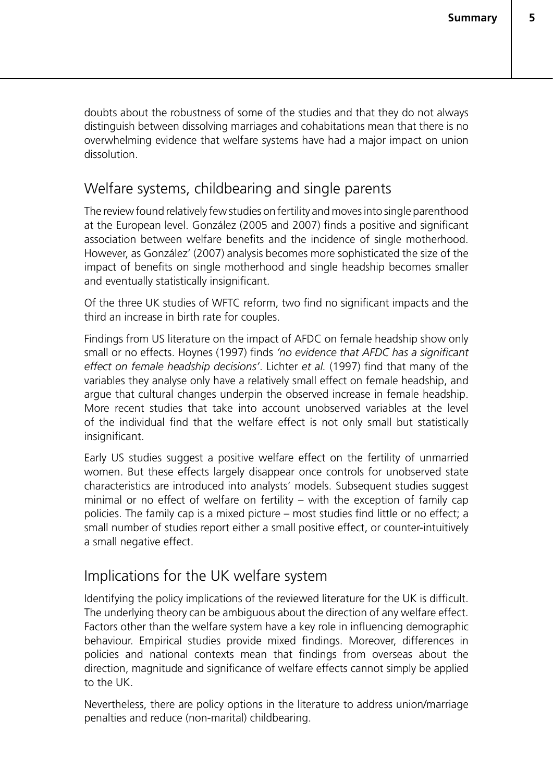doubts about the robustness of some of the studies and that they do not always distinguish between dissolving marriages and cohabitations mean that there is no overwhelming evidence that welfare systems have had a major impact on union dissolution.

## Welfare systems, childbearing and single parents

The review found relatively few studies on fertility and moves into single parenthood at the European level. González (2005 and 2007) finds a positive and significant association between welfare benefits and the incidence of single motherhood. However, as González' (2007) analysis becomes more sophisticated the size of the impact of benefits on single motherhood and single headship becomes smaller and eventually statistically insignificant.

Of the three UK studies of WFTC reform, two find no significant impacts and the third an increase in birth rate for couples.

Findings from US literature on the impact of AFDC on female headship show only small or no effects. Hoynes (1997) finds *'no evidence that AFDC has a significant effect on female headship decisions'*. Lichter *et al.* (1997) find that many of the variables they analyse only have a relatively small effect on female headship, and argue that cultural changes underpin the observed increase in female headship. More recent studies that take into account unobserved variables at the level of the individual find that the welfare effect is not only small but statistically insignificant.

Early US studies suggest a positive welfare effect on the fertility of unmarried women. But these effects largely disappear once controls for unobserved state characteristics are introduced into analysts' models. Subsequent studies suggest minimal or no effect of welfare on fertility – with the exception of family cap policies. The family cap is a mixed picture – most studies find little or no effect; a small number of studies report either a small positive effect, or counter-intuitively a small negative effect.

# Implications for the UK welfare system

Identifying the policy implications of the reviewed literature for the UK is difficult. The underlying theory can be ambiguous about the direction of any welfare effect. Factors other than the welfare system have a key role in influencing demographic behaviour. Empirical studies provide mixed findings. Moreover, differences in policies and national contexts mean that findings from overseas about the direction, magnitude and significance of welfare effects cannot simply be applied to the UK.

Nevertheless, there are policy options in the literature to address union/marriage penalties and reduce (non-marital) childbearing.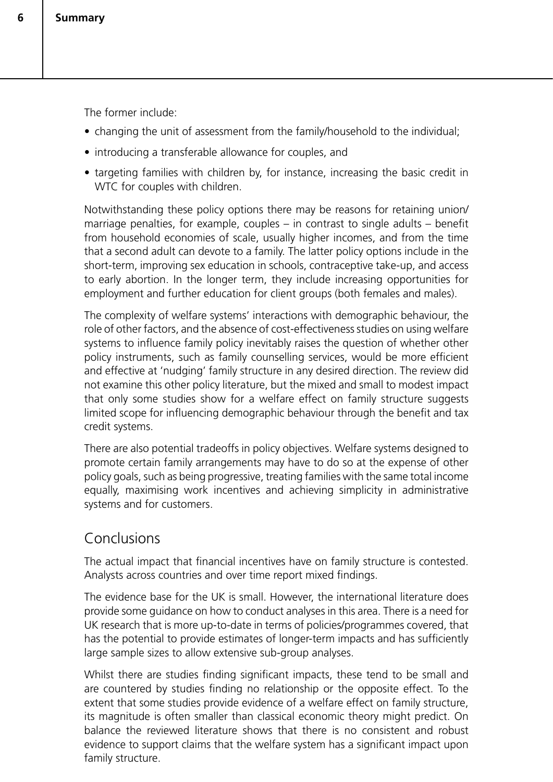The former include:

- changing the unit of assessment from the family/household to the individual;
- introducing a transferable allowance for couples, and
- targeting families with children by, for instance, increasing the basic credit in WTC for couples with children.

Notwithstanding these policy options there may be reasons for retaining union/ marriage penalties, for example, couples – in contrast to single adults – benefit from household economies of scale, usually higher incomes, and from the time that a second adult can devote to a family. The latter policy options include in the short-term, improving sex education in schools, contraceptive take-up, and access to early abortion. In the longer term, they include increasing opportunities for employment and further education for client groups (both females and males).

The complexity of welfare systems' interactions with demographic behaviour, the role of other factors, and the absence of cost-effectiveness studies on using welfare systems to influence family policy inevitably raises the question of whether other policy instruments, such as family counselling services, would be more efficient and effective at 'nudging' family structure in any desired direction. The review did not examine this other policy literature, but the mixed and small to modest impact that only some studies show for a welfare effect on family structure suggests limited scope for influencing demographic behaviour through the benefit and tax credit systems.

There are also potential tradeoffs in policy objectives. Welfare systems designed to promote certain family arrangements may have to do so at the expense of other policy goals, such as being progressive, treating families with the same total income equally, maximising work incentives and achieving simplicity in administrative systems and for customers.

# Conclusions

The actual impact that financial incentives have on family structure is contested. Analysts across countries and over time report mixed findings.

The evidence base for the UK is small. However, the international literature does provide some guidance on how to conduct analyses in this area. There is a need for UK research that is more up-to-date in terms of policies/programmes covered, that has the potential to provide estimates of longer-term impacts and has sufficiently large sample sizes to allow extensive sub-group analyses.

Whilst there are studies finding significant impacts, these tend to be small and are countered by studies finding no relationship or the opposite effect. To the extent that some studies provide evidence of a welfare effect on family structure, its magnitude is often smaller than classical economic theory might predict. On balance the reviewed literature shows that there is no consistent and robust evidence to support claims that the welfare system has a significant impact upon family structure.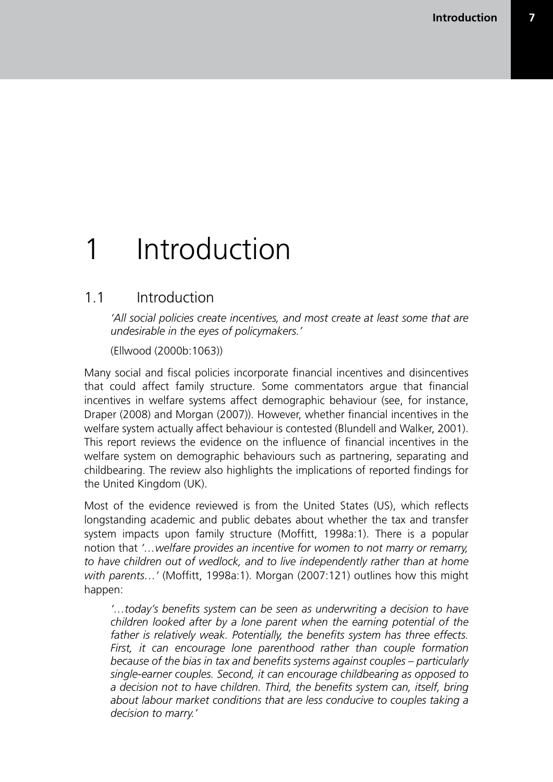# 1 Introduction

# 1.1 Introduction

*'All social policies create incentives, and most create at least some that are undesirable in the eyes of policymakers.'* 

(Ellwood (2000b:1063))

Many social and fiscal policies incorporate financial incentives and disincentives that could affect family structure. Some commentators argue that financial incentives in welfare systems affect demographic behaviour (see, for instance, Draper (2008) and Morgan (2007)). However, whether financial incentives in the welfare system actually affect behaviour is contested (Blundell and Walker, 2001). This report reviews the evidence on the influence of financial incentives in the welfare system on demographic behaviours such as partnering, separating and childbearing. The review also highlights the implications of reported findings for the United Kingdom (UK).

Most of the evidence reviewed is from the United States (US), which reflects longstanding academic and public debates about whether the tax and transfer system impacts upon family structure (Moffitt, 1998a:1). There is a popular notion that *'…welfare provides an incentive for women to not marry or remarry, to have children out of wedlock, and to live independently rather than at home with parents…'* (Moffitt, 1998a:1). Morgan (2007:121) outlines how this might happen:

*'…today's benefits system can be seen as underwriting a decision to have children looked after by a lone parent when the earning potential of the father is relatively weak. Potentially, the benefits system has three effects. First, it can encourage lone parenthood rather than couple formation because of the bias in tax and benefits systems against couples – particularly single-earner couples. Second, it can encourage childbearing as opposed to a decision not to have children. Third, the benefits system can, itself, bring about labour market conditions that are less conducive to couples taking a decision to marry.'*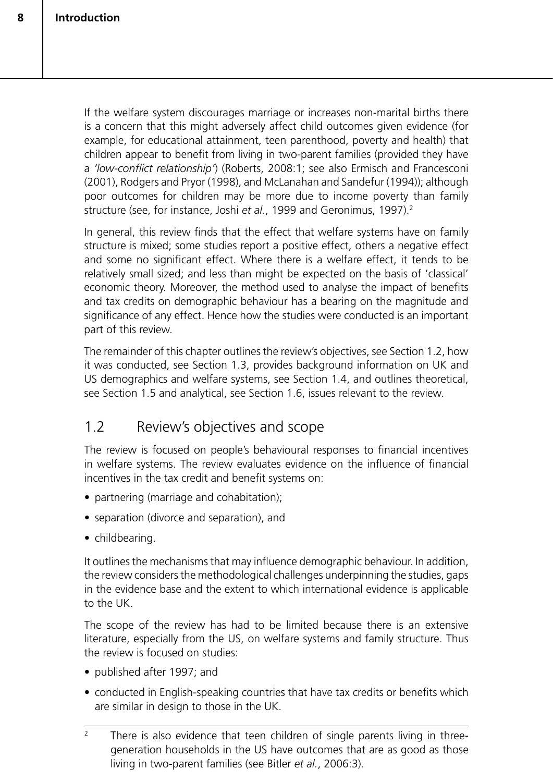If the welfare system discourages marriage or increases non-marital births there is a concern that this might adversely affect child outcomes given evidence (for example, for educational attainment, teen parenthood, poverty and health) that children appear to benefit from living in two-parent families (provided they have a *'low-conflict relationship'*) (Roberts, 2008:1; see also Ermisch and Francesconi (2001), Rodgers and Pryor (1998), and McLanahan and Sandefur (1994)); although poor outcomes for children may be more due to income poverty than family structure (see, for instance, Joshi et al., 1999 and Geronimus, 1997).<sup>2</sup>

In general, this review finds that the effect that welfare systems have on family structure is mixed; some studies report a positive effect, others a negative effect and some no significant effect. Where there is a welfare effect, it tends to be relatively small sized; and less than might be expected on the basis of 'classical' economic theory. Moreover, the method used to analyse the impact of benefits and tax credits on demographic behaviour has a bearing on the magnitude and significance of any effect. Hence how the studies were conducted is an important part of this review.

The remainder of this chapter outlines the review's objectives, see Section 1.2, how it was conducted, see Section 1.3, provides background information on UK and US demographics and welfare systems, see Section 1.4, and outlines theoretical, see Section 1.5 and analytical, see Section 1.6, issues relevant to the review.

# 1.2 Review's objectives and scope

The review is focused on people's behavioural responses to financial incentives in welfare systems. The review evaluates evidence on the influence of financial incentives in the tax credit and benefit systems on:

- partnering (marriage and cohabitation);
- separation (divorce and separation), and
- childbearing.

It outlines the mechanisms that may influence demographic behaviour. In addition, the review considers the methodological challenges underpinning the studies, gaps in the evidence base and the extent to which international evidence is applicable to the UK.

The scope of the review has had to be limited because there is an extensive literature, especially from the US, on welfare systems and family structure. Thus the review is focused on studies:

- published after 1997; and
- conducted in English-speaking countries that have tax credits or benefits which are similar in design to those in the UK.

<sup>&</sup>lt;sup>2</sup> There is also evidence that teen children of single parents living in threegeneration households in the US have outcomes that are as good as those living in two-parent families (see Bitler *et al.*, 2006:3).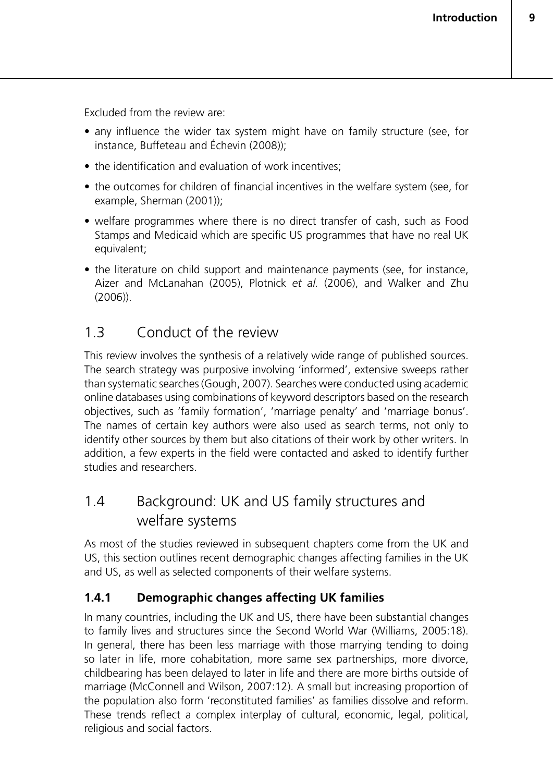Excluded from the review are:

- any influence the wider tax system might have on family structure (see, for instance, Buffeteau and Échevin (2008));
- the identification and evaluation of work incentives;
- the outcomes for children of financial incentives in the welfare system (see, for example, Sherman (2001));
- welfare programmes where there is no direct transfer of cash, such as Food Stamps and Medicaid which are specific US programmes that have no real UK equivalent;
- the literature on child support and maintenance payments (see, for instance, Aizer and McLanahan (2005), Plotnick *et al.* (2006), and Walker and Zhu (2006)).

# 1.3 Conduct of the review

This review involves the synthesis of a relatively wide range of published sources. The search strategy was purposive involving 'informed', extensive sweeps rather than systematic searches (Gough, 2007). Searches were conducted using academic online databases using combinations of keyword descriptors based on the research objectives, such as 'family formation', 'marriage penalty' and 'marriage bonus'. The names of certain key authors were also used as search terms, not only to identify other sources by them but also citations of their work by other writers. In addition, a few experts in the field were contacted and asked to identify further studies and researchers.

# 1.4 Background: UK and US family structures and welfare systems

As most of the studies reviewed in subsequent chapters come from the UK and US, this section outlines recent demographic changes affecting families in the UK and US, as well as selected components of their welfare systems.

## **1.4.1 Demographic changes affecting UK families**

In many countries, including the UK and US, there have been substantial changes to family lives and structures since the Second World War (Williams, 2005:18). In general, there has been less marriage with those marrying tending to doing so later in life, more cohabitation, more same sex partnerships, more divorce, childbearing has been delayed to later in life and there are more births outside of marriage (McConnell and Wilson, 2007:12). A small but increasing proportion of the population also form 'reconstituted families' as families dissolve and reform. These trends reflect a complex interplay of cultural, economic, legal, political, religious and social factors.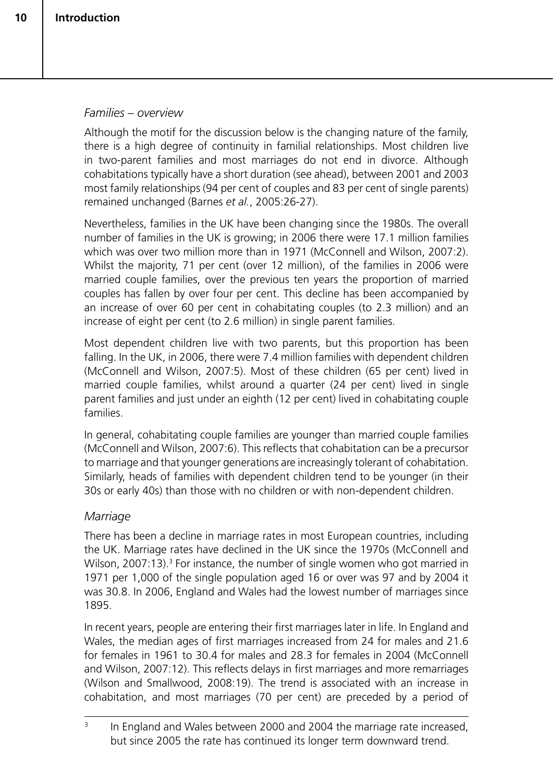### *Families – overview*

Although the motif for the discussion below is the changing nature of the family, there is a high degree of continuity in familial relationships. Most children live in two-parent families and most marriages do not end in divorce. Although cohabitations typically have a short duration (see ahead), between 2001 and 2003 most family relationships (94 per cent of couples and 83 per cent of single parents) remained unchanged (Barnes *et al.*, 2005:26-27).

Nevertheless, families in the UK have been changing since the 1980s. The overall number of families in the UK is growing; in 2006 there were 17.1 million families which was over two million more than in 1971 (McConnell and Wilson, 2007:2). Whilst the majority, 71 per cent (over 12 million), of the families in 2006 were married couple families, over the previous ten years the proportion of married couples has fallen by over four per cent. This decline has been accompanied by an increase of over 60 per cent in cohabitating couples (to 2.3 million) and an increase of eight per cent (to 2.6 million) in single parent families.

Most dependent children live with two parents, but this proportion has been falling. In the UK, in 2006, there were 7.4 million families with dependent children (McConnell and Wilson, 2007:5). Most of these children (65 per cent) lived in married couple families, whilst around a quarter (24 per cent) lived in single parent families and just under an eighth (12 per cent) lived in cohabitating couple families.

In general, cohabitating couple families are younger than married couple families (McConnell and Wilson, 2007:6). This reflects that cohabitation can be a precursor to marriage and that younger generations are increasingly tolerant of cohabitation. Similarly, heads of families with dependent children tend to be younger (in their 30s or early 40s) than those with no children or with non-dependent children.

#### *Marriage*

There has been a decline in marriage rates in most European countries, including the UK. Marriage rates have declined in the UK since the 1970s (McConnell and Wilson, 2007:13).<sup>3</sup> For instance, the number of single women who got married in 1971 per 1,000 of the single population aged 16 or over was 97 and by 2004 it was 30.8. In 2006, England and Wales had the lowest number of marriages since 1895.

In recent years, people are entering their first marriages later in life. In England and Wales, the median ages of first marriages increased from 24 for males and 21.6 for females in 1961 to 30.4 for males and 28.3 for females in 2004 (McConnell and Wilson, 2007:12). This reflects delays in first marriages and more remarriages (Wilson and Smallwood, 2008:19). The trend is associated with an increase in cohabitation, and most marriages (70 per cent) are preceded by a period of

 $3$  In England and Wales between 2000 and 2004 the marriage rate increased, but since 2005 the rate has continued its longer term downward trend.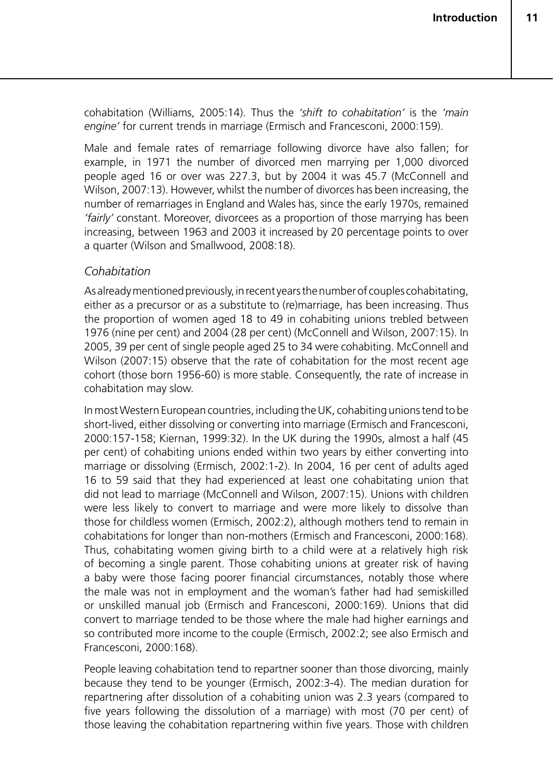cohabitation (Williams, 2005:14). Thus the *'shift to cohabitation'* is the *'main engine'* for current trends in marriage (Ermisch and Francesconi, 2000:159).

Male and female rates of remarriage following divorce have also fallen; for example, in 1971 the number of divorced men marrying per 1,000 divorced people aged 16 or over was 227.3, but by 2004 it was 45.7 (McConnell and Wilson, 2007:13). However, whilst the number of divorces has been increasing, the number of remarriages in England and Wales has, since the early 1970s, remained *'fairly'* constant. Moreover, divorcees as a proportion of those marrying has been increasing, between 1963 and 2003 it increased by 20 percentage points to over a quarter (Wilson and Smallwood, 2008:18).

#### *Cohabitation*

As already mentioned previously, in recent years the number of couples cohabitating, either as a precursor or as a substitute to (re)marriage, has been increasing. Thus the proportion of women aged 18 to 49 in cohabiting unions trebled between 1976 (nine per cent) and 2004 (28 per cent) (McConnell and Wilson, 2007:15). In 2005, 39 per cent of single people aged 25 to 34 were cohabiting. McConnell and Wilson (2007:15) observe that the rate of cohabitation for the most recent age cohort (those born 1956-60) is more stable. Consequently, the rate of increase in cohabitation may slow.

In most Western European countries, including the UK, cohabiting unions tend to be short-lived, either dissolving or converting into marriage (Ermisch and Francesconi, 2000:157-158; Kiernan, 1999:32). In the UK during the 1990s, almost a half (45 per cent) of cohabiting unions ended within two years by either converting into marriage or dissolving (Ermisch, 2002:1-2). In 2004, 16 per cent of adults aged 16 to 59 said that they had experienced at least one cohabitating union that did not lead to marriage (McConnell and Wilson, 2007:15). Unions with children were less likely to convert to marriage and were more likely to dissolve than those for childless women (Ermisch, 2002:2), although mothers tend to remain in cohabitations for longer than non-mothers (Ermisch and Francesconi, 2000:168). Thus, cohabitating women giving birth to a child were at a relatively high risk of becoming a single parent. Those cohabiting unions at greater risk of having a baby were those facing poorer financial circumstances, notably those where the male was not in employment and the woman's father had had semiskilled or unskilled manual job (Ermisch and Francesconi, 2000:169). Unions that did convert to marriage tended to be those where the male had higher earnings and so contributed more income to the couple (Ermisch, 2002:2; see also Ermisch and Francesconi, 2000:168).

People leaving cohabitation tend to repartner sooner than those divorcing, mainly because they tend to be younger (Ermisch, 2002:3-4). The median duration for repartnering after dissolution of a cohabiting union was 2.3 years (compared to five years following the dissolution of a marriage) with most (70 per cent) of those leaving the cohabitation repartnering within five years. Those with children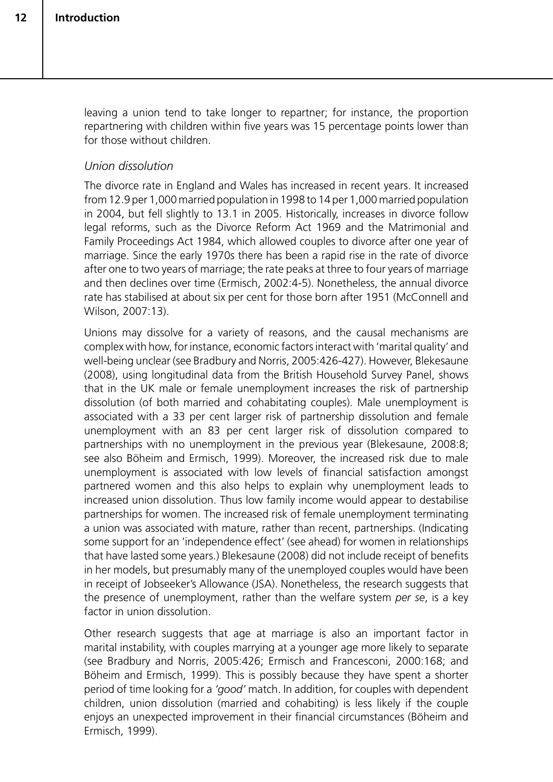leaving a union tend to take longer to repartner; for instance, the proportion repartnering with children within five years was 15 percentage points lower than for those without children.

#### *Union dissolution*

The divorce rate in England and Wales has increased in recent years. It increased from 12.9 per 1,000 married population in 1998 to 14 per 1,000 married population in 2004, but fell slightly to 13.1 in 2005. Historically, increases in divorce follow legal reforms, such as the Divorce Reform Act 1969 and the Matrimonial and Family Proceedings Act 1984, which allowed couples to divorce after one year of marriage. Since the early 1970s there has been a rapid rise in the rate of divorce after one to two years of marriage; the rate peaks at three to four years of marriage and then declines over time (Ermisch, 2002:4-5). Nonetheless, the annual divorce rate has stabilised at about six per cent for those born after 1951 (McConnell and Wilson, 2007:13).

Unions may dissolve for a variety of reasons, and the causal mechanisms are complex with how, for instance, economic factors interact with 'marital quality' and well-being unclear (see Bradbury and Norris, 2005:426-427). However, Blekesaune (2008), using longitudinal data from the British Household Survey Panel, shows that in the UK male or female unemployment increases the risk of partnership dissolution (of both married and cohabitating couples). Male unemployment is associated with a 33 per cent larger risk of partnership dissolution and female unemployment with an 83 per cent larger risk of dissolution compared to partnerships with no unemployment in the previous year (Blekesaune, 2008:8; see also Böheim and Ermisch, 1999). Moreover, the increased risk due to male unemployment is associated with low levels of financial satisfaction amongst partnered women and this also helps to explain why unemployment leads to increased union dissolution. Thus low family income would appear to destabilise partnerships for women. The increased risk of female unemployment terminating a union was associated with mature, rather than recent, partnerships. (Indicating some support for an 'independence effect' (see ahead) for women in relationships that have lasted some years.) Blekesaune (2008) did not include receipt of benefits in her models, but presumably many of the unemployed couples would have been in receipt of Jobseeker's Allowance (JSA). Nonetheless, the research suggests that the presence of unemployment, rather than the welfare system *per se*, is a key factor in union dissolution.

Other research suggests that age at marriage is also an important factor in marital instability, with couples marrying at a younger age more likely to separate (see Bradbury and Norris, 2005:426; Ermisch and Francesconi, 2000:168; and Böheim and Ermisch, 1999). This is possibly because they have spent a shorter period of time looking for a *'good'* match. In addition, for couples with dependent children, union dissolution (married and cohabiting) is less likely if the couple enjoys an unexpected improvement in their financial circumstances (Böheim and Ermisch, 1999).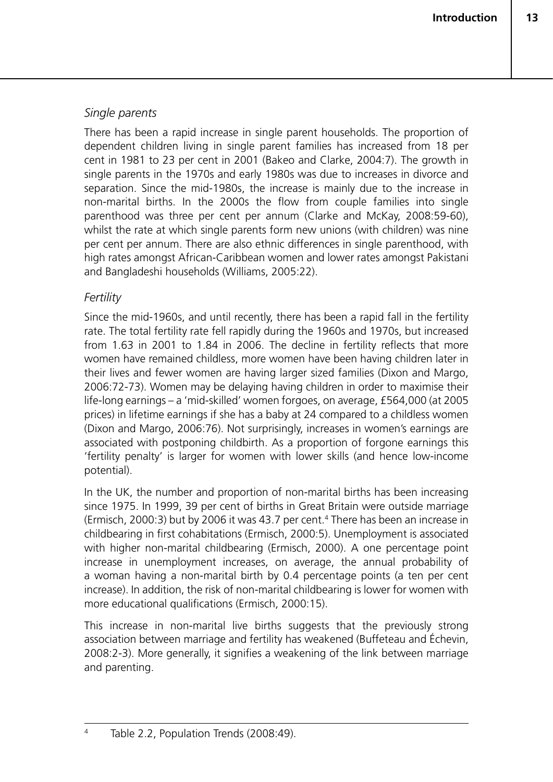## *Single parents*

There has been a rapid increase in single parent households. The proportion of dependent children living in single parent families has increased from 18 per cent in 1981 to 23 per cent in 2001 (Bakeo and Clarke, 2004:7). The growth in single parents in the 1970s and early 1980s was due to increases in divorce and separation. Since the mid-1980s, the increase is mainly due to the increase in non-marital births. In the 2000s the flow from couple families into single parenthood was three per cent per annum (Clarke and McKay, 2008:59-60), whilst the rate at which single parents form new unions (with children) was nine per cent per annum. There are also ethnic differences in single parenthood, with high rates amongst African-Caribbean women and lower rates amongst Pakistani and Bangladeshi households (Williams, 2005:22).

#### *Fertility*

Since the mid-1960s, and until recently, there has been a rapid fall in the fertility rate. The total fertility rate fell rapidly during the 1960s and 1970s, but increased from 1.63 in 2001 to 1.84 in 2006. The decline in fertility reflects that more women have remained childless, more women have been having children later in their lives and fewer women are having larger sized families (Dixon and Margo, 2006:72-73). Women may be delaying having children in order to maximise their life-long earnings – a 'mid-skilled' women forgoes, on average, £564,000 (at 2005 prices) in lifetime earnings if she has a baby at 24 compared to a childless women (Dixon and Margo, 2006:76). Not surprisingly, increases in women's earnings are associated with postponing childbirth. As a proportion of forgone earnings this 'fertility penalty' is larger for women with lower skills (and hence low-income potential).

In the UK, the number and proportion of non-marital births has been increasing since 1975. In 1999, 39 per cent of births in Great Britain were outside marriage (Ermisch, 2000:3) but by 2006 it was 43.7 per cent.<sup>4</sup> There has been an increase in childbearing in first cohabitations (Ermisch, 2000:5). Unemployment is associated with higher non-marital childbearing (Ermisch, 2000). A one percentage point increase in unemployment increases, on average, the annual probability of a woman having a non-marital birth by 0.4 percentage points (a ten per cent increase). In addition, the risk of non-marital childbearing is lower for women with more educational qualifications (Ermisch, 2000:15).

This increase in non-marital live births suggests that the previously strong association between marriage and fertility has weakened (Buffeteau and Échevin, 2008:2-3). More generally, it signifies a weakening of the link between marriage and parenting.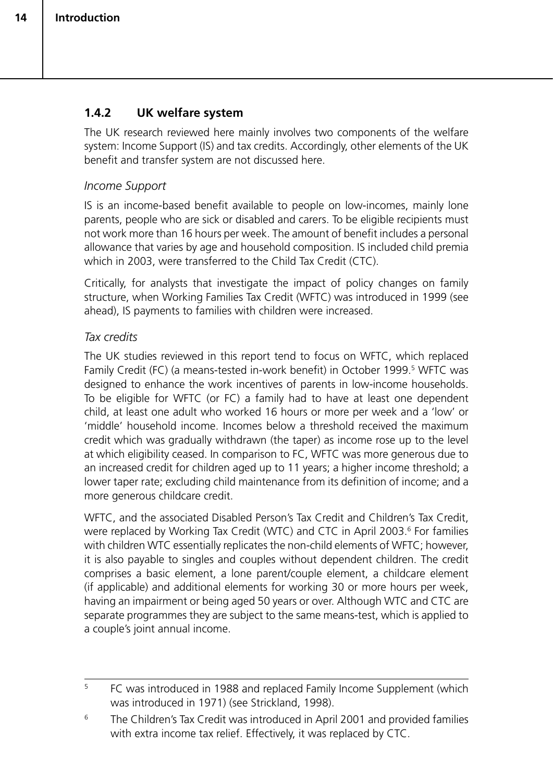## **1.4.2 UK welfare system**

The UK research reviewed here mainly involves two components of the welfare system: Income Support (IS) and tax credits. Accordingly, other elements of the UK benefit and transfer system are not discussed here.

### *Income Support*

IS is an income-based benefit available to people on low-incomes, mainly lone parents, people who are sick or disabled and carers. To be eligible recipients must not work more than 16 hours per week. The amount of benefit includes a personal allowance that varies by age and household composition. IS included child premia which in 2003, were transferred to the Child Tax Credit (CTC).

Critically, for analysts that investigate the impact of policy changes on family structure, when Working Families Tax Credit (WFTC) was introduced in 1999 (see ahead), IS payments to families with children were increased.

#### *Tax credits*

The UK studies reviewed in this report tend to focus on WFTC, which replaced Family Credit (FC) (a means-tested in-work benefit) in October 1999.<sup>5</sup> WFTC was designed to enhance the work incentives of parents in low-income households. To be eligible for WFTC (or FC) a family had to have at least one dependent child, at least one adult who worked 16 hours or more per week and a 'low' or 'middle' household income. Incomes below a threshold received the maximum credit which was gradually withdrawn (the taper) as income rose up to the level at which eligibility ceased. In comparison to FC, WFTC was more generous due to an increased credit for children aged up to 11 years; a higher income threshold; a lower taper rate; excluding child maintenance from its definition of income; and a more generous childcare credit.

WFTC, and the associated Disabled Person's Tax Credit and Children's Tax Credit, were replaced by Working Tax Credit (WTC) and CTC in April 2003.<sup>6</sup> For families with children WTC essentially replicates the non-child elements of WFTC; however, it is also payable to singles and couples without dependent children. The credit comprises a basic element, a lone parent/couple element, a childcare element (if applicable) and additional elements for working 30 or more hours per week, having an impairment or being aged 50 years or over. Although WTC and CTC are separate programmes they are subject to the same means-test, which is applied to a couple's joint annual income.

<sup>&</sup>lt;sup>5</sup> FC was introduced in 1988 and replaced Family Income Supplement (which was introduced in 1971) (see Strickland, 1998).

<sup>&</sup>lt;sup>6</sup> The Children's Tax Credit was introduced in April 2001 and provided families with extra income tax relief. Effectively, it was replaced by CTC.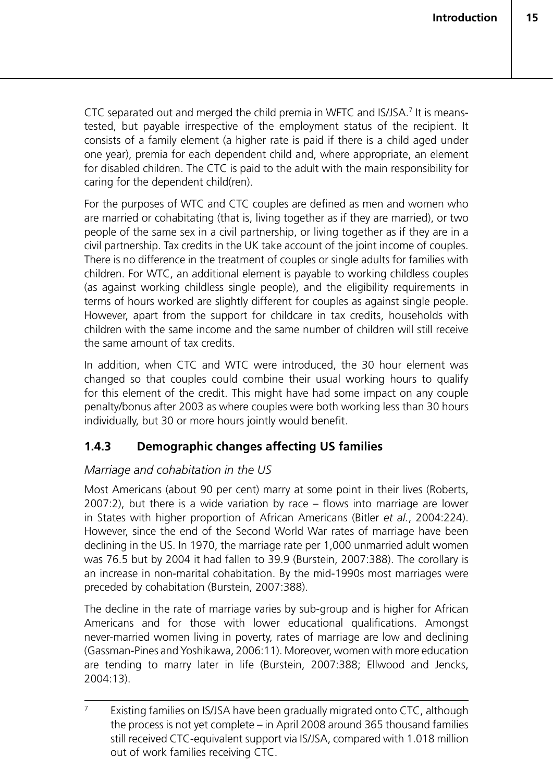CTC separated out and merged the child premia in WFTC and IS/JSA.7 It is meanstested, but payable irrespective of the employment status of the recipient. It consists of a family element (a higher rate is paid if there is a child aged under one year), premia for each dependent child and, where appropriate, an element for disabled children. The CTC is paid to the adult with the main responsibility for caring for the dependent child(ren).

For the purposes of WTC and CTC couples are defined as men and women who are married or cohabitating (that is, living together as if they are married), or two people of the same sex in a civil partnership, or living together as if they are in a civil partnership. Tax credits in the UK take account of the joint income of couples. There is no difference in the treatment of couples or single adults for families with children. For WTC, an additional element is payable to working childless couples (as against working childless single people), and the eligibility requirements in terms of hours worked are slightly different for couples as against single people. However, apart from the support for childcare in tax credits, households with children with the same income and the same number of children will still receive the same amount of tax credits.

In addition, when CTC and WTC were introduced, the 30 hour element was changed so that couples could combine their usual working hours to qualify for this element of the credit. This might have had some impact on any couple penalty/bonus after 2003 as where couples were both working less than 30 hours individually, but 30 or more hours jointly would benefit.

## **1.4.3 Demographic changes affecting US families**

## *Marriage and cohabitation in the US*

Most Americans (about 90 per cent) marry at some point in their lives (Roberts, 2007:2), but there is a wide variation by race – flows into marriage are lower in States with higher proportion of African Americans (Bitler *et al.*, 2004:224). However, since the end of the Second World War rates of marriage have been declining in the US. In 1970, the marriage rate per 1,000 unmarried adult women was 76.5 but by 2004 it had fallen to 39.9 (Burstein, 2007:388). The corollary is an increase in non-marital cohabitation. By the mid-1990s most marriages were preceded by cohabitation (Burstein, 2007:388).

The decline in the rate of marriage varies by sub-group and is higher for African Americans and for those with lower educational qualifications. Amongst never-married women living in poverty, rates of marriage are low and declining (Gassman-Pines and Yoshikawa, 2006:11). Moreover, women with more education are tending to marry later in life (Burstein, 2007:388; Ellwood and Jencks, 2004:13).

<sup>7</sup> Existing families on IS/JSA have been gradually migrated onto CTC, although the process is not yet complete – in April 2008 around 365 thousand families still received CTC-equivalent support via IS/JSA, compared with 1.018 million out of work families receiving CTC.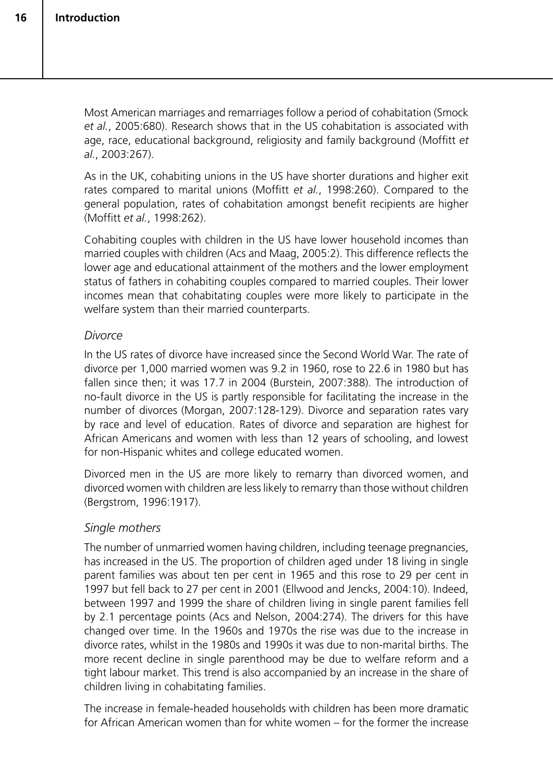Most American marriages and remarriages follow a period of cohabitation (Smock *et al.*, 2005:680). Research shows that in the US cohabitation is associated with age, race, educational background, religiosity and family background (Moffitt *et al.*, 2003:267).

As in the UK, cohabiting unions in the US have shorter durations and higher exit rates compared to marital unions (Moffitt *et al.*, 1998:260). Compared to the general population, rates of cohabitation amongst benefit recipients are higher (Moffitt *et al.*, 1998:262).

Cohabiting couples with children in the US have lower household incomes than married couples with children (Acs and Maag, 2005:2). This difference reflects the lower age and educational attainment of the mothers and the lower employment status of fathers in cohabiting couples compared to married couples. Their lower incomes mean that cohabitating couples were more likely to participate in the welfare system than their married counterparts.

#### *Divorce*

In the US rates of divorce have increased since the Second World War. The rate of divorce per 1,000 married women was 9.2 in 1960, rose to 22.6 in 1980 but has fallen since then; it was 17.7 in 2004 (Burstein, 2007:388). The introduction of no-fault divorce in the US is partly responsible for facilitating the increase in the number of divorces (Morgan, 2007:128-129). Divorce and separation rates vary by race and level of education. Rates of divorce and separation are highest for African Americans and women with less than 12 years of schooling, and lowest for non-Hispanic whites and college educated women.

Divorced men in the US are more likely to remarry than divorced women, and divorced women with children are less likely to remarry than those without children (Bergstrom, 1996:1917).

#### *Single mothers*

The number of unmarried women having children, including teenage pregnancies, has increased in the US. The proportion of children aged under 18 living in single parent families was about ten per cent in 1965 and this rose to 29 per cent in 1997 but fell back to 27 per cent in 2001 (Ellwood and Jencks, 2004:10). Indeed, between 1997 and 1999 the share of children living in single parent families fell by 2.1 percentage points (Acs and Nelson, 2004:274). The drivers for this have changed over time. In the 1960s and 1970s the rise was due to the increase in divorce rates, whilst in the 1980s and 1990s it was due to non-marital births. The more recent decline in single parenthood may be due to welfare reform and a tight labour market. This trend is also accompanied by an increase in the share of children living in cohabitating families.

The increase in female-headed households with children has been more dramatic for African American women than for white women – for the former the increase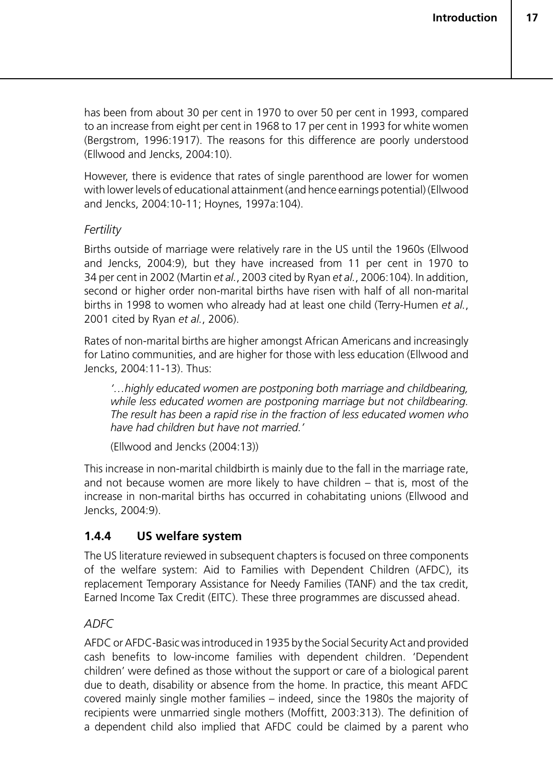has been from about 30 per cent in 1970 to over 50 per cent in 1993, compared to an increase from eight per cent in 1968 to 17 per cent in 1993 for white women (Bergstrom, 1996:1917). The reasons for this difference are poorly understood (Ellwood and Jencks, 2004:10).

However, there is evidence that rates of single parenthood are lower for women with lower levels of educational attainment (and hence earnings potential) (Ellwood and Jencks, 2004:10-11; Hoynes, 1997a:104).

## *Fertility*

Births outside of marriage were relatively rare in the US until the 1960s (Ellwood and Jencks, 2004:9), but they have increased from 11 per cent in 1970 to 34 per cent in 2002 (Martin *et al.*, 2003 cited by Ryan *et al.*, 2006:104). In addition, second or higher order non-marital births have risen with half of all non-marital births in 1998 to women who already had at least one child (Terry-Humen *et al.*, 2001 cited by Ryan *et al.*, 2006).

Rates of non-marital births are higher amongst African Americans and increasingly for Latino communities, and are higher for those with less education (Ellwood and Jencks, 2004:11-13). Thus:

*'…highly educated women are postponing both marriage and childbearing, while less educated women are postponing marriage but not childbearing. The result has been a rapid rise in the fraction of less educated women who have had children but have not married.'*

(Ellwood and Jencks (2004:13))

This increase in non-marital childbirth is mainly due to the fall in the marriage rate, and not because women are more likely to have children – that is, most of the increase in non-marital births has occurred in cohabitating unions (Ellwood and Jencks, 2004:9).

## **1.4.4 US welfare system**

The US literature reviewed in subsequent chapters is focused on three components of the welfare system: Aid to Families with Dependent Children (AFDC), its replacement Temporary Assistance for Needy Families (TANF) and the tax credit, Earned Income Tax Credit (EITC). These three programmes are discussed ahead.

## *ADFC*

AFDC or AFDC-Basic was introduced in 1935 by the Social Security Act and provided cash benefits to low-income families with dependent children. 'Dependent children' were defined as those without the support or care of a biological parent due to death, disability or absence from the home. In practice, this meant AFDC covered mainly single mother families – indeed, since the 1980s the majority of recipients were unmarried single mothers (Moffitt, 2003:313). The definition of a dependent child also implied that AFDC could be claimed by a parent who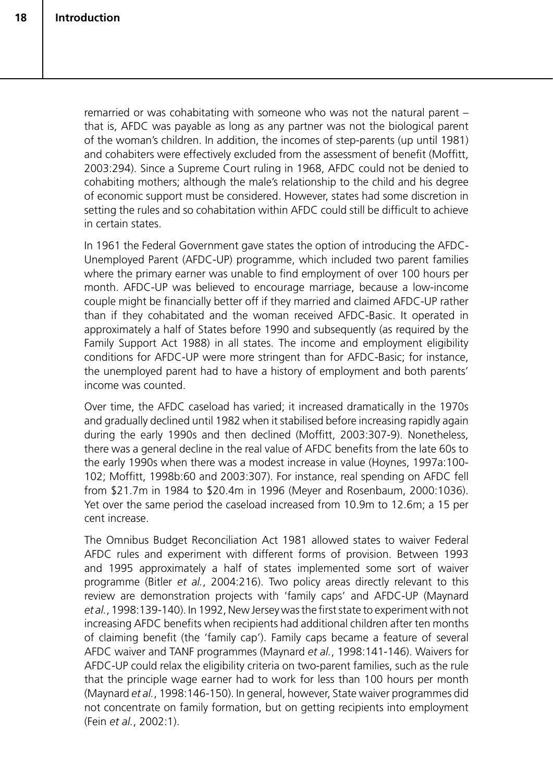remarried or was cohabitating with someone who was not the natural parent – that is, AFDC was payable as long as any partner was not the biological parent of the woman's children. In addition, the incomes of step-parents (up until 1981) and cohabiters were effectively excluded from the assessment of benefit (Moffitt, 2003:294). Since a Supreme Court ruling in 1968, AFDC could not be denied to cohabiting mothers; although the male's relationship to the child and his degree of economic support must be considered. However, states had some discretion in setting the rules and so cohabitation within AFDC could still be difficult to achieve in certain states.

In 1961 the Federal Government gave states the option of introducing the AFDC-Unemployed Parent (AFDC-UP) programme, which included two parent families where the primary earner was unable to find employment of over 100 hours per month. AFDC-UP was believed to encourage marriage, because a low-income couple might be financially better off if they married and claimed AFDC-UP rather than if they cohabitated and the woman received AFDC-Basic. It operated in approximately a half of States before 1990 and subsequently (as required by the Family Support Act 1988) in all states. The income and employment eligibility conditions for AFDC-UP were more stringent than for AFDC-Basic; for instance, the unemployed parent had to have a history of employment and both parents' income was counted.

Over time, the AFDC caseload has varied; it increased dramatically in the 1970s and gradually declined until 1982 when it stabilised before increasing rapidly again during the early 1990s and then declined (Moffitt, 2003:307-9). Nonetheless, there was a general decline in the real value of AFDC benefits from the late 60s to the early 1990s when there was a modest increase in value (Hoynes, 1997a:100- 102; Moffitt, 1998b:60 and 2003:307). For instance, real spending on AFDC fell from \$21.7m in 1984 to \$20.4m in 1996 (Meyer and Rosenbaum, 2000:1036). Yet over the same period the caseload increased from 10.9m to 12.6m; a 15 per cent increase.

The Omnibus Budget Reconciliation Act 1981 allowed states to waiver Federal AFDC rules and experiment with different forms of provision. Between 1993 and 1995 approximately a half of states implemented some sort of waiver programme (Bitler *et al.*, 2004:216). Two policy areas directly relevant to this review are demonstration projects with 'family caps' and AFDC-UP (Maynard *et al.*, 1998:139-140). In 1992, New Jersey was the first state to experiment with not increasing AFDC benefits when recipients had additional children after ten months of claiming benefit (the 'family cap'). Family caps became a feature of several AFDC waiver and TANF programmes (Maynard *et al.*, 1998:141-146). Waivers for AFDC-UP could relax the eligibility criteria on two-parent families, such as the rule that the principle wage earner had to work for less than 100 hours per month (Maynard *et al.*, 1998:146-150). In general, however, State waiver programmes did not concentrate on family formation, but on getting recipients into employment (Fein *et al.*, 2002:1).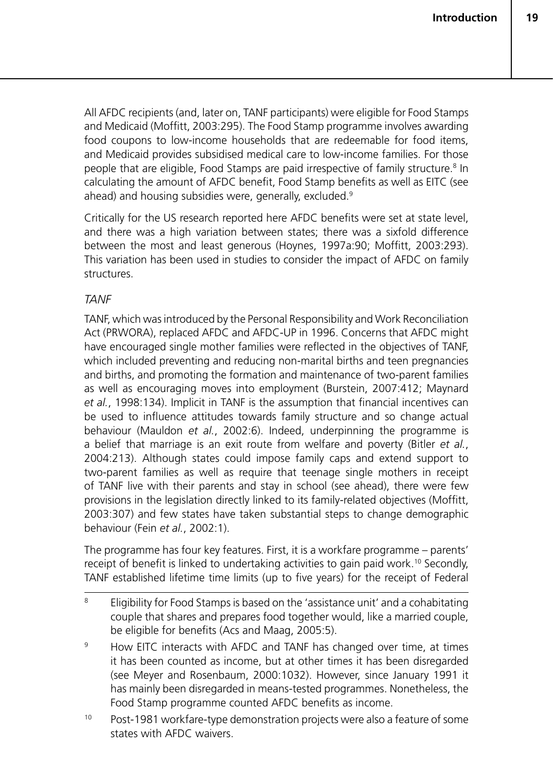All AFDC recipients (and, later on, TANF participants) were eligible for Food Stamps and Medicaid (Moffitt, 2003:295). The Food Stamp programme involves awarding food coupons to low-income households that are redeemable for food items, and Medicaid provides subsidised medical care to low-income families. For those people that are eligible, Food Stamps are paid irrespective of family structure.<sup>8</sup> In calculating the amount of AFDC benefit, Food Stamp benefits as well as EITC (see ahead) and housing subsidies were, generally, excluded.<sup>9</sup>

Critically for the US research reported here AFDC benefits were set at state level, and there was a high variation between states; there was a sixfold difference between the most and least generous (Hoynes, 1997a:90; Moffitt, 2003:293). This variation has been used in studies to consider the impact of AFDC on family structures.

#### *TANF*

TANF, which was introduced by the Personal Responsibility and Work Reconciliation Act (PRWORA), replaced AFDC and AFDC-UP in 1996. Concerns that AFDC might have encouraged single mother families were reflected in the objectives of TANF, which included preventing and reducing non-marital births and teen pregnancies and births, and promoting the formation and maintenance of two-parent families as well as encouraging moves into employment (Burstein, 2007:412; Maynard *et al.*, 1998:134). Implicit in TANF is the assumption that financial incentives can be used to influence attitudes towards family structure and so change actual behaviour (Mauldon *et al.*, 2002:6). Indeed, underpinning the programme is a belief that marriage is an exit route from welfare and poverty (Bitler *et al.*, 2004:213). Although states could impose family caps and extend support to two-parent families as well as require that teenage single mothers in receipt of TANF live with their parents and stay in school (see ahead), there were few provisions in the legislation directly linked to its family-related objectives (Moffitt, 2003:307) and few states have taken substantial steps to change demographic behaviour (Fein *et al.*, 2002:1).

The programme has four key features. First, it is a workfare programme – parents' receipt of benefit is linked to undertaking activities to gain paid work.<sup>10</sup> Secondly, TANF established lifetime time limits (up to five years) for the receipt of Federal

- <sup>8</sup> Eligibility for Food Stamps is based on the 'assistance unit' and a cohabitating couple that shares and prepares food together would, like a married couple, be eligible for benefits (Acs and Maag, 2005:5).
- <sup>9</sup> How EITC interacts with AFDC and TANF has changed over time, at times it has been counted as income, but at other times it has been disregarded (see Meyer and Rosenbaum, 2000:1032). However, since January 1991 it has mainly been disregarded in means-tested programmes. Nonetheless, the Food Stamp programme counted AFDC benefits as income.
- <sup>10</sup> Post-1981 workfare-type demonstration projects were also a feature of some states with AFDC waivers.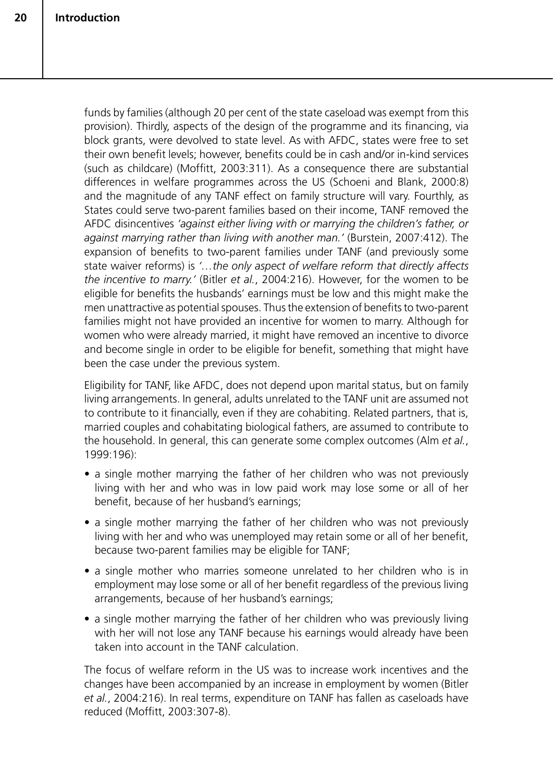funds by families (although 20 per cent of the state caseload was exempt from this provision). Thirdly, aspects of the design of the programme and its financing, via block grants, were devolved to state level. As with AFDC, states were free to set their own benefit levels; however, benefits could be in cash and/or in-kind services (such as childcare) (Moffitt, 2003:311). As a consequence there are substantial differences in welfare programmes across the US (Schoeni and Blank, 2000:8) and the magnitude of any TANF effect on family structure will vary. Fourthly, as States could serve two-parent families based on their income, TANF removed the AFDC disincentives *'against either living with or marrying the children's father, or against marrying rather than living with another man.'* (Burstein, 2007:412). The expansion of benefits to two-parent families under TANF (and previously some state waiver reforms) is *'…the only aspect of welfare reform that directly affects the incentive to marry.'* (Bitler *et al.*, 2004:216). However, for the women to be eligible for benefits the husbands' earnings must be low and this might make the men unattractive as potential spouses. Thus the extension of benefits to two-parent families might not have provided an incentive for women to marry. Although for women who were already married, it might have removed an incentive to divorce and become single in order to be eligible for benefit, something that might have been the case under the previous system.

Eligibility for TANF, like AFDC, does not depend upon marital status, but on family living arrangements. In general, adults unrelated to the TANF unit are assumed not to contribute to it financially, even if they are cohabiting. Related partners, that is, married couples and cohabitating biological fathers, are assumed to contribute to the household. In general, this can generate some complex outcomes (Alm *et al.*, 1999:196):

- a single mother marrying the father of her children who was not previously living with her and who was in low paid work may lose some or all of her benefit, because of her husband's earnings;
- a single mother marrying the father of her children who was not previously living with her and who was unemployed may retain some or all of her benefit, because two-parent families may be eligible for TANF;
- a single mother who marries someone unrelated to her children who is in employment may lose some or all of her benefit regardless of the previous living arrangements, because of her husband's earnings;
- a single mother marrying the father of her children who was previously living with her will not lose any TANF because his earnings would already have been taken into account in the TANF calculation.

The focus of welfare reform in the US was to increase work incentives and the changes have been accompanied by an increase in employment by women (Bitler *et al.*, 2004:216). In real terms, expenditure on TANF has fallen as caseloads have reduced (Moffitt, 2003:307-8).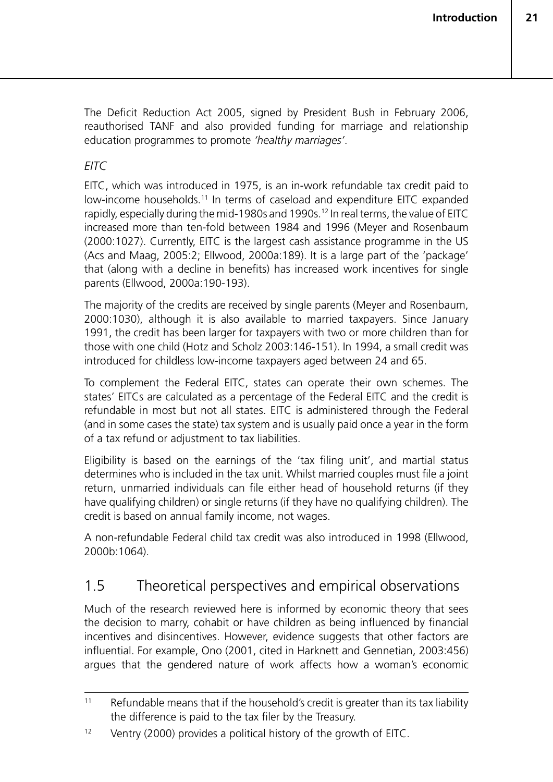The Deficit Reduction Act 2005, signed by President Bush in February 2006, reauthorised TANF and also provided funding for marriage and relationship education programmes to promote *'healthy marriages'*.

## *EITC*

EITC, which was introduced in 1975, is an in-work refundable tax credit paid to low-income households.<sup>11</sup> In terms of caseload and expenditure EITC expanded rapidly, especially during the mid-1980s and 1990s.12 In real terms, the value of EITC increased more than ten-fold between 1984 and 1996 (Meyer and Rosenbaum (2000:1027). Currently, EITC is the largest cash assistance programme in the US (Acs and Maag, 2005:2; Ellwood, 2000a:189). It is a large part of the 'package' that (along with a decline in benefits) has increased work incentives for single parents (Ellwood, 2000a:190-193).

The majority of the credits are received by single parents (Meyer and Rosenbaum, 2000:1030), although it is also available to married taxpayers. Since January 1991, the credit has been larger for taxpayers with two or more children than for those with one child (Hotz and Scholz 2003:146-151). In 1994, a small credit was introduced for childless low-income taxpayers aged between 24 and 65.

To complement the Federal EITC, states can operate their own schemes. The states' EITCs are calculated as a percentage of the Federal EITC and the credit is refundable in most but not all states. EITC is administered through the Federal (and in some cases the state) tax system and is usually paid once a year in the form of a tax refund or adjustment to tax liabilities.

Eligibility is based on the earnings of the 'tax filing unit', and martial status determines who is included in the tax unit. Whilst married couples must file a joint return, unmarried individuals can file either head of household returns (if they have qualifying children) or single returns (if they have no qualifying children). The credit is based on annual family income, not wages.

A non-refundable Federal child tax credit was also introduced in 1998 (Ellwood, 2000b:1064).

# 1.5 Theoretical perspectives and empirical observations

Much of the research reviewed here is informed by economic theory that sees the decision to marry, cohabit or have children as being influenced by financial incentives and disincentives. However, evidence suggests that other factors are influential. For example, Ono (2001, cited in Harknett and Gennetian, 2003:456) argues that the gendered nature of work affects how a woman's economic

 $11$  Refundable means that if the household's credit is greater than its tax liability the difference is paid to the tax filer by the Treasury.

<sup>&</sup>lt;sup>12</sup> Ventry (2000) provides a political history of the growth of EITC.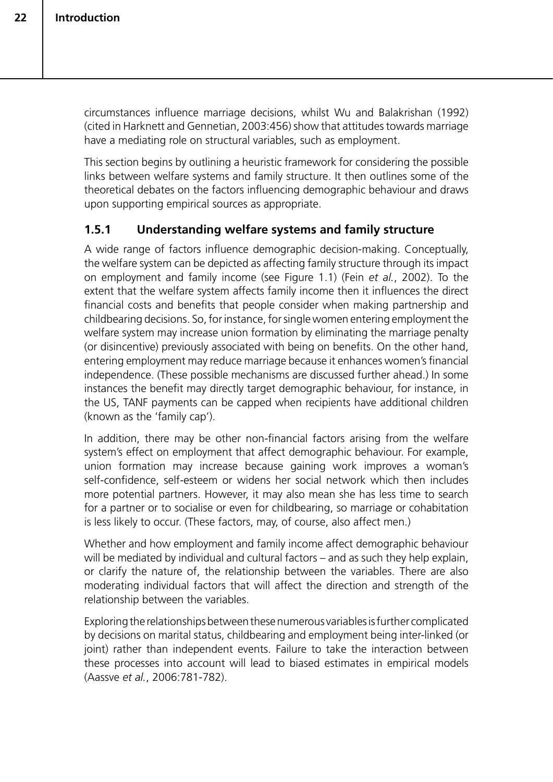circumstances influence marriage decisions, whilst Wu and Balakrishan (1992) (cited in Harknett and Gennetian, 2003:456) show that attitudes towards marriage have a mediating role on structural variables, such as employment.

This section begins by outlining a heuristic framework for considering the possible links between welfare systems and family structure. It then outlines some of the theoretical debates on the factors influencing demographic behaviour and draws upon supporting empirical sources as appropriate.

## **1.5.1 Understanding welfare systems and family structure**

A wide range of factors influence demographic decision-making. Conceptually, the welfare system can be depicted as affecting family structure through its impact on employment and family income (see Figure 1.1) (Fein *et al.*, 2002). To the extent that the welfare system affects family income then it influences the direct financial costs and benefits that people consider when making partnership and childbearing decisions. So, for instance, for single women entering employment the welfare system may increase union formation by eliminating the marriage penalty (or disincentive) previously associated with being on benefits. On the other hand, entering employment may reduce marriage because it enhances women's financial independence. (These possible mechanisms are discussed further ahead.) In some instances the benefit may directly target demographic behaviour, for instance, in the US, TANF payments can be capped when recipients have additional children (known as the 'family cap').

In addition, there may be other non-financial factors arising from the welfare system's effect on employment that affect demographic behaviour. For example, union formation may increase because gaining work improves a woman's self-confidence, self-esteem or widens her social network which then includes more potential partners. However, it may also mean she has less time to search for a partner or to socialise or even for childbearing, so marriage or cohabitation is less likely to occur. (These factors, may, of course, also affect men.)

Whether and how employment and family income affect demographic behaviour will be mediated by individual and cultural factors – and as such they help explain, or clarify the nature of, the relationship between the variables. There are also moderating individual factors that will affect the direction and strength of the relationship between the variables.

Exploring the relationships between these numerous variables is further complicated by decisions on marital status, childbearing and employment being inter-linked (or joint) rather than independent events. Failure to take the interaction between these processes into account will lead to biased estimates in empirical models (Aassve *et al.*, 2006:781-782).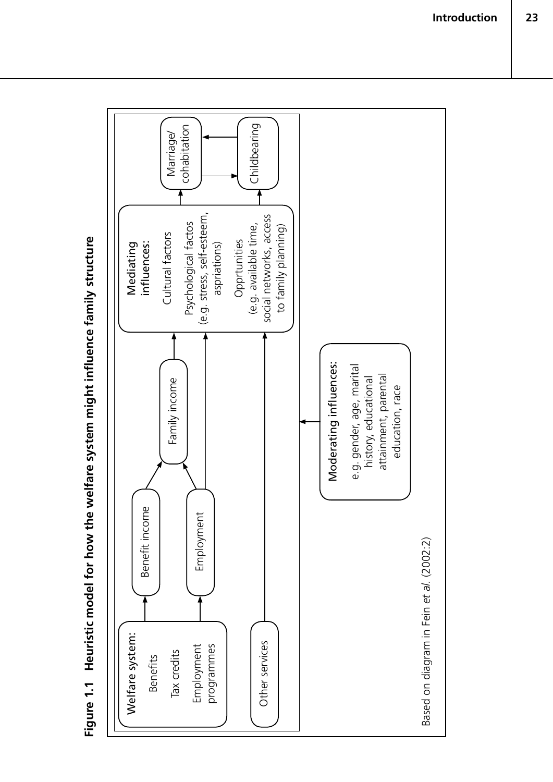Figure 1.1 Heuristic model for how the welfare system might influence family structure **Figure 1.1 Heuristic model for how the welfare system might influence family structure**

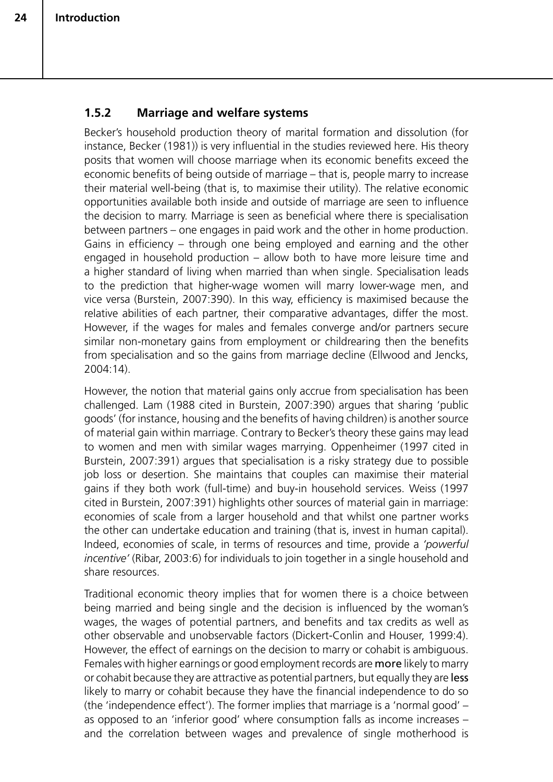## **1.5.2 Marriage and welfare systems**

Becker's household production theory of marital formation and dissolution (for instance, Becker (1981)) is very influential in the studies reviewed here. His theory posits that women will choose marriage when its economic benefits exceed the economic benefits of being outside of marriage – that is, people marry to increase their material well-being (that is, to maximise their utility). The relative economic opportunities available both inside and outside of marriage are seen to influence the decision to marry. Marriage is seen as beneficial where there is specialisation between partners – one engages in paid work and the other in home production. Gains in efficiency – through one being employed and earning and the other engaged in household production – allow both to have more leisure time and a higher standard of living when married than when single. Specialisation leads to the prediction that higher-wage women will marry lower-wage men, and vice versa (Burstein, 2007:390). In this way, efficiency is maximised because the relative abilities of each partner, their comparative advantages, differ the most. However, if the wages for males and females converge and/or partners secure similar non-monetary gains from employment or childrearing then the benefits from specialisation and so the gains from marriage decline (Ellwood and Jencks, 2004:14).

However, the notion that material gains only accrue from specialisation has been challenged. Lam (1988 cited in Burstein, 2007:390) argues that sharing 'public goods' (for instance, housing and the benefits of having children) is another source of material gain within marriage. Contrary to Becker's theory these gains may lead to women and men with similar wages marrying. Oppenheimer (1997 cited in Burstein, 2007:391) argues that specialisation is a risky strategy due to possible job loss or desertion. She maintains that couples can maximise their material gains if they both work (full-time) and buy-in household services. Weiss (1997 cited in Burstein, 2007:391) highlights other sources of material gain in marriage: economies of scale from a larger household and that whilst one partner works the other can undertake education and training (that is, invest in human capital). Indeed, economies of scale, in terms of resources and time, provide a *'powerful incentive'* (Ribar, 2003:6) for individuals to join together in a single household and share resources.

Traditional economic theory implies that for women there is a choice between being married and being single and the decision is influenced by the woman's wages, the wages of potential partners, and benefits and tax credits as well as other observable and unobservable factors (Dickert-Conlin and Houser, 1999:4). However, the effect of earnings on the decision to marry or cohabit is ambiguous. Females with higher earnings or good employment records are more likely to marry or cohabit because they are attractive as potential partners, but equally they are less likely to marry or cohabit because they have the financial independence to do so (the 'independence effect'). The former implies that marriage is a 'normal good' – as opposed to an 'inferior good' where consumption falls as income increases – and the correlation between wages and prevalence of single motherhood is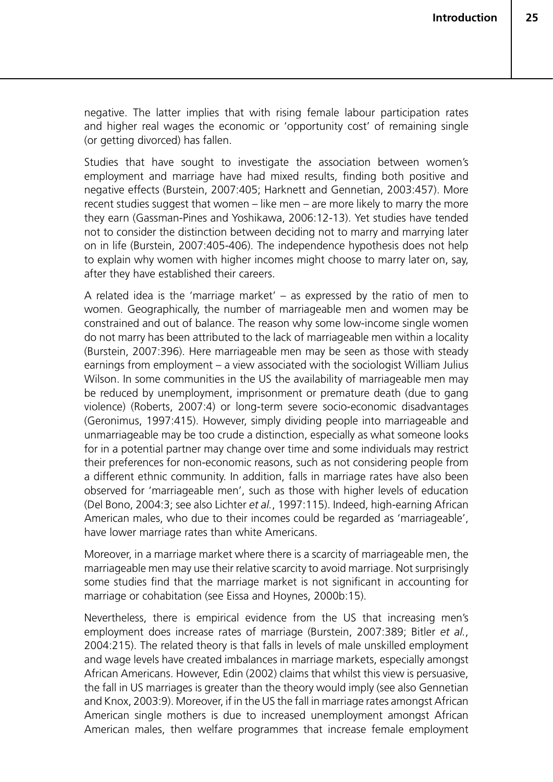negative. The latter implies that with rising female labour participation rates and higher real wages the economic or 'opportunity cost' of remaining single (or getting divorced) has fallen.

Studies that have sought to investigate the association between women's employment and marriage have had mixed results, finding both positive and negative effects (Burstein, 2007:405; Harknett and Gennetian, 2003:457). More recent studies suggest that women – like men – are more likely to marry the more they earn (Gassman-Pines and Yoshikawa, 2006:12-13). Yet studies have tended not to consider the distinction between deciding not to marry and marrying later on in life (Burstein, 2007:405-406). The independence hypothesis does not help to explain why women with higher incomes might choose to marry later on, say, after they have established their careers.

A related idea is the 'marriage market' – as expressed by the ratio of men to women. Geographically, the number of marriageable men and women may be constrained and out of balance. The reason why some low-income single women do not marry has been attributed to the lack of marriageable men within a locality (Burstein, 2007:396). Here marriageable men may be seen as those with steady earnings from employment – a view associated with the sociologist William Julius Wilson. In some communities in the US the availability of marriageable men may be reduced by unemployment, imprisonment or premature death (due to gang violence) (Roberts, 2007:4) or long-term severe socio-economic disadvantages (Geronimus, 1997:415). However, simply dividing people into marriageable and unmarriageable may be too crude a distinction, especially as what someone looks for in a potential partner may change over time and some individuals may restrict their preferences for non-economic reasons, such as not considering people from a different ethnic community. In addition, falls in marriage rates have also been observed for 'marriageable men', such as those with higher levels of education (Del Bono, 2004:3; see also Lichter *et al.*, 1997:115). Indeed, high-earning African American males, who due to their incomes could be regarded as 'marriageable', have lower marriage rates than white Americans.

Moreover, in a marriage market where there is a scarcity of marriageable men, the marriageable men may use their relative scarcity to avoid marriage. Not surprisingly some studies find that the marriage market is not significant in accounting for marriage or cohabitation (see Eissa and Hoynes, 2000b:15).

Nevertheless, there is empirical evidence from the US that increasing men's employment does increase rates of marriage (Burstein, 2007:389; Bitler *et al.*, 2004:215). The related theory is that falls in levels of male unskilled employment and wage levels have created imbalances in marriage markets, especially amongst African Americans. However, Edin (2002) claims that whilst this view is persuasive, the fall in US marriages is greater than the theory would imply (see also Gennetian and Knox, 2003:9). Moreover, if in the US the fall in marriage rates amongst African American single mothers is due to increased unemployment amongst African American males, then welfare programmes that increase female employment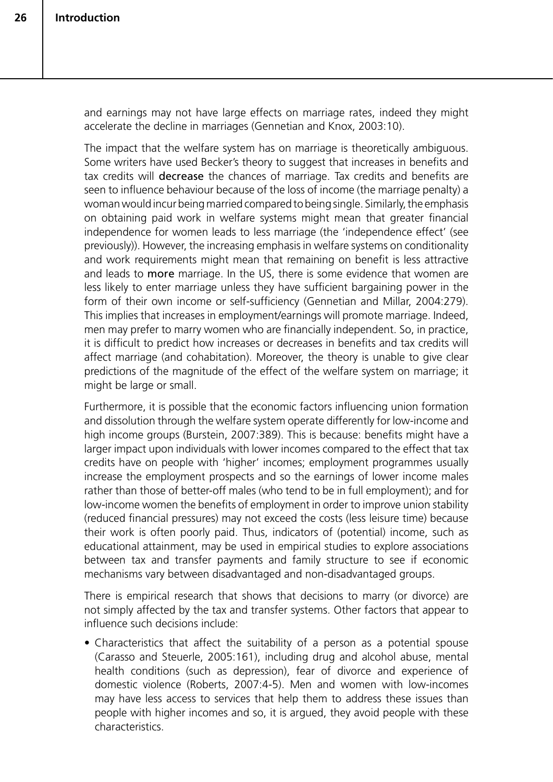and earnings may not have large effects on marriage rates, indeed they might accelerate the decline in marriages (Gennetian and Knox, 2003:10).

The impact that the welfare system has on marriage is theoretically ambiguous. Some writers have used Becker's theory to suggest that increases in benefits and tax credits will decrease the chances of marriage. Tax credits and benefits are seen to influence behaviour because of the loss of income (the marriage penalty) a woman would incur being married compared to being single. Similarly, the emphasis on obtaining paid work in welfare systems might mean that greater financial independence for women leads to less marriage (the 'independence effect' (see previously)). However, the increasing emphasis in welfare systems on conditionality and work requirements might mean that remaining on benefit is less attractive and leads to more marriage. In the US, there is some evidence that women are less likely to enter marriage unless they have sufficient bargaining power in the form of their own income or self-sufficiency (Gennetian and Millar, 2004:279). This implies that increases in employment/earnings will promote marriage. Indeed, men may prefer to marry women who are financially independent. So, in practice, it is difficult to predict how increases or decreases in benefits and tax credits will affect marriage (and cohabitation). Moreover, the theory is unable to give clear predictions of the magnitude of the effect of the welfare system on marriage; it might be large or small.

Furthermore, it is possible that the economic factors influencing union formation and dissolution through the welfare system operate differently for low-income and high income groups (Burstein, 2007:389). This is because: benefits might have a larger impact upon individuals with lower incomes compared to the effect that tax credits have on people with 'higher' incomes; employment programmes usually increase the employment prospects and so the earnings of lower income males rather than those of better-off males (who tend to be in full employment); and for low-income women the benefits of employment in order to improve union stability (reduced financial pressures) may not exceed the costs (less leisure time) because their work is often poorly paid. Thus, indicators of (potential) income, such as educational attainment, may be used in empirical studies to explore associations between tax and transfer payments and family structure to see if economic mechanisms vary between disadvantaged and non-disadvantaged groups.

There is empirical research that shows that decisions to marry (or divorce) are not simply affected by the tax and transfer systems. Other factors that appear to influence such decisions include:

• Characteristics that affect the suitability of a person as a potential spouse (Carasso and Steuerle, 2005:161), including drug and alcohol abuse, mental health conditions (such as depression), fear of divorce and experience of domestic violence (Roberts, 2007:4-5). Men and women with low-incomes may have less access to services that help them to address these issues than people with higher incomes and so, it is argued, they avoid people with these characteristics.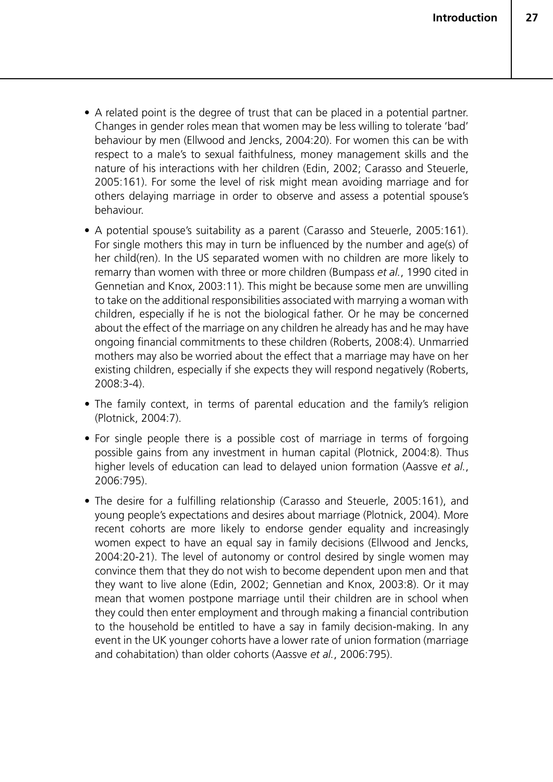- A related point is the degree of trust that can be placed in a potential partner. Changes in gender roles mean that women may be less willing to tolerate 'bad' behaviour by men (Ellwood and Jencks, 2004:20). For women this can be with respect to a male's to sexual faithfulness, money management skills and the nature of his interactions with her children (Edin, 2002; Carasso and Steuerle, 2005:161). For some the level of risk might mean avoiding marriage and for others delaying marriage in order to observe and assess a potential spouse's behaviour.
- A potential spouse's suitability as a parent (Carasso and Steuerle, 2005:161). For single mothers this may in turn be influenced by the number and age(s) of her child(ren). In the US separated women with no children are more likely to remarry than women with three or more children (Bumpass *et al.*, 1990 cited in Gennetian and Knox, 2003:11). This might be because some men are unwilling to take on the additional responsibilities associated with marrying a woman with children, especially if he is not the biological father. Or he may be concerned about the effect of the marriage on any children he already has and he may have ongoing financial commitments to these children (Roberts, 2008:4). Unmarried mothers may also be worried about the effect that a marriage may have on her existing children, especially if she expects they will respond negatively (Roberts, 2008:3-4).
- The family context, in terms of parental education and the family's religion (Plotnick, 2004:7).
- For single people there is a possible cost of marriage in terms of forgoing possible gains from any investment in human capital (Plotnick, 2004:8). Thus higher levels of education can lead to delayed union formation (Aassve *et al.*, 2006:795).
- The desire for a fulfilling relationship (Carasso and Steuerle, 2005:161), and young people's expectations and desires about marriage (Plotnick, 2004). More recent cohorts are more likely to endorse gender equality and increasingly women expect to have an equal say in family decisions (Ellwood and Jencks, 2004:20-21). The level of autonomy or control desired by single women may convince them that they do not wish to become dependent upon men and that they want to live alone (Edin, 2002; Gennetian and Knox, 2003:8). Or it may mean that women postpone marriage until their children are in school when they could then enter employment and through making a financial contribution to the household be entitled to have a say in family decision-making. In any event in the UK younger cohorts have a lower rate of union formation (marriage and cohabitation) than older cohorts (Aassve *et al.*, 2006:795).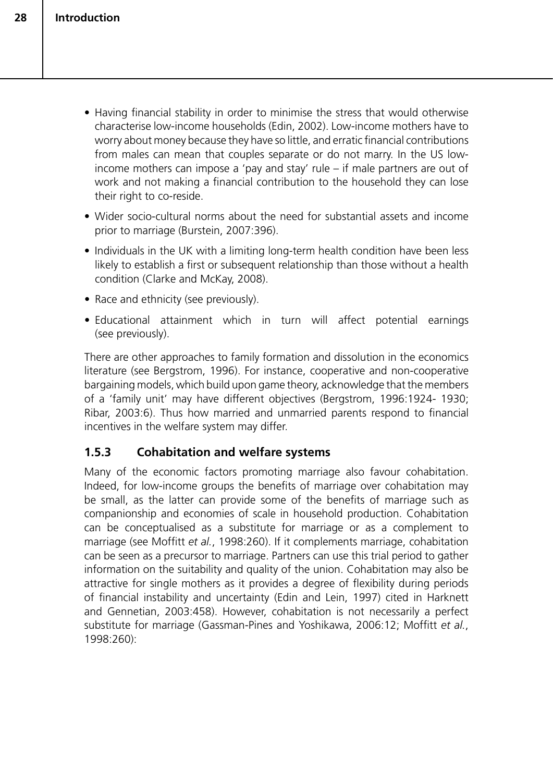- Having financial stability in order to minimise the stress that would otherwise characterise low-income households (Edin, 2002). Low-income mothers have to worry about money because they have so little, and erratic financial contributions from males can mean that couples separate or do not marry. In the US lowincome mothers can impose a 'pay and stay' rule – if male partners are out of work and not making a financial contribution to the household they can lose their right to co-reside.
- Wider socio-cultural norms about the need for substantial assets and income prior to marriage (Burstein, 2007:396).
- Individuals in the UK with a limiting long-term health condition have been less likely to establish a first or subsequent relationship than those without a health condition (Clarke and McKay, 2008).
- Race and ethnicity (see previously).
- Educational attainment which in turn will affect potential earnings (see previously).

There are other approaches to family formation and dissolution in the economics literature (see Bergstrom, 1996). For instance, cooperative and non-cooperative bargaining models, which build upon game theory, acknowledge that the members of a 'family unit' may have different objectives (Bergstrom, 1996:1924- 1930; Ribar, 2003:6). Thus how married and unmarried parents respond to financial incentives in the welfare system may differ.

### **1.5.3 Cohabitation and welfare systems**

Many of the economic factors promoting marriage also favour cohabitation. Indeed, for low-income groups the benefits of marriage over cohabitation may be small, as the latter can provide some of the benefits of marriage such as companionship and economies of scale in household production. Cohabitation can be conceptualised as a substitute for marriage or as a complement to marriage (see Moffitt *et al.*, 1998:260). If it complements marriage, cohabitation can be seen as a precursor to marriage. Partners can use this trial period to gather information on the suitability and quality of the union. Cohabitation may also be attractive for single mothers as it provides a degree of flexibility during periods of financial instability and uncertainty (Edin and Lein, 1997) cited in Harknett and Gennetian, 2003:458). However, cohabitation is not necessarily a perfect substitute for marriage (Gassman-Pines and Yoshikawa, 2006:12; Moffitt *et al.*, 1998:260):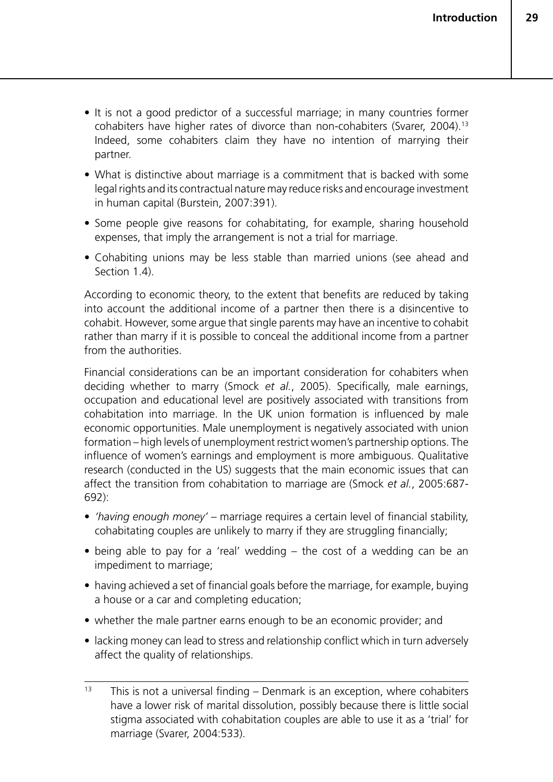- It is not a good predictor of a successful marriage; in many countries former cohabiters have higher rates of divorce than non-cohabiters (Svarer, 2004).13 Indeed, some cohabiters claim they have no intention of marrying their partner.
- What is distinctive about marriage is a commitment that is backed with some legal rights and its contractual nature may reduce risks and encourage investment in human capital (Burstein, 2007:391).
- Some people give reasons for cohabitating, for example, sharing household expenses, that imply the arrangement is not a trial for marriage.
- Cohabiting unions may be less stable than married unions (see ahead and Section 1.4).

According to economic theory, to the extent that benefits are reduced by taking into account the additional income of a partner then there is a disincentive to cohabit. However, some argue that single parents may have an incentive to cohabit rather than marry if it is possible to conceal the additional income from a partner from the authorities.

Financial considerations can be an important consideration for cohabiters when deciding whether to marry (Smock *et al.*, 2005). Specifically, male earnings, occupation and educational level are positively associated with transitions from cohabitation into marriage. In the UK union formation is influenced by male economic opportunities. Male unemployment is negatively associated with union formation – high levels of unemployment restrict women's partnership options. The influence of women's earnings and employment is more ambiguous. Qualitative research (conducted in the US) suggests that the main economic issues that can affect the transition from cohabitation to marriage are (Smock *et al.*, 2005:687- 692):

- *'having enough money'* marriage requires a certain level of financial stability, cohabitating couples are unlikely to marry if they are struggling financially;
- being able to pay for a 'real' wedding  $-$  the cost of a wedding can be an impediment to marriage;
- having achieved a set of financial goals before the marriage, for example, buying a house or a car and completing education;
- whether the male partner earns enough to be an economic provider; and
- lacking money can lead to stress and relationship conflict which in turn adversely affect the quality of relationships.

 $13$  This is not a universal finding – Denmark is an exception, where cohabiters have a lower risk of marital dissolution, possibly because there is little social stigma associated with cohabitation couples are able to use it as a 'trial' for marriage (Svarer, 2004:533).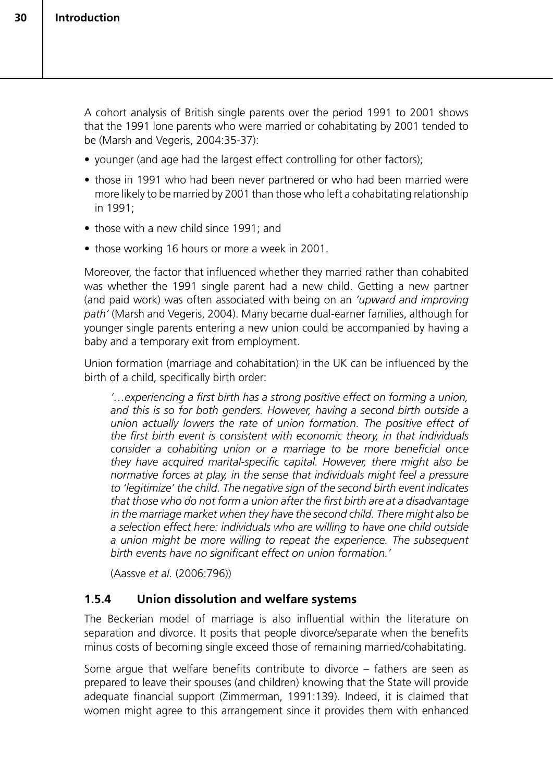A cohort analysis of British single parents over the period 1991 to 2001 shows that the 1991 lone parents who were married or cohabitating by 2001 tended to be (Marsh and Vegeris, 2004:35-37):

- younger (and age had the largest effect controlling for other factors);
- those in 1991 who had been never partnered or who had been married were more likely to be married by 2001 than those who left a cohabitating relationship in 1991;
- those with a new child since 1991; and
- those working 16 hours or more a week in 2001.

Moreover, the factor that influenced whether they married rather than cohabited was whether the 1991 single parent had a new child. Getting a new partner (and paid work) was often associated with being on an *'upward and improving path'* (Marsh and Vegeris, 2004). Many became dual-earner families, although for younger single parents entering a new union could be accompanied by having a baby and a temporary exit from employment.

Union formation (marriage and cohabitation) in the UK can be influenced by the birth of a child, specifically birth order:

*'…experiencing a first birth has a strong positive effect on forming a union, and this is so for both genders. However, having a second birth outside a union actually lowers the rate of union formation. The positive effect of the first birth event is consistent with economic theory, in that individuals consider a cohabiting union or a marriage to be more beneficial once they have acquired marital-specific capital. However, there might also be normative forces at play, in the sense that individuals might feel a pressure to 'legitimize' the child. The negative sign of the second birth event indicates that those who do not form a union after the first birth are at a disadvantage in the marriage market when they have the second child. There might also be a selection effect here: individuals who are willing to have one child outside a union might be more willing to repeat the experience. The subsequent birth events have no significant effect on union formation.'*

(Aassve *et al.* (2006:796))

#### **1.5.4 Union dissolution and welfare systems**

The Beckerian model of marriage is also influential within the literature on separation and divorce. It posits that people divorce/separate when the benefits minus costs of becoming single exceed those of remaining married/cohabitating.

Some argue that welfare benefits contribute to divorce – fathers are seen as prepared to leave their spouses (and children) knowing that the State will provide adequate financial support (Zimmerman, 1991:139). Indeed, it is claimed that women might agree to this arrangement since it provides them with enhanced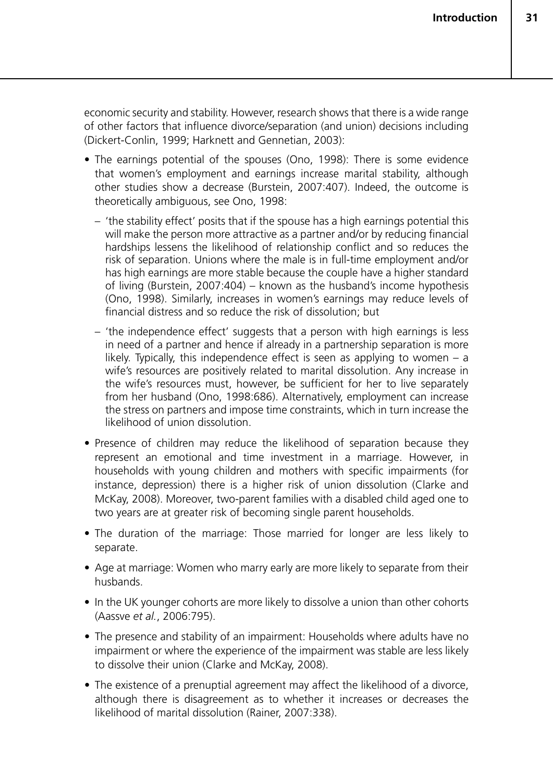economic security and stability. However, research shows that there is a wide range of other factors that influence divorce/separation (and union) decisions including (Dickert-Conlin, 1999; Harknett and Gennetian, 2003):

- The earnings potential of the spouses (Ono, 1998): There is some evidence that women's employment and earnings increase marital stability, although other studies show a decrease (Burstein, 2007:407). Indeed, the outcome is theoretically ambiguous, see Ono, 1998:
	- 'the stability effect' posits that if the spouse has a high earnings potential this will make the person more attractive as a partner and/or by reducing financial hardships lessens the likelihood of relationship conflict and so reduces the risk of separation. Unions where the male is in full-time employment and/or has high earnings are more stable because the couple have a higher standard of living (Burstein, 2007:404) – known as the husband's income hypothesis (Ono, 1998). Similarly, increases in women's earnings may reduce levels of financial distress and so reduce the risk of dissolution; but
	- 'the independence effect' suggests that a person with high earnings is less in need of a partner and hence if already in a partnership separation is more likely. Typically, this independence effect is seen as applying to women – a wife's resources are positively related to marital dissolution. Any increase in the wife's resources must, however, be sufficient for her to live separately from her husband (Ono, 1998:686). Alternatively, employment can increase the stress on partners and impose time constraints, which in turn increase the likelihood of union dissolution.
- Presence of children may reduce the likelihood of separation because they represent an emotional and time investment in a marriage. However, in households with young children and mothers with specific impairments (for instance, depression) there is a higher risk of union dissolution (Clarke and McKay, 2008). Moreover, two-parent families with a disabled child aged one to two years are at greater risk of becoming single parent households.
- The duration of the marriage: Those married for longer are less likely to separate.
- Age at marriage: Women who marry early are more likely to separate from their husbands.
- In the UK younger cohorts are more likely to dissolve a union than other cohorts (Aassve *et al.*, 2006:795).
- The presence and stability of an impairment: Households where adults have no impairment or where the experience of the impairment was stable are less likely to dissolve their union (Clarke and McKay, 2008).
- The existence of a prenuptial agreement may affect the likelihood of a divorce, although there is disagreement as to whether it increases or decreases the likelihood of marital dissolution (Rainer, 2007:338).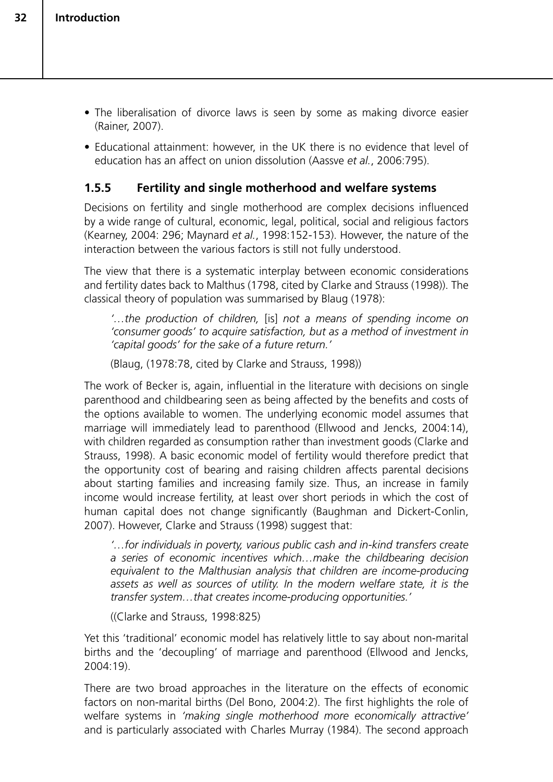- The liberalisation of divorce laws is seen by some as making divorce easier (Rainer, 2007).
- Educational attainment: however, in the UK there is no evidence that level of education has an affect on union dissolution (Aassve *et al.*, 2006:795).

### **1.5.5 Fertility and single motherhood and welfare systems**

Decisions on fertility and single motherhood are complex decisions influenced by a wide range of cultural, economic, legal, political, social and religious factors (Kearney, 2004: 296; Maynard *et al.*, 1998:152-153). However, the nature of the interaction between the various factors is still not fully understood.

The view that there is a systematic interplay between economic considerations and fertility dates back to Malthus (1798, cited by Clarke and Strauss (1998)). The classical theory of population was summarised by Blaug (1978):

*'…the production of children,* [is] *not a means of spending income on 'consumer goods' to acquire satisfaction, but as a method of investment in 'capital goods' for the sake of a future return.'*

(Blaug, (1978:78, cited by Clarke and Strauss, 1998))

The work of Becker is, again, influential in the literature with decisions on single parenthood and childbearing seen as being affected by the benefits and costs of the options available to women. The underlying economic model assumes that marriage will immediately lead to parenthood (Ellwood and Jencks, 2004:14), with children regarded as consumption rather than investment goods (Clarke and Strauss, 1998). A basic economic model of fertility would therefore predict that the opportunity cost of bearing and raising children affects parental decisions about starting families and increasing family size. Thus, an increase in family income would increase fertility, at least over short periods in which the cost of human capital does not change significantly (Baughman and Dickert-Conlin, 2007). However, Clarke and Strauss (1998) suggest that:

*'…for individuals in poverty, various public cash and in-kind transfers create a series of economic incentives which…make the childbearing decision equivalent to the Malthusian analysis that children are income-producing assets as well as sources of utility. In the modern welfare state, it is the transfer system…that creates income-producing opportunities.'* 

((Clarke and Strauss, 1998:825)

Yet this 'traditional' economic model has relatively little to say about non-marital births and the 'decoupling' of marriage and parenthood (Ellwood and Jencks, 2004:19).

There are two broad approaches in the literature on the effects of economic factors on non-marital births (Del Bono, 2004:2). The first highlights the role of welfare systems in *'making single motherhood more economically attractive'* and is particularly associated with Charles Murray (1984). The second approach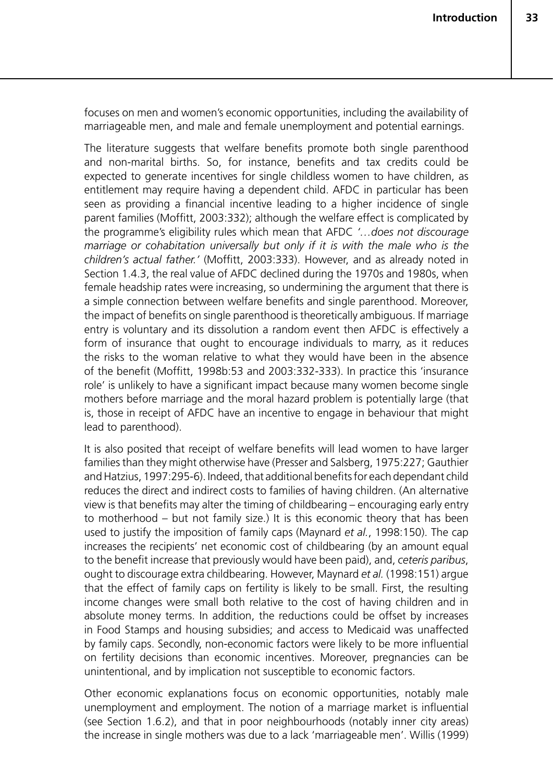focuses on men and women's economic opportunities, including the availability of marriageable men, and male and female unemployment and potential earnings.

The literature suggests that welfare benefits promote both single parenthood and non-marital births. So, for instance, benefits and tax credits could be expected to generate incentives for single childless women to have children, as entitlement may require having a dependent child. AFDC in particular has been seen as providing a financial incentive leading to a higher incidence of single parent families (Moffitt, 2003:332); although the welfare effect is complicated by the programme's eligibility rules which mean that AFDC *'…does not discourage marriage or cohabitation universally but only if it is with the male who is the children's actual father.'* (Moffitt, 2003:333). However, and as already noted in Section 1.4.3, the real value of AFDC declined during the 1970s and 1980s, when female headship rates were increasing, so undermining the argument that there is a simple connection between welfare benefits and single parenthood. Moreover, the impact of benefits on single parenthood is theoretically ambiguous. If marriage entry is voluntary and its dissolution a random event then AFDC is effectively a form of insurance that ought to encourage individuals to marry, as it reduces the risks to the woman relative to what they would have been in the absence of the benefit (Moffitt, 1998b:53 and 2003:332-333). In practice this 'insurance role' is unlikely to have a significant impact because many women become single mothers before marriage and the moral hazard problem is potentially large (that is, those in receipt of AFDC have an incentive to engage in behaviour that might lead to parenthood).

It is also posited that receipt of welfare benefits will lead women to have larger families than they might otherwise have (Presser and Salsberg, 1975:227; Gauthier and Hatzius, 1997:295-6). Indeed, that additional benefits for each dependant child reduces the direct and indirect costs to families of having children. (An alternative view is that benefits may alter the timing of childbearing – encouraging early entry to motherhood – but not family size.) It is this economic theory that has been used to justify the imposition of family caps (Maynard *et al.*, 1998:150). The cap increases the recipients' net economic cost of childbearing (by an amount equal to the benefit increase that previously would have been paid), and, *ceteris paribus*, ought to discourage extra childbearing. However, Maynard *et al.* (1998:151) argue that the effect of family caps on fertility is likely to be small. First, the resulting income changes were small both relative to the cost of having children and in absolute money terms. In addition, the reductions could be offset by increases in Food Stamps and housing subsidies; and access to Medicaid was unaffected by family caps. Secondly, non-economic factors were likely to be more influential on fertility decisions than economic incentives. Moreover, pregnancies can be unintentional, and by implication not susceptible to economic factors.

Other economic explanations focus on economic opportunities, notably male unemployment and employment. The notion of a marriage market is influential (see Section 1.6.2), and that in poor neighbourhoods (notably inner city areas) the increase in single mothers was due to a lack 'marriageable men'. Willis (1999)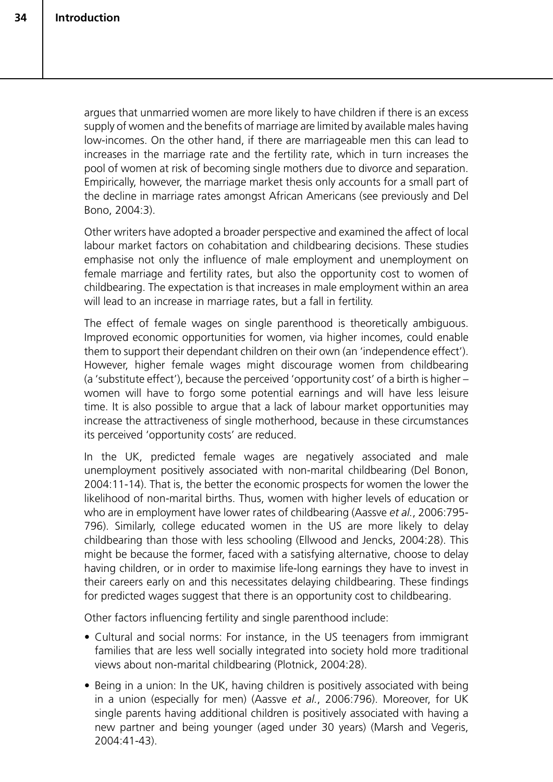argues that unmarried women are more likely to have children if there is an excess supply of women and the benefits of marriage are limited by available males having low-incomes. On the other hand, if there are marriageable men this can lead to increases in the marriage rate and the fertility rate, which in turn increases the pool of women at risk of becoming single mothers due to divorce and separation. Empirically, however, the marriage market thesis only accounts for a small part of the decline in marriage rates amongst African Americans (see previously and Del Bono, 2004:3).

Other writers have adopted a broader perspective and examined the affect of local labour market factors on cohabitation and childbearing decisions. These studies emphasise not only the influence of male employment and unemployment on female marriage and fertility rates, but also the opportunity cost to women of childbearing. The expectation is that increases in male employment within an area will lead to an increase in marriage rates, but a fall in fertility.

The effect of female wages on single parenthood is theoretically ambiguous. Improved economic opportunities for women, via higher incomes, could enable them to support their dependant children on their own (an 'independence effect'). However, higher female wages might discourage women from childbearing (a 'substitute effect'), because the perceived 'opportunity cost' of a birth is higher – women will have to forgo some potential earnings and will have less leisure time. It is also possible to argue that a lack of labour market opportunities may increase the attractiveness of single motherhood, because in these circumstances its perceived 'opportunity costs' are reduced.

In the UK, predicted female wages are negatively associated and male unemployment positively associated with non-marital childbearing (Del Bonon, 2004:11-14). That is, the better the economic prospects for women the lower the likelihood of non-marital births. Thus, women with higher levels of education or who are in employment have lower rates of childbearing (Aassve *et al.*, 2006:795- 796). Similarly, college educated women in the US are more likely to delay childbearing than those with less schooling (Ellwood and Jencks, 2004:28). This might be because the former, faced with a satisfying alternative, choose to delay having children, or in order to maximise life-long earnings they have to invest in their careers early on and this necessitates delaying childbearing. These findings for predicted wages suggest that there is an opportunity cost to childbearing.

Other factors influencing fertility and single parenthood include:

- Cultural and social norms: For instance, in the US teenagers from immigrant families that are less well socially integrated into society hold more traditional views about non-marital childbearing (Plotnick, 2004:28).
- Being in a union: In the UK, having children is positively associated with being in a union (especially for men) (Aassve *et al.*, 2006:796). Moreover, for UK single parents having additional children is positively associated with having a new partner and being younger (aged under 30 years) (Marsh and Vegeris, 2004:41-43).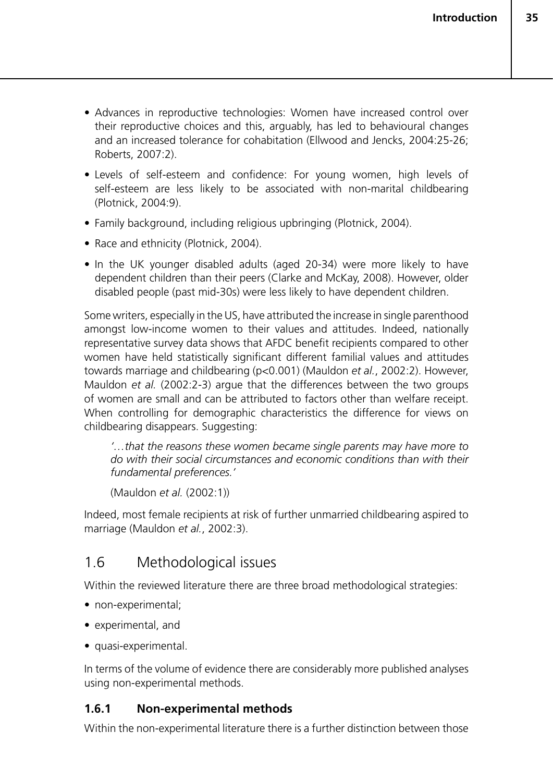- Advances in reproductive technologies: Women have increased control over their reproductive choices and this, arguably, has led to behavioural changes and an increased tolerance for cohabitation (Ellwood and Jencks, 2004:25-26; Roberts,  $2007:2$ ).
- Levels of self-esteem and confidence: For young women, high levels of self-esteem are less likely to be associated with non-marital childbearing (Plotnick, 2004:9).
- Family background, including religious upbringing (Plotnick, 2004).
- Race and ethnicity (Plotnick, 2004).
- In the UK younger disabled adults (aged 20-34) were more likely to have dependent children than their peers (Clarke and McKay, 2008). However, older disabled people (past mid-30s) were less likely to have dependent children.

Some writers, especially in the US, have attributed the increase in single parenthood amongst low-income women to their values and attitudes. Indeed, nationally representative survey data shows that AFDC benefit recipients compared to other women have held statistically significant different familial values and attitudes towards marriage and childbearing (p<0.001) (Mauldon *et al.*, 2002:2). However, Mauldon *et al.* (2002:2-3) argue that the differences between the two groups of women are small and can be attributed to factors other than welfare receipt. When controlling for demographic characteristics the difference for views on childbearing disappears. Suggesting:

*'…that the reasons these women became single parents may have more to do with their social circumstances and economic conditions than with their fundamental preferences.'*

(Mauldon *et al.* (2002:1))

Indeed, most female recipients at risk of further unmarried childbearing aspired to marriage (Mauldon *et al.*, 2002:3).

# 1.6 Methodological issues

Within the reviewed literature there are three broad methodological strategies:

- non-experimental;
- • experimental, and
- quasi-experimental.

In terms of the volume of evidence there are considerably more published analyses using non-experimental methods.

# **1.6.1 Non-experimental methods**

Within the non-experimental literature there is a further distinction between those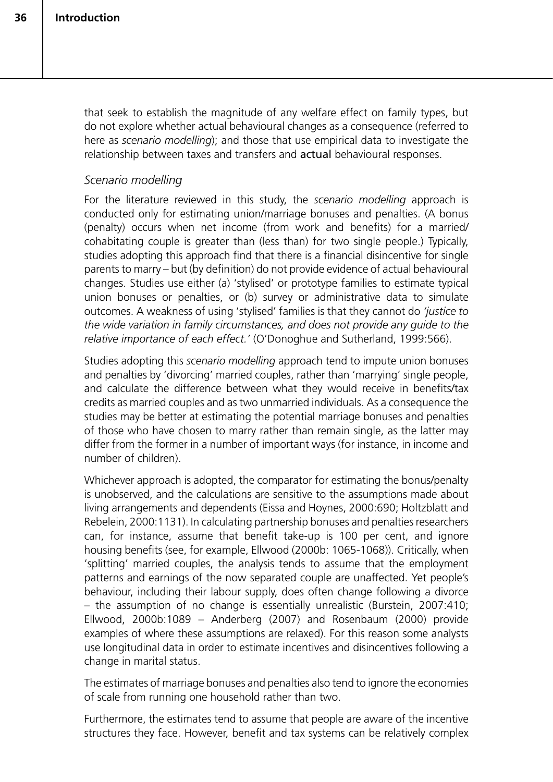that seek to establish the magnitude of any welfare effect on family types, but do not explore whether actual behavioural changes as a consequence (referred to here as *scenario modelling*); and those that use empirical data to investigate the relationship between taxes and transfers and actual behavioural responses.

#### *Scenario modelling*

For the literature reviewed in this study, the *scenario modelling* approach is conducted only for estimating union/marriage bonuses and penalties. (A bonus (penalty) occurs when net income (from work and benefits) for a married/ cohabitating couple is greater than (less than) for two single people.) Typically, studies adopting this approach find that there is a financial disincentive for single parents to marry – but (by definition) do not provide evidence of actual behavioural changes. Studies use either (a) 'stylised' or prototype families to estimate typical union bonuses or penalties, or (b) survey or administrative data to simulate outcomes. A weakness of using 'stylised' families is that they cannot do *'justice to the wide variation in family circumstances, and does not provide any guide to the relative importance of each effect.'* (O'Donoghue and Sutherland, 1999:566).

Studies adopting this *scenario modelling* approach tend to impute union bonuses and penalties by 'divorcing' married couples, rather than 'marrying' single people, and calculate the difference between what they would receive in benefits/tax credits as married couples and as two unmarried individuals. As a consequence the studies may be better at estimating the potential marriage bonuses and penalties of those who have chosen to marry rather than remain single, as the latter may differ from the former in a number of important ways (for instance, in income and number of children).

Whichever approach is adopted, the comparator for estimating the bonus/penalty is unobserved, and the calculations are sensitive to the assumptions made about living arrangements and dependents (Eissa and Hoynes, 2000:690; Holtzblatt and Rebelein, 2000:1131). In calculating partnership bonuses and penalties researchers can, for instance, assume that benefit take-up is 100 per cent, and ignore housing benefits (see, for example, Ellwood (2000b: 1065-1068)). Critically, when 'splitting' married couples, the analysis tends to assume that the employment patterns and earnings of the now separated couple are unaffected. Yet people's behaviour, including their labour supply, does often change following a divorce – the assumption of no change is essentially unrealistic (Burstein, 2007:410; Ellwood, 2000b:1089 – Anderberg (2007) and Rosenbaum (2000) provide examples of where these assumptions are relaxed). For this reason some analysts use longitudinal data in order to estimate incentives and disincentives following a change in marital status.

The estimates of marriage bonuses and penalties also tend to ignore the economies of scale from running one household rather than two.

Furthermore, the estimates tend to assume that people are aware of the incentive structures they face. However, benefit and tax systems can be relatively complex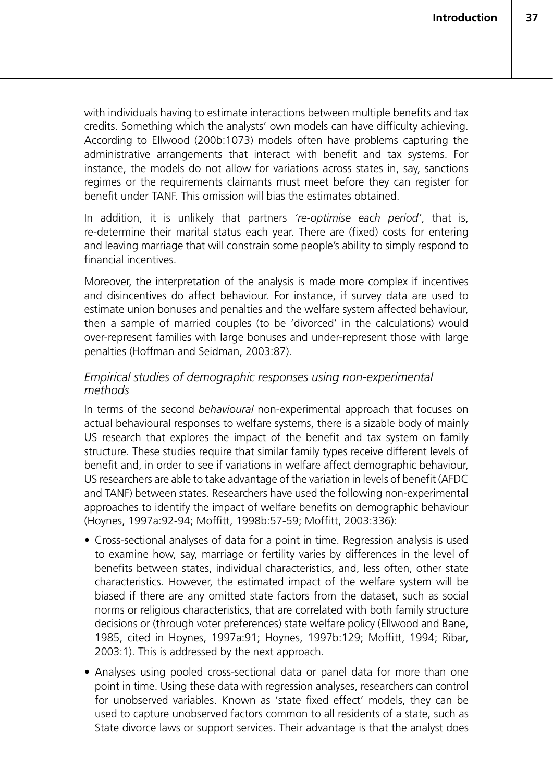with individuals having to estimate interactions between multiple benefits and tax credits. Something which the analysts' own models can have difficulty achieving. According to Ellwood (200b:1073) models often have problems capturing the administrative arrangements that interact with benefit and tax systems. For instance, the models do not allow for variations across states in, say, sanctions regimes or the requirements claimants must meet before they can register for benefit under TANF. This omission will bias the estimates obtained.

In addition, it is unlikely that partners *'re-optimise each period'*, that is, re-determine their marital status each year. There are (fixed) costs for entering and leaving marriage that will constrain some people's ability to simply respond to financial incentives.

Moreover, the interpretation of the analysis is made more complex if incentives and disincentives do affect behaviour. For instance, if survey data are used to estimate union bonuses and penalties and the welfare system affected behaviour, then a sample of married couples (to be 'divorced' in the calculations) would over-represent families with large bonuses and under-represent those with large penalties (Hoffman and Seidman, 2003:87).

#### *Empirical studies of demographic responses using non-experimental methods*

In terms of the second *behavioural* non-experimental approach that focuses on actual behavioural responses to welfare systems, there is a sizable body of mainly US research that explores the impact of the benefit and tax system on family structure. These studies require that similar family types receive different levels of benefit and, in order to see if variations in welfare affect demographic behaviour, US researchers are able to take advantage of the variation in levels of benefit (AFDC and TANF) between states. Researchers have used the following non-experimental approaches to identify the impact of welfare benefits on demographic behaviour (Hoynes, 1997a:92-94; Moffitt, 1998b:57-59; Moffitt, 2003:336):

- Cross-sectional analyses of data for a point in time. Regression analysis is used to examine how, say, marriage or fertility varies by differences in the level of benefits between states, individual characteristics, and, less often, other state characteristics. However, the estimated impact of the welfare system will be biased if there are any omitted state factors from the dataset, such as social norms or religious characteristics, that are correlated with both family structure decisions or (through voter preferences) state welfare policy (Ellwood and Bane, 1985, cited in Hoynes, 1997a:91; Hoynes, 1997b:129; Moffitt, 1994; Ribar, 2003:1). This is addressed by the next approach.
- Analyses using pooled cross-sectional data or panel data for more than one point in time. Using these data with regression analyses, researchers can control for unobserved variables. Known as 'state fixed effect' models, they can be used to capture unobserved factors common to all residents of a state, such as State divorce laws or support services. Their advantage is that the analyst does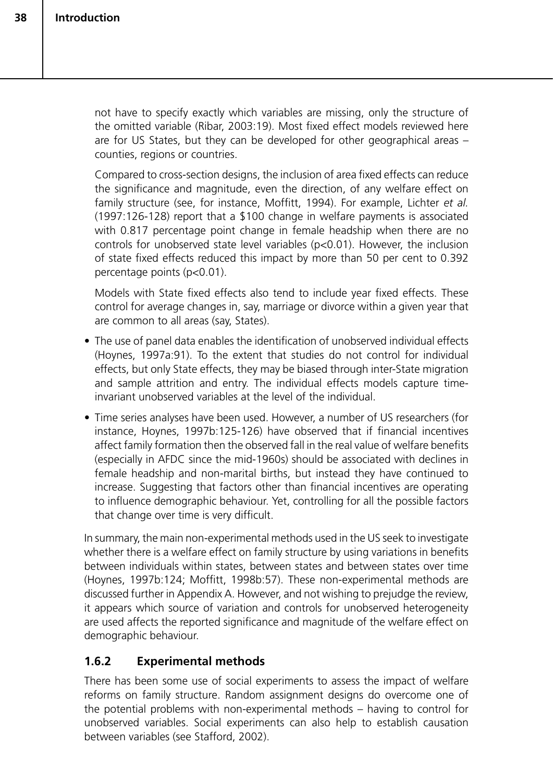not have to specify exactly which variables are missing, only the structure of the omitted variable (Ribar, 2003:19). Most fixed effect models reviewed here are for US States, but they can be developed for other geographical areas – counties, regions or countries.

Compared to cross-section designs, the inclusion of area fixed effects can reduce the significance and magnitude, even the direction, of any welfare effect on family structure (see, for instance, Moffitt, 1994). For example, Lichter *et al.* (1997:126-128) report that a \$100 change in welfare payments is associated with 0.817 percentage point change in female headship when there are no controls for unobserved state level variables (p<0.01). However, the inclusion of state fixed effects reduced this impact by more than 50 per cent to 0.392 percentage points (p<0.01).

Models with State fixed effects also tend to include year fixed effects. These control for average changes in, say, marriage or divorce within a given year that are common to all areas (say, States).

- The use of panel data enables the identification of unobserved individual effects (Hoynes, 1997a:91). To the extent that studies do not control for individual effects, but only State effects, they may be biased through inter-State migration and sample attrition and entry. The individual effects models capture timeinvariant unobserved variables at the level of the individual.
- Time series analyses have been used. However, a number of US researchers (for instance, Hoynes, 1997b:125-126) have observed that if financial incentives affect family formation then the observed fall in the real value of welfare benefits (especially in AFDC since the mid-1960s) should be associated with declines in female headship and non-marital births, but instead they have continued to increase. Suggesting that factors other than financial incentives are operating to influence demographic behaviour. Yet, controlling for all the possible factors that change over time is very difficult.

In summary, the main non-experimental methods used in the US seek to investigate whether there is a welfare effect on family structure by using variations in benefits between individuals within states, between states and between states over time (Hoynes, 1997b:124; Moffitt, 1998b:57). These non-experimental methods are discussed further in Appendix A. However, and not wishing to prejudge the review, it appears which source of variation and controls for unobserved heterogeneity are used affects the reported significance and magnitude of the welfare effect on demographic behaviour.

### **1.6.2 Experimental methods**

There has been some use of social experiments to assess the impact of welfare reforms on family structure. Random assignment designs do overcome one of the potential problems with non-experimental methods – having to control for unobserved variables. Social experiments can also help to establish causation between variables (see Stafford, 2002).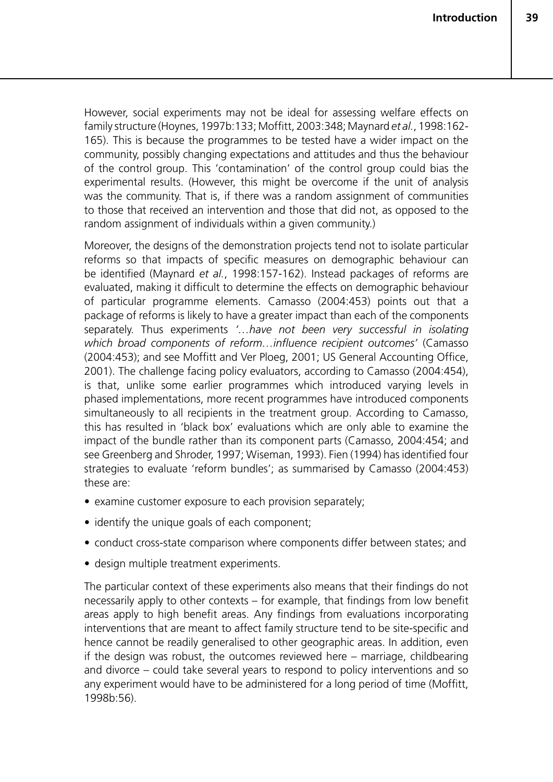However, social experiments may not be ideal for assessing welfare effects on family structure (Hoynes, 1997b:133; Moffitt, 2003:348; Maynard *et al.*, 1998:162- 165). This is because the programmes to be tested have a wider impact on the community, possibly changing expectations and attitudes and thus the behaviour of the control group. This 'contamination' of the control group could bias the experimental results. (However, this might be overcome if the unit of analysis was the community. That is, if there was a random assignment of communities to those that received an intervention and those that did not, as opposed to the random assignment of individuals within a given community.)

Moreover, the designs of the demonstration projects tend not to isolate particular reforms so that impacts of specific measures on demographic behaviour can be identified (Maynard *et al.*, 1998:157-162). Instead packages of reforms are evaluated, making it difficult to determine the effects on demographic behaviour of particular programme elements. Camasso (2004:453) points out that a package of reforms is likely to have a greater impact than each of the components separately. Thus experiments *'…have not been very successful in isolating which broad components of reform…influence recipient outcomes'* (Camasso (2004:453); and see Moffitt and Ver Ploeg, 2001; US General Accounting Office, 2001). The challenge facing policy evaluators, according to Camasso (2004:454), is that, unlike some earlier programmes which introduced varying levels in phased implementations, more recent programmes have introduced components simultaneously to all recipients in the treatment group. According to Camasso, this has resulted in 'black box' evaluations which are only able to examine the impact of the bundle rather than its component parts (Camasso, 2004:454; and see Greenberg and Shroder, 1997; Wiseman, 1993). Fien (1994) has identified four strategies to evaluate 'reform bundles'; as summarised by Camasso (2004:453) these are:

- examine customer exposure to each provision separately;
- identify the unique goals of each component;
- conduct cross-state comparison where components differ between states; and
- design multiple treatment experiments.

The particular context of these experiments also means that their findings do not necessarily apply to other contexts – for example, that findings from low benefit areas apply to high benefit areas. Any findings from evaluations incorporating interventions that are meant to affect family structure tend to be site-specific and hence cannot be readily generalised to other geographic areas. In addition, even if the design was robust, the outcomes reviewed here – marriage, childbearing and divorce – could take several years to respond to policy interventions and so any experiment would have to be administered for a long period of time (Moffitt, 1998b:56).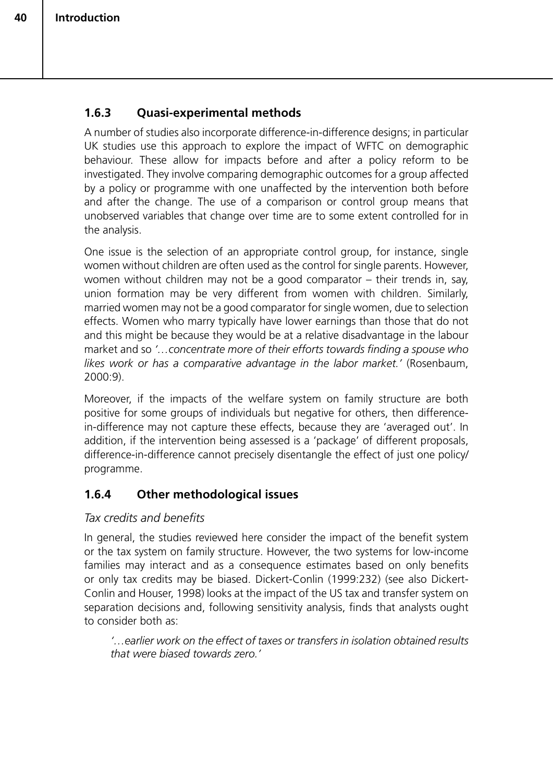# **1.6.3 Quasi-experimental methods**

A number of studies also incorporate difference-in-difference designs; in particular UK studies use this approach to explore the impact of WFTC on demographic behaviour. These allow for impacts before and after a policy reform to be investigated. They involve comparing demographic outcomes for a group affected by a policy or programme with one unaffected by the intervention both before and after the change. The use of a comparison or control group means that unobserved variables that change over time are to some extent controlled for in the analysis.

One issue is the selection of an appropriate control group, for instance, single women without children are often used as the control for single parents. However, women without children may not be a good comparator – their trends in, say, union formation may be very different from women with children. Similarly, married women may not be a good comparator for single women, due to selection effects. Women who marry typically have lower earnings than those that do not and this might be because they would be at a relative disadvantage in the labour market and so *'…concentrate more of their efforts towards finding a spouse who likes work or has a comparative advantage in the labor market.'* (Rosenbaum, 2000:9).

Moreover, if the impacts of the welfare system on family structure are both positive for some groups of individuals but negative for others, then differencein-difference may not capture these effects, because they are 'averaged out'. In addition, if the intervention being assessed is a 'package' of different proposals, difference-in-difference cannot precisely disentangle the effect of just one policy/ programme.

### **1.6.4 Other methodological issues**

#### *Tax credits and benefits*

In general, the studies reviewed here consider the impact of the benefit system or the tax system on family structure. However, the two systems for low-income families may interact and as a consequence estimates based on only benefits or only tax credits may be biased. Dickert-Conlin (1999:232) (see also Dickert-Conlin and Houser, 1998) looks at the impact of the US tax and transfer system on separation decisions and, following sensitivity analysis, finds that analysts ought to consider both as:

*'…earlier work on the effect of taxes or transfers in isolation obtained results that were biased towards zero.'*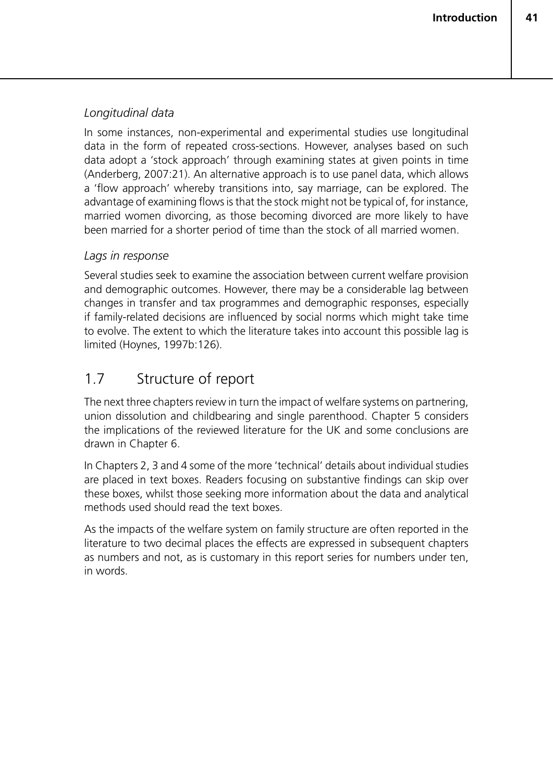# *Longitudinal data*

In some instances, non-experimental and experimental studies use longitudinal data in the form of repeated cross-sections. However, analyses based on such data adopt a 'stock approach' through examining states at given points in time (Anderberg, 2007:21). An alternative approach is to use panel data, which allows a 'flow approach' whereby transitions into, say marriage, can be explored. The advantage of examining flows is that the stock might not be typical of, for instance, married women divorcing, as those becoming divorced are more likely to have been married for a shorter period of time than the stock of all married women.

#### *Lags in response*

Several studies seek to examine the association between current welfare provision and demographic outcomes. However, there may be a considerable lag between changes in transfer and tax programmes and demographic responses, especially if family-related decisions are influenced by social norms which might take time to evolve. The extent to which the literature takes into account this possible lag is limited (Hoynes, 1997b:126).

# 1.7 Structure of report

The next three chapters review in turn the impact of welfare systems on partnering, union dissolution and childbearing and single parenthood. Chapter 5 considers the implications of the reviewed literature for the UK and some conclusions are drawn in Chapter 6.

In Chapters 2, 3 and 4 some of the more 'technical' details about individual studies are placed in text boxes. Readers focusing on substantive findings can skip over these boxes, whilst those seeking more information about the data and analytical methods used should read the text boxes.

As the impacts of the welfare system on family structure are often reported in the literature to two decimal places the effects are expressed in subsequent chapters as numbers and not, as is customary in this report series for numbers under ten, in words.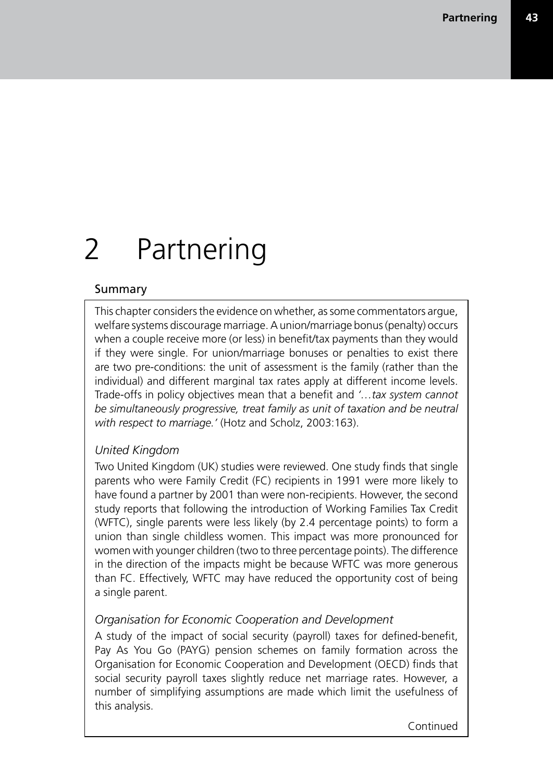# 2 Partnering

#### Summary

This chapter considers the evidence on whether, as some commentators argue, welfare systems discourage marriage. A union/marriage bonus (penalty) occurs when a couple receive more (or less) in benefit/tax payments than they would if they were single. For union/marriage bonuses or penalties to exist there are two pre-conditions: the unit of assessment is the family (rather than the individual) and different marginal tax rates apply at different income levels. Trade-offs in policy objectives mean that a benefit and *'…tax system cannot be simultaneously progressive, treat family as unit of taxation and be neutral with respect to marriage.'* (Hotz and Scholz, 2003:163).

#### *United Kingdom*

Two United Kingdom (UK) studies were reviewed. One study finds that single parents who were Family Credit (FC) recipients in 1991 were more likely to have found a partner by 2001 than were non-recipients. However, the second study reports that following the introduction of Working Families Tax Credit (WFTC), single parents were less likely (by 2.4 percentage points) to form a union than single childless women. This impact was more pronounced for women with younger children (two to three percentage points). The difference in the direction of the impacts might be because WFTC was more generous than FC. Effectively, WFTC may have reduced the opportunity cost of being a single parent.

#### *Organisation for Economic Cooperation and Development*

A study of the impact of social security (payroll) taxes for defined-benefit, Pay As You Go (PAYG) pension schemes on family formation across the Organisation for Economic Cooperation and Development (OECD) finds that social security payroll taxes slightly reduce net marriage rates. However, a number of simplifying assumptions are made which limit the usefulness of this analysis.

Continued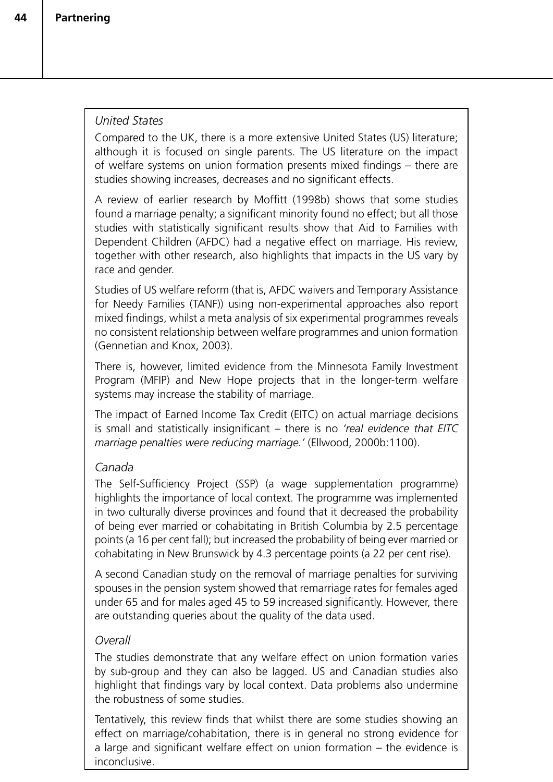## *United States*

Compared to the UK, there is a more extensive United States (US) literature; although it is focused on single parents. The US literature on the impact of welfare systems on union formation presents mixed findings – there are studies showing increases, decreases and no significant effects.

A review of earlier research by Moffitt (1998b) shows that some studies found a marriage penalty; a significant minority found no effect; but all those studies with statistically significant results show that Aid to Families with Dependent Children (AFDC) had a negative effect on marriage. His review, together with other research, also highlights that impacts in the US vary by race and gender.

Studies of US welfare reform (that is, AFDC waivers and Temporary Assistance for Needy Families (TANF)) using non-experimental approaches also report mixed findings, whilst a meta analysis of six experimental programmes reveals no consistent relationship between welfare programmes and union formation (Gennetian and Knox, 2003).

There is, however, limited evidence from the Minnesota Family Investment Program (MFIP) and New Hope projects that in the longer-term welfare systems may increase the stability of marriage.

The impact of Earned Income Tax Credit (EITC) on actual marriage decisions is small and statistically insignificant – there is no *'real evidence that EITC marriage penalties were reducing marriage.'* (Ellwood, 2000b:1100).

### *Canada*

The Self-Sufficiency Project (SSP) (a wage supplementation programme) highlights the importance of local context. The programme was implemented in two culturally diverse provinces and found that it decreased the probability of being ever married or cohabitating in British Columbia by 2.5 percentage points (a 16 per cent fall); but increased the probability of being ever married or cohabitating in New Brunswick by 4.3 percentage points (a 22 per cent rise).

A second Canadian study on the removal of marriage penalties for surviving spouses in the pension system showed that remarriage rates for females aged under 65 and for males aged 45 to 59 increased significantly. However, there are outstanding queries about the quality of the data used.

#### *Overall*

The studies demonstrate that any welfare effect on union formation varies by sub-group and they can also be lagged. US and Canadian studies also highlight that findings vary by local context. Data problems also undermine the robustness of some studies.

Tentatively, this review finds that whilst there are some studies showing an effect on marriage/cohabitation, there is in general no strong evidence for a large and significant welfare effect on union formation – the evidence is inconclusive.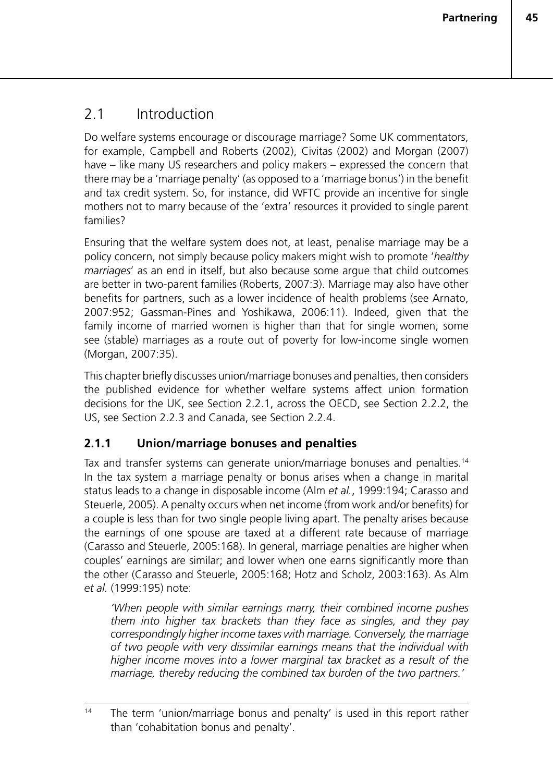# 2.1 Introduction

Do welfare systems encourage or discourage marriage? Some UK commentators, for example, Campbell and Roberts (2002), Civitas (2002) and Morgan (2007) have – like many US researchers and policy makers – expressed the concern that there may be a 'marriage penalty' (as opposed to a 'marriage bonus') in the benefit and tax credit system. So, for instance, did WFTC provide an incentive for single mothers not to marry because of the 'extra' resources it provided to single parent families?

Ensuring that the welfare system does not, at least, penalise marriage may be a policy concern, not simply because policy makers might wish to promote '*healthy marriages*' as an end in itself, but also because some argue that child outcomes are better in two-parent families (Roberts, 2007:3). Marriage may also have other benefits for partners, such as a lower incidence of health problems (see Arnato, 2007:952; Gassman-Pines and Yoshikawa, 2006:11). Indeed, given that the family income of married women is higher than that for single women, some see (stable) marriages as a route out of poverty for low-income single women (Morgan, 2007:35).

This chapter briefly discusses union/marriage bonuses and penalties, then considers the published evidence for whether welfare systems affect union formation decisions for the UK, see Section 2.2.1, across the OECD, see Section 2.2.2, the US, see Section 2.2.3 and Canada, see Section 2.2.4.

# **2.1.1 Union/marriage bonuses and penalties**

Tax and transfer systems can generate union/marriage bonuses and penalties.<sup>14</sup> In the tax system a marriage penalty or bonus arises when a change in marital status leads to a change in disposable income (Alm *et al.*, 1999:194; Carasso and Steuerle, 2005). A penalty occurs when net income (from work and/or benefits) for a couple is less than for two single people living apart. The penalty arises because the earnings of one spouse are taxed at a different rate because of marriage (Carasso and Steuerle, 2005:168). In general, marriage penalties are higher when couples' earnings are similar; and lower when one earns significantly more than the other (Carasso and Steuerle, 2005:168; Hotz and Scholz, 2003:163). As Alm *et al.* (1999:195) note:

*'When people with similar earnings marry, their combined income pushes them into higher tax brackets than they face as singles, and they pay correspondingly higher income taxes with marriage. Conversely, the marriage of two people with very dissimilar earnings means that the individual with higher income moves into a lower marginal tax bracket as a result of the marriage, thereby reducing the combined tax burden of the two partners.'*

<sup>&</sup>lt;sup>14</sup> The term 'union/marriage bonus and penalty' is used in this report rather than 'cohabitation bonus and penalty'.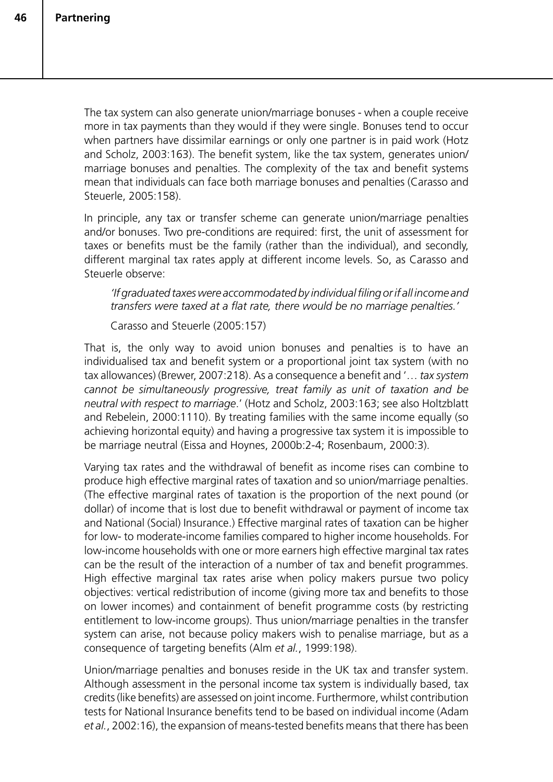The tax system can also generate union/marriage bonuses - when a couple receive more in tax payments than they would if they were single. Bonuses tend to occur when partners have dissimilar earnings or only one partner is in paid work (Hotz and Scholz, 2003:163). The benefit system, like the tax system, generates union/ marriage bonuses and penalties. The complexity of the tax and benefit systems mean that individuals can face both marriage bonuses and penalties (Carasso and Steuerle, 2005:158).

In principle, any tax or transfer scheme can generate union/marriage penalties and/or bonuses. Two pre-conditions are required: first, the unit of assessment for taxes or benefits must be the family (rather than the individual), and secondly, different marginal tax rates apply at different income levels. So, as Carasso and Steuerle observe:

*'If graduated taxes were accommodated by individual filing or if all income and transfers were taxed at a flat rate, there would be no marriage penalties.'*

Carasso and Steuerle (2005:157)

That is, the only way to avoid union bonuses and penalties is to have an individualised tax and benefit system or a proportional joint tax system (with no tax allowances) (Brewer, 2007:218). As a consequence a benefit and '… *tax system cannot be simultaneously progressive, treat family as unit of taxation and be neutral with respect to marriage*.' (Hotz and Scholz, 2003:163; see also Holtzblatt and Rebelein, 2000:1110). By treating families with the same income equally (so achieving horizontal equity) and having a progressive tax system it is impossible to be marriage neutral (Eissa and Hoynes, 2000b:2-4; Rosenbaum, 2000:3).

Varying tax rates and the withdrawal of benefit as income rises can combine to produce high effective marginal rates of taxation and so union/marriage penalties. (The effective marginal rates of taxation is the proportion of the next pound (or dollar) of income that is lost due to benefit withdrawal or payment of income tax and National (Social) Insurance.) Effective marginal rates of taxation can be higher for low- to moderate-income families compared to higher income households. For low-income households with one or more earners high effective marginal tax rates can be the result of the interaction of a number of tax and benefit programmes. High effective marginal tax rates arise when policy makers pursue two policy objectives: vertical redistribution of income (giving more tax and benefits to those on lower incomes) and containment of benefit programme costs (by restricting entitlement to low-income groups). Thus union/marriage penalties in the transfer system can arise, not because policy makers wish to penalise marriage, but as a consequence of targeting benefits (Alm *et al.*, 1999:198).

Union/marriage penalties and bonuses reside in the UK tax and transfer system. Although assessment in the personal income tax system is individually based, tax credits (like benefits) are assessed on joint income. Furthermore, whilst contribution tests for National Insurance benefits tend to be based on individual income (Adam *et al.*, 2002:16), the expansion of means-tested benefits means that there has been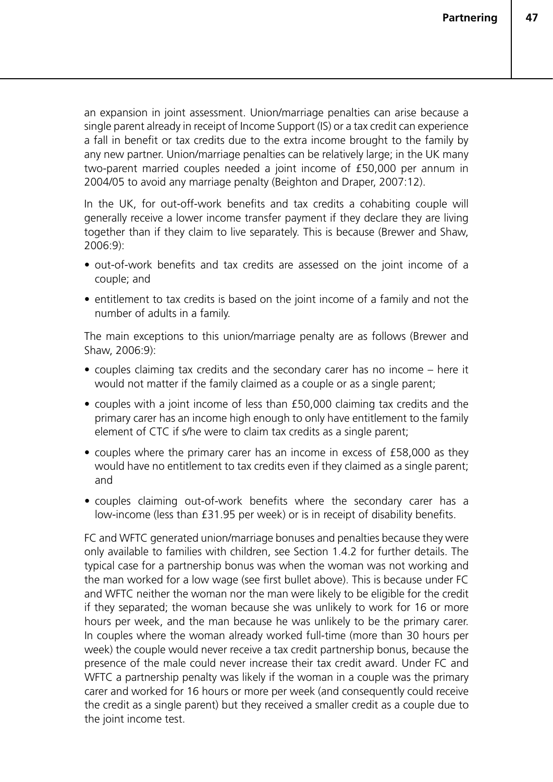an expansion in joint assessment. Union/marriage penalties can arise because a single parent already in receipt of Income Support (IS) or a tax credit can experience a fall in benefit or tax credits due to the extra income brought to the family by any new partner. Union/marriage penalties can be relatively large; in the UK many two-parent married couples needed a joint income of £50,000 per annum in 2004/05 to avoid any marriage penalty (Beighton and Draper, 2007:12).

In the UK, for out-off-work benefits and tax credits a cohabiting couple will generally receive a lower income transfer payment if they declare they are living together than if they claim to live separately. This is because (Brewer and Shaw, 2006:9):

- out-of-work benefits and tax credits are assessed on the joint income of a couple; and
- entitlement to tax credits is based on the joint income of a family and not the number of adults in a family.

The main exceptions to this union/marriage penalty are as follows (Brewer and Shaw, 2006:9):

- couples claiming tax credits and the secondary carer has no income  $-$  here it would not matter if the family claimed as a couple or as a single parent;
- couples with a joint income of less than £50,000 claiming tax credits and the primary carer has an income high enough to only have entitlement to the family element of CTC if s/he were to claim tax credits as a single parent;
- couples where the primary carer has an income in excess of £58,000 as they would have no entitlement to tax credits even if they claimed as a single parent; and
- couples claiming out-of-work benefits where the secondary carer has a low-income (less than £31.95 per week) or is in receipt of disability benefits.

FC and WFTC generated union/marriage bonuses and penalties because they were only available to families with children, see Section 1.4.2 for further details. The typical case for a partnership bonus was when the woman was not working and the man worked for a low wage (see first bullet above). This is because under FC and WFTC neither the woman nor the man were likely to be eligible for the credit if they separated; the woman because she was unlikely to work for 16 or more hours per week, and the man because he was unlikely to be the primary carer. In couples where the woman already worked full-time (more than 30 hours per week) the couple would never receive a tax credit partnership bonus, because the presence of the male could never increase their tax credit award. Under FC and WFTC a partnership penalty was likely if the woman in a couple was the primary carer and worked for 16 hours or more per week (and consequently could receive the credit as a single parent) but they received a smaller credit as a couple due to the joint income test.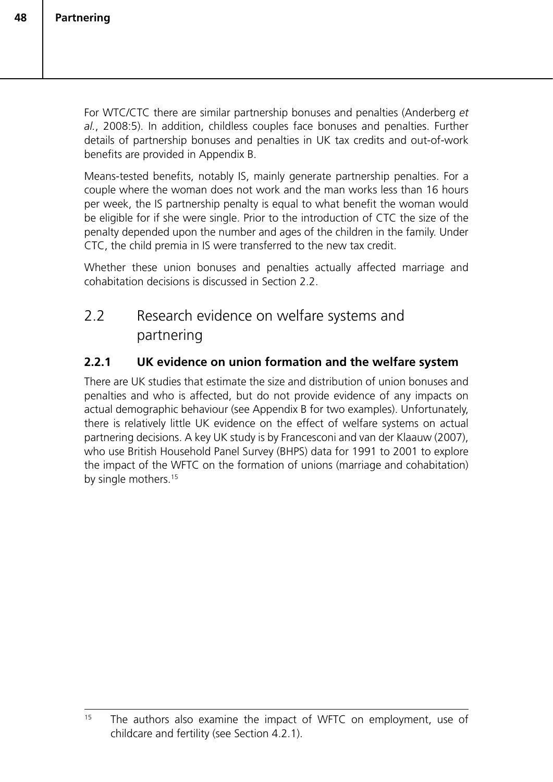For WTC/CTC there are similar partnership bonuses and penalties (Anderberg *et al.*, 2008:5). In addition, childless couples face bonuses and penalties. Further details of partnership bonuses and penalties in UK tax credits and out-of-work benefits are provided in Appendix B.

Means-tested benefits, notably IS, mainly generate partnership penalties. For a couple where the woman does not work and the man works less than 16 hours per week, the IS partnership penalty is equal to what benefit the woman would be eligible for if she were single. Prior to the introduction of CTC the size of the penalty depended upon the number and ages of the children in the family. Under CTC, the child premia in IS were transferred to the new tax credit.

Whether these union bonuses and penalties actually affected marriage and cohabitation decisions is discussed in Section 2.2.

# 2.2 Research evidence on welfare systems and partnering

## **2.2.1 UK evidence on union formation and the welfare system**

There are UK studies that estimate the size and distribution of union bonuses and penalties and who is affected, but do not provide evidence of any impacts on actual demographic behaviour (see Appendix B for two examples). Unfortunately, there is relatively little UK evidence on the effect of welfare systems on actual partnering decisions. A key UK study is by Francesconi and van der Klaauw (2007), who use British Household Panel Survey (BHPS) data for 1991 to 2001 to explore the impact of the WFTC on the formation of unions (marriage and cohabitation) by single mothers.15

<sup>&</sup>lt;sup>15</sup> The authors also examine the impact of WFTC on employment, use of childcare and fertility (see Section 4.2.1).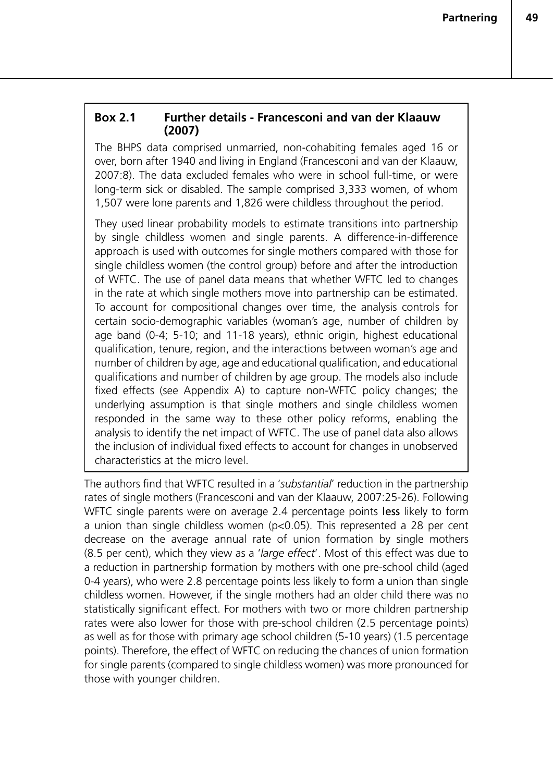#### **Box 2.1 Further details - Francesconi and van der Klaauw (2007)**

The BHPS data comprised unmarried, non-cohabiting females aged 16 or over, born after 1940 and living in England (Francesconi and van der Klaauw, 2007:8). The data excluded females who were in school full-time, or were long-term sick or disabled. The sample comprised 3,333 women, of whom 1,507 were lone parents and 1,826 were childless throughout the period.

They used linear probability models to estimate transitions into partnership by single childless women and single parents. A difference-in-difference approach is used with outcomes for single mothers compared with those for single childless women (the control group) before and after the introduction of WFTC. The use of panel data means that whether WFTC led to changes in the rate at which single mothers move into partnership can be estimated. To account for compositional changes over time, the analysis controls for certain socio-demographic variables (woman's age, number of children by age band (0-4; 5-10; and 11-18 years), ethnic origin, highest educational qualification, tenure, region, and the interactions between woman's age and number of children by age, age and educational qualification, and educational qualifications and number of children by age group. The models also include fixed effects (see Appendix A) to capture non-WFTC policy changes; the underlying assumption is that single mothers and single childless women responded in the same way to these other policy reforms, enabling the analysis to identify the net impact of WFTC. The use of panel data also allows the inclusion of individual fixed effects to account for changes in unobserved characteristics at the micro level.

The authors find that WFTC resulted in a '*substantial*' reduction in the partnership rates of single mothers (Francesconi and van der Klaauw, 2007:25-26). Following WFTC single parents were on average 2.4 percentage points less likely to form a union than single childless women (p<0.05). This represented a 28 per cent decrease on the average annual rate of union formation by single mothers (8.5 per cent), which they view as a '*large effect*'. Most of this effect was due to a reduction in partnership formation by mothers with one pre-school child (aged 0-4 years), who were 2.8 percentage points less likely to form a union than single childless women. However, if the single mothers had an older child there was no statistically significant effect. For mothers with two or more children partnership rates were also lower for those with pre-school children (2.5 percentage points) as well as for those with primary age school children (5-10 years) (1.5 percentage points). Therefore, the effect of WFTC on reducing the chances of union formation for single parents (compared to single childless women) was more pronounced for those with younger children.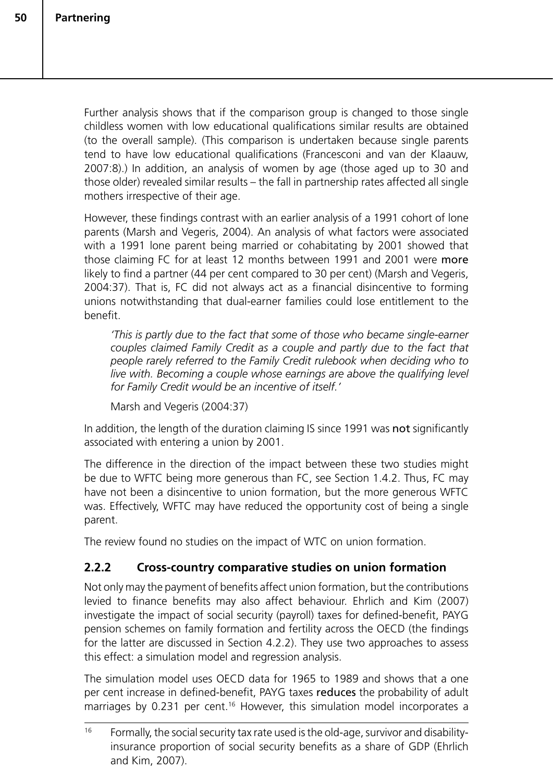Further analysis shows that if the comparison group is changed to those single childless women with low educational qualifications similar results are obtained (to the overall sample). (This comparison is undertaken because single parents tend to have low educational qualifications (Francesconi and van der Klaauw, 2007:8).) In addition, an analysis of women by age (those aged up to 30 and those older) revealed similar results – the fall in partnership rates affected all single mothers irrespective of their age.

However, these findings contrast with an earlier analysis of a 1991 cohort of lone parents (Marsh and Vegeris, 2004). An analysis of what factors were associated with a 1991 lone parent being married or cohabitating by 2001 showed that those claiming FC for at least 12 months between 1991 and 2001 were more likely to find a partner (44 per cent compared to 30 per cent) (Marsh and Vegeris, 2004:37). That is, FC did not always act as a financial disincentive to forming unions notwithstanding that dual-earner families could lose entitlement to the benefit.

*'This is partly due to the fact that some of those who became single-earner couples claimed Family Credit as a couple and partly due to the fact that people rarely referred to the Family Credit rulebook when deciding who to*  live with. Becoming a couple whose earnings are above the qualifying level *for Family Credit would be an incentive of itself.'*

Marsh and Vegeris (2004:37)

In addition, the length of the duration claiming IS since 1991 was not significantly associated with entering a union by 2001.

The difference in the direction of the impact between these two studies might be due to WFTC being more generous than FC, see Section 1.4.2. Thus, FC may have not been a disincentive to union formation, but the more generous WFTC was. Effectively, WFTC may have reduced the opportunity cost of being a single parent.

The review found no studies on the impact of WTC on union formation.

# **2.2.2 Cross-country comparative studies on union formation**

Not only may the payment of benefits affect union formation, but the contributions levied to finance benefits may also affect behaviour. Ehrlich and Kim (2007) investigate the impact of social security (payroll) taxes for defined-benefit, PAYG pension schemes on family formation and fertility across the OECD (the findings for the latter are discussed in Section 4.2.2). They use two approaches to assess this effect: a simulation model and regression analysis.

The simulation model uses OECD data for 1965 to 1989 and shows that a one per cent increase in defined-benefit, PAYG taxes reduces the probability of adult marriages by 0.231 per cent.<sup>16</sup> However, this simulation model incorporates a

<sup>&</sup>lt;sup>16</sup> Formally, the social security tax rate used is the old-age, survivor and disabilityinsurance proportion of social security benefits as a share of GDP (Ehrlich and Kim, 2007).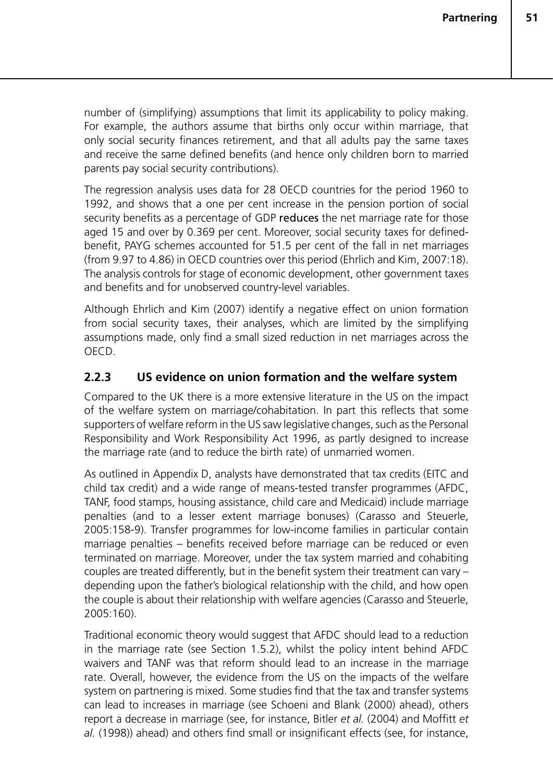number of (simplifying) assumptions that limit its applicability to policy making. For example, the authors assume that births only occur within marriage, that only social security finances retirement, and that all adults pay the same taxes and receive the same defined benefits (and hence only children born to married parents pay social security contributions).

The regression analysis uses data for 28 OECD countries for the period 1960 to 1992, and shows that a one per cent increase in the pension portion of social security benefits as a percentage of GDP reduces the net marriage rate for those aged 15 and over by 0.369 per cent. Moreover, social security taxes for definedbenefit, PAYG schemes accounted for 51.5 per cent of the fall in net marriages (from 9.97 to 4.86) in OECD countries over this period (Ehrlich and Kim, 2007:18). The analysis controls for stage of economic development, other government taxes and benefits and for unobserved country-level variables.

Although Ehrlich and Kim (2007) identify a negative effect on union formation from social security taxes, their analyses, which are limited by the simplifying assumptions made, only find a small sized reduction in net marriages across the OECD.

#### **2.2.3 US evidence on union formation and the welfare system**

Compared to the UK there is a more extensive literature in the US on the impact of the welfare system on marriage/cohabitation. In part this reflects that some supporters of welfare reform in the US saw legislative changes, such as the Personal Responsibility and Work Responsibility Act 1996, as partly designed to increase the marriage rate (and to reduce the birth rate) of unmarried women.

As outlined in Appendix D, analysts have demonstrated that tax credits (EITC and child tax credit) and a wide range of means-tested transfer programmes (AFDC, TANF, food stamps, housing assistance, child care and Medicaid) include marriage penalties (and to a lesser extent marriage bonuses) (Carasso and Steuerle, 2005:158-9). Transfer programmes for low-income families in particular contain marriage penalties – benefits received before marriage can be reduced or even terminated on marriage. Moreover, under the tax system married and cohabiting couples are treated differently, but in the benefit system their treatment can vary – depending upon the father's biological relationship with the child, and how open the couple is about their relationship with welfare agencies (Carasso and Steuerle, 2005:160).

Traditional economic theory would suggest that AFDC should lead to a reduction in the marriage rate (see Section 1.5.2), whilst the policy intent behind AFDC waivers and TANF was that reform should lead to an increase in the marriage rate. Overall, however, the evidence from the US on the impacts of the welfare system on partnering is mixed. Some studies find that the tax and transfer systems can lead to increases in marriage (see Schoeni and Blank (2000) ahead), others report a decrease in marriage (see, for instance, Bitler *et al.* (2004) and Moffitt *et al.* (1998)) ahead) and others find small or insignificant effects (see, for instance,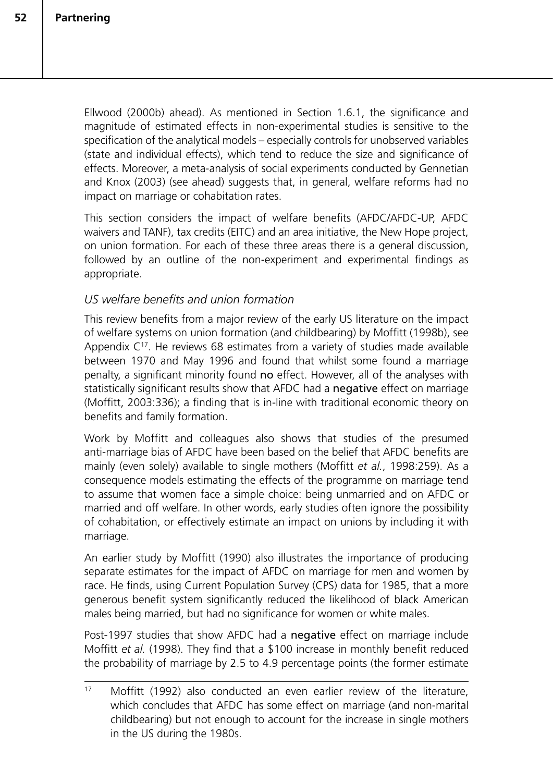Ellwood (2000b) ahead). As mentioned in Section 1.6.1, the significance and magnitude of estimated effects in non-experimental studies is sensitive to the specification of the analytical models – especially controls for unobserved variables (state and individual effects), which tend to reduce the size and significance of effects. Moreover, a meta-analysis of social experiments conducted by Gennetian and Knox (2003) (see ahead) suggests that, in general, welfare reforms had no impact on marriage or cohabitation rates.

This section considers the impact of welfare benefits (AFDC/AFDC-UP, AFDC waivers and TANF), tax credits (EITC) and an area initiative, the New Hope project, on union formation. For each of these three areas there is a general discussion, followed by an outline of the non-experiment and experimental findings as appropriate.

### *US welfare benefits and union formation*

This review benefits from a major review of the early US literature on the impact of welfare systems on union formation (and childbearing) by Moffitt (1998b), see Appendix  $C^{17}$ . He reviews 68 estimates from a variety of studies made available between 1970 and May 1996 and found that whilst some found a marriage penalty, a significant minority found no effect. However, all of the analyses with statistically significant results show that AFDC had a negative effect on marriage (Moffitt, 2003:336); a finding that is in-line with traditional economic theory on benefits and family formation.

Work by Moffitt and colleagues also shows that studies of the presumed anti-marriage bias of AFDC have been based on the belief that AFDC benefits are mainly (even solely) available to single mothers (Moffitt *et al.*, 1998:259). As a consequence models estimating the effects of the programme on marriage tend to assume that women face a simple choice: being unmarried and on AFDC or married and off welfare. In other words, early studies often ignore the possibility of cohabitation, or effectively estimate an impact on unions by including it with marriage.

An earlier study by Moffitt (1990) also illustrates the importance of producing separate estimates for the impact of AFDC on marriage for men and women by race. He finds, using Current Population Survey (CPS) data for 1985, that a more generous benefit system significantly reduced the likelihood of black American males being married, but had no significance for women or white males.

Post-1997 studies that show AFDC had a negative effect on marriage include Moffitt *et al.* (1998). They find that a \$100 increase in monthly benefit reduced the probability of marriage by 2.5 to 4.9 percentage points (the former estimate

<sup>&</sup>lt;sup>17</sup> Moffitt (1992) also conducted an even earlier review of the literature, which concludes that AFDC has some effect on marriage (and non-marital childbearing) but not enough to account for the increase in single mothers in the US during the 1980s.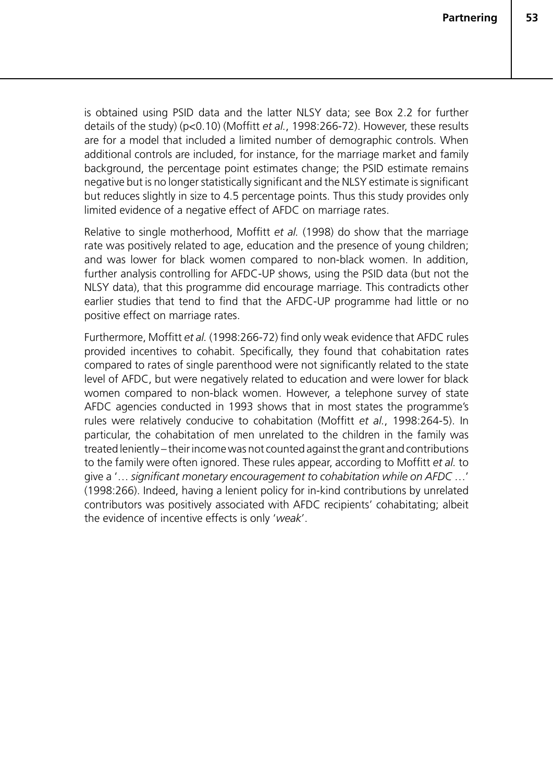is obtained using PSID data and the latter NLSY data; see Box 2.2 for further details of the study) (p<0.10) (Moffitt *et al.*, 1998:266-72). However, these results are for a model that included a limited number of demographic controls. When additional controls are included, for instance, for the marriage market and family background, the percentage point estimates change; the PSID estimate remains negative but is no longer statistically significant and the NLSY estimate is significant but reduces slightly in size to 4.5 percentage points. Thus this study provides only limited evidence of a negative effect of AFDC on marriage rates.

Relative to single motherhood, Moffitt *et al.* (1998) do show that the marriage rate was positively related to age, education and the presence of young children; and was lower for black women compared to non-black women. In addition, further analysis controlling for AFDC-UP shows, using the PSID data (but not the NLSY data), that this programme did encourage marriage. This contradicts other earlier studies that tend to find that the AFDC-UP programme had little or no positive effect on marriage rates.

Furthermore, Moffitt *et al.* (1998:266-72) find only weak evidence that AFDC rules provided incentives to cohabit. Specifically, they found that cohabitation rates compared to rates of single parenthood were not significantly related to the state level of AFDC, but were negatively related to education and were lower for black women compared to non-black women. However, a telephone survey of state AFDC agencies conducted in 1993 shows that in most states the programme's rules were relatively conducive to cohabitation (Moffitt *et al.*, 1998:264-5). In particular, the cohabitation of men unrelated to the children in the family was treated leniently – their income was not counted against the grant and contributions to the family were often ignored. These rules appear, according to Moffitt *et al.* to give a '… *significant monetary encouragement to cohabitation while on AFDC* …' (1998:266). Indeed, having a lenient policy for in-kind contributions by unrelated contributors was positively associated with AFDC recipients' cohabitating; albeit the evidence of incentive effects is only '*weak*'.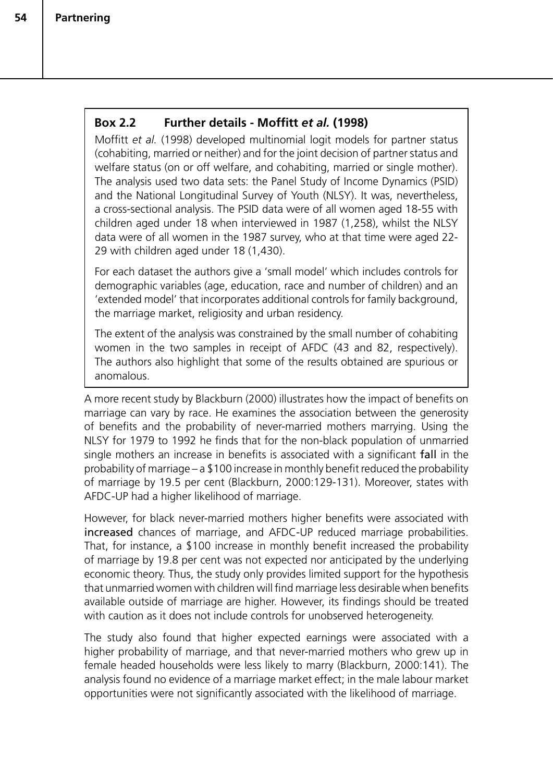## **Box 2.2 Further details - Moffitt** *et al.* **(1998)**

Moffitt *et al.* (1998) developed multinomial logit models for partner status (cohabiting, married or neither) and for the joint decision of partner status and welfare status (on or off welfare, and cohabiting, married or single mother). The analysis used two data sets: the Panel Study of Income Dynamics (PSID) and the National Longitudinal Survey of Youth (NLSY). It was, nevertheless, a cross-sectional analysis. The PSID data were of all women aged 18-55 with children aged under 18 when interviewed in 1987 (1,258), whilst the NLSY data were of all women in the 1987 survey, who at that time were aged 22- 29 with children aged under 18 (1,430).

For each dataset the authors give a 'small model' which includes controls for demographic variables (age, education, race and number of children) and an 'extended model' that incorporates additional controls for family background, the marriage market, religiosity and urban residency.

The extent of the analysis was constrained by the small number of cohabiting women in the two samples in receipt of AFDC (43 and 82, respectively). The authors also highlight that some of the results obtained are spurious or anomalous.

A more recent study by Blackburn (2000) illustrates how the impact of benefits on marriage can vary by race. He examines the association between the generosity of benefits and the probability of never-married mothers marrying. Using the NLSY for 1979 to 1992 he finds that for the non-black population of unmarried single mothers an increase in benefits is associated with a significant **fall** in the probability of marriage – a \$100 increase in monthly benefit reduced the probability of marriage by 19.5 per cent (Blackburn, 2000:129-131). Moreover, states with AFDC-UP had a higher likelihood of marriage.

However, for black never-married mothers higher benefits were associated with increased chances of marriage, and AFDC-UP reduced marriage probabilities. That, for instance, a \$100 increase in monthly benefit increased the probability of marriage by 19.8 per cent was not expected nor anticipated by the underlying economic theory. Thus, the study only provides limited support for the hypothesis that unmarried women with children will find marriage less desirable when benefits available outside of marriage are higher. However, its findings should be treated with caution as it does not include controls for unobserved heterogeneity.

The study also found that higher expected earnings were associated with a higher probability of marriage, and that never-married mothers who grew up in female headed households were less likely to marry (Blackburn, 2000:141). The analysis found no evidence of a marriage market effect; in the male labour market opportunities were not significantly associated with the likelihood of marriage.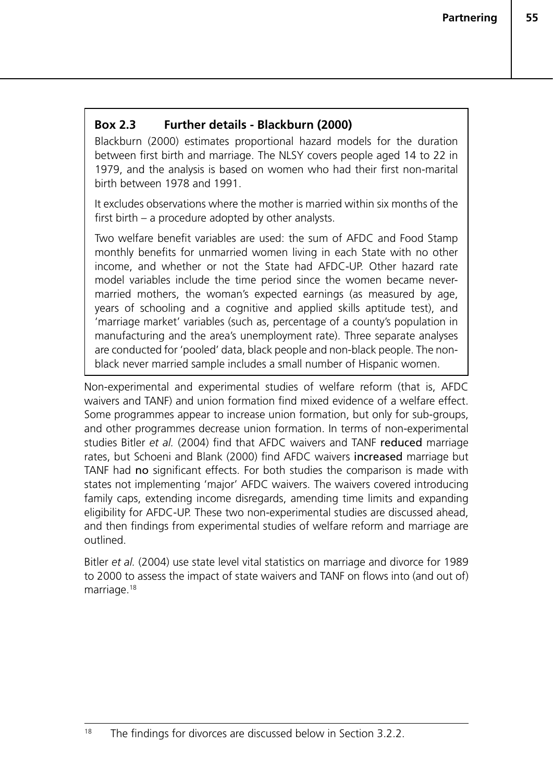### **Box 2.3 Further details - Blackburn (2000)**

Blackburn (2000) estimates proportional hazard models for the duration between first birth and marriage. The NLSY covers people aged 14 to 22 in 1979, and the analysis is based on women who had their first non-marital birth between 1978 and 1991.

It excludes observations where the mother is married within six months of the first birth – a procedure adopted by other analysts.

Two welfare benefit variables are used: the sum of AFDC and Food Stamp monthly benefits for unmarried women living in each State with no other income, and whether or not the State had AFDC-UP. Other hazard rate model variables include the time period since the women became nevermarried mothers, the woman's expected earnings (as measured by age, years of schooling and a cognitive and applied skills aptitude test), and 'marriage market' variables (such as, percentage of a county's population in manufacturing and the area's unemployment rate). Three separate analyses are conducted for 'pooled' data, black people and non-black people. The nonblack never married sample includes a small number of Hispanic women.

Non-experimental and experimental studies of welfare reform (that is, AFDC waivers and TANF) and union formation find mixed evidence of a welfare effect. Some programmes appear to increase union formation, but only for sub-groups, and other programmes decrease union formation. In terms of non-experimental studies Bitler *et al.* (2004) find that AFDC waivers and TANF reduced marriage rates, but Schoeni and Blank (2000) find AFDC waivers increased marriage but TANF had no significant effects. For both studies the comparison is made with states not implementing 'major' AFDC waivers. The waivers covered introducing family caps, extending income disregards, amending time limits and expanding eligibility for AFDC-UP. These two non-experimental studies are discussed ahead, and then findings from experimental studies of welfare reform and marriage are outlined.

Bitler *et al.* (2004) use state level vital statistics on marriage and divorce for 1989 to 2000 to assess the impact of state waivers and TANF on flows into (and out of) marriage.18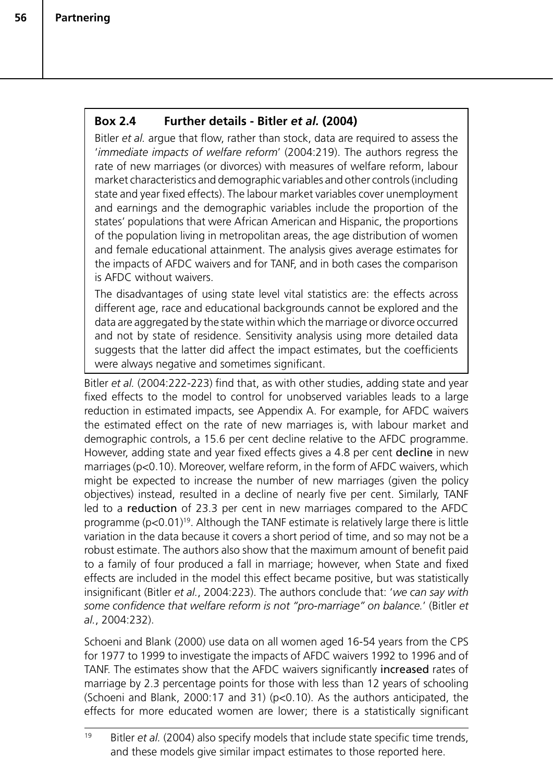# **Box 2.4 Further details - Bitler** *et al.* **(2004)**

Bitler *et al.* argue that flow, rather than stock, data are required to assess the '*immediate impacts of welfare reform*' (2004:219). The authors regress the rate of new marriages (or divorces) with measures of welfare reform, labour market characteristics and demographic variables and other controls (including state and year fixed effects). The labour market variables cover unemployment and earnings and the demographic variables include the proportion of the states' populations that were African American and Hispanic, the proportions of the population living in metropolitan areas, the age distribution of women and female educational attainment. The analysis gives average estimates for the impacts of AFDC waivers and for TANF, and in both cases the comparison is AFDC without waivers.

The disadvantages of using state level vital statistics are: the effects across different age, race and educational backgrounds cannot be explored and the data are aggregated by the state within which the marriage or divorce occurred and not by state of residence. Sensitivity analysis using more detailed data suggests that the latter did affect the impact estimates, but the coefficients were always negative and sometimes significant.

Bitler *et al.* (2004:222-223) find that, as with other studies, adding state and year fixed effects to the model to control for unobserved variables leads to a large reduction in estimated impacts, see Appendix A. For example, for AFDC waivers the estimated effect on the rate of new marriages is, with labour market and demographic controls, a 15.6 per cent decline relative to the AFDC programme. However, adding state and year fixed effects gives a 4.8 per cent decline in new marriages (p<0.10). Moreover, welfare reform, in the form of AFDC waivers, which might be expected to increase the number of new marriages (given the policy objectives) instead, resulted in a decline of nearly five per cent. Similarly, TANF led to a reduction of 23.3 per cent in new marriages compared to the AFDC programme  $(p<0.01)^{19}$ . Although the TANF estimate is relatively large there is little variation in the data because it covers a short period of time, and so may not be a robust estimate. The authors also show that the maximum amount of benefit paid to a family of four produced a fall in marriage; however, when State and fixed effects are included in the model this effect became positive, but was statistically insignificant (Bitler *et al.*, 2004:223). The authors conclude that: '*we can say with some confidence that welfare reform is not "pro-marriage" on balance.*' (Bitler *et al.*, 2004:232).

Schoeni and Blank (2000) use data on all women aged 16-54 years from the CPS for 1977 to 1999 to investigate the impacts of AFDC waivers 1992 to 1996 and of TANF. The estimates show that the AFDC waivers significantly increased rates of marriage by 2.3 percentage points for those with less than 12 years of schooling (Schoeni and Blank, 2000:17 and 31) (p<0.10). As the authors anticipated, the effects for more educated women are lower; there is a statistically significant

<sup>19</sup> Bitler *et al.* (2004) also specify models that include state specific time trends, and these models give similar impact estimates to those reported here.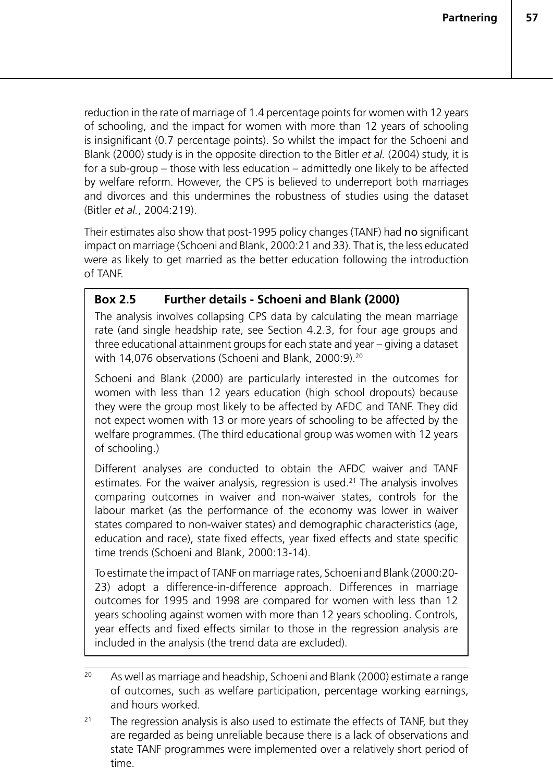reduction in the rate of marriage of 1.4 percentage points for women with 12 years of schooling, and the impact for women with more than 12 years of schooling is insignificant (0.7 percentage points). So whilst the impact for the Schoeni and Blank (2000) study is in the opposite direction to the Bitler *et al.* (2004) study, it is for a sub-group – those with less education – admittedly one likely to be affected by welfare reform. However, the CPS is believed to underreport both marriages and divorces and this undermines the robustness of studies using the dataset (Bitler *et al.*, 2004:219).

Their estimates also show that post-1995 policy changes (TANF) had no significant impact on marriage (Schoeni and Blank, 2000:21 and 33). That is, the less educated were as likely to get married as the better education following the introduction of TANF.

## **Box 2.5 Further details - Schoeni and Blank (2000)**

The analysis involves collapsing CPS data by calculating the mean marriage rate (and single headship rate, see Section 4.2.3, for four age groups and three educational attainment groups for each state and year – giving a dataset with 14,076 observations (Schoeni and Blank, 2000:9).<sup>20</sup>

Schoeni and Blank (2000) are particularly interested in the outcomes for women with less than 12 years education (high school dropouts) because they were the group most likely to be affected by AFDC and TANF. They did not expect women with 13 or more years of schooling to be affected by the welfare programmes. (The third educational group was women with 12 years of schooling.)

Different analyses are conducted to obtain the AFDC waiver and TANF estimates. For the waiver analysis, regression is used.<sup>21</sup> The analysis involves comparing outcomes in waiver and non-waiver states, controls for the labour market (as the performance of the economy was lower in waiver states compared to non-waiver states) and demographic characteristics (age, education and race), state fixed effects, year fixed effects and state specific time trends (Schoeni and Blank, 2000:13-14).

To estimate the impact of TANF on marriage rates, Schoeni and Blank (2000:20- 23) adopt a difference-in-difference approach. Differences in marriage outcomes for 1995 and 1998 are compared for women with less than 12 years schooling against women with more than 12 years schooling. Controls, year effects and fixed effects similar to those in the regression analysis are included in the analysis (the trend data are excluded).

<sup>&</sup>lt;sup>20</sup> As well as marriage and headship, Schoeni and Blank (2000) estimate a range of outcomes, such as welfare participation, percentage working earnings, and hours worked.

 $21$  The regression analysis is also used to estimate the effects of TANF, but they are regarded as being unreliable because there is a lack of observations and state TANF programmes were implemented over a relatively short period of time.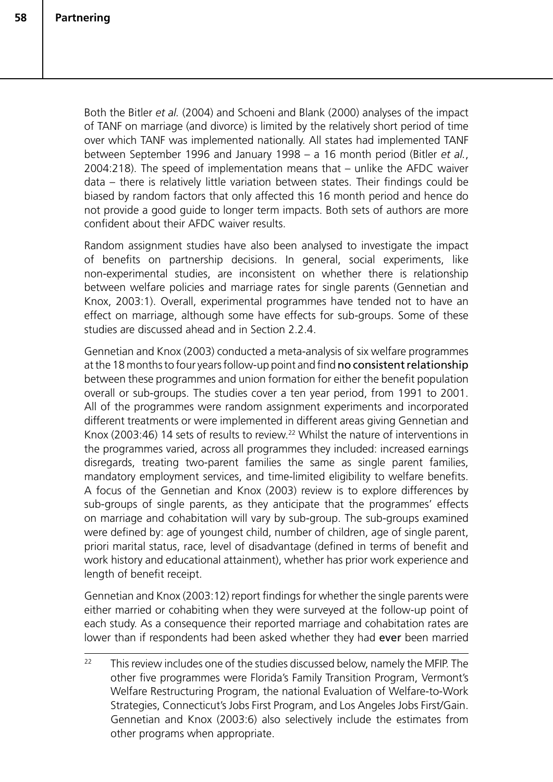Both the Bitler *et al.* (2004) and Schoeni and Blank (2000) analyses of the impact of TANF on marriage (and divorce) is limited by the relatively short period of time over which TANF was implemented nationally. All states had implemented TANF between September 1996 and January 1998 – a 16 month period (Bitler *et al.*, 2004:218). The speed of implementation means that – unlike the AFDC waiver data – there is relatively little variation between states. Their findings could be biased by random factors that only affected this 16 month period and hence do not provide a good guide to longer term impacts. Both sets of authors are more confident about their AFDC waiver results.

Random assignment studies have also been analysed to investigate the impact of benefits on partnership decisions. In general, social experiments, like non-experimental studies, are inconsistent on whether there is relationship between welfare policies and marriage rates for single parents (Gennetian and Knox, 2003:1). Overall, experimental programmes have tended not to have an effect on marriage, although some have effects for sub-groups. Some of these studies are discussed ahead and in Section 2.2.4.

Gennetian and Knox (2003) conducted a meta-analysis of six welfare programmes at the 18 months to four years follow-up point and find no consistent relationship between these programmes and union formation for either the benefit population overall or sub-groups. The studies cover a ten year period, from 1991 to 2001. All of the programmes were random assignment experiments and incorporated different treatments or were implemented in different areas giving Gennetian and Knox (2003:46) 14 sets of results to review.22 Whilst the nature of interventions in the programmes varied, across all programmes they included: increased earnings disregards, treating two-parent families the same as single parent families, mandatory employment services, and time-limited eligibility to welfare benefits. A focus of the Gennetian and Knox (2003) review is to explore differences by sub-groups of single parents, as they anticipate that the programmes' effects on marriage and cohabitation will vary by sub-group. The sub-groups examined were defined by: age of youngest child, number of children, age of single parent, priori marital status, race, level of disadvantage (defined in terms of benefit and work history and educational attainment), whether has prior work experience and length of benefit receipt.

Gennetian and Knox (2003:12) report findings for whether the single parents were either married or cohabiting when they were surveyed at the follow-up point of each study. As a consequence their reported marriage and cohabitation rates are lower than if respondents had been asked whether they had ever been married

<sup>&</sup>lt;sup>22</sup> This review includes one of the studies discussed below, namely the MFIP. The other five programmes were Florida's Family Transition Program, Vermont's Welfare Restructuring Program, the national Evaluation of Welfare-to-Work Strategies, Connecticut's Jobs First Program, and Los Angeles Jobs First/Gain. Gennetian and Knox (2003:6) also selectively include the estimates from other programs when appropriate.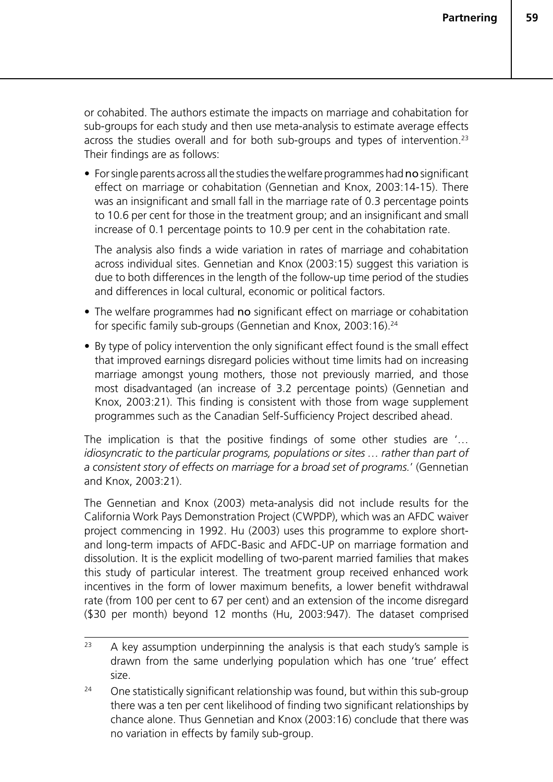or cohabited. The authors estimate the impacts on marriage and cohabitation for sub-groups for each study and then use meta-analysis to estimate average effects across the studies overall and for both sub-groups and types of intervention.<sup>23</sup> Their findings are as follows:

• For single parents across all the studies the welfare programmes had no significant effect on marriage or cohabitation (Gennetian and Knox, 2003:14-15). There was an insignificant and small fall in the marriage rate of 0.3 percentage points to 10.6 per cent for those in the treatment group; and an insignificant and small increase of 0.1 percentage points to 10.9 per cent in the cohabitation rate.

The analysis also finds a wide variation in rates of marriage and cohabitation across individual sites. Gennetian and Knox (2003:15) suggest this variation is due to both differences in the length of the follow-up time period of the studies and differences in local cultural, economic or political factors.

- The welfare programmes had no significant effect on marriage or cohabitation for specific family sub-groups (Gennetian and Knox, 2003:16).<sup>24</sup>
- By type of policy intervention the only significant effect found is the small effect that improved earnings disregard policies without time limits had on increasing marriage amongst young mothers, those not previously married, and those most disadvantaged (an increase of 3.2 percentage points) (Gennetian and Knox, 2003:21). This finding is consistent with those from wage supplement programmes such as the Canadian Self-Sufficiency Project described ahead.

The implication is that the positive findings of some other studies are '… *idiosyncratic to the particular programs, populations or sites ... rather than part of a consistent story of effects on marriage for a broad set of programs.*' (Gennetian and Knox, 2003:21).

The Gennetian and Knox (2003) meta-analysis did not include results for the California Work Pays Demonstration Project (CWPDP), which was an AFDC waiver project commencing in 1992. Hu (2003) uses this programme to explore shortand long-term impacts of AFDC-Basic and AFDC-UP on marriage formation and dissolution. It is the explicit modelling of two-parent married families that makes this study of particular interest. The treatment group received enhanced work incentives in the form of lower maximum benefits, a lower benefit withdrawal rate (from 100 per cent to 67 per cent) and an extension of the income disregard (\$30 per month) beyond 12 months (Hu, 2003:947). The dataset comprised

<sup>&</sup>lt;sup>23</sup> A key assumption underpinning the analysis is that each study's sample is drawn from the same underlying population which has one 'true' effect size.

<sup>&</sup>lt;sup>24</sup> One statistically significant relationship was found, but within this sub-group there was a ten per cent likelihood of finding two significant relationships by chance alone. Thus Gennetian and Knox (2003:16) conclude that there was no variation in effects by family sub-group.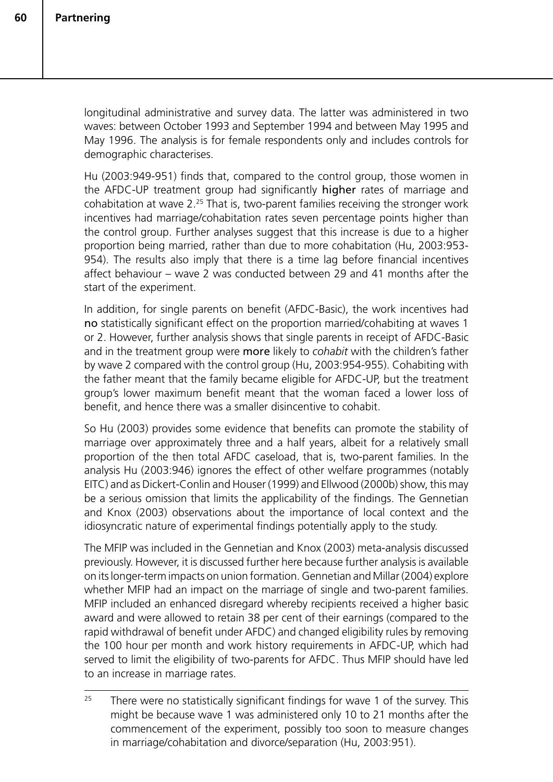longitudinal administrative and survey data. The latter was administered in two waves: between October 1993 and September 1994 and between May 1995 and May 1996. The analysis is for female respondents only and includes controls for demographic characterises.

Hu (2003:949-951) finds that, compared to the control group, those women in the AFDC-UP treatment group had significantly higher rates of marriage and cohabitation at wave 2.25 That is, two-parent families receiving the stronger work incentives had marriage/cohabitation rates seven percentage points higher than the control group. Further analyses suggest that this increase is due to a higher proportion being married, rather than due to more cohabitation (Hu, 2003:953- 954). The results also imply that there is a time lag before financial incentives affect behaviour – wave 2 was conducted between 29 and 41 months after the start of the experiment.

In addition, for single parents on benefit (AFDC-Basic), the work incentives had no statistically significant effect on the proportion married/cohabiting at waves 1 or 2. However, further analysis shows that single parents in receipt of AFDC-Basic and in the treatment group were more likely to *cohabit* with the children's father by wave 2 compared with the control group (Hu, 2003:954-955). Cohabiting with the father meant that the family became eligible for AFDC-UP, but the treatment group's lower maximum benefit meant that the woman faced a lower loss of benefit, and hence there was a smaller disincentive to cohabit.

So Hu (2003) provides some evidence that benefits can promote the stability of marriage over approximately three and a half years, albeit for a relatively small proportion of the then total AFDC caseload, that is, two-parent families. In the analysis Hu (2003:946) ignores the effect of other welfare programmes (notably EITC) and as Dickert-Conlin and Houser (1999) and Ellwood (2000b) show, this may be a serious omission that limits the applicability of the findings. The Gennetian and Knox (2003) observations about the importance of local context and the idiosyncratic nature of experimental findings potentially apply to the study.

The MFIP was included in the Gennetian and Knox (2003) meta-analysis discussed previously. However, it is discussed further here because further analysis is available on its longer-term impacts on union formation. Gennetian and Millar (2004) explore whether MFIP had an impact on the marriage of single and two-parent families. MFIP included an enhanced disregard whereby recipients received a higher basic award and were allowed to retain 38 per cent of their earnings (compared to the rapid withdrawal of benefit under AFDC) and changed eligibility rules by removing the 100 hour per month and work history requirements in AFDC-UP, which had served to limit the eligibility of two-parents for AFDC. Thus MFIP should have led to an increase in marriage rates.

<sup>25</sup> There were no statistically significant findings for wave 1 of the survey. This might be because wave 1 was administered only 10 to 21 months after the commencement of the experiment, possibly too soon to measure changes in marriage/cohabitation and divorce/separation (Hu, 2003:951).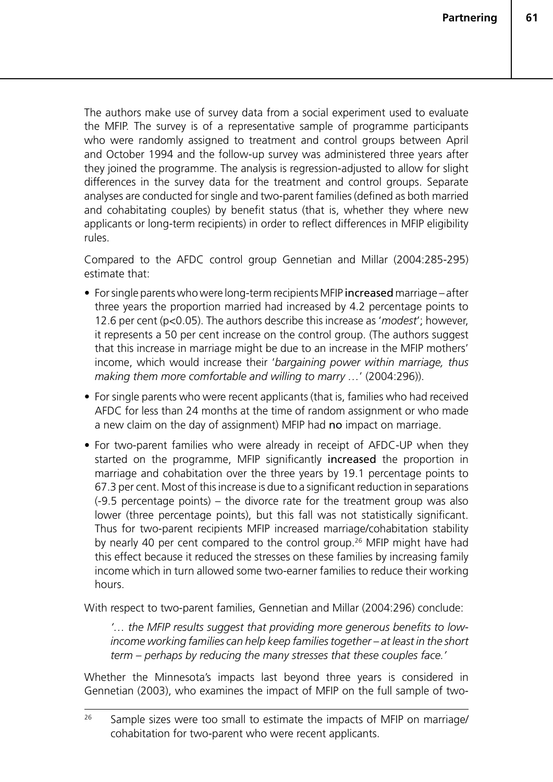The authors make use of survey data from a social experiment used to evaluate the MFIP. The survey is of a representative sample of programme participants who were randomly assigned to treatment and control groups between April and October 1994 and the follow-up survey was administered three years after they joined the programme. The analysis is regression-adjusted to allow for slight differences in the survey data for the treatment and control groups. Separate analyses are conducted for single and two-parent families (defined as both married and cohabitating couples) by benefit status (that is, whether they where new applicants or long-term recipients) in order to reflect differences in MFIP eligibility rules.

Compared to the AFDC control group Gennetian and Millar (2004:285-295) estimate that:

- For single parents who were long-term recipients MFIP increased marriage after three years the proportion married had increased by 4.2 percentage points to 12.6 per cent (p<0.05). The authors describe this increase as '*modest*'; however, it represents a 50 per cent increase on the control group. (The authors suggest that this increase in marriage might be due to an increase in the MFIP mothers' income, which would increase their '*bargaining power within marriage, thus making them more comfortable and willing to marry …*' (2004:296)).
- For single parents who were recent applicants (that is, families who had received AFDC for less than 24 months at the time of random assignment or who made a new claim on the day of assignment) MFIP had no impact on marriage.
- For two-parent families who were already in receipt of AFDC-UP when they started on the programme, MFIP significantly increased the proportion in marriage and cohabitation over the three years by 19.1 percentage points to 67.3 per cent. Most of this increase is due to a significant reduction in separations (-9.5 percentage points) – the divorce rate for the treatment group was also lower (three percentage points), but this fall was not statistically significant. Thus for two-parent recipients MFIP increased marriage/cohabitation stability by nearly 40 per cent compared to the control group.<sup>26</sup> MFIP might have had this effect because it reduced the stresses on these families by increasing family income which in turn allowed some two-earner families to reduce their working hours.

With respect to two-parent families, Gennetian and Millar (2004:296) conclude:

*'… the MFIP results suggest that providing more generous benefits to lowincome working families can help keep families together* – *at least in the short term* – *perhaps by reducing the many stresses that these couples face.'*

Whether the Minnesota's impacts last beyond three years is considered in Gennetian (2003), who examines the impact of MFIP on the full sample of two-

<sup>&</sup>lt;sup>26</sup> Sample sizes were too small to estimate the impacts of MFIP on marriage/ cohabitation for two-parent who were recent applicants.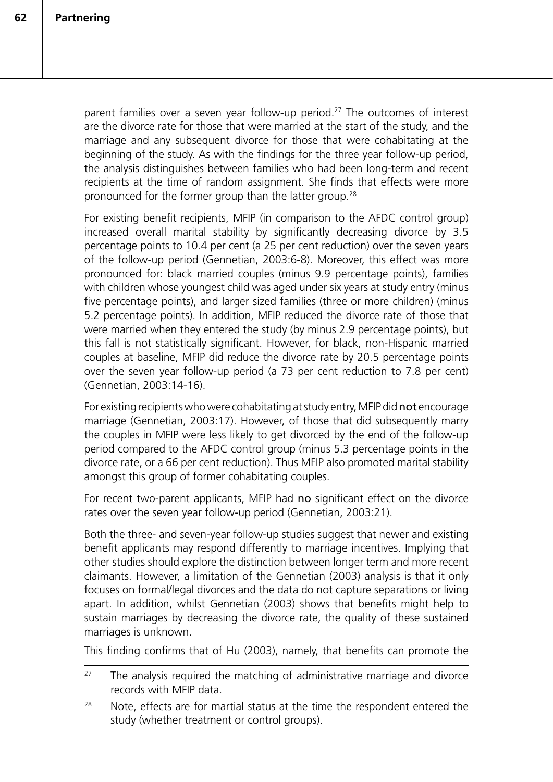parent families over a seven year follow-up period.<sup>27</sup> The outcomes of interest are the divorce rate for those that were married at the start of the study, and the marriage and any subsequent divorce for those that were cohabitating at the beginning of the study. As with the findings for the three year follow-up period, the analysis distinguishes between families who had been long-term and recent recipients at the time of random assignment. She finds that effects were more pronounced for the former group than the latter group.28

For existing benefit recipients, MFIP (in comparison to the AFDC control group) increased overall marital stability by significantly decreasing divorce by 3.5 percentage points to 10.4 per cent (a 25 per cent reduction) over the seven years of the follow-up period (Gennetian, 2003:6-8). Moreover, this effect was more pronounced for: black married couples (minus 9.9 percentage points), families with children whose youngest child was aged under six years at study entry (minus five percentage points), and larger sized families (three or more children) (minus 5.2 percentage points). In addition, MFIP reduced the divorce rate of those that were married when they entered the study (by minus 2.9 percentage points), but this fall is not statistically significant. However, for black, non-Hispanic married couples at baseline, MFIP did reduce the divorce rate by 20.5 percentage points over the seven year follow-up period (a 73 per cent reduction to 7.8 per cent) (Gennetian, 2003:14-16).

For existing recipients who were cohabitating at study entry, MFIP did not encourage marriage (Gennetian, 2003:17). However, of those that did subsequently marry the couples in MFIP were less likely to get divorced by the end of the follow-up period compared to the AFDC control group (minus 5.3 percentage points in the divorce rate, or a 66 per cent reduction). Thus MFIP also promoted marital stability amongst this group of former cohabitating couples.

For recent two-parent applicants, MFIP had no significant effect on the divorce rates over the seven year follow-up period (Gennetian, 2003:21).

Both the three- and seven-year follow-up studies suggest that newer and existing benefit applicants may respond differently to marriage incentives. Implying that other studies should explore the distinction between longer term and more recent claimants. However, a limitation of the Gennetian (2003) analysis is that it only focuses on formal/legal divorces and the data do not capture separations or living apart. In addition, whilst Gennetian (2003) shows that benefits might help to sustain marriages by decreasing the divorce rate, the quality of these sustained marriages is unknown.

This finding confirms that of Hu (2003), namely, that benefits can promote the

 $27$  The analysis required the matching of administrative marriage and divorce records with MFIP data.

 $28$  Note, effects are for martial status at the time the respondent entered the study (whether treatment or control groups).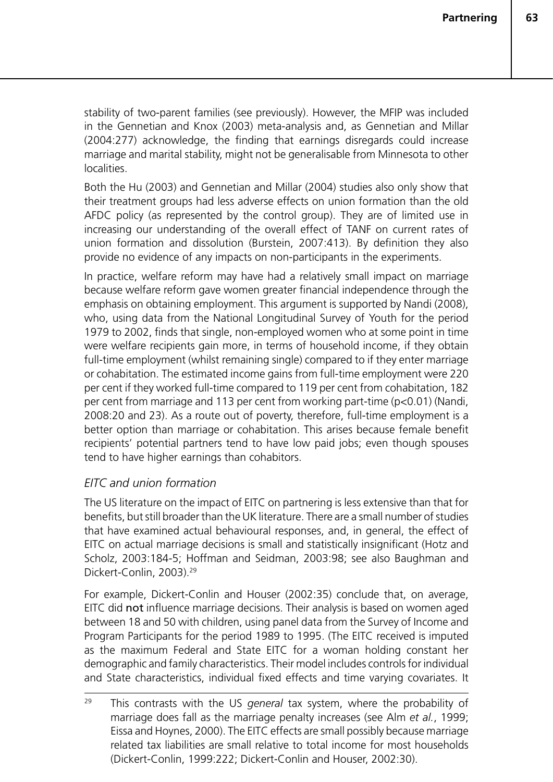stability of two-parent families (see previously). However, the MFIP was included in the Gennetian and Knox (2003) meta-analysis and, as Gennetian and Millar (2004:277) acknowledge, the finding that earnings disregards could increase marriage and marital stability, might not be generalisable from Minnesota to other localities.

Both the Hu (2003) and Gennetian and Millar (2004) studies also only show that their treatment groups had less adverse effects on union formation than the old AFDC policy (as represented by the control group). They are of limited use in increasing our understanding of the overall effect of TANF on current rates of union formation and dissolution (Burstein, 2007:413). By definition they also provide no evidence of any impacts on non-participants in the experiments.

In practice, welfare reform may have had a relatively small impact on marriage because welfare reform gave women greater financial independence through the emphasis on obtaining employment. This argument is supported by Nandi (2008), who, using data from the National Longitudinal Survey of Youth for the period 1979 to 2002, finds that single, non-employed women who at some point in time were welfare recipients gain more, in terms of household income, if they obtain full-time employment (whilst remaining single) compared to if they enter marriage or cohabitation. The estimated income gains from full-time employment were 220 per cent if they worked full-time compared to 119 per cent from cohabitation, 182 per cent from marriage and 113 per cent from working part-time (p<0.01) (Nandi, 2008:20 and 23). As a route out of poverty, therefore, full-time employment is a better option than marriage or cohabitation. This arises because female benefit recipients' potential partners tend to have low paid jobs; even though spouses tend to have higher earnings than cohabitors.

### *EITC and union formation*

The US literature on the impact of EITC on partnering is less extensive than that for benefits, but still broader than the UK literature. There are a small number of studies that have examined actual behavioural responses, and, in general, the effect of EITC on actual marriage decisions is small and statistically insignificant (Hotz and Scholz, 2003:184-5; Hoffman and Seidman, 2003:98; see also Baughman and Dickert-Conlin, 2003).<sup>29</sup>

For example, Dickert-Conlin and Houser (2002:35) conclude that, on average, EITC did not influence marriage decisions. Their analysis is based on women aged between 18 and 50 with children, using panel data from the Survey of Income and Program Participants for the period 1989 to 1995. (The EITC received is imputed as the maximum Federal and State EITC for a woman holding constant her demographic and family characteristics. Their model includes controls for individual and State characteristics, individual fixed effects and time varying covariates. It

<sup>29</sup> This contrasts with the US *general* tax system, where the probability of marriage does fall as the marriage penalty increases (see Alm *et al.*, 1999; Eissa and Hoynes, 2000). The EITC effects are small possibly because marriage related tax liabilities are small relative to total income for most households (Dickert-Conlin, 1999:222; Dickert-Conlin and Houser, 2002:30).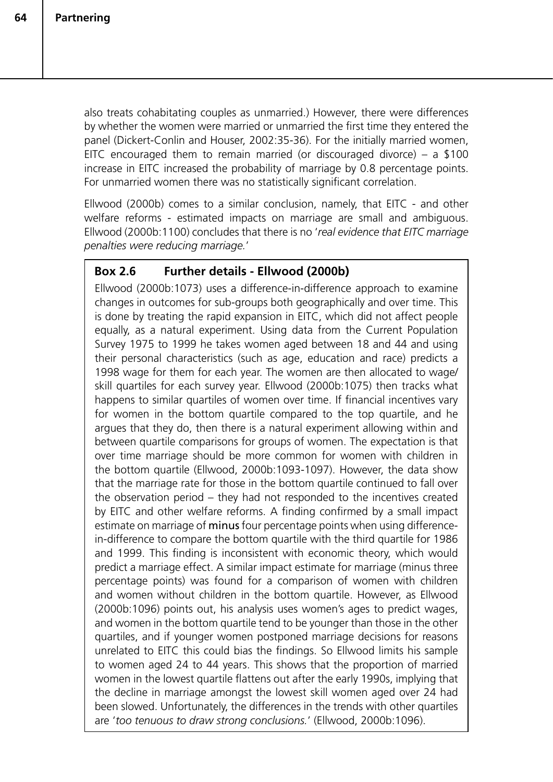also treats cohabitating couples as unmarried.) However, there were differences by whether the women were married or unmarried the first time they entered the panel (Dickert-Conlin and Houser, 2002:35-36). For the initially married women, EITC encouraged them to remain married (or discouraged divorce) – a  $$100$ increase in EITC increased the probability of marriage by 0.8 percentage points. For unmarried women there was no statistically significant correlation.

Ellwood (2000b) comes to a similar conclusion, namely, that EITC - and other welfare reforms - estimated impacts on marriage are small and ambiguous. Ellwood (2000b:1100) concludes that there is no '*real evidence that EITC marriage penalties were reducing marriage.*'

## **Box 2.6 Further details - Ellwood (2000b)**

Ellwood (2000b:1073) uses a difference-in-difference approach to examine changes in outcomes for sub-groups both geographically and over time. This is done by treating the rapid expansion in EITC, which did not affect people equally, as a natural experiment. Using data from the Current Population Survey 1975 to 1999 he takes women aged between 18 and 44 and using their personal characteristics (such as age, education and race) predicts a 1998 wage for them for each year. The women are then allocated to wage/ skill quartiles for each survey year. Ellwood (2000b:1075) then tracks what happens to similar quartiles of women over time. If financial incentives vary for women in the bottom quartile compared to the top quartile, and he argues that they do, then there is a natural experiment allowing within and between quartile comparisons for groups of women. The expectation is that over time marriage should be more common for women with children in the bottom quartile (Ellwood, 2000b:1093-1097). However, the data show that the marriage rate for those in the bottom quartile continued to fall over the observation period – they had not responded to the incentives created by EITC and other welfare reforms. A finding confirmed by a small impact estimate on marriage of minus four percentage points when using differencein-difference to compare the bottom quartile with the third quartile for 1986 and 1999. This finding is inconsistent with economic theory, which would predict a marriage effect. A similar impact estimate for marriage (minus three percentage points) was found for a comparison of women with children and women without children in the bottom quartile. However, as Ellwood (2000b:1096) points out, his analysis uses women's ages to predict wages, and women in the bottom quartile tend to be younger than those in the other quartiles, and if younger women postponed marriage decisions for reasons unrelated to EITC this could bias the findings. So Ellwood limits his sample to women aged 24 to 44 years. This shows that the proportion of married women in the lowest quartile flattens out after the early 1990s, implying that the decline in marriage amongst the lowest skill women aged over 24 had been slowed. Unfortunately, the differences in the trends with other quartiles are '*too tenuous to draw strong conclusions.*' (Ellwood, 2000b:1096).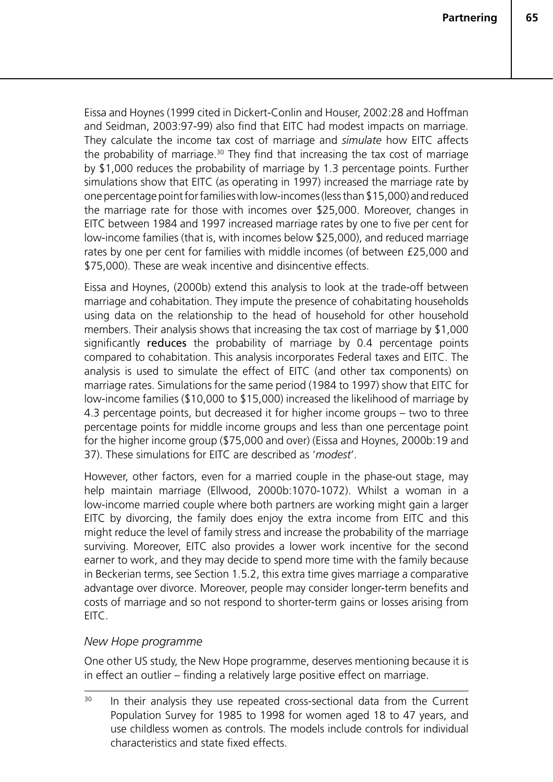Eissa and Hoynes (1999 cited in Dickert-Conlin and Houser, 2002:28 and Hoffman and Seidman, 2003:97-99) also find that EITC had modest impacts on marriage. They calculate the income tax cost of marriage and *simulate* how EITC affects the probability of marriage.<sup>30</sup> They find that increasing the tax cost of marriage by \$1,000 reduces the probability of marriage by 1.3 percentage points. Further simulations show that EITC (as operating in 1997) increased the marriage rate by one percentage point for families with low-incomes (less than \$15,000) and reduced the marriage rate for those with incomes over \$25,000. Moreover, changes in EITC between 1984 and 1997 increased marriage rates by one to five per cent for low-income families (that is, with incomes below \$25,000), and reduced marriage rates by one per cent for families with middle incomes (of between £25,000 and \$75,000). These are weak incentive and disincentive effects.

Eissa and Hoynes, (2000b) extend this analysis to look at the trade-off between marriage and cohabitation. They impute the presence of cohabitating households using data on the relationship to the head of household for other household members. Their analysis shows that increasing the tax cost of marriage by \$1,000 significantly reduces the probability of marriage by 0.4 percentage points compared to cohabitation. This analysis incorporates Federal taxes and EITC. The analysis is used to simulate the effect of EITC (and other tax components) on marriage rates. Simulations for the same period (1984 to 1997) show that EITC for low-income families (\$10,000 to \$15,000) increased the likelihood of marriage by 4.3 percentage points, but decreased it for higher income groups – two to three percentage points for middle income groups and less than one percentage point for the higher income group (\$75,000 and over) (Eissa and Hoynes, 2000b:19 and 37). These simulations for EITC are described as '*modest*'.

However, other factors, even for a married couple in the phase-out stage, may help maintain marriage (Ellwood, 2000b:1070-1072). Whilst a woman in a low-income married couple where both partners are working might gain a larger EITC by divorcing, the family does enjoy the extra income from EITC and this might reduce the level of family stress and increase the probability of the marriage surviving. Moreover, EITC also provides a lower work incentive for the second earner to work, and they may decide to spend more time with the family because in Beckerian terms, see Section 1.5.2, this extra time gives marriage a comparative advantage over divorce. Moreover, people may consider longer-term benefits and costs of marriage and so not respond to shorter-term gains or losses arising from EITC.

### *New Hope programme*

One other US study, the New Hope programme, deserves mentioning because it is in effect an outlier – finding a relatively large positive effect on marriage.

<sup>&</sup>lt;sup>30</sup> In their analysis they use repeated cross-sectional data from the Current Population Survey for 1985 to 1998 for women aged 18 to 47 years, and use childless women as controls. The models include controls for individual characteristics and state fixed effects.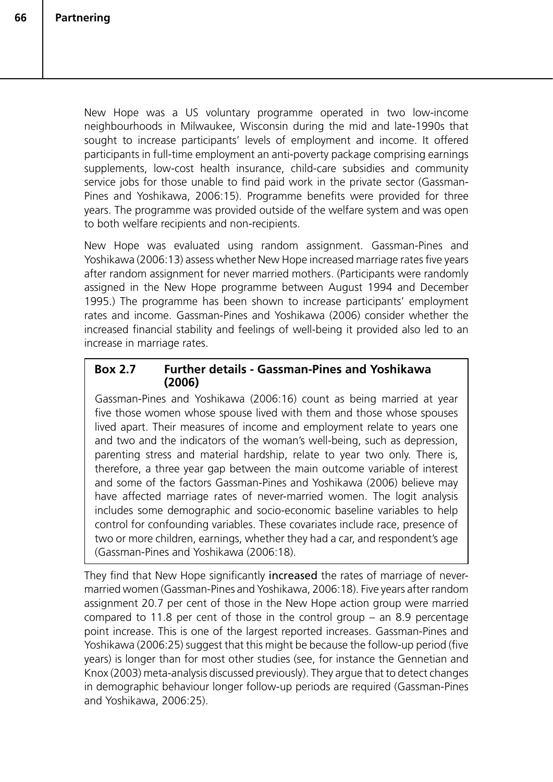New Hope was a US voluntary programme operated in two low-income neighbourhoods in Milwaukee, Wisconsin during the mid and late-1990s that sought to increase participants' levels of employment and income. It offered participants in full-time employment an anti-poverty package comprising earnings supplements, low-cost health insurance, child-care subsidies and community service jobs for those unable to find paid work in the private sector (Gassman-Pines and Yoshikawa, 2006:15). Programme benefits were provided for three years. The programme was provided outside of the welfare system and was open to both welfare recipients and non-recipients.

New Hope was evaluated using random assignment. Gassman-Pines and Yoshikawa (2006:13) assess whether New Hope increased marriage rates five years after random assignment for never married mothers. (Participants were randomly assigned in the New Hope programme between August 1994 and December 1995.) The programme has been shown to increase participants' employment rates and income. Gassman-Pines and Yoshikawa (2006) consider whether the increased financial stability and feelings of well-being it provided also led to an increase in marriage rates.

### **Box 2.7 Further details - Gassman-Pines and Yoshikawa (2006)**

Gassman-Pines and Yoshikawa (2006:16) count as being married at year five those women whose spouse lived with them and those whose spouses lived apart. Their measures of income and employment relate to years one and two and the indicators of the woman's well-being, such as depression, parenting stress and material hardship, relate to year two only. There is, therefore, a three year gap between the main outcome variable of interest and some of the factors Gassman-Pines and Yoshikawa (2006) believe may have affected marriage rates of never-married women. The logit analysis includes some demographic and socio-economic baseline variables to help control for confounding variables. These covariates include race, presence of two or more children, earnings, whether they had a car, and respondent's age (Gassman-Pines and Yoshikawa (2006:18).

They find that New Hope significantly increased the rates of marriage of nevermarried women (Gassman-Pines and Yoshikawa, 2006:18). Five years after random assignment 20.7 per cent of those in the New Hope action group were married compared to 11.8 per cent of those in the control group – an 8.9 percentage point increase. This is one of the largest reported increases. Gassman-Pines and Yoshikawa (2006:25) suggest that this might be because the follow-up period (five years) is longer than for most other studies (see, for instance the Gennetian and Knox (2003) meta-analysis discussed previously). They argue that to detect changes in demographic behaviour longer follow-up periods are required (Gassman-Pines and Yoshikawa, 2006:25).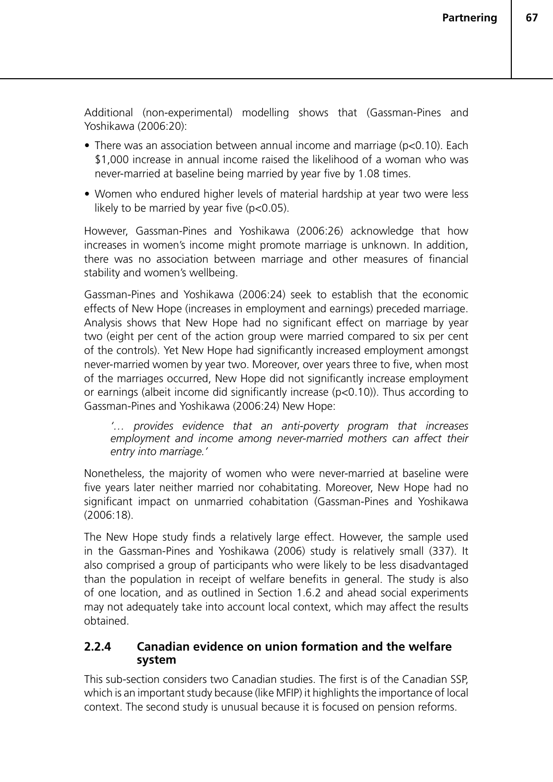Additional (non-experimental) modelling shows that (Gassman-Pines and Yoshikawa (2006:20):

- There was an association between annual income and marriage ( $p<0.10$ ). Each \$1,000 increase in annual income raised the likelihood of a woman who was never-married at baseline being married by year five by 1.08 times.
- Women who endured higher levels of material hardship at year two were less likely to be married by year five  $(p<0.05)$ .

However, Gassman-Pines and Yoshikawa (2006:26) acknowledge that how increases in women's income might promote marriage is unknown. In addition, there was no association between marriage and other measures of financial stability and women's wellbeing.

Gassman-Pines and Yoshikawa (2006:24) seek to establish that the economic effects of New Hope (increases in employment and earnings) preceded marriage. Analysis shows that New Hope had no significant effect on marriage by year two (eight per cent of the action group were married compared to six per cent of the controls). Yet New Hope had significantly increased employment amongst never-married women by year two. Moreover, over years three to five, when most of the marriages occurred, New Hope did not significantly increase employment or earnings (albeit income did significantly increase (p<0.10)). Thus according to Gassman-Pines and Yoshikawa (2006:24) New Hope:

*'… provides evidence that an anti-poverty program that increases employment and income among never-married mothers can affect their entry into marriage.'*

Nonetheless, the majority of women who were never-married at baseline were five years later neither married nor cohabitating. Moreover, New Hope had no significant impact on unmarried cohabitation (Gassman-Pines and Yoshikawa (2006:18).

The New Hope study finds a relatively large effect. However, the sample used in the Gassman-Pines and Yoshikawa (2006) study is relatively small (337). It also comprised a group of participants who were likely to be less disadvantaged than the population in receipt of welfare benefits in general. The study is also of one location, and as outlined in Section 1.6.2 and ahead social experiments may not adequately take into account local context, which may affect the results obtained.

### **2.2.4 Canadian evidence on union formation and the welfare system**

This sub-section considers two Canadian studies. The first is of the Canadian SSP, which is an important study because (like MFIP) it highlights the importance of local context. The second study is unusual because it is focused on pension reforms.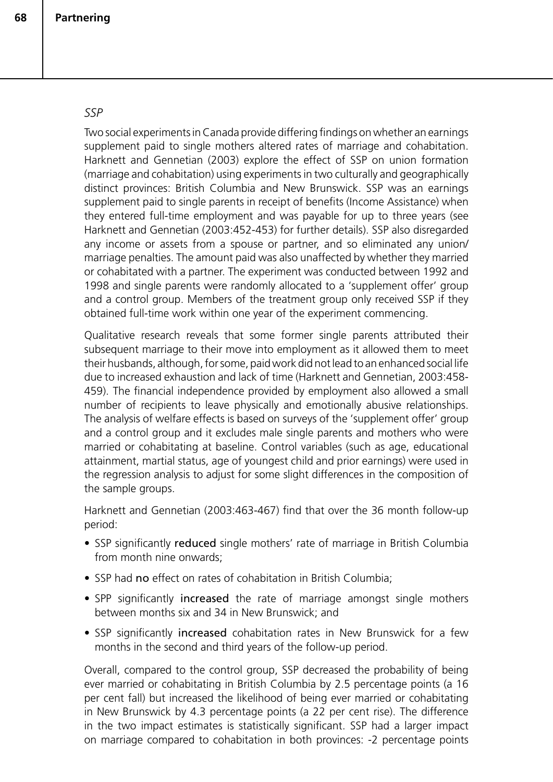#### *SSP*

Two social experiments in Canada provide differing findings on whether an earnings supplement paid to single mothers altered rates of marriage and cohabitation. Harknett and Gennetian (2003) explore the effect of SSP on union formation (marriage and cohabitation) using experiments in two culturally and geographically distinct provinces: British Columbia and New Brunswick. SSP was an earnings supplement paid to single parents in receipt of benefits (Income Assistance) when they entered full-time employment and was payable for up to three years (see Harknett and Gennetian (2003:452-453) for further details). SSP also disregarded any income or assets from a spouse or partner, and so eliminated any union/ marriage penalties. The amount paid was also unaffected by whether they married or cohabitated with a partner. The experiment was conducted between 1992 and 1998 and single parents were randomly allocated to a 'supplement offer' group and a control group. Members of the treatment group only received SSP if they obtained full-time work within one year of the experiment commencing.

Qualitative research reveals that some former single parents attributed their subsequent marriage to their move into employment as it allowed them to meet their husbands, although, for some, paid work did not lead to an enhanced social life due to increased exhaustion and lack of time (Harknett and Gennetian, 2003:458- 459). The financial independence provided by employment also allowed a small number of recipients to leave physically and emotionally abusive relationships. The analysis of welfare effects is based on surveys of the 'supplement offer' group and a control group and it excludes male single parents and mothers who were married or cohabitating at baseline. Control variables (such as age, educational attainment, martial status, age of youngest child and prior earnings) were used in the regression analysis to adjust for some slight differences in the composition of the sample groups.

Harknett and Gennetian (2003:463-467) find that over the 36 month follow-up period:

- SSP significantly reduced single mothers' rate of marriage in British Columbia from month nine onwards;
- SSP had no effect on rates of cohabitation in British Columbia;
- SPP significantly increased the rate of marriage amongst single mothers between months six and 34 in New Brunswick; and
- SSP significantly increased cohabitation rates in New Brunswick for a few months in the second and third years of the follow-up period.

Overall, compared to the control group, SSP decreased the probability of being ever married or cohabitating in British Columbia by 2.5 percentage points (a 16 per cent fall) but increased the likelihood of being ever married or cohabitating in New Brunswick by 4.3 percentage points (a 22 per cent rise). The difference in the two impact estimates is statistically significant. SSP had a larger impact on marriage compared to cohabitation in both provinces: -2 percentage points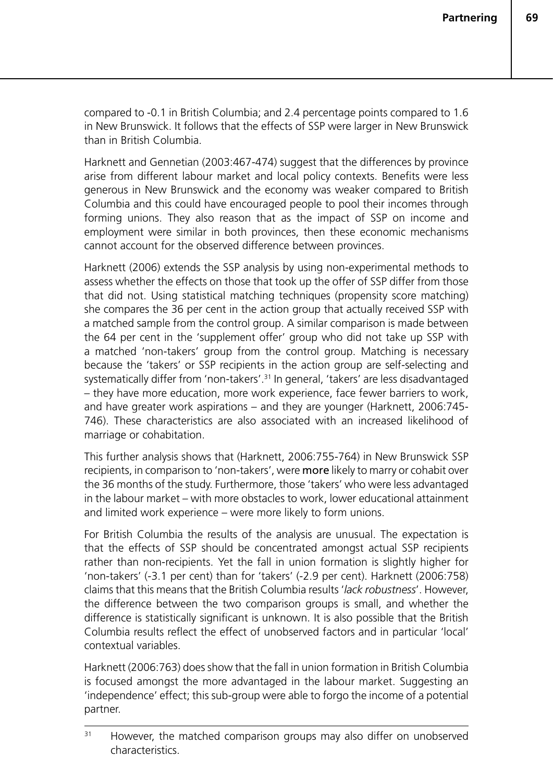compared to -0.1 in British Columbia; and 2.4 percentage points compared to 1.6 in New Brunswick. It follows that the effects of SSP were larger in New Brunswick than in British Columbia.

Harknett and Gennetian (2003:467-474) suggest that the differences by province arise from different labour market and local policy contexts. Benefits were less generous in New Brunswick and the economy was weaker compared to British Columbia and this could have encouraged people to pool their incomes through forming unions. They also reason that as the impact of SSP on income and employment were similar in both provinces, then these economic mechanisms cannot account for the observed difference between provinces.

Harknett (2006) extends the SSP analysis by using non-experimental methods to assess whether the effects on those that took up the offer of SSP differ from those that did not. Using statistical matching techniques (propensity score matching) she compares the 36 per cent in the action group that actually received SSP with a matched sample from the control group. A similar comparison is made between the 64 per cent in the 'supplement offer' group who did not take up SSP with a matched 'non-takers' group from the control group. Matching is necessary because the 'takers' or SSP recipients in the action group are self-selecting and systematically differ from 'non-takers'.<sup>31</sup> In general, 'takers' are less disadvantaged – they have more education, more work experience, face fewer barriers to work, and have greater work aspirations – and they are younger (Harknett, 2006:745- 746). These characteristics are also associated with an increased likelihood of marriage or cohabitation.

This further analysis shows that (Harknett, 2006:755-764) in New Brunswick SSP recipients, in comparison to 'non-takers', were more likely to marry or cohabit over the 36 months of the study. Furthermore, those 'takers' who were less advantaged in the labour market – with more obstacles to work, lower educational attainment and limited work experience – were more likely to form unions.

For British Columbia the results of the analysis are unusual. The expectation is that the effects of SSP should be concentrated amongst actual SSP recipients rather than non-recipients. Yet the fall in union formation is slightly higher for 'non-takers' (-3.1 per cent) than for 'takers' (-2.9 per cent). Harknett (2006:758) claims that this means that the British Columbia results '*lack robustness*'. However, the difference between the two comparison groups is small, and whether the difference is statistically significant is unknown. It is also possible that the British Columbia results reflect the effect of unobserved factors and in particular 'local' contextual variables.

Harknett (2006:763) does show that the fall in union formation in British Columbia is focused amongst the more advantaged in the labour market. Suggesting an 'independence' effect; this sub-group were able to forgo the income of a potential partner.

<sup>&</sup>lt;sup>31</sup> However, the matched comparison groups may also differ on unobserved characteristics.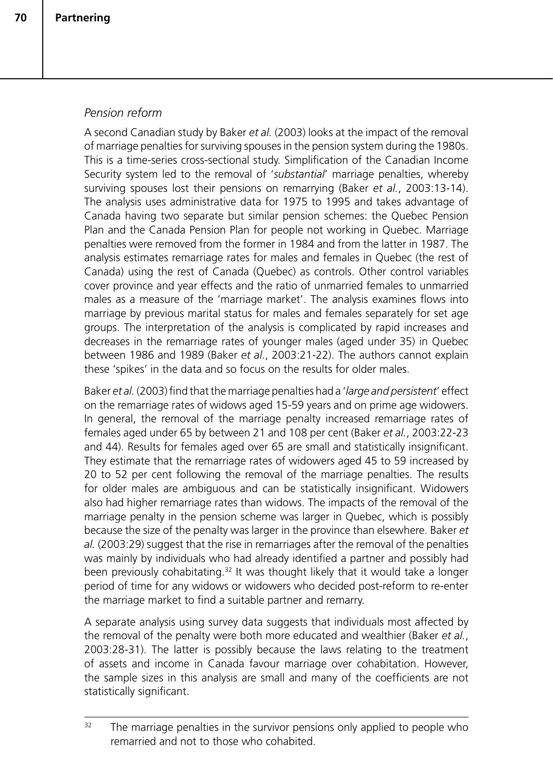## *Pension reform*

A second Canadian study by Baker *et al.* (2003) looks at the impact of the removal of marriage penalties for surviving spouses in the pension system during the 1980s. This is a time-series cross-sectional study. Simplification of the Canadian Income Security system led to the removal of '*substantial*' marriage penalties, whereby surviving spouses lost their pensions on remarrying (Baker *et al.*, 2003:13-14). The analysis uses administrative data for 1975 to 1995 and takes advantage of Canada having two separate but similar pension schemes: the Quebec Pension Plan and the Canada Pension Plan for people not working in Quebec. Marriage penalties were removed from the former in 1984 and from the latter in 1987. The analysis estimates remarriage rates for males and females in Quebec (the rest of Canada) using the rest of Canada (Quebec) as controls. Other control variables cover province and year effects and the ratio of unmarried females to unmarried males as a measure of the 'marriage market'. The analysis examines flows into marriage by previous marital status for males and females separately for set age groups. The interpretation of the analysis is complicated by rapid increases and decreases in the remarriage rates of younger males (aged under 35) in Quebec between 1986 and 1989 (Baker *et al.*, 2003:21-22). The authors cannot explain these 'spikes' in the data and so focus on the results for older males.

Baker *et al.* (2003) find that the marriage penalties had a '*large and persistent*' effect on the remarriage rates of widows aged 15-59 years and on prime age widowers. In general, the removal of the marriage penalty increased remarriage rates of females aged under 65 by between 21 and 108 per cent (Baker *et al.*, 2003:22-23 and 44). Results for females aged over 65 are small and statistically insignificant. They estimate that the remarriage rates of widowers aged 45 to 59 increased by 20 to 52 per cent following the removal of the marriage penalties. The results for older males are ambiguous and can be statistically insignificant. Widowers also had higher remarriage rates than widows. The impacts of the removal of the marriage penalty in the pension scheme was larger in Quebec, which is possibly because the size of the penalty was larger in the province than elsewhere. Baker *et al.* (2003:29) suggest that the rise in remarriages after the removal of the penalties was mainly by individuals who had already identified a partner and possibly had been previously cohabitating.<sup>32</sup> It was thought likely that it would take a longer period of time for any widows or widowers who decided post-reform to re-enter the marriage market to find a suitable partner and remarry.

A separate analysis using survey data suggests that individuals most affected by the removal of the penalty were both more educated and wealthier (Baker *et al.*, 2003:28-31). The latter is possibly because the laws relating to the treatment of assets and income in Canada favour marriage over cohabitation. However, the sample sizes in this analysis are small and many of the coefficients are not statistically significant.

 $32$  The marriage penalties in the survivor pensions only applied to people who remarried and not to those who cohabited.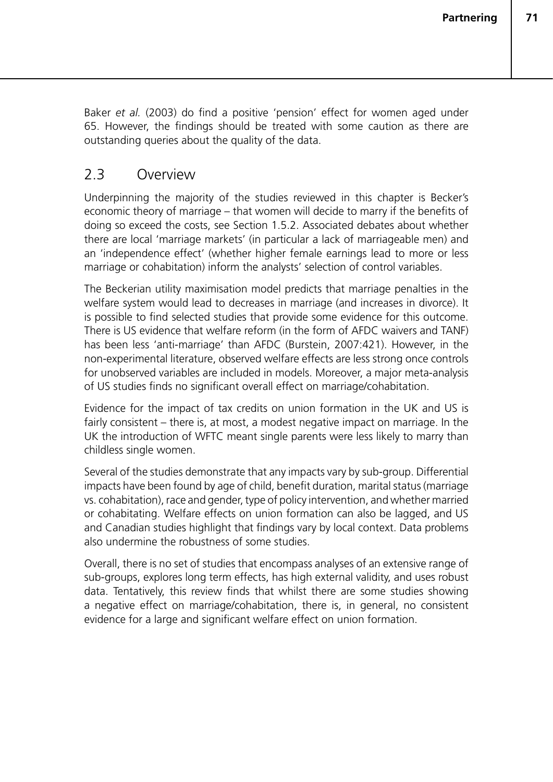Baker *et al.* (2003) do find a positive 'pension' effect for women aged under 65. However, the findings should be treated with some caution as there are outstanding queries about the quality of the data.

## 2.3 Overview

Underpinning the majority of the studies reviewed in this chapter is Becker's economic theory of marriage – that women will decide to marry if the benefits of doing so exceed the costs, see Section 1.5.2. Associated debates about whether there are local 'marriage markets' (in particular a lack of marriageable men) and an 'independence effect' (whether higher female earnings lead to more or less marriage or cohabitation) inform the analysts' selection of control variables.

The Beckerian utility maximisation model predicts that marriage penalties in the welfare system would lead to decreases in marriage (and increases in divorce). It is possible to find selected studies that provide some evidence for this outcome. There is US evidence that welfare reform (in the form of AFDC waivers and TANF) has been less 'anti-marriage' than AFDC (Burstein, 2007:421). However, in the non-experimental literature, observed welfare effects are less strong once controls for unobserved variables are included in models. Moreover, a major meta-analysis of US studies finds no significant overall effect on marriage/cohabitation.

Evidence for the impact of tax credits on union formation in the UK and US is fairly consistent – there is, at most, a modest negative impact on marriage. In the UK the introduction of WFTC meant single parents were less likely to marry than childless single women.

Several of the studies demonstrate that any impacts vary by sub-group. Differential impacts have been found by age of child, benefit duration, marital status (marriage vs. cohabitation), race and gender, type of policy intervention, and whether married or cohabitating. Welfare effects on union formation can also be lagged, and US and Canadian studies highlight that findings vary by local context. Data problems also undermine the robustness of some studies.

Overall, there is no set of studies that encompass analyses of an extensive range of sub-groups, explores long term effects, has high external validity, and uses robust data. Tentatively, this review finds that whilst there are some studies showing a negative effect on marriage/cohabitation, there is, in general, no consistent evidence for a large and significant welfare effect on union formation.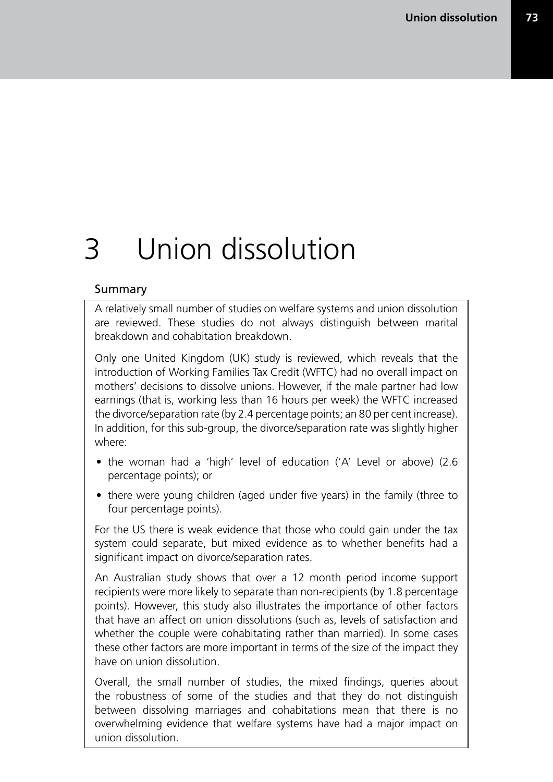# 3 Union dissolution

### Summary

A relatively small number of studies on welfare systems and union dissolution are reviewed. These studies do not always distinguish between marital breakdown and cohabitation breakdown.

Only one United Kingdom (UK) study is reviewed, which reveals that the introduction of Working Families Tax Credit (WFTC) had no overall impact on mothers' decisions to dissolve unions. However, if the male partner had low earnings (that is, working less than 16 hours per week) the WFTC increased the divorce/separation rate (by 2.4 percentage points; an 80 per cent increase). In addition, for this sub-group, the divorce/separation rate was slightly higher where:

- the woman had a 'high' level of education ('A' Level or above) (2.6 percentage points); or
- there were young children (aged under five years) in the family (three to four percentage points).

For the US there is weak evidence that those who could gain under the tax system could separate, but mixed evidence as to whether benefits had a significant impact on divorce/separation rates.

An Australian study shows that over a 12 month period income support recipients were more likely to separate than non-recipients (by 1.8 percentage points). However, this study also illustrates the importance of other factors that have an affect on union dissolutions (such as, levels of satisfaction and whether the couple were cohabitating rather than married). In some cases these other factors are more important in terms of the size of the impact they have on union dissolution.

Overall, the small number of studies, the mixed findings, queries about the robustness of some of the studies and that they do not distinguish between dissolving marriages and cohabitations mean that there is no overwhelming evidence that welfare systems have had a major impact on union dissolution.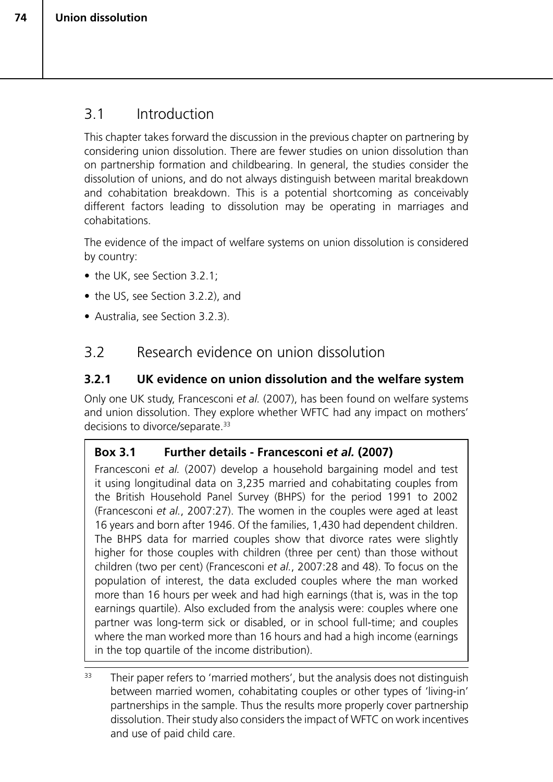# 3.1 Introduction

This chapter takes forward the discussion in the previous chapter on partnering by considering union dissolution. There are fewer studies on union dissolution than on partnership formation and childbearing. In general, the studies consider the dissolution of unions, and do not always distinguish between marital breakdown and cohabitation breakdown. This is a potential shortcoming as conceivably different factors leading to dissolution may be operating in marriages and cohabitations.

The evidence of the impact of welfare systems on union dissolution is considered by country:

- the UK, see Section 3.2.1;
- the US, see Section 3.2.2), and
- Australia, see Section 3.2.3).

# 3.2 Research evidence on union dissolution

## **3.2.1 UK evidence on union dissolution and the welfare system**

Only one UK study, Francesconi *et al.* (2007), has been found on welfare systems and union dissolution. They explore whether WFTC had any impact on mothers' decisions to divorce/separate.<sup>33</sup>

## **Box 3.1 Further details - Francesconi** *et al.* **(2007)**

Francesconi *et al.* (2007) develop a household bargaining model and test it using longitudinal data on 3,235 married and cohabitating couples from the British Household Panel Survey (BHPS) for the period 1991 to 2002 (Francesconi *et al.*, 2007:27). The women in the couples were aged at least 16 years and born after 1946. Of the families, 1,430 had dependent children. The BHPS data for married couples show that divorce rates were slightly higher for those couples with children (three per cent) than those without children (two per cent) (Francesconi *et al.*, 2007:28 and 48). To focus on the population of interest, the data excluded couples where the man worked more than 16 hours per week and had high earnings (that is, was in the top earnings quartile). Also excluded from the analysis were: couples where one partner was long-term sick or disabled, or in school full-time; and couples where the man worked more than 16 hours and had a high income (earnings in the top quartile of the income distribution).

<sup>33</sup> Their paper refers to 'married mothers', but the analysis does not distinguish between married women, cohabitating couples or other types of 'living-in' partnerships in the sample. Thus the results more properly cover partnership dissolution. Their study also considers the impact of WFTC on work incentives and use of paid child care.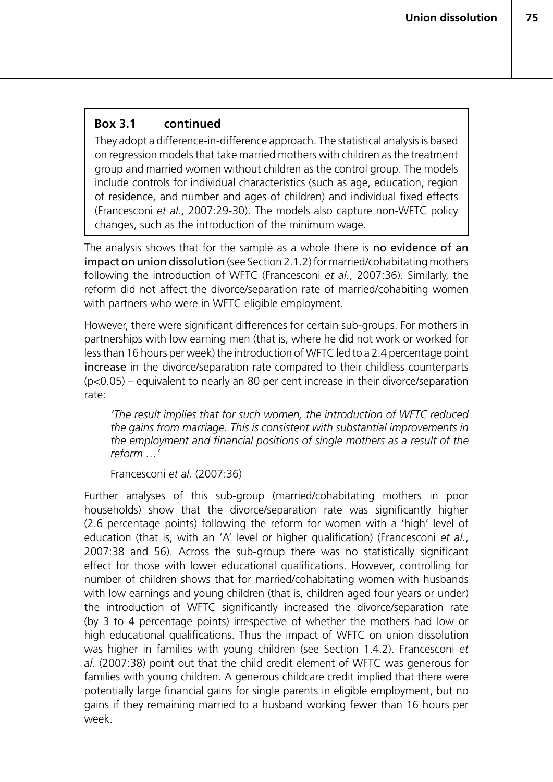### **Box 3.1 continued**

They adopt a difference-in-difference approach. The statistical analysis is based on regression models that take married mothers with children as the treatment group and married women without children as the control group. The models include controls for individual characteristics (such as age, education, region of residence, and number and ages of children) and individual fixed effects (Francesconi *et al.*, 2007:29-30). The models also capture non-WFTC policy changes, such as the introduction of the minimum wage.

The analysis shows that for the sample as a whole there is no evidence of an impact on union dissolution (see Section 2.1.2) for married/cohabitating mothers following the introduction of WFTC (Francesconi *et al.*, 2007:36). Similarly, the reform did not affect the divorce/separation rate of married/cohabiting women with partners who were in WFTC eligible employment.

However, there were significant differences for certain sub-groups. For mothers in partnerships with low earning men (that is, where he did not work or worked for less than 16 hours per week) the introduction of WFTC led to a 2.4 percentage point increase in the divorce/separation rate compared to their childless counterparts (p<0.05) – equivalent to nearly an 80 per cent increase in their divorce/separation rate:

*'The result implies that for such women, the introduction of WFTC reduced the gains from marriage. This is consistent with substantial improvements in the employment and financial positions of single mothers as a result of the reform …'*

Francesconi *et al.* (2007:36)

Further analyses of this sub-group (married/cohabitating mothers in poor households) show that the divorce/separation rate was significantly higher (2.6 percentage points) following the reform for women with a 'high' level of education (that is, with an 'A' level or higher qualification) (Francesconi *et al.*, 2007:38 and 56). Across the sub-group there was no statistically significant effect for those with lower educational qualifications. However, controlling for number of children shows that for married/cohabitating women with husbands with low earnings and young children (that is, children aged four years or under) the introduction of WFTC significantly increased the divorce/separation rate (by 3 to 4 percentage points) irrespective of whether the mothers had low or high educational qualifications. Thus the impact of WFTC on union dissolution was higher in families with young children (see Section 1.4.2). Francesconi *et al.* (2007:38) point out that the child credit element of WFTC was generous for families with young children. A generous childcare credit implied that there were potentially large financial gains for single parents in eligible employment, but no gains if they remaining married to a husband working fewer than 16 hours per week.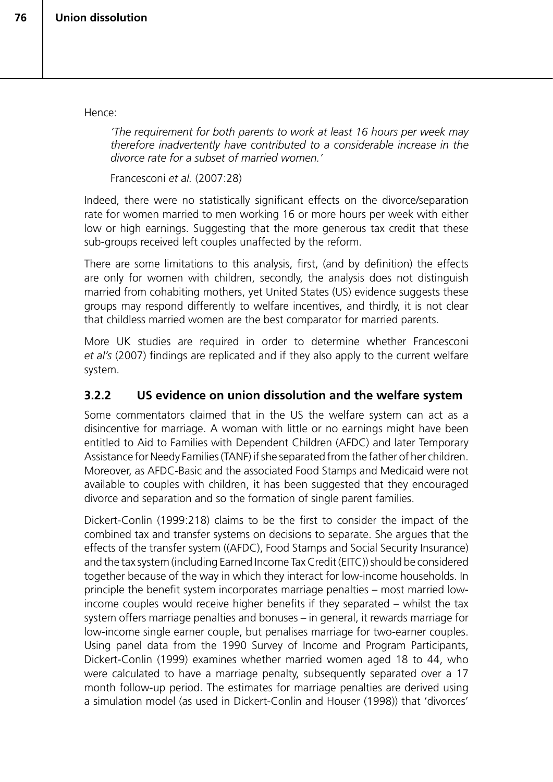Hence:

*'The requirement for both parents to work at least 16 hours per week may therefore inadvertently have contributed to a considerable increase in the divorce rate for a subset of married women.'*

Francesconi *et al.* (2007:28)

Indeed, there were no statistically significant effects on the divorce/separation rate for women married to men working 16 or more hours per week with either low or high earnings. Suggesting that the more generous tax credit that these sub-groups received left couples unaffected by the reform.

There are some limitations to this analysis, first, (and by definition) the effects are only for women with children, secondly, the analysis does not distinguish married from cohabiting mothers, yet United States (US) evidence suggests these groups may respond differently to welfare incentives, and thirdly, it is not clear that childless married women are the best comparator for married parents.

More UK studies are required in order to determine whether Francesconi *et al's* (2007) findings are replicated and if they also apply to the current welfare system.

### **3.2.2 US evidence on union dissolution and the welfare system**

Some commentators claimed that in the US the welfare system can act as a disincentive for marriage. A woman with little or no earnings might have been entitled to Aid to Families with Dependent Children (AFDC) and later Temporary Assistance for Needy Families (TANF) if she separated from the father of her children. Moreover, as AFDC-Basic and the associated Food Stamps and Medicaid were not available to couples with children, it has been suggested that they encouraged divorce and separation and so the formation of single parent families.

Dickert-Conlin (1999:218) claims to be the first to consider the impact of the combined tax and transfer systems on decisions to separate. She argues that the effects of the transfer system ((AFDC), Food Stamps and Social Security Insurance) and the tax system (including Earned Income Tax Credit (EITC)) should be considered together because of the way in which they interact for low-income households. In principle the benefit system incorporates marriage penalties – most married lowincome couples would receive higher benefits if they separated – whilst the tax system offers marriage penalties and bonuses – in general, it rewards marriage for low-income single earner couple, but penalises marriage for two-earner couples. Using panel data from the 1990 Survey of Income and Program Participants, Dickert-Conlin (1999) examines whether married women aged 18 to 44, who were calculated to have a marriage penalty, subsequently separated over a 17 month follow-up period. The estimates for marriage penalties are derived using a simulation model (as used in Dickert-Conlin and Houser (1998)) that 'divorces'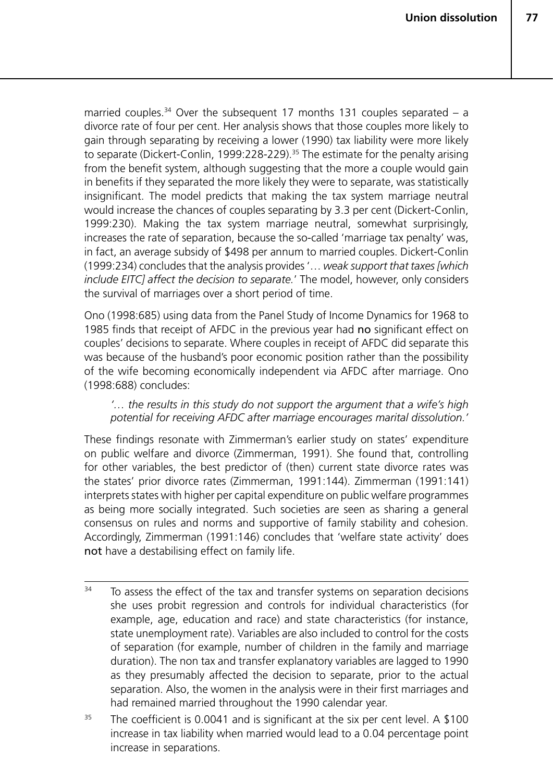married couples.<sup>34</sup> Over the subsequent 17 months 131 couples separated  $-$  a divorce rate of four per cent. Her analysis shows that those couples more likely to gain through separating by receiving a lower (1990) tax liability were more likely to separate (Dickert-Conlin, 1999:228-229).<sup>35</sup> The estimate for the penalty arising from the benefit system, although suggesting that the more a couple would gain in benefits if they separated the more likely they were to separate, was statistically insignificant. The model predicts that making the tax system marriage neutral would increase the chances of couples separating by 3.3 per cent (Dickert-Conlin, 1999:230). Making the tax system marriage neutral, somewhat surprisingly, increases the rate of separation, because the so-called 'marriage tax penalty' was, in fact, an average subsidy of \$498 per annum to married couples. Dickert-Conlin (1999:234) concludes that the analysis provides '… *weak support that taxes [which include EITC] affect the decision to separate.*' The model, however, only considers the survival of marriages over a short period of time.

Ono (1998:685) using data from the Panel Study of Income Dynamics for 1968 to 1985 finds that receipt of AFDC in the previous year had no significant effect on couples' decisions to separate. Where couples in receipt of AFDC did separate this was because of the husband's poor economic position rather than the possibility of the wife becoming economically independent via AFDC after marriage. Ono (1998:688) concludes:

#### *'… the results in this study do not support the argument that a wife's high potential for receiving AFDC after marriage encourages marital dissolution.'*

These findings resonate with Zimmerman's earlier study on states' expenditure on public welfare and divorce (Zimmerman, 1991). She found that, controlling for other variables, the best predictor of (then) current state divorce rates was the states' prior divorce rates (Zimmerman, 1991:144). Zimmerman (1991:141) interprets states with higher per capital expenditure on public welfare programmes as being more socially integrated. Such societies are seen as sharing a general consensus on rules and norms and supportive of family stability and cohesion. Accordingly, Zimmerman (1991:146) concludes that 'welfare state activity' does not have a destabilising effect on family life.

 $34$  To assess the effect of the tax and transfer systems on separation decisions she uses probit regression and controls for individual characteristics (for example, age, education and race) and state characteristics (for instance, state unemployment rate). Variables are also included to control for the costs of separation (for example, number of children in the family and marriage duration). The non tax and transfer explanatory variables are lagged to 1990 as they presumably affected the decision to separate, prior to the actual separation. Also, the women in the analysis were in their first marriages and had remained married throughout the 1990 calendar year.

 $35$  The coefficient is 0.0041 and is significant at the six per cent level. A \$100 increase in tax liability when married would lead to a 0.04 percentage point increase in separations.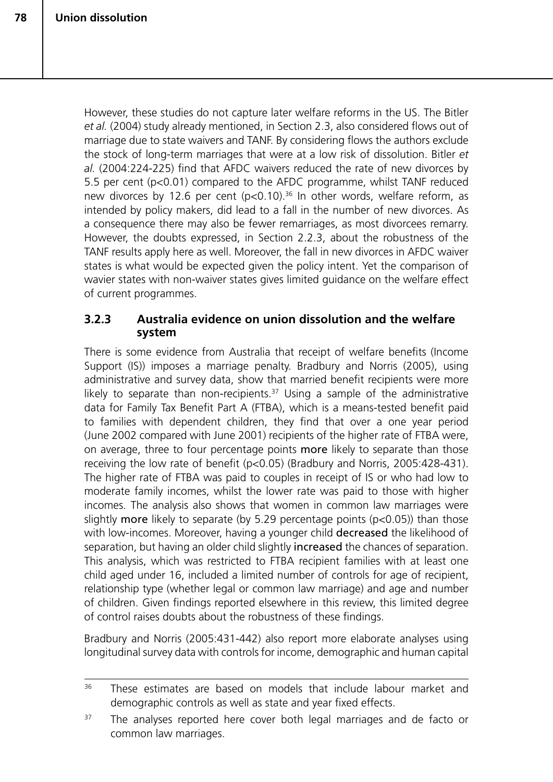However, these studies do not capture later welfare reforms in the US. The Bitler *et al.* (2004) study already mentioned, in Section 2.3, also considered flows out of marriage due to state waivers and TANF. By considering flows the authors exclude the stock of long-term marriages that were at a low risk of dissolution. Bitler *et al.* (2004:224-225) find that AFDC waivers reduced the rate of new divorces by 5.5 per cent (p<0.01) compared to the AFDC programme, whilst TANF reduced new divorces by 12.6 per cent (p<0.10).<sup>36</sup> In other words, welfare reform, as intended by policy makers, did lead to a fall in the number of new divorces. As a consequence there may also be fewer remarriages, as most divorcees remarry. However, the doubts expressed, in Section 2.2.3, about the robustness of the TANF results apply here as well. Moreover, the fall in new divorces in AFDC waiver states is what would be expected given the policy intent. Yet the comparison of wavier states with non-waiver states gives limited guidance on the welfare effect of current programmes.

### **3.2.3 Australia evidence on union dissolution and the welfare system**

There is some evidence from Australia that receipt of welfare benefits (Income Support (IS)) imposes a marriage penalty. Bradbury and Norris (2005), using administrative and survey data, show that married benefit recipients were more likely to separate than non-recipients. $37$  Using a sample of the administrative data for Family Tax Benefit Part A (FTBA), which is a means-tested benefit paid to families with dependent children, they find that over a one year period (June 2002 compared with June 2001) recipients of the higher rate of FTBA were, on average, three to four percentage points more likely to separate than those receiving the low rate of benefit (p<0.05) (Bradbury and Norris, 2005:428-431). The higher rate of FTBA was paid to couples in receipt of IS or who had low to moderate family incomes, whilst the lower rate was paid to those with higher incomes. The analysis also shows that women in common law marriages were slightly more likely to separate (by 5.29 percentage points ( $p<0.05$ )) than those with low-incomes. Moreover, having a younger child decreased the likelihood of separation, but having an older child slightly increased the chances of separation. This analysis, which was restricted to FTBA recipient families with at least one child aged under 16, included a limited number of controls for age of recipient, relationship type (whether legal or common law marriage) and age and number of children. Given findings reported elsewhere in this review, this limited degree of control raises doubts about the robustness of these findings.

Bradbury and Norris (2005:431-442) also report more elaborate analyses using longitudinal survey data with controls for income, demographic and human capital

<sup>&</sup>lt;sup>36</sup> These estimates are based on models that include labour market and demographic controls as well as state and year fixed effects.

<sup>&</sup>lt;sup>37</sup> The analyses reported here cover both legal marriages and de facto or common law marriages.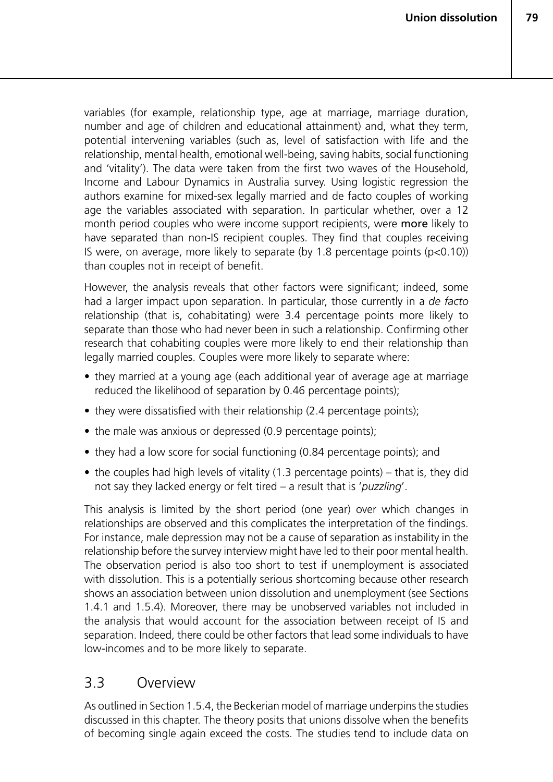variables (for example, relationship type, age at marriage, marriage duration, number and age of children and educational attainment) and, what they term, potential intervening variables (such as, level of satisfaction with life and the relationship, mental health, emotional well-being, saving habits, social functioning and 'vitality'). The data were taken from the first two waves of the Household, Income and Labour Dynamics in Australia survey. Using logistic regression the authors examine for mixed-sex legally married and de facto couples of working age the variables associated with separation. In particular whether, over a 12 month period couples who were income support recipients, were more likely to have separated than non-IS recipient couples. They find that couples receiving IS were, on average, more likely to separate (by 1.8 percentage points (p<0.10)) than couples not in receipt of benefit.

However, the analysis reveals that other factors were significant; indeed, some had a larger impact upon separation. In particular, those currently in a *de facto*  relationship (that is, cohabitating) were 3.4 percentage points more likely to separate than those who had never been in such a relationship. Confirming other research that cohabiting couples were more likely to end their relationship than legally married couples. Couples were more likely to separate where:

- they married at a young age (each additional year of average age at marriage reduced the likelihood of separation by 0.46 percentage points);
- they were dissatisfied with their relationship (2.4 percentage points);
- the male was anxious or depressed (0.9 percentage points);
- they had a low score for social functioning (0.84 percentage points); and
- the couples had high levels of vitality (1.3 percentage points) that is, they did not say they lacked energy or felt tired – a result that is '*puzzling*'.

This analysis is limited by the short period (one year) over which changes in relationships are observed and this complicates the interpretation of the findings. For instance, male depression may not be a cause of separation as instability in the relationship before the survey interview might have led to their poor mental health. The observation period is also too short to test if unemployment is associated with dissolution. This is a potentially serious shortcoming because other research shows an association between union dissolution and unemployment (see Sections 1.4.1 and 1.5.4). Moreover, there may be unobserved variables not included in the analysis that would account for the association between receipt of IS and separation. Indeed, there could be other factors that lead some individuals to have low-incomes and to be more likely to separate.

# 3.3 Overview

As outlined in Section 1.5.4, the Beckerian model of marriage underpins the studies discussed in this chapter. The theory posits that unions dissolve when the benefits of becoming single again exceed the costs. The studies tend to include data on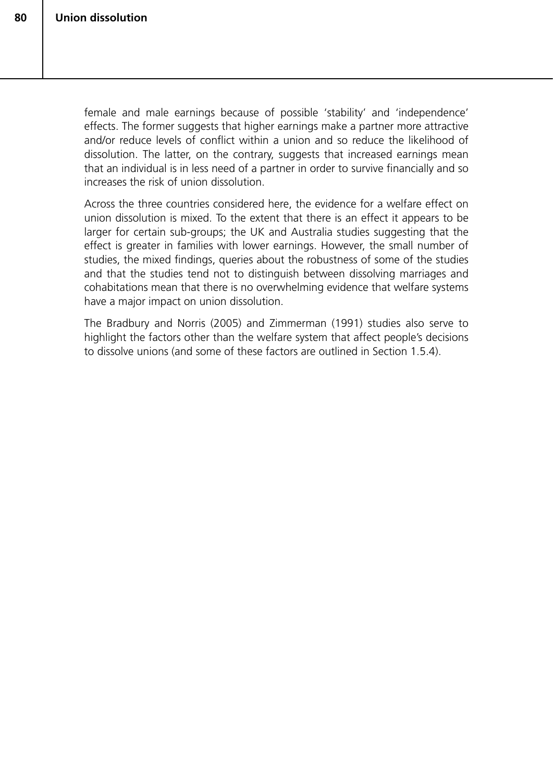female and male earnings because of possible 'stability' and 'independence' effects. The former suggests that higher earnings make a partner more attractive and/or reduce levels of conflict within a union and so reduce the likelihood of dissolution. The latter, on the contrary, suggests that increased earnings mean that an individual is in less need of a partner in order to survive financially and so increases the risk of union dissolution.

Across the three countries considered here, the evidence for a welfare effect on union dissolution is mixed. To the extent that there is an effect it appears to be larger for certain sub-groups; the UK and Australia studies suggesting that the effect is greater in families with lower earnings. However, the small number of studies, the mixed findings, queries about the robustness of some of the studies and that the studies tend not to distinguish between dissolving marriages and cohabitations mean that there is no overwhelming evidence that welfare systems have a major impact on union dissolution.

The Bradbury and Norris (2005) and Zimmerman (1991) studies also serve to highlight the factors other than the welfare system that affect people's decisions to dissolve unions (and some of these factors are outlined in Section 1.5.4).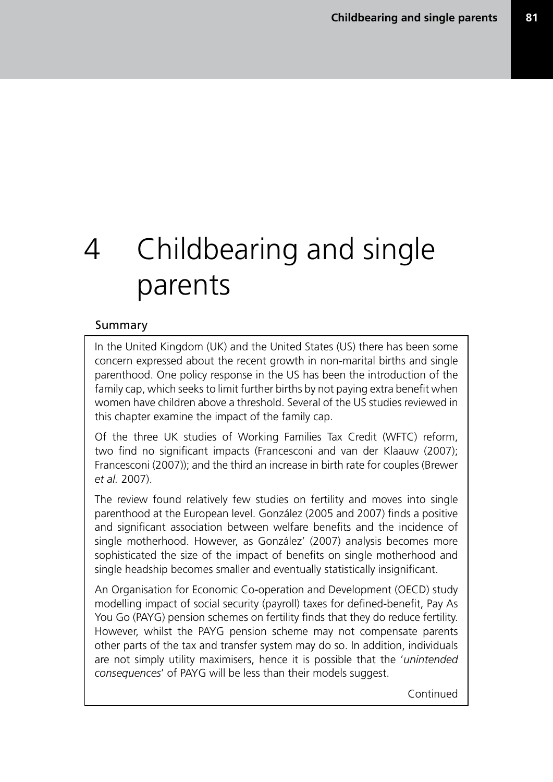# 4 Childbearing and single parents

### Summary

In the United Kingdom (UK) and the United States (US) there has been some concern expressed about the recent growth in non-marital births and single parenthood. One policy response in the US has been the introduction of the family cap, which seeks to limit further births by not paying extra benefit when women have children above a threshold. Several of the US studies reviewed in this chapter examine the impact of the family cap.

Of the three UK studies of Working Families Tax Credit (WFTC) reform, two find no significant impacts (Francesconi and van der Klaauw (2007); Francesconi (2007)); and the third an increase in birth rate for couples (Brewer *et al.* 2007).

The review found relatively few studies on fertility and moves into single parenthood at the European level. González (2005 and 2007) finds a positive and significant association between welfare benefits and the incidence of single motherhood. However, as González' (2007) analysis becomes more sophisticated the size of the impact of benefits on single motherhood and single headship becomes smaller and eventually statistically insignificant.

An Organisation for Economic Co-operation and Development (OECD) study modelling impact of social security (payroll) taxes for defined-benefit, Pay As You Go (PAYG) pension schemes on fertility finds that they do reduce fertility. However, whilst the PAYG pension scheme may not compensate parents other parts of the tax and transfer system may do so. In addition, individuals are not simply utility maximisers, hence it is possible that the '*unintended consequences*' of PAYG will be less than their models suggest.

Continued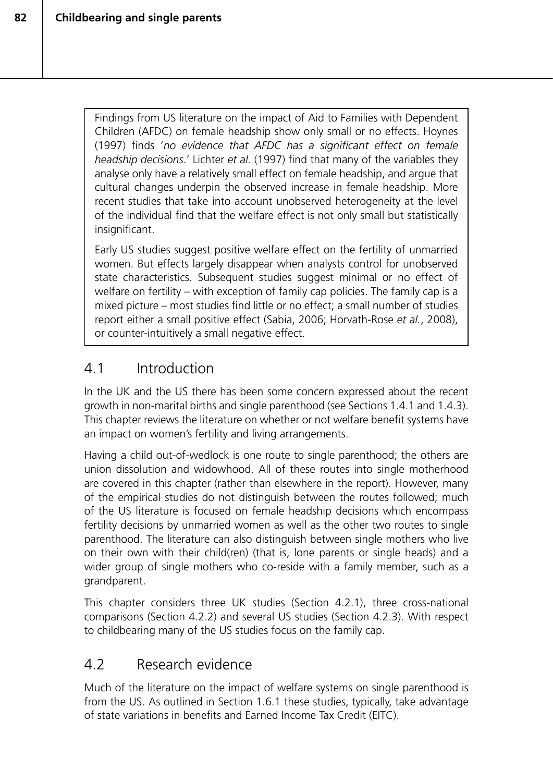Findings from US literature on the impact of Aid to Families with Dependent Children (AFDC) on female headship show only small or no effects. Hoynes (1997) finds '*no evidence that AFDC has a significant effect on female headship decisions*.' Lichter *et al.* (1997) find that many of the variables they analyse only have a relatively small effect on female headship, and argue that cultural changes underpin the observed increase in female headship. More recent studies that take into account unobserved heterogeneity at the level of the individual find that the welfare effect is not only small but statistically insignificant.

Early US studies suggest positive welfare effect on the fertility of unmarried women. But effects largely disappear when analysts control for unobserved state characteristics. Subsequent studies suggest minimal or no effect of welfare on fertility – with exception of family cap policies. The family cap is a mixed picture – most studies find little or no effect; a small number of studies report either a small positive effect (Sabia, 2006; Horvath-Rose *et al.*, 2008), or counter-intuitively a small negative effect.

# 4.1 Introduction

In the UK and the US there has been some concern expressed about the recent growth in non-marital births and single parenthood (see Sections 1.4.1 and 1.4.3). This chapter reviews the literature on whether or not welfare benefit systems have an impact on women's fertility and living arrangements.

Having a child out-of-wedlock is one route to single parenthood; the others are union dissolution and widowhood. All of these routes into single motherhood are covered in this chapter (rather than elsewhere in the report). However, many of the empirical studies do not distinguish between the routes followed; much of the US literature is focused on female headship decisions which encompass fertility decisions by unmarried women as well as the other two routes to single parenthood. The literature can also distinguish between single mothers who live on their own with their child(ren) (that is, lone parents or single heads) and a wider group of single mothers who co-reside with a family member, such as a grandparent.

This chapter considers three UK studies (Section 4.2.1), three cross-national comparisons (Section 4.2.2) and several US studies (Section 4.2.3). With respect to childbearing many of the US studies focus on the family cap.

# 4.2 Research evidence

Much of the literature on the impact of welfare systems on single parenthood is from the US. As outlined in Section 1.6.1 these studies, typically, take advantage of state variations in benefits and Earned Income Tax Credit (EITC).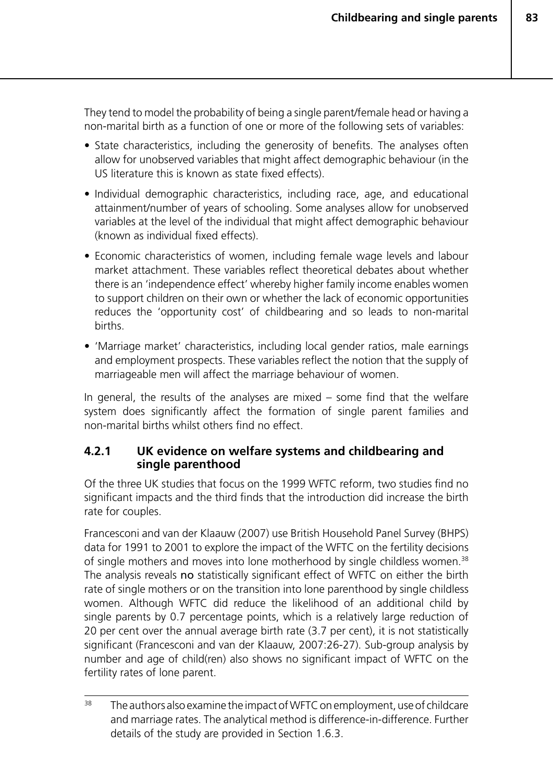They tend to model the probability of being a single parent/female head or having a non-marital birth as a function of one or more of the following sets of variables:

- State characteristics, including the generosity of benefits. The analyses often allow for unobserved variables that might affect demographic behaviour (in the US literature this is known as state fixed effects).
- Individual demographic characteristics, including race, age, and educational attainment/number of years of schooling. Some analyses allow for unobserved variables at the level of the individual that might affect demographic behaviour (known as individual fixed effects).
- Economic characteristics of women, including female wage levels and labour market attachment. These variables reflect theoretical debates about whether there is an 'independence effect' whereby higher family income enables women to support children on their own or whether the lack of economic opportunities reduces the 'opportunity cost' of childbearing and so leads to non-marital births.
- 'Marriage market' characteristics, including local gender ratios, male earnings and employment prospects. These variables reflect the notion that the supply of marriageable men will affect the marriage behaviour of women.

In general, the results of the analyses are mixed – some find that the welfare system does significantly affect the formation of single parent families and non-marital births whilst others find no effect.

### **4.2.1 UK evidence on welfare systems and childbearing and single parenthood**

Of the three UK studies that focus on the 1999 WFTC reform, two studies find no significant impacts and the third finds that the introduction did increase the birth rate for couples.

Francesconi and van der Klaauw (2007) use British Household Panel Survey (BHPS) data for 1991 to 2001 to explore the impact of the WFTC on the fertility decisions of single mothers and moves into lone motherhood by single childless women.<sup>38</sup> The analysis reveals no statistically significant effect of WFTC on either the birth rate of single mothers or on the transition into lone parenthood by single childless women. Although WFTC did reduce the likelihood of an additional child by single parents by 0.7 percentage points, which is a relatively large reduction of 20 per cent over the annual average birth rate (3.7 per cent), it is not statistically significant (Francesconi and van der Klaauw, 2007:26-27). Sub-group analysis by number and age of child(ren) also shows no significant impact of WFTC on the fertility rates of lone parent.

 $38$  The authors also examine the impact of WFTC on employment, use of childcare and marriage rates. The analytical method is difference-in-difference. Further details of the study are provided in Section 1.6.3.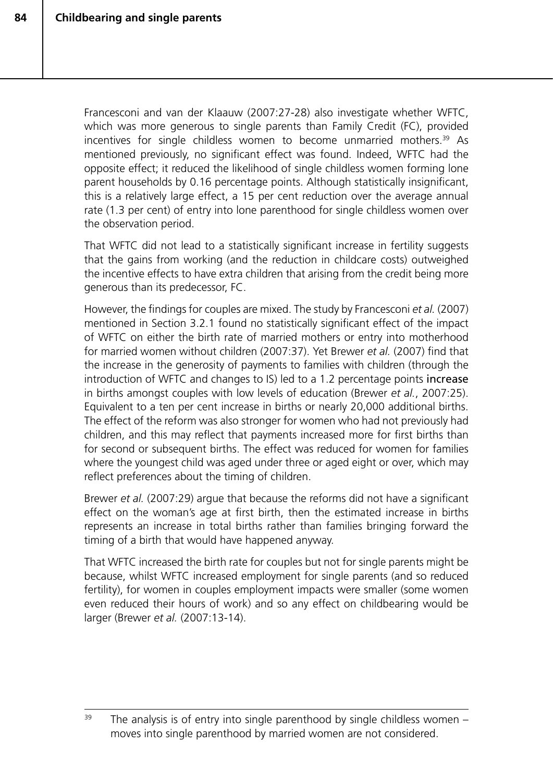Francesconi and van der Klaauw (2007:27-28) also investigate whether WFTC, which was more generous to single parents than Family Credit (FC), provided incentives for single childless women to become unmarried mothers.<sup>39</sup> As mentioned previously, no significant effect was found. Indeed, WFTC had the opposite effect; it reduced the likelihood of single childless women forming lone parent households by 0.16 percentage points. Although statistically insignificant, this is a relatively large effect, a 15 per cent reduction over the average annual rate (1.3 per cent) of entry into lone parenthood for single childless women over the observation period.

That WFTC did not lead to a statistically significant increase in fertility suggests that the gains from working (and the reduction in childcare costs) outweighed the incentive effects to have extra children that arising from the credit being more generous than its predecessor, FC.

However, the findings for couples are mixed. The study by Francesconi *et al.* (2007) mentioned in Section 3.2.1 found no statistically significant effect of the impact of WFTC on either the birth rate of married mothers or entry into motherhood for married women without children (2007:37). Yet Brewer *et al.* (2007) find that the increase in the generosity of payments to families with children (through the introduction of WFTC and changes to IS) led to a 1.2 percentage points increase in births amongst couples with low levels of education (Brewer *et al.*, 2007:25). Equivalent to a ten per cent increase in births or nearly 20,000 additional births. The effect of the reform was also stronger for women who had not previously had children, and this may reflect that payments increased more for first births than for second or subsequent births. The effect was reduced for women for families where the youngest child was aged under three or aged eight or over, which may reflect preferences about the timing of children.

Brewer *et al.* (2007:29) argue that because the reforms did not have a significant effect on the woman's age at first birth, then the estimated increase in births represents an increase in total births rather than families bringing forward the timing of a birth that would have happened anyway.

That WFTC increased the birth rate for couples but not for single parents might be because, whilst WFTC increased employment for single parents (and so reduced fertility), for women in couples employment impacts were smaller (some women even reduced their hours of work) and so any effect on childbearing would be larger (Brewer *et al.* (2007:13-14).

 $39$  The analysis is of entry into single parenthood by single childless women – moves into single parenthood by married women are not considered.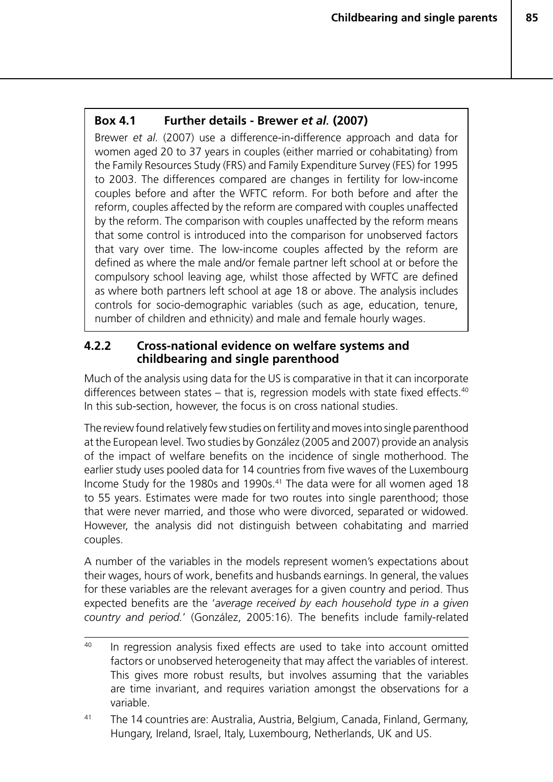### **Box 4.1 Further details - Brewer** *et al.* **(2007)**

Brewer *et al.* (2007) use a difference-in-difference approach and data for women aged 20 to 37 years in couples (either married or cohabitating) from the Family Resources Study (FRS) and Family Expenditure Survey (FES) for 1995 to 2003. The differences compared are changes in fertility for low-income couples before and after the WFTC reform. For both before and after the reform, couples affected by the reform are compared with couples unaffected by the reform. The comparison with couples unaffected by the reform means that some control is introduced into the comparison for unobserved factors that vary over time. The low-income couples affected by the reform are defined as where the male and/or female partner left school at or before the compulsory school leaving age, whilst those affected by WFTC are defined as where both partners left school at age 18 or above. The analysis includes controls for socio-demographic variables (such as age, education, tenure, number of children and ethnicity) and male and female hourly wages.

### **4.2.2 Cross-national evidence on welfare systems and childbearing and single parenthood**

Much of the analysis using data for the US is comparative in that it can incorporate differences between states  $-$  that is, regression models with state fixed effects.<sup>40</sup> In this sub-section, however, the focus is on cross national studies.

The review found relatively few studies on fertility and moves into single parenthood at the European level. Two studies by González (2005 and 2007) provide an analysis of the impact of welfare benefits on the incidence of single motherhood. The earlier study uses pooled data for 14 countries from five waves of the Luxembourg Income Study for the 1980s and 1990s.<sup>41</sup> The data were for all women aged 18 to 55 years. Estimates were made for two routes into single parenthood; those that were never married, and those who were divorced, separated or widowed. However, the analysis did not distinguish between cohabitating and married couples.

A number of the variables in the models represent women's expectations about their wages, hours of work, benefits and husbands earnings. In general, the values for these variables are the relevant averages for a given country and period. Thus expected benefits are the '*average received by each household type in a given country and period.*' (González, 2005:16). The benefits include family-related

<sup>&</sup>lt;sup>40</sup> In regression analysis fixed effects are used to take into account omitted factors or unobserved heterogeneity that may affect the variables of interest. This gives more robust results, but involves assuming that the variables are time invariant, and requires variation amongst the observations for a variable.

<sup>41</sup> The 14 countries are: Australia, Austria, Belgium, Canada, Finland, Germany, Hungary, Ireland, Israel, Italy, Luxembourg, Netherlands, UK and US.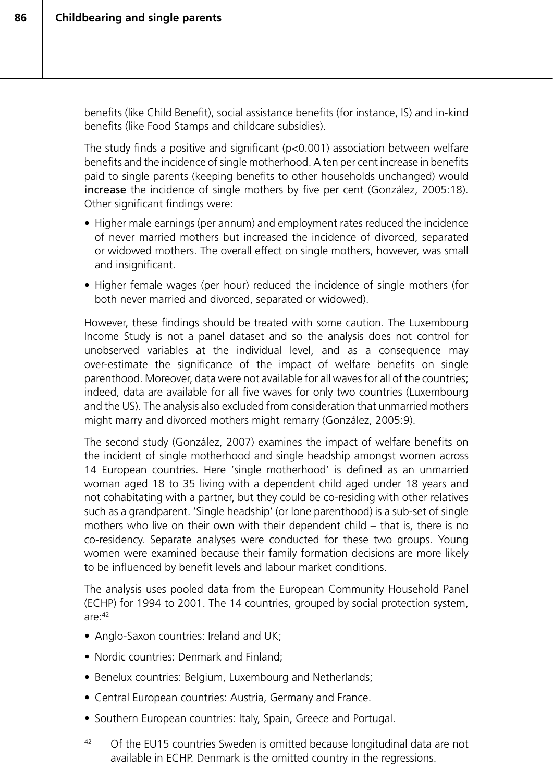benefits (like Child Benefit), social assistance benefits (for instance, IS) and in-kind benefits (like Food Stamps and childcare subsidies).

The study finds a positive and significant (p<0.001) association between welfare benefits and the incidence of single motherhood. A ten per cent increase in benefits paid to single parents (keeping benefits to other households unchanged) would increase the incidence of single mothers by five per cent (González, 2005:18). Other significant findings were:

- Higher male earnings (per annum) and employment rates reduced the incidence of never married mothers but increased the incidence of divorced, separated or widowed mothers. The overall effect on single mothers, however, was small and insignificant.
- Higher female wages (per hour) reduced the incidence of single mothers (for both never married and divorced, separated or widowed).

However, these findings should be treated with some caution. The Luxembourg Income Study is not a panel dataset and so the analysis does not control for unobserved variables at the individual level, and as a consequence may over-estimate the significance of the impact of welfare benefits on single parenthood. Moreover, data were not available for all waves for all of the countries; indeed, data are available for all five waves for only two countries (Luxembourg and the US). The analysis also excluded from consideration that unmarried mothers might marry and divorced mothers might remarry (González, 2005:9).

The second study (González, 2007) examines the impact of welfare benefits on the incident of single motherhood and single headship amongst women across 14 European countries. Here 'single motherhood' is defined as an unmarried woman aged 18 to 35 living with a dependent child aged under 18 years and not cohabitating with a partner, but they could be co-residing with other relatives such as a grandparent. 'Single headship' (or lone parenthood) is a sub-set of single mothers who live on their own with their dependent child – that is, there is no co-residency. Separate analyses were conducted for these two groups. Young women were examined because their family formation decisions are more likely to be influenced by benefit levels and labour market conditions.

The analysis uses pooled data from the European Community Household Panel (ECHP) for 1994 to 2001. The 14 countries, grouped by social protection system, are:42

- Anglo-Saxon countries: Ireland and UK;
- Nordic countries: Denmark and Finland;
- Benelux countries: Belgium, Luxembourg and Netherlands;
- Central European countries: Austria, Germany and France.
- Southern European countries: Italy, Spain, Greece and Portugal.

<sup>&</sup>lt;sup>42</sup> Of the EU15 countries Sweden is omitted because longitudinal data are not available in ECHP. Denmark is the omitted country in the regressions.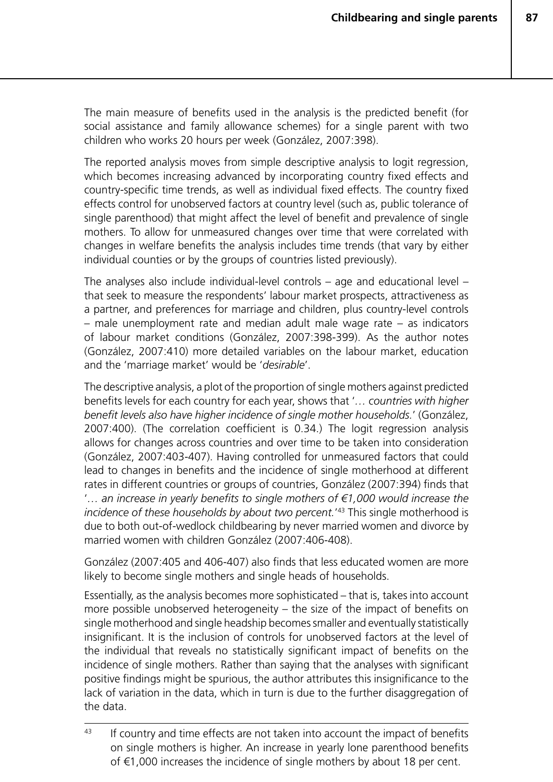**87**

The main measure of benefits used in the analysis is the predicted benefit (for social assistance and family allowance schemes) for a single parent with two children who works 20 hours per week (González, 2007:398).

The reported analysis moves from simple descriptive analysis to logit regression, which becomes increasing advanced by incorporating country fixed effects and country-specific time trends, as well as individual fixed effects. The country fixed effects control for unobserved factors at country level (such as, public tolerance of single parenthood) that might affect the level of benefit and prevalence of single mothers. To allow for unmeasured changes over time that were correlated with changes in welfare benefits the analysis includes time trends (that vary by either individual counties or by the groups of countries listed previously).

The analyses also include individual-level controls – age and educational level – that seek to measure the respondents' labour market prospects, attractiveness as a partner, and preferences for marriage and children, plus country-level controls – male unemployment rate and median adult male wage rate – as indicators of labour market conditions (González, 2007:398-399). As the author notes (González, 2007:410) more detailed variables on the labour market, education and the 'marriage market' would be '*desirable*'.

The descriptive analysis, a plot of the proportion of single mothers against predicted benefits levels for each country for each year, shows that '*… countries with higher benefit levels also have higher incidence of single mother households.*' (González, 2007:400). (The correlation coefficient is 0.34.) The logit regression analysis allows for changes across countries and over time to be taken into consideration (González, 2007:403-407). Having controlled for unmeasured factors that could lead to changes in benefits and the incidence of single motherhood at different rates in different countries or groups of countries, González (2007:394) finds that '*… an increase in yearly benefits to single mothers of €1,000 would increase the incidence of these households by about two percent.*' 43 This single motherhood is due to both out-of-wedlock childbearing by never married women and divorce by married women with children González (2007:406-408).

González (2007:405 and 406-407) also finds that less educated women are more likely to become single mothers and single heads of households.

Essentially, as the analysis becomes more sophisticated – that is, takes into account more possible unobserved heterogeneity – the size of the impact of benefits on single motherhood and single headship becomes smaller and eventually statistically insignificant. It is the inclusion of controls for unobserved factors at the level of the individual that reveals no statistically significant impact of benefits on the incidence of single mothers. Rather than saying that the analyses with significant positive findings might be spurious, the author attributes this insignificance to the lack of variation in the data, which in turn is due to the further disaggregation of the data.

<sup>&</sup>lt;sup>43</sup> If country and time effects are not taken into account the impact of benefits on single mothers is higher. An increase in yearly lone parenthood benefits of €1,000 increases the incidence of single mothers by about 18 per cent.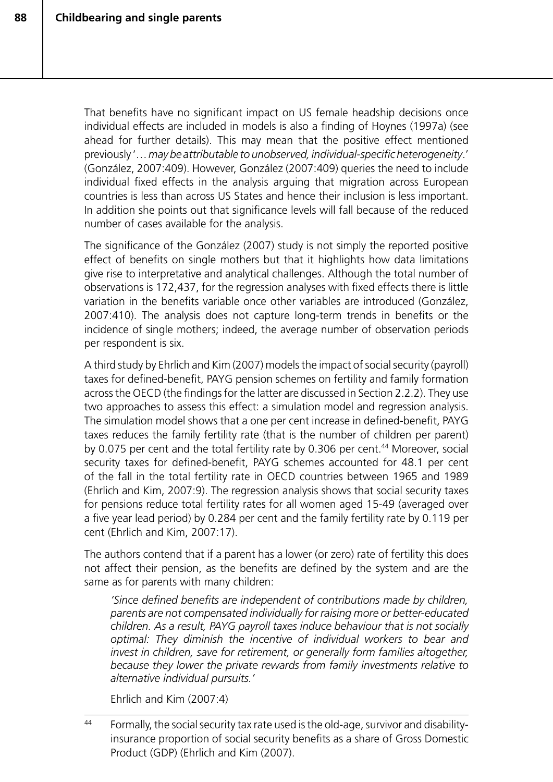That benefits have no significant impact on US female headship decisions once individual effects are included in models is also a finding of Hoynes (1997a) (see ahead for further details). This may mean that the positive effect mentioned previously '… *may be attributable to unobserved, individual-specific heterogeneity*.' (González, 2007:409). However, González (2007:409) queries the need to include individual fixed effects in the analysis arguing that migration across European countries is less than across US States and hence their inclusion is less important. In addition she points out that significance levels will fall because of the reduced number of cases available for the analysis.

The significance of the González (2007) study is not simply the reported positive effect of benefits on single mothers but that it highlights how data limitations give rise to interpretative and analytical challenges. Although the total number of observations is 172,437, for the regression analyses with fixed effects there is little variation in the benefits variable once other variables are introduced (González, 2007:410). The analysis does not capture long-term trends in benefits or the incidence of single mothers; indeed, the average number of observation periods per respondent is six.

A third study by Ehrlich and Kim (2007) models the impact of social security (payroll) taxes for defined-benefit, PAYG pension schemes on fertility and family formation across the OECD (the findings for the latter are discussed in Section 2.2.2). They use two approaches to assess this effect: a simulation model and regression analysis. The simulation model shows that a one per cent increase in defined-benefit, PAYG taxes reduces the family fertility rate (that is the number of children per parent) by 0.075 per cent and the total fertility rate by 0.306 per cent.<sup>44</sup> Moreover, social security taxes for defined-benefit, PAYG schemes accounted for 48.1 per cent of the fall in the total fertility rate in OECD countries between 1965 and 1989 (Ehrlich and Kim, 2007:9). The regression analysis shows that social security taxes for pensions reduce total fertility rates for all women aged 15-49 (averaged over a five year lead period) by 0.284 per cent and the family fertility rate by 0.119 per cent (Ehrlich and Kim, 2007:17).

The authors contend that if a parent has a lower (or zero) rate of fertility this does not affect their pension, as the benefits are defined by the system and are the same as for parents with many children:

*'Since defined benefits are independent of contributions made by children, parents are not compensated individually for raising more or better-educated children. As a result, PAYG payroll taxes induce behaviour that is not socially optimal: They diminish the incentive of individual workers to bear and invest in children, save for retirement, or generally form families altogether, because they lower the private rewards from family investments relative to alternative individual pursuits.'*

Ehrlich and Kim (2007:4)

<sup>44</sup> Formally, the social security tax rate used is the old-age, survivor and disabilityinsurance proportion of social security benefits as a share of Gross Domestic Product (GDP) (Ehrlich and Kim (2007).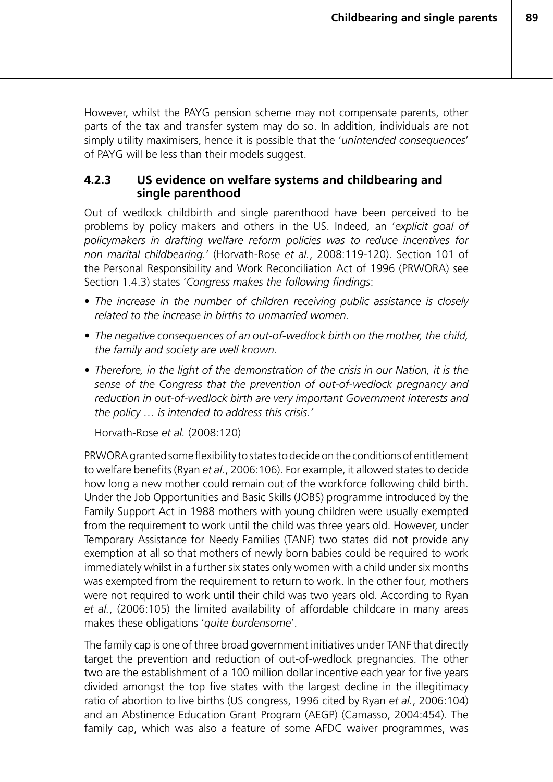However, whilst the PAYG pension scheme may not compensate parents, other parts of the tax and transfer system may do so. In addition, individuals are not simply utility maximisers, hence it is possible that the '*unintended consequences*' of PAYG will be less than their models suggest.

### **4.2.3 US evidence on welfare systems and childbearing and single parenthood**

Out of wedlock childbirth and single parenthood have been perceived to be problems by policy makers and others in the US. Indeed, an '*explicit goal of policymakers in drafting welfare reform policies was to reduce incentives for non marital childbearing.*' (Horvath-Rose *et al.*, 2008:119-120). Section 101 of the Personal Responsibility and Work Reconciliation Act of 1996 (PRWORA) see Section 1.4.3) states '*Congress makes the following findings*:

- The increase in the number of children receiving public assistance is closely *related to the increase in births to unmarried women.*
- *• The negative consequences of an out-of-wedlock birth on the mother, the child, the family and society are well known.*
- *• Therefore, in the light of the demonstration of the crisis in our Nation, it is the sense of the Congress that the prevention of out-of-wedlock pregnancy and reduction in out-of-wedlock birth are very important Government interests and the policy … is intended to address this crisis.'*

Horvath-Rose *et al.* (2008:120)

PRWORA granted some flexibility to states to decide on the conditions of entitlement to welfare benefits (Ryan *et al.*, 2006:106). For example, it allowed states to decide how long a new mother could remain out of the workforce following child birth. Under the Job Opportunities and Basic Skills (JOBS) programme introduced by the Family Support Act in 1988 mothers with young children were usually exempted from the requirement to work until the child was three years old. However, under Temporary Assistance for Needy Families (TANF) two states did not provide any exemption at all so that mothers of newly born babies could be required to work immediately whilst in a further six states only women with a child under six months was exempted from the requirement to return to work. In the other four, mothers were not required to work until their child was two years old. According to Ryan *et al.*, (2006:105) the limited availability of affordable childcare in many areas makes these obligations '*quite burdensome*'.

The family cap is one of three broad government initiatives under TANF that directly target the prevention and reduction of out-of-wedlock pregnancies. The other two are the establishment of a 100 million dollar incentive each year for five years divided amongst the top five states with the largest decline in the illegitimacy ratio of abortion to live births (US congress, 1996 cited by Ryan *et al.*, 2006:104) and an Abstinence Education Grant Program (AEGP) (Camasso, 2004:454). The family cap, which was also a feature of some AFDC waiver programmes, was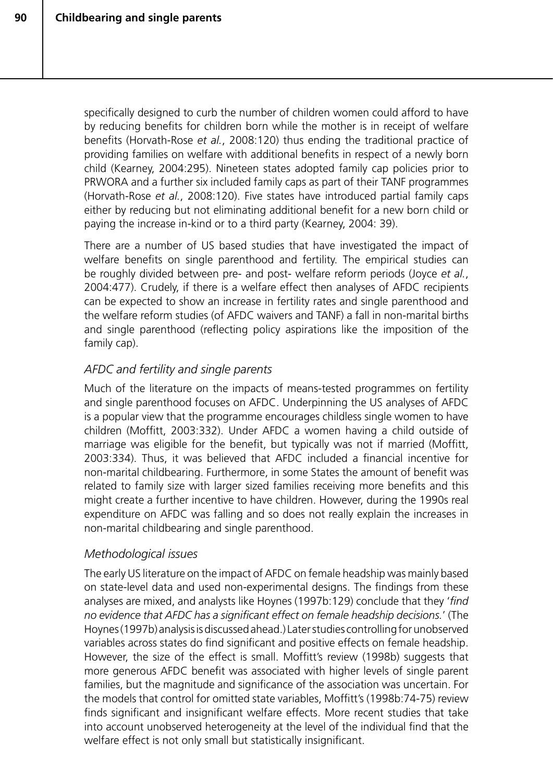specifically designed to curb the number of children women could afford to have by reducing benefits for children born while the mother is in receipt of welfare benefits (Horvath-Rose *et al.*, 2008:120) thus ending the traditional practice of providing families on welfare with additional benefits in respect of a newly born child (Kearney, 2004:295). Nineteen states adopted family cap policies prior to PRWORA and a further six included family caps as part of their TANF programmes (Horvath-Rose *et al.*, 2008:120). Five states have introduced partial family caps either by reducing but not eliminating additional benefit for a new born child or paying the increase in-kind or to a third party (Kearney, 2004: 39).

There are a number of US based studies that have investigated the impact of welfare benefits on single parenthood and fertility. The empirical studies can be roughly divided between pre- and post- welfare reform periods (Joyce *et al.*, 2004:477). Crudely, if there is a welfare effect then analyses of AFDC recipients can be expected to show an increase in fertility rates and single parenthood and the welfare reform studies (of AFDC waivers and TANF) a fall in non-marital births and single parenthood (reflecting policy aspirations like the imposition of the family cap).

### *AFDC and fertility and single parents*

Much of the literature on the impacts of means-tested programmes on fertility and single parenthood focuses on AFDC. Underpinning the US analyses of AFDC is a popular view that the programme encourages childless single women to have children (Moffitt, 2003:332). Under AFDC a women having a child outside of marriage was eligible for the benefit, but typically was not if married (Moffitt, 2003:334). Thus, it was believed that AFDC included a financial incentive for non-marital childbearing. Furthermore, in some States the amount of benefit was related to family size with larger sized families receiving more benefits and this might create a further incentive to have children. However, during the 1990s real expenditure on AFDC was falling and so does not really explain the increases in non-marital childbearing and single parenthood.

### *Methodological issues*

The early US literature on the impact of AFDC on female headship was mainly based on state-level data and used non-experimental designs. The findings from these analyses are mixed, and analysts like Hoynes (1997b:129) conclude that they '*find no evidence that AFDC has a significant effect on female headship decisions.*' (The Hoynes (1997b) analysis is discussed ahead.) Later studies controlling for unobserved variables across states do find significant and positive effects on female headship. However, the size of the effect is small. Moffitt's review (1998b) suggests that more generous AFDC benefit was associated with higher levels of single parent families, but the magnitude and significance of the association was uncertain. For the models that control for omitted state variables, Moffitt's (1998b:74-75) review finds significant and insignificant welfare effects. More recent studies that take into account unobserved heterogeneity at the level of the individual find that the welfare effect is not only small but statistically insignificant.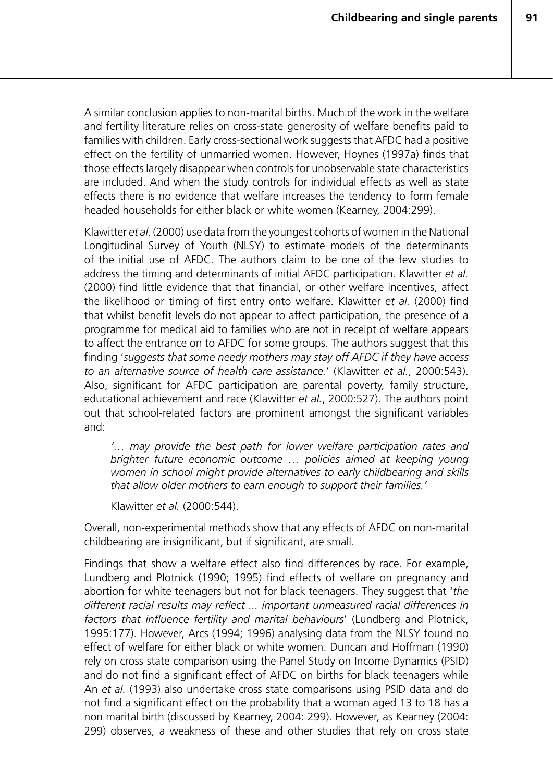A similar conclusion applies to non-marital births. Much of the work in the welfare and fertility literature relies on cross-state generosity of welfare benefits paid to families with children. Early cross-sectional work suggests that AFDC had a positive effect on the fertility of unmarried women. However, Hoynes (1997a) finds that those effects largely disappear when controls for unobservable state characteristics are included. And when the study controls for individual effects as well as state effects there is no evidence that welfare increases the tendency to form female headed households for either black or white women (Kearney, 2004:299).

Klawitter *et al.* (2000) use data from the youngest cohorts of women in the National Longitudinal Survey of Youth (NLSY) to estimate models of the determinants of the initial use of AFDC. The authors claim to be one of the few studies to address the timing and determinants of initial AFDC participation. Klawitter *et al.* (2000) find little evidence that that financial, or other welfare incentives, affect the likelihood or timing of first entry onto welfare. Klawitter *et al.* (2000) find that whilst benefit levels do not appear to affect participation, the presence of a programme for medical aid to families who are not in receipt of welfare appears to affect the entrance on to AFDC for some groups. The authors suggest that this finding '*suggests that some needy mothers may stay off AFDC if they have access to an alternative source of health care assistance.*' (Klawitter *et al.*, 2000:543). Also, significant for AFDC participation are parental poverty, family structure, educational achievement and race (Klawitter *et al.*, 2000:527). The authors point out that school-related factors are prominent amongst the significant variables and:

*'… may provide the best path for lower welfare participation rates and brighter future economic outcome … policies aimed at keeping young women in school might provide alternatives to early childbearing and skills that allow older mothers to earn enough to support their families.'* 

Klawitter *et al.* (2000:544).

Overall, non-experimental methods show that any effects of AFDC on non-marital childbearing are insignificant, but if significant, are small.

Findings that show a welfare effect also find differences by race. For example, Lundberg and Plotnick (1990; 1995) find effects of welfare on pregnancy and abortion for white teenagers but not for black teenagers. They suggest that '*the different racial results may reflect ... important unmeasured racial differences in factors that influence fertility and marital behaviours*' (Lundberg and Plotnick, 1995:177). However, Arcs (1994; 1996) analysing data from the NLSY found no effect of welfare for either black or white women. Duncan and Hoffman (1990) rely on cross state comparison using the Panel Study on Income Dynamics (PSID) and do not find a significant effect of AFDC on births for black teenagers while An *et al.* (1993) also undertake cross state comparisons using PSID data and do not find a significant effect on the probability that a woman aged 13 to 18 has a non marital birth (discussed by Kearney, 2004: 299). However, as Kearney (2004: 299) observes, a weakness of these and other studies that rely on cross state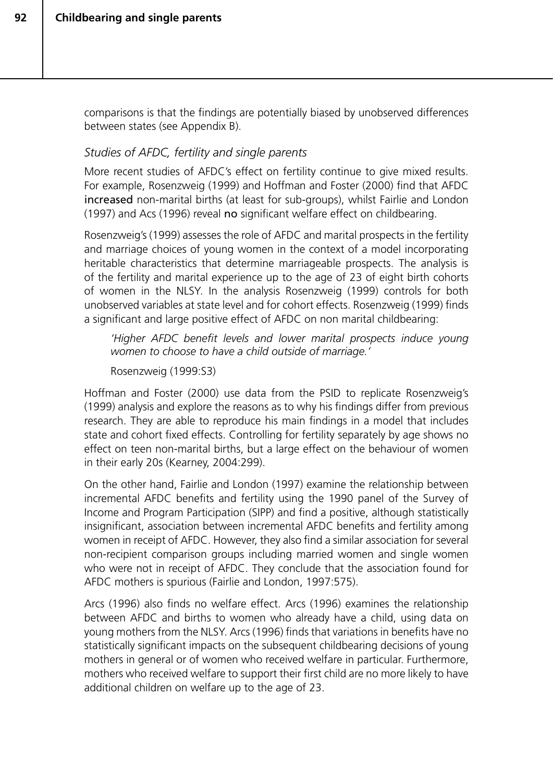comparisons is that the findings are potentially biased by unobserved differences between states (see Appendix B).

### *Studies of AFDC, fertility and single parents*

More recent studies of AFDC's effect on fertility continue to give mixed results. For example, Rosenzweig (1999) and Hoffman and Foster (2000) find that AFDC increased non-marital births (at least for sub-groups), whilst Fairlie and London (1997) and Acs (1996) reveal no significant welfare effect on childbearing.

Rosenzweig's (1999) assesses the role of AFDC and marital prospects in the fertility and marriage choices of young women in the context of a model incorporating heritable characteristics that determine marriageable prospects. The analysis is of the fertility and marital experience up to the age of 23 of eight birth cohorts of women in the NLSY. In the analysis Rosenzweig (1999) controls for both unobserved variables at state level and for cohort effects. Rosenzweig (1999) finds a significant and large positive effect of AFDC on non marital childbearing:

*'Higher AFDC benefit levels and lower marital prospects induce young women to choose to have a child outside of marriage.'* 

Rosenzweig (1999:S3)

Hoffman and Foster (2000) use data from the PSID to replicate Rosenzweig's (1999) analysis and explore the reasons as to why his findings differ from previous research. They are able to reproduce his main findings in a model that includes state and cohort fixed effects. Controlling for fertility separately by age shows no effect on teen non-marital births, but a large effect on the behaviour of women in their early 20s (Kearney, 2004:299).

On the other hand, Fairlie and London (1997) examine the relationship between incremental AFDC benefits and fertility using the 1990 panel of the Survey of Income and Program Participation (SIPP) and find a positive, although statistically insignificant, association between incremental AFDC benefits and fertility among women in receipt of AFDC. However, they also find a similar association for several non-recipient comparison groups including married women and single women who were not in receipt of AFDC. They conclude that the association found for AFDC mothers is spurious (Fairlie and London, 1997:575).

Arcs (1996) also finds no welfare effect. Arcs (1996) examines the relationship between AFDC and births to women who already have a child, using data on young mothers from the NLSY. Arcs (1996) finds that variations in benefits have no statistically significant impacts on the subsequent childbearing decisions of young mothers in general or of women who received welfare in particular. Furthermore, mothers who received welfare to support their first child are no more likely to have additional children on welfare up to the age of 23.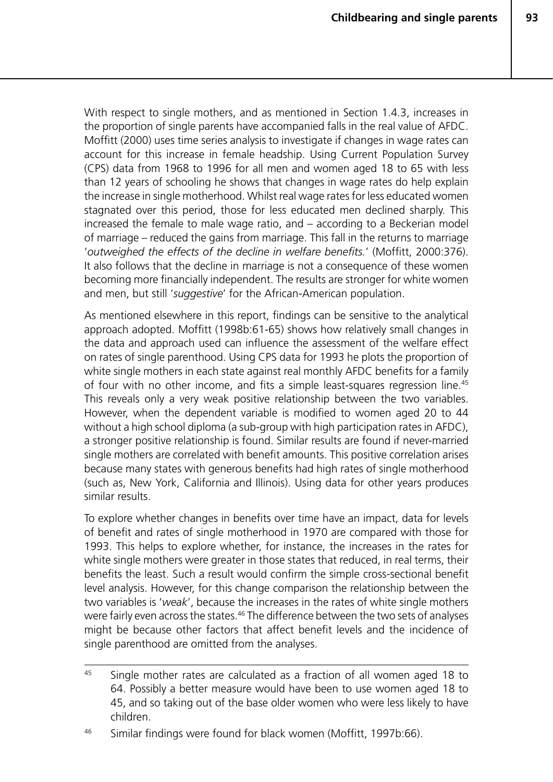With respect to single mothers, and as mentioned in Section 1.4.3, increases in the proportion of single parents have accompanied falls in the real value of AFDC. Moffitt (2000) uses time series analysis to investigate if changes in wage rates can account for this increase in female headship. Using Current Population Survey (CPS) data from 1968 to 1996 for all men and women aged 18 to 65 with less than 12 years of schooling he shows that changes in wage rates do help explain the increase in single motherhood. Whilst real wage rates for less educated women stagnated over this period, those for less educated men declined sharply. This increased the female to male wage ratio, and – according to a Beckerian model of marriage – reduced the gains from marriage. This fall in the returns to marriage '*outweighed the effects of the decline in welfare benefits.*' (Moffitt, 2000:376). It also follows that the decline in marriage is not a consequence of these women becoming more financially independent. The results are stronger for white women and men, but still '*suggestive*' for the African-American population.

As mentioned elsewhere in this report, findings can be sensitive to the analytical approach adopted. Moffitt (1998b:61-65) shows how relatively small changes in the data and approach used can influence the assessment of the welfare effect on rates of single parenthood. Using CPS data for 1993 he plots the proportion of white single mothers in each state against real monthly AFDC benefits for a family of four with no other income, and fits a simple least-squares regression line.<sup>45</sup> This reveals only a very weak positive relationship between the two variables. However, when the dependent variable is modified to women aged 20 to 44 without a high school diploma (a sub-group with high participation rates in AFDC), a stronger positive relationship is found. Similar results are found if never-married single mothers are correlated with benefit amounts. This positive correlation arises because many states with generous benefits had high rates of single motherhood (such as, New York, California and Illinois). Using data for other years produces similar results.

To explore whether changes in benefits over time have an impact, data for levels of benefit and rates of single motherhood in 1970 are compared with those for 1993. This helps to explore whether, for instance, the increases in the rates for white single mothers were greater in those states that reduced, in real terms, their benefits the least. Such a result would confirm the simple cross-sectional benefit level analysis. However, for this change comparison the relationship between the two variables is '*weak*', because the increases in the rates of white single mothers were fairly even across the states.<sup>46</sup> The difference between the two sets of analyses might be because other factors that affect benefit levels and the incidence of single parenthood are omitted from the analyses.

 $45$  Single mother rates are calculated as a fraction of all women aged 18 to 64. Possibly a better measure would have been to use women aged 18 to 45, and so taking out of the base older women who were less likely to have children.

<sup>46</sup> Similar findings were found for black women (Moffitt, 1997b:66).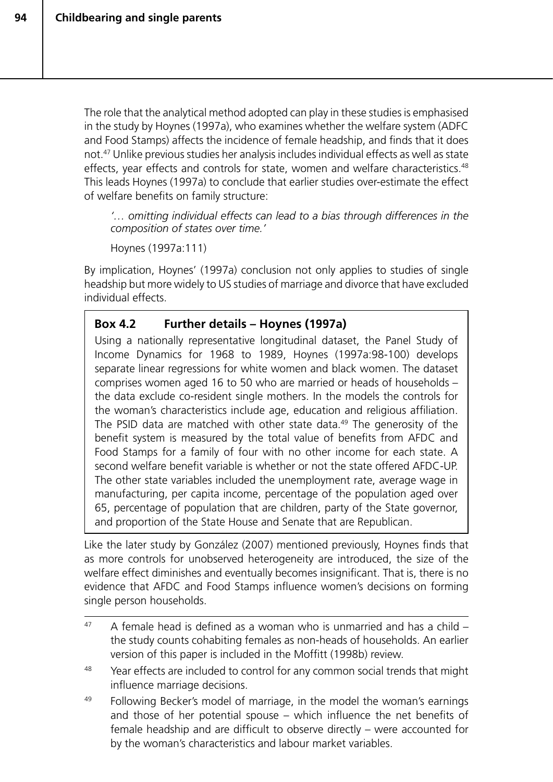The role that the analytical method adopted can play in these studies is emphasised in the study by Hoynes (1997a), who examines whether the welfare system (ADFC and Food Stamps) affects the incidence of female headship, and finds that it does not.47 Unlike previous studies her analysis includes individual effects as well as state effects, year effects and controls for state, women and welfare characteristics.<sup>48</sup> This leads Hoynes (1997a) to conclude that earlier studies over-estimate the effect of welfare benefits on family structure:

*'… omitting individual effects can lead to a bias through differences in the composition of states over time.'*

Hoynes (1997a:111)

By implication, Hoynes' (1997a) conclusion not only applies to studies of single headship but more widely to US studies of marriage and divorce that have excluded individual effects.

### **Box 4.2 Further details – Hoynes (1997a)**

Using a nationally representative longitudinal dataset, the Panel Study of Income Dynamics for 1968 to 1989, Hoynes (1997a:98-100) develops separate linear regressions for white women and black women. The dataset comprises women aged 16 to 50 who are married or heads of households – the data exclude co-resident single mothers. In the models the controls for the woman's characteristics include age, education and religious affiliation. The PSID data are matched with other state data.<sup>49</sup> The generosity of the benefit system is measured by the total value of benefits from AFDC and Food Stamps for a family of four with no other income for each state. A second welfare benefit variable is whether or not the state offered AFDC-UP. The other state variables included the unemployment rate, average wage in manufacturing, per capita income, percentage of the population aged over 65, percentage of population that are children, party of the State governor, and proportion of the State House and Senate that are Republican.

Like the later study by González (2007) mentioned previously, Hoynes finds that as more controls for unobserved heterogeneity are introduced, the size of the welfare effect diminishes and eventually becomes insignificant. That is, there is no evidence that AFDC and Food Stamps influence women's decisions on forming single person households.

- <sup>48</sup> Year effects are included to control for any common social trends that might influence marriage decisions.
- <sup>49</sup> Following Becker's model of marriage, in the model the woman's earnings and those of her potential spouse – which influence the net benefits of female headship and are difficult to observe directly – were accounted for by the woman's characteristics and labour market variables.

<sup>&</sup>lt;sup>47</sup> A female head is defined as a woman who is unmarried and has a child  $$ the study counts cohabiting females as non-heads of households. An earlier version of this paper is included in the Moffitt (1998b) review.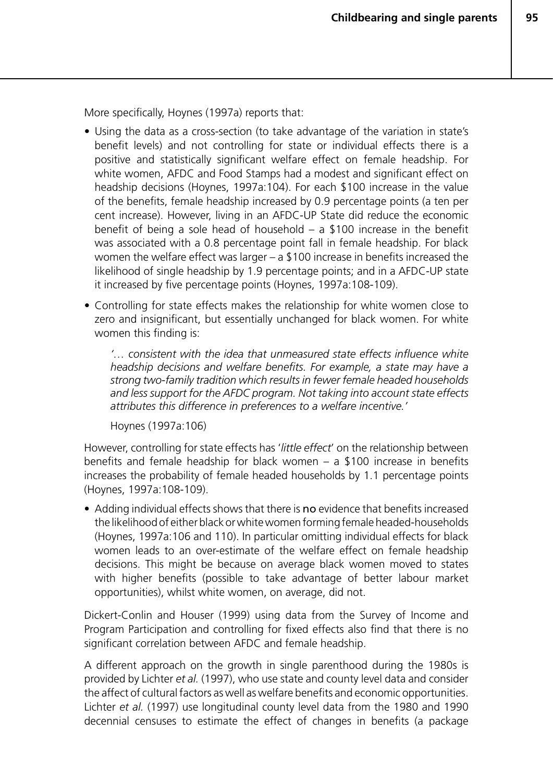More specifically, Hoynes (1997a) reports that:

- Using the data as a cross-section (to take advantage of the variation in state's benefit levels) and not controlling for state or individual effects there is a positive and statistically significant welfare effect on female headship. For white women, AFDC and Food Stamps had a modest and significant effect on headship decisions (Hoynes, 1997a:104). For each \$100 increase in the value of the benefits, female headship increased by 0.9 percentage points (a ten per cent increase). However, living in an AFDC-UP State did reduce the economic benefit of being a sole head of household  $-$  a \$100 increase in the benefit was associated with a 0.8 percentage point fall in female headship. For black women the welfare effect was larger – a \$100 increase in benefits increased the likelihood of single headship by 1.9 percentage points; and in a AFDC-UP state it increased by five percentage points (Hoynes, 1997a:108-109).
- Controlling for state effects makes the relationship for white women close to zero and insignificant, but essentially unchanged for black women. For white women this finding is:

*'… consistent with the idea that unmeasured state effects influence white headship decisions and welfare benefits. For example, a state may have a strong two-family tradition which results in fewer female headed households and less support for the AFDC program. Not taking into account state effects attributes this difference in preferences to a welfare incentive.'* 

Hoynes (1997a:106)

However, controlling for state effects has '*little effect*' on the relationship between benefits and female headship for black women  $-$  a \$100 increase in benefits increases the probability of female headed households by 1.1 percentage points (Hoynes, 1997a:108-109).

• Adding individual effects shows that there is no evidence that benefits increased the likelihood of either black or white women forming female headed-households (Hoynes, 1997a:106 and 110). In particular omitting individual effects for black women leads to an over-estimate of the welfare effect on female headship decisions. This might be because on average black women moved to states with higher benefits (possible to take advantage of better labour market opportunities), whilst white women, on average, did not.

Dickert-Conlin and Houser (1999) using data from the Survey of Income and Program Participation and controlling for fixed effects also find that there is no significant correlation between AFDC and female headship.

A different approach on the growth in single parenthood during the 1980s is provided by Lichter *et al.* (1997), who use state and county level data and consider the affect of cultural factors as well as welfare benefits and economic opportunities. Lichter *et al.* (1997) use longitudinal county level data from the 1980 and 1990 decennial censuses to estimate the effect of changes in benefits (a package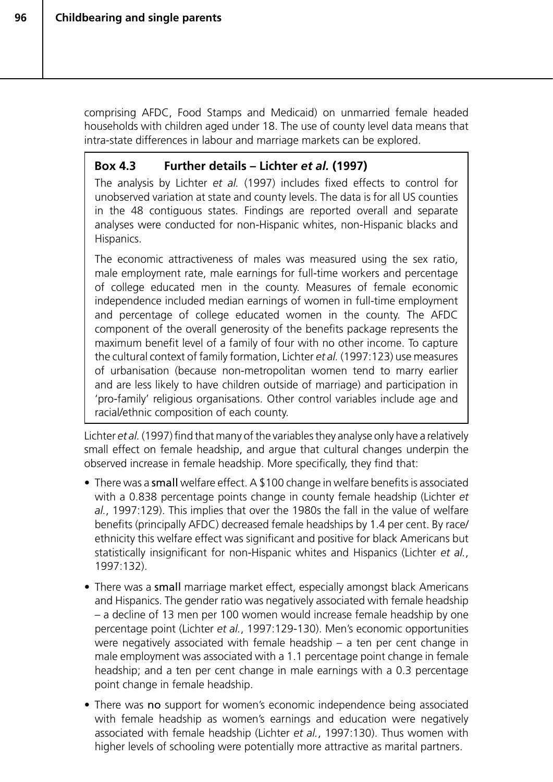comprising AFDC, Food Stamps and Medicaid) on unmarried female headed households with children aged under 18. The use of county level data means that intra-state differences in labour and marriage markets can be explored.

### **Box 4.3 Further details – Lichter** *et al.* **(1997)**

The analysis by Lichter *et al.* (1997) includes fixed effects to control for unobserved variation at state and county levels. The data is for all US counties in the 48 contiguous states. Findings are reported overall and separate analyses were conducted for non-Hispanic whites, non-Hispanic blacks and Hispanics.

The economic attractiveness of males was measured using the sex ratio, male employment rate, male earnings for full-time workers and percentage of college educated men in the county. Measures of female economic independence included median earnings of women in full-time employment and percentage of college educated women in the county. The AFDC component of the overall generosity of the benefits package represents the maximum benefit level of a family of four with no other income. To capture the cultural context of family formation, Lichter *et al.* (1997:123) use measures of urbanisation (because non-metropolitan women tend to marry earlier and are less likely to have children outside of marriage) and participation in 'pro-family' religious organisations. Other control variables include age and racial/ethnic composition of each county.

Lichter *et al.* (1997) find that many of the variables they analyse only have a relatively small effect on female headship, and argue that cultural changes underpin the observed increase in female headship. More specifically, they find that:

- There was a small welfare effect. A \$100 change in welfare benefits is associated with a 0.838 percentage points change in county female headship (Lichter *et al.*, 1997:129). This implies that over the 1980s the fall in the value of welfare benefits (principally AFDC) decreased female headships by 1.4 per cent. By race/ ethnicity this welfare effect was significant and positive for black Americans but statistically insignificant for non-Hispanic whites and Hispanics (Lichter *et al.*, 1997:132).
- There was a small marriage market effect, especially amongst black Americans and Hispanics. The gender ratio was negatively associated with female headship – a decline of 13 men per 100 women would increase female headship by one percentage point (Lichter *et al.*, 1997:129-130). Men's economic opportunities were negatively associated with female headship – a ten per cent change in male employment was associated with a 1.1 percentage point change in female headship; and a ten per cent change in male earnings with a 0.3 percentage point change in female headship.
- There was no support for women's economic independence being associated with female headship as women's earnings and education were negatively associated with female headship (Lichter *et al.*, 1997:130). Thus women with higher levels of schooling were potentially more attractive as marital partners.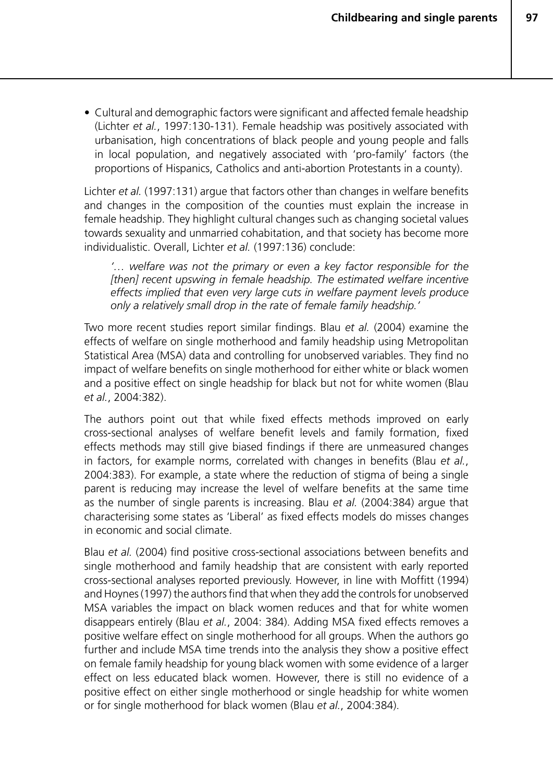• Cultural and demographic factors were significant and affected female headship (Lichter *et al.*, 1997:130-131). Female headship was positively associated with urbanisation, high concentrations of black people and young people and falls in local population, and negatively associated with 'pro-family' factors (the proportions of Hispanics, Catholics and anti-abortion Protestants in a county).

Lichter *et al.* (1997:131) argue that factors other than changes in welfare benefits and changes in the composition of the counties must explain the increase in female headship. They highlight cultural changes such as changing societal values towards sexuality and unmarried cohabitation, and that society has become more individualistic. Overall, Lichter *et al.* (1997:136) conclude:

*'… welfare was not the primary or even a key factor responsible for the [then] recent upswing in female headship. The estimated welfare incentive effects implied that even very large cuts in welfare payment levels produce only a relatively small drop in the rate of female family headship.'*

Two more recent studies report similar findings. Blau *et al.* (2004) examine the effects of welfare on single motherhood and family headship using Metropolitan Statistical Area (MSA) data and controlling for unobserved variables. They find no impact of welfare benefits on single motherhood for either white or black women and a positive effect on single headship for black but not for white women (Blau *et al.*, 2004:382).

The authors point out that while fixed effects methods improved on early cross-sectional analyses of welfare benefit levels and family formation, fixed effects methods may still give biased findings if there are unmeasured changes in factors, for example norms, correlated with changes in benefits (Blau *et al.*, 2004:383). For example, a state where the reduction of stigma of being a single parent is reducing may increase the level of welfare benefits at the same time as the number of single parents is increasing. Blau *et al.* (2004:384) argue that characterising some states as 'Liberal' as fixed effects models do misses changes in economic and social climate.

Blau *et al.* (2004) find positive cross-sectional associations between benefits and single motherhood and family headship that are consistent with early reported cross-sectional analyses reported previously. However, in line with Moffitt (1994) and Hoynes (1997) the authors find that when they add the controls for unobserved MSA variables the impact on black women reduces and that for white women disappears entirely (Blau *et al.*, 2004: 384). Adding MSA fixed effects removes a positive welfare effect on single motherhood for all groups. When the authors go further and include MSA time trends into the analysis they show a positive effect on female family headship for young black women with some evidence of a larger effect on less educated black women. However, there is still no evidence of a positive effect on either single motherhood or single headship for white women or for single motherhood for black women (Blau *et al.*, 2004:384).

**97**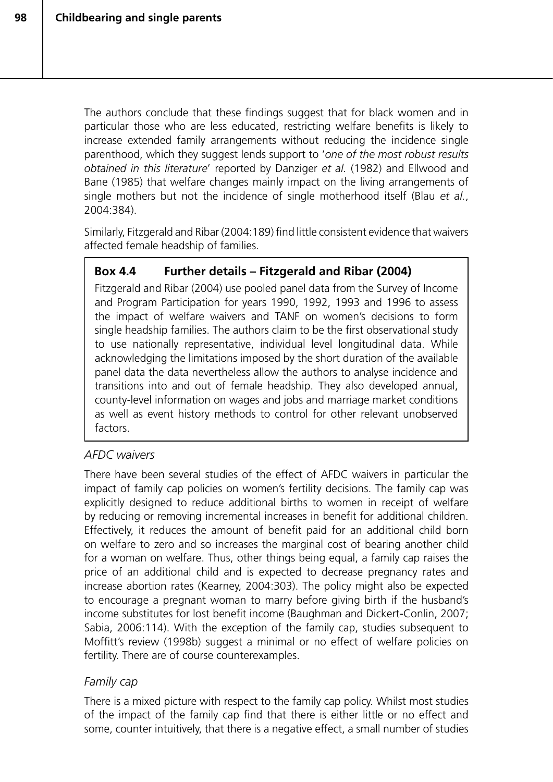The authors conclude that these findings suggest that for black women and in particular those who are less educated, restricting welfare benefits is likely to increase extended family arrangements without reducing the incidence single parenthood, which they suggest lends support to '*one of the most robust results obtained in this literature*' reported by Danziger *et al.* (1982) and Ellwood and Bane (1985) that welfare changes mainly impact on the living arrangements of single mothers but not the incidence of single motherhood itself (Blau *et al.*, 2004:384).

Similarly, Fitzgerald and Ribar (2004:189) find little consistent evidence that waivers affected female headship of families.

## **Box 4.4 Further details – Fitzgerald and Ribar (2004)**

Fitzgerald and Ribar (2004) use pooled panel data from the Survey of Income and Program Participation for years 1990, 1992, 1993 and 1996 to assess the impact of welfare waivers and TANF on women's decisions to form single headship families. The authors claim to be the first observational study to use nationally representative, individual level longitudinal data. While acknowledging the limitations imposed by the short duration of the available panel data the data nevertheless allow the authors to analyse incidence and transitions into and out of female headship. They also developed annual, county-level information on wages and jobs and marriage market conditions as well as event history methods to control for other relevant unobserved factors.

### *AFDC waivers*

There have been several studies of the effect of AFDC waivers in particular the impact of family cap policies on women's fertility decisions. The family cap was explicitly designed to reduce additional births to women in receipt of welfare by reducing or removing incremental increases in benefit for additional children. Effectively, it reduces the amount of benefit paid for an additional child born on welfare to zero and so increases the marginal cost of bearing another child for a woman on welfare. Thus, other things being equal, a family cap raises the price of an additional child and is expected to decrease pregnancy rates and increase abortion rates (Kearney, 2004:303). The policy might also be expected to encourage a pregnant woman to marry before giving birth if the husband's income substitutes for lost benefit income (Baughman and Dickert-Conlin, 2007; Sabia, 2006:114). With the exception of the family cap, studies subsequent to Moffitt's review (1998b) suggest a minimal or no effect of welfare policies on fertility. There are of course counterexamples.

### *Family cap*

There is a mixed picture with respect to the family cap policy. Whilst most studies of the impact of the family cap find that there is either little or no effect and some, counter intuitively, that there is a negative effect, a small number of studies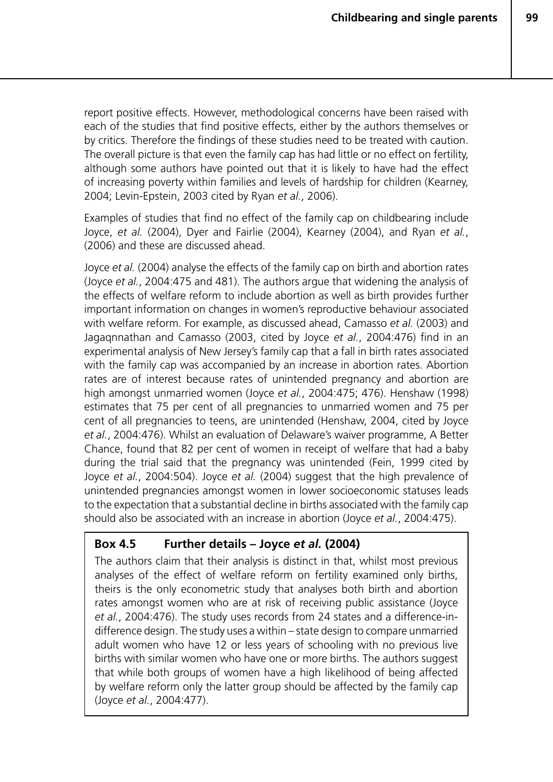**99**

report positive effects. However, methodological concerns have been raised with each of the studies that find positive effects, either by the authors themselves or by critics. Therefore the findings of these studies need to be treated with caution. The overall picture is that even the family cap has had little or no effect on fertility, although some authors have pointed out that it is likely to have had the effect of increasing poverty within families and levels of hardship for children (Kearney, 2004; Levin-Epstein, 2003 cited by Ryan *et al.*, 2006).

Examples of studies that find no effect of the family cap on childbearing include Joyce, *et al.* (2004), Dyer and Fairlie (2004), Kearney (2004), and Ryan *et al.*, (2006) and these are discussed ahead.

Joyce *et al.* (2004) analyse the effects of the family cap on birth and abortion rates (Joyce *et al.*, 2004:475 and 481). The authors argue that widening the analysis of the effects of welfare reform to include abortion as well as birth provides further important information on changes in women's reproductive behaviour associated with welfare reform. For example, as discussed ahead, Camasso *et al.* (2003) and Jagaqnnathan and Camasso (2003, cited by Joyce *et al.*, 2004:476) find in an experimental analysis of New Jersey's family cap that a fall in birth rates associated with the family cap was accompanied by an increase in abortion rates. Abortion rates are of interest because rates of unintended pregnancy and abortion are high amongst unmarried women (Joyce *et al.*, 2004:475; 476). Henshaw (1998) estimates that 75 per cent of all pregnancies to unmarried women and 75 per cent of all pregnancies to teens, are unintended (Henshaw, 2004, cited by Joyce *et al.*, 2004:476). Whilst an evaluation of Delaware's waiver programme, A Better Chance, found that 82 per cent of women in receipt of welfare that had a baby during the trial said that the pregnancy was unintended (Fein, 1999 cited by Joyce *et al.*, 2004:504). Joyce *et al.* (2004) suggest that the high prevalence of unintended pregnancies amongst women in lower socioeconomic statuses leads to the expectation that a substantial decline in births associated with the family cap should also be associated with an increase in abortion (Joyce *et al.*, 2004:475).

## **Box 4.5 Further details – Joyce** *et al.* **(2004)**

The authors claim that their analysis is distinct in that, whilst most previous analyses of the effect of welfare reform on fertility examined only births, theirs is the only econometric study that analyses both birth and abortion rates amongst women who are at risk of receiving public assistance (Joyce *et al.*, 2004:476). The study uses records from 24 states and a difference-indifference design. The study uses a within – state design to compare unmarried adult women who have 12 or less years of schooling with no previous live births with similar women who have one or more births. The authors suggest that while both groups of women have a high likelihood of being affected by welfare reform only the latter group should be affected by the family cap (Joyce *et al.*, 2004:477).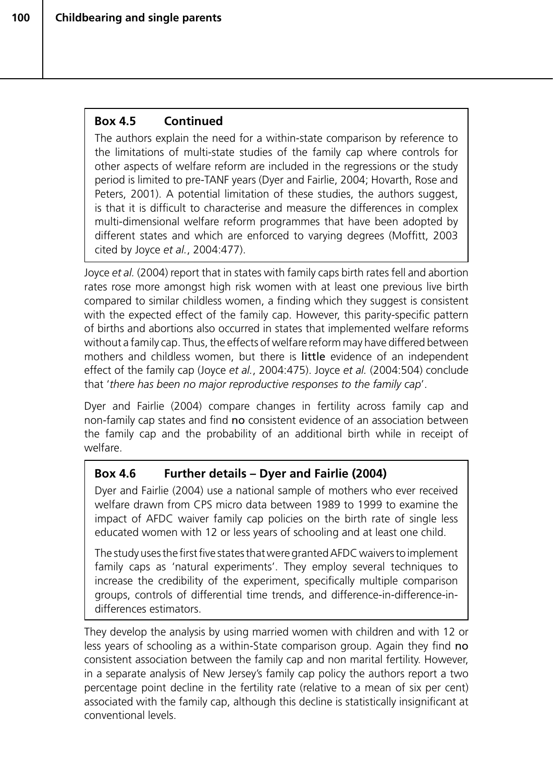## **Box 4.5 Continued**

The authors explain the need for a within-state comparison by reference to the limitations of multi-state studies of the family cap where controls for other aspects of welfare reform are included in the regressions or the study period is limited to pre-TANF years (Dyer and Fairlie, 2004; Hovarth, Rose and Peters, 2001). A potential limitation of these studies, the authors suggest, is that it is difficult to characterise and measure the differences in complex multi-dimensional welfare reform programmes that have been adopted by different states and which are enforced to varying degrees (Moffitt, 2003 cited by Joyce *et al.*, 2004:477).

Joyce *et al.* (2004) report that in states with family caps birth rates fell and abortion rates rose more amongst high risk women with at least one previous live birth compared to similar childless women, a finding which they suggest is consistent with the expected effect of the family cap. However, this parity-specific pattern of births and abortions also occurred in states that implemented welfare reforms without a family cap. Thus, the effects of welfare reform may have differed between mothers and childless women, but there is little evidence of an independent effect of the family cap (Joyce *et al.*, 2004:475). Joyce *et al.* (2004:504) conclude that '*there has been no major reproductive responses to the family cap*'.

Dyer and Fairlie (2004) compare changes in fertility across family cap and non-family cap states and find no consistent evidence of an association between the family cap and the probability of an additional birth while in receipt of welfare.

## **Box 4.6 Further details – Dyer and Fairlie (2004)**

Dyer and Fairlie (2004) use a national sample of mothers who ever received welfare drawn from CPS micro data between 1989 to 1999 to examine the impact of AFDC waiver family cap policies on the birth rate of single less educated women with 12 or less years of schooling and at least one child.

The study uses the first five states that were granted AFDC waivers to implement family caps as 'natural experiments'. They employ several techniques to increase the credibility of the experiment, specifically multiple comparison groups, controls of differential time trends, and difference-in-difference-indifferences estimators.

They develop the analysis by using married women with children and with 12 or less years of schooling as a within-State comparison group. Again they find no consistent association between the family cap and non marital fertility. However, in a separate analysis of New Jersey's family cap policy the authors report a two percentage point decline in the fertility rate (relative to a mean of six per cent) associated with the family cap, although this decline is statistically insignificant at conventional levels.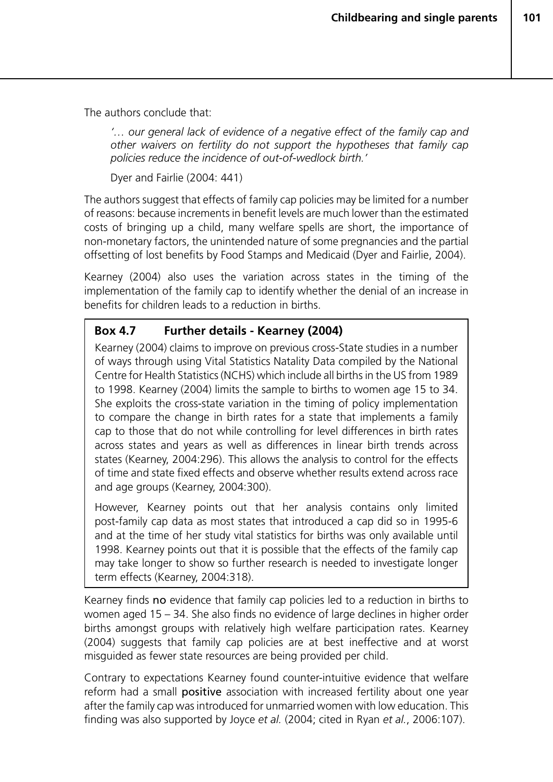The authors conclude that:

*'… our general lack of evidence of a negative effect of the family cap and other waivers on fertility do not support the hypotheses that family cap policies reduce the incidence of out-of-wedlock birth.'*

Dyer and Fairlie (2004: 441)

The authors suggest that effects of family cap policies may be limited for a number of reasons: because increments in benefit levels are much lower than the estimated costs of bringing up a child, many welfare spells are short, the importance of non-monetary factors, the unintended nature of some pregnancies and the partial offsetting of lost benefits by Food Stamps and Medicaid (Dyer and Fairlie, 2004).

Kearney (2004) also uses the variation across states in the timing of the implementation of the family cap to identify whether the denial of an increase in benefits for children leads to a reduction in births.

## **Box 4.7 Further details - Kearney (2004)**

Kearney (2004) claims to improve on previous cross-State studies in a number of ways through using Vital Statistics Natality Data compiled by the National Centre for Health Statistics (NCHS) which include all births in the US from 1989 to 1998. Kearney (2004) limits the sample to births to women age 15 to 34. She exploits the cross-state variation in the timing of policy implementation to compare the change in birth rates for a state that implements a family cap to those that do not while controlling for level differences in birth rates across states and years as well as differences in linear birth trends across states (Kearney, 2004:296). This allows the analysis to control for the effects of time and state fixed effects and observe whether results extend across race and age groups (Kearney, 2004:300).

However, Kearney points out that her analysis contains only limited post-family cap data as most states that introduced a cap did so in 1995-6 and at the time of her study vital statistics for births was only available until 1998. Kearney points out that it is possible that the effects of the family cap may take longer to show so further research is needed to investigate longer term effects (Kearney, 2004:318).

Kearney finds no evidence that family cap policies led to a reduction in births to women aged 15 – 34. She also finds no evidence of large declines in higher order births amongst groups with relatively high welfare participation rates. Kearney (2004) suggests that family cap policies are at best ineffective and at worst misguided as fewer state resources are being provided per child.

Contrary to expectations Kearney found counter-intuitive evidence that welfare reform had a small positive association with increased fertility about one year after the family cap was introduced for unmarried women with low education. This finding was also supported by Joyce *et al.* (2004; cited in Ryan *et al.*, 2006:107).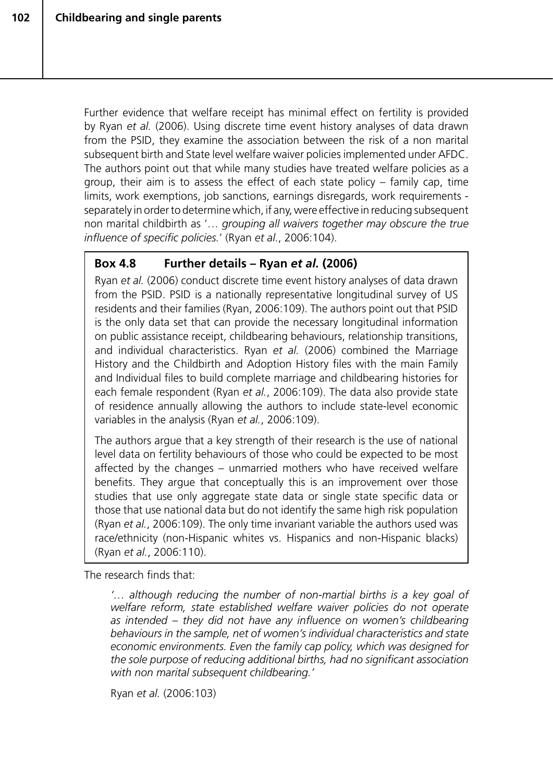Further evidence that welfare receipt has minimal effect on fertility is provided by Ryan *et al.* (2006). Using discrete time event history analyses of data drawn from the PSID, they examine the association between the risk of a non marital subsequent birth and State level welfare waiver policies implemented under AFDC. The authors point out that while many studies have treated welfare policies as a group, their aim is to assess the effect of each state policy – family cap, time limits, work exemptions, job sanctions, earnings disregards, work requirements separately in order to determine which, if any, were effective in reducing subsequent non marital childbirth as '… *grouping all waivers together may obscure the true influence of specific policies.*' (Ryan *et al.*, 2006:104).

## **Box 4.8 Further details – Ryan** *et al.* **(2006)**

Ryan *et al.* (2006) conduct discrete time event history analyses of data drawn from the PSID. PSID is a nationally representative longitudinal survey of US residents and their families (Ryan, 2006:109). The authors point out that PSID is the only data set that can provide the necessary longitudinal information on public assistance receipt, childbearing behaviours, relationship transitions, and individual characteristics. Ryan *et al.* (2006) combined the Marriage History and the Childbirth and Adoption History files with the main Family and Individual files to build complete marriage and childbearing histories for each female respondent (Ryan *et al.*, 2006:109). The data also provide state of residence annually allowing the authors to include state-level economic variables in the analysis (Ryan *et al.*, 2006:109).

The authors argue that a key strength of their research is the use of national level data on fertility behaviours of those who could be expected to be most affected by the changes – unmarried mothers who have received welfare benefits. They argue that conceptually this is an improvement over those studies that use only aggregate state data or single state specific data or those that use national data but do not identify the same high risk population (Ryan *et al.*, 2006:109). The only time invariant variable the authors used was race/ethnicity (non-Hispanic whites vs. Hispanics and non-Hispanic blacks) (Ryan *et al.*, 2006:110).

The research finds that:

*'… although reducing the number of non-martial births is a key goal of welfare reform, state established welfare waiver policies do not operate as intended – they did not have any influence on women's childbearing behaviours in the sample, net of women's individual characteristics and state economic environments. Even the family cap policy, which was designed for the sole purpose of reducing additional births, had no significant association with non marital subsequent childbearing.'*

Ryan *et al.* (2006:103)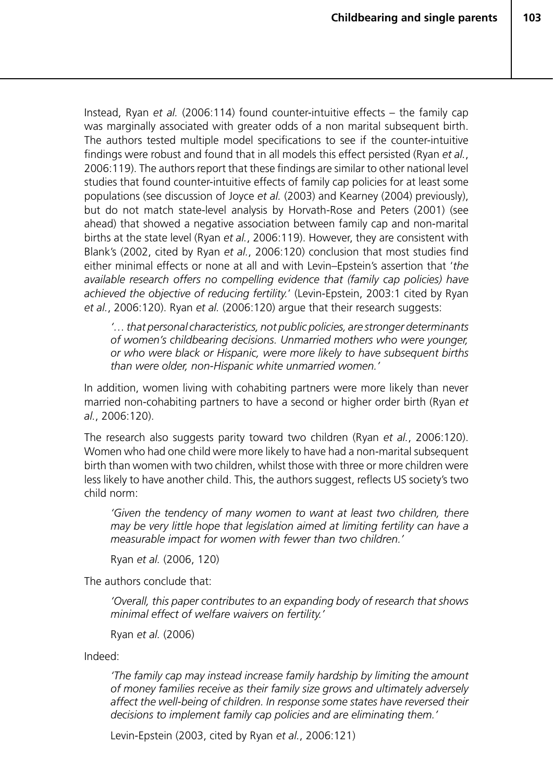Instead, Ryan *et al.* (2006:114) found counter-intuitive effects – the family cap was marginally associated with greater odds of a non marital subsequent birth. The authors tested multiple model specifications to see if the counter-intuitive findings were robust and found that in all models this effect persisted (Ryan *et al.*, 2006:119). The authors report that these findings are similar to other national level studies that found counter-intuitive effects of family cap policies for at least some populations (see discussion of Joyce *et al.* (2003) and Kearney (2004) previously), but do not match state-level analysis by Horvath-Rose and Peters (2001) (see ahead) that showed a negative association between family cap and non-marital births at the state level (Ryan *et al.*, 2006:119). However, they are consistent with Blank's (2002, cited by Ryan *et al.*, 2006:120) conclusion that most studies find either minimal effects or none at all and with Levin–Epstein's assertion that '*the available research offers no compelling evidence that (family cap policies) have achieved the objective of reducing fertility.*' (Levin-Epstein, 2003:1 cited by Ryan *et al.*, 2006:120). Ryan *et al.* (2006:120) argue that their research suggests:

*'… that personal characteristics, not public policies, are stronger determinants of women's childbearing decisions. Unmarried mothers who were younger, or who were black or Hispanic, were more likely to have subsequent births than were older, non-Hispanic white unmarried women.'*

In addition, women living with cohabiting partners were more likely than never married non-cohabiting partners to have a second or higher order birth (Ryan *et al.*, 2006:120).

The research also suggests parity toward two children (Ryan *et al.*, 2006:120). Women who had one child were more likely to have had a non-marital subsequent birth than women with two children, whilst those with three or more children were less likely to have another child. This, the authors suggest, reflects US society's two child norm:

*'Given the tendency of many women to want at least two children, there may be very little hope that legislation aimed at limiting fertility can have a measurable impact for women with fewer than two children.'*

Ryan *et al.* (2006, 120)

The authors conclude that:

*'Overall, this paper contributes to an expanding body of research that shows minimal effect of welfare waivers on fertility.'*

Ryan *et al.* (2006)

Indeed:

*'The family cap may instead increase family hardship by limiting the amount of money families receive as their family size grows and ultimately adversely affect the well-being of children. In response some states have reversed their decisions to implement family cap policies and are eliminating them.'* 

Levin-Epstein (2003, cited by Ryan *et al.*, 2006:121)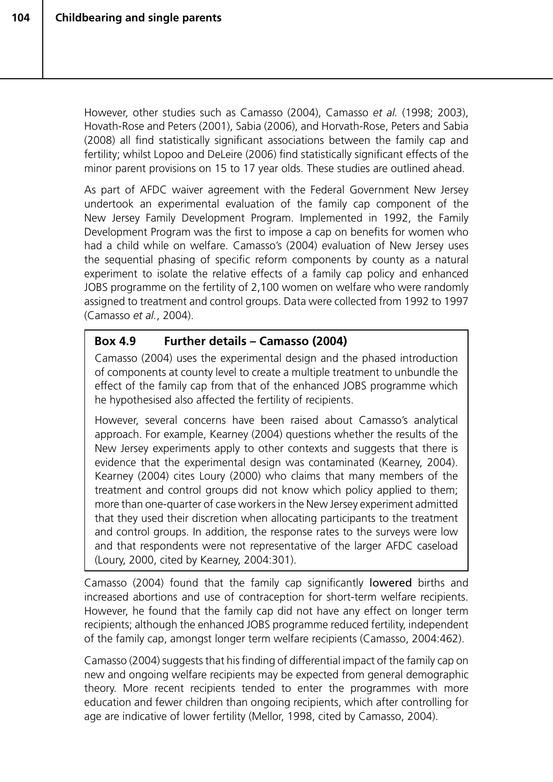However, other studies such as Camasso (2004), Camasso *et al.* (1998; 2003), Hovath-Rose and Peters (2001), Sabia (2006), and Horvath-Rose, Peters and Sabia (2008) all find statistically significant associations between the family cap and fertility; whilst Lopoo and DeLeire (2006) find statistically significant effects of the minor parent provisions on 15 to 17 year olds. These studies are outlined ahead.

As part of AFDC waiver agreement with the Federal Government New Jersey undertook an experimental evaluation of the family cap component of the New Jersey Family Development Program. Implemented in 1992, the Family Development Program was the first to impose a cap on benefits for women who had a child while on welfare. Camasso's (2004) evaluation of New Jersey uses the sequential phasing of specific reform components by county as a natural experiment to isolate the relative effects of a family cap policy and enhanced JOBS programme on the fertility of 2,100 women on welfare who were randomly assigned to treatment and control groups. Data were collected from 1992 to 1997 (Camasso *et al.*, 2004).

## **Box 4.9 Further details – Camasso (2004)**

Camasso (2004) uses the experimental design and the phased introduction of components at county level to create a multiple treatment to unbundle the effect of the family cap from that of the enhanced JOBS programme which he hypothesised also affected the fertility of recipients.

However, several concerns have been raised about Camasso's analytical approach. For example, Kearney (2004) questions whether the results of the New Jersey experiments apply to other contexts and suggests that there is evidence that the experimental design was contaminated (Kearney, 2004). Kearney (2004) cites Loury (2000) who claims that many members of the treatment and control groups did not know which policy applied to them; more than one-quarter of case workers in the New Jersey experiment admitted that they used their discretion when allocating participants to the treatment and control groups. In addition, the response rates to the surveys were low and that respondents were not representative of the larger AFDC caseload (Loury, 2000, cited by Kearney, 2004:301).

Camasso (2004) found that the family cap significantly lowered births and increased abortions and use of contraception for short-term welfare recipients. However, he found that the family cap did not have any effect on longer term recipients; although the enhanced JOBS programme reduced fertility, independent of the family cap, amongst longer term welfare recipients (Camasso, 2004:462).

Camasso (2004) suggests that his finding of differential impact of the family cap on new and ongoing welfare recipients may be expected from general demographic theory. More recent recipients tended to enter the programmes with more education and fewer children than ongoing recipients, which after controlling for age are indicative of lower fertility (Mellor, 1998, cited by Camasso, 2004).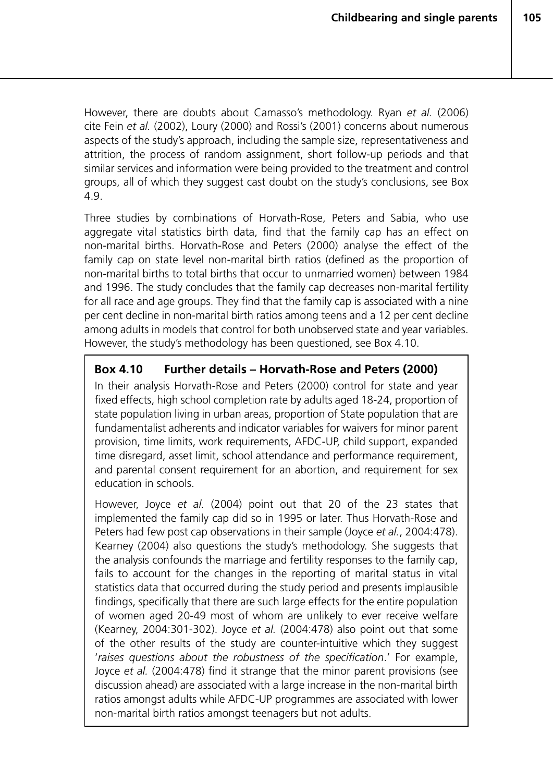However, there are doubts about Camasso's methodology. Ryan *et al.* (2006) cite Fein *et al.* (2002), Loury (2000) and Rossi's (2001) concerns about numerous aspects of the study's approach, including the sample size, representativeness and attrition, the process of random assignment, short follow-up periods and that similar services and information were being provided to the treatment and control groups, all of which they suggest cast doubt on the study's conclusions, see Box 4.9.

Three studies by combinations of Horvath-Rose, Peters and Sabia, who use aggregate vital statistics birth data, find that the family cap has an effect on non-marital births. Horvath-Rose and Peters (2000) analyse the effect of the family cap on state level non-marital birth ratios (defined as the proportion of non-marital births to total births that occur to unmarried women) between 1984 and 1996. The study concludes that the family cap decreases non-marital fertility for all race and age groups. They find that the family cap is associated with a nine per cent decline in non-marital birth ratios among teens and a 12 per cent decline among adults in models that control for both unobserved state and year variables. However, the study's methodology has been questioned, see Box 4.10.

## **Box 4.10 Further details – Horvath-Rose and Peters (2000)**

In their analysis Horvath-Rose and Peters (2000) control for state and year fixed effects, high school completion rate by adults aged 18-24, proportion of state population living in urban areas, proportion of State population that are fundamentalist adherents and indicator variables for waivers for minor parent provision, time limits, work requirements, AFDC-UP, child support, expanded time disregard, asset limit, school attendance and performance requirement, and parental consent requirement for an abortion, and requirement for sex education in schools.

However, Joyce *et al.* (2004) point out that 20 of the 23 states that implemented the family cap did so in 1995 or later. Thus Horvath-Rose and Peters had few post cap observations in their sample (Joyce *et al.*, 2004:478). Kearney (2004) also questions the study's methodology. She suggests that the analysis confounds the marriage and fertility responses to the family cap, fails to account for the changes in the reporting of marital status in vital statistics data that occurred during the study period and presents implausible findings, specifically that there are such large effects for the entire population of women aged 20-49 most of whom are unlikely to ever receive welfare (Kearney, 2004:301-302). Joyce *et al.* (2004:478) also point out that some of the other results of the study are counter-intuitive which they suggest '*raises questions about the robustness of the specification*.' For example, Joyce *et al.* (2004:478) find it strange that the minor parent provisions (see discussion ahead) are associated with a large increase in the non-marital birth ratios amongst adults while AFDC-UP programmes are associated with lower non-marital birth ratios amongst teenagers but not adults.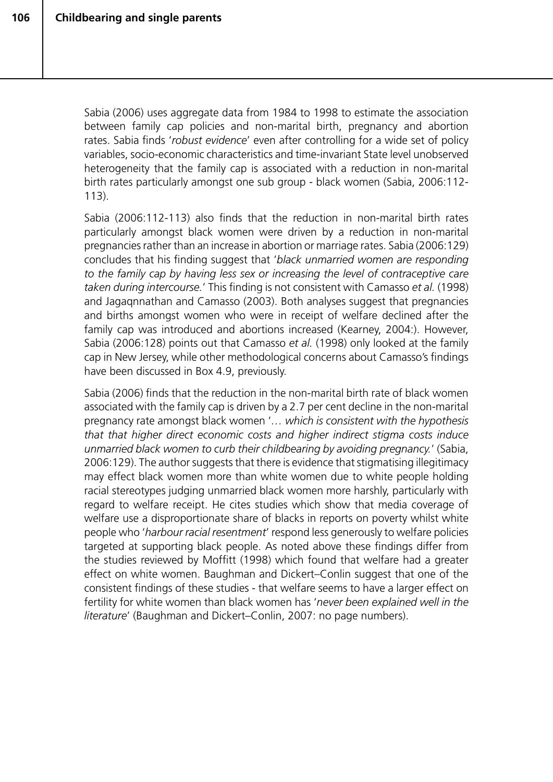Sabia (2006) uses aggregate data from 1984 to 1998 to estimate the association between family cap policies and non-marital birth, pregnancy and abortion rates. Sabia finds '*robust evidence*' even after controlling for a wide set of policy variables, socio-economic characteristics and time-invariant State level unobserved heterogeneity that the family cap is associated with a reduction in non-marital birth rates particularly amongst one sub group - black women (Sabia, 2006:112- 113).

Sabia (2006:112-113) also finds that the reduction in non-marital birth rates particularly amongst black women were driven by a reduction in non-marital pregnancies rather than an increase in abortion or marriage rates. Sabia (2006:129) concludes that his finding suggest that '*black unmarried women are responding*  to the family cap by having less sex or increasing the level of contraceptive care *taken during intercourse.*' This finding is not consistent with Camasso *et al.* (1998) and Jagaqnnathan and Camasso (2003). Both analyses suggest that pregnancies and births amongst women who were in receipt of welfare declined after the family cap was introduced and abortions increased (Kearney, 2004:). However, Sabia (2006:128) points out that Camasso *et al.* (1998) only looked at the family cap in New Jersey, while other methodological concerns about Camasso's findings have been discussed in Box 4.9, previously.

Sabia (2006) finds that the reduction in the non-marital birth rate of black women associated with the family cap is driven by a 2.7 per cent decline in the non-marital pregnancy rate amongst black women '*… which is consistent with the hypothesis that that higher direct economic costs and higher indirect stigma costs induce unmarried black women to curb their childbearing by avoiding pregnancy.*' (Sabia, 2006:129). The author suggests that there is evidence that stigmatising illegitimacy may effect black women more than white women due to white people holding racial stereotypes judging unmarried black women more harshly, particularly with regard to welfare receipt. He cites studies which show that media coverage of welfare use a disproportionate share of blacks in reports on poverty whilst white people who '*harbour racial resentment*' respond less generously to welfare policies targeted at supporting black people. As noted above these findings differ from the studies reviewed by Moffitt (1998) which found that welfare had a greater effect on white women. Baughman and Dickert–Conlin suggest that one of the consistent findings of these studies - that welfare seems to have a larger effect on fertility for white women than black women has '*never been explained well in the literature*' (Baughman and Dickert–Conlin, 2007: no page numbers).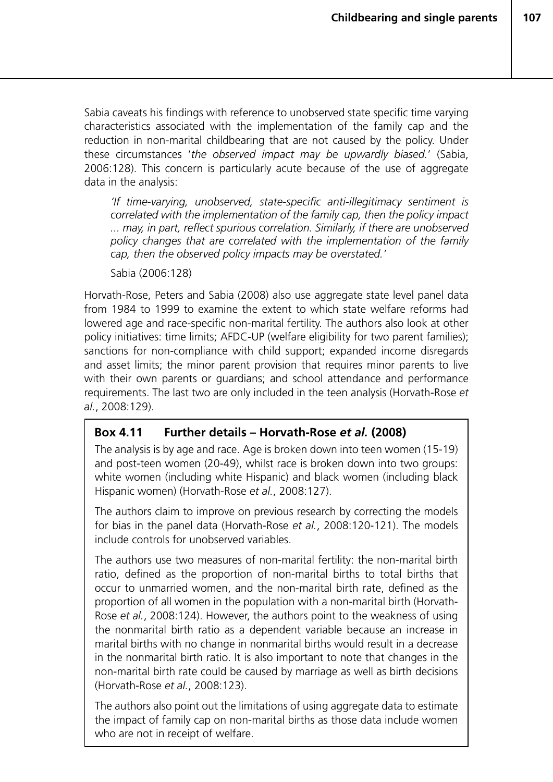Sabia caveats his findings with reference to unobserved state specific time varying characteristics associated with the implementation of the family cap and the reduction in non-marital childbearing that are not caused by the policy. Under these circumstances '*the observed impact may be upwardly biased.*' (Sabia, 2006:128). This concern is particularly acute because of the use of aggregate data in the analysis:

*'If time-varying, unobserved, state-specific anti-illegitimacy sentiment is correlated with the implementation of the family cap, then the policy impact ... may, in part, reflect spurious correlation. Similarly, if there are unobserved policy changes that are correlated with the implementation of the family cap, then the observed policy impacts may be overstated.'*

Sabia (2006:128)

Horvath-Rose, Peters and Sabia (2008) also use aggregate state level panel data from 1984 to 1999 to examine the extent to which state welfare reforms had lowered age and race-specific non-marital fertility. The authors also look at other policy initiatives: time limits; AFDC-UP (welfare eligibility for two parent families); sanctions for non-compliance with child support; expanded income disregards and asset limits; the minor parent provision that requires minor parents to live with their own parents or guardians; and school attendance and performance requirements. The last two are only included in the teen analysis (Horvath-Rose *et al.*, 2008:129).

## **Box 4.11 Further details – Horvath-Rose** *et al.* **(2008)**

The analysis is by age and race. Age is broken down into teen women (15-19) and post-teen women (20-49), whilst race is broken down into two groups: white women (including white Hispanic) and black women (including black Hispanic women) (Horvath-Rose *et al.*, 2008:127).

The authors claim to improve on previous research by correcting the models for bias in the panel data (Horvath-Rose *et al.*, 2008:120-121). The models include controls for unobserved variables.

The authors use two measures of non-marital fertility: the non-marital birth ratio, defined as the proportion of non-marital births to total births that occur to unmarried women, and the non-marital birth rate, defined as the proportion of all women in the population with a non-marital birth (Horvath-Rose *et al.*, 2008:124). However, the authors point to the weakness of using the nonmarital birth ratio as a dependent variable because an increase in marital births with no change in nonmarital births would result in a decrease in the nonmarital birth ratio. It is also important to note that changes in the non-marital birth rate could be caused by marriage as well as birth decisions (Horvath-Rose *et al.*, 2008:123).

The authors also point out the limitations of using aggregate data to estimate the impact of family cap on non-marital births as those data include women who are not in receipt of welfare.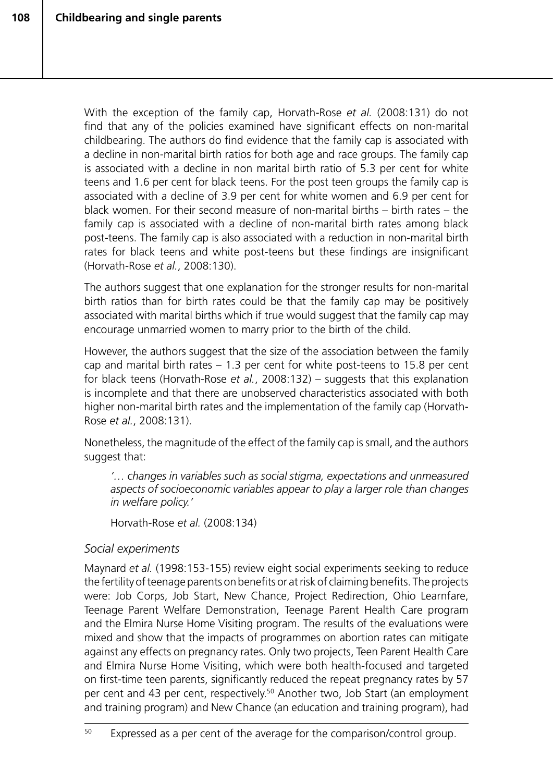With the exception of the family cap, Horvath-Rose *et al.* (2008:131) do not find that any of the policies examined have significant effects on non-marital childbearing. The authors do find evidence that the family cap is associated with a decline in non-marital birth ratios for both age and race groups. The family cap is associated with a decline in non marital birth ratio of 5.3 per cent for white teens and 1.6 per cent for black teens. For the post teen groups the family cap is associated with a decline of 3.9 per cent for white women and 6.9 per cent for black women. For their second measure of non-marital births – birth rates – the family cap is associated with a decline of non-marital birth rates among black post-teens. The family cap is also associated with a reduction in non-marital birth rates for black teens and white post-teens but these findings are insignificant (Horvath-Rose *et al.*, 2008:130).

The authors suggest that one explanation for the stronger results for non-marital birth ratios than for birth rates could be that the family cap may be positively associated with marital births which if true would suggest that the family cap may encourage unmarried women to marry prior to the birth of the child.

However, the authors suggest that the size of the association between the family cap and marital birth rates – 1.3 per cent for white post-teens to 15.8 per cent for black teens (Horvath-Rose *et al.*, 2008:132) – suggests that this explanation is incomplete and that there are unobserved characteristics associated with both higher non-marital birth rates and the implementation of the family cap (Horvath-Rose *et al.*, 2008:131).

Nonetheless, the magnitude of the effect of the family cap is small, and the authors suggest that:

*'… changes in variables such as social stigma, expectations and unmeasured aspects of socioeconomic variables appear to play a larger role than changes in welfare policy.'* 

Horvath-Rose *et al.* (2008:134)

## *Social experiments*

Maynard *et al.* (1998:153-155) review eight social experiments seeking to reduce the fertility of teenage parents on benefits or at risk of claiming benefits. The projects were: Job Corps, Job Start, New Chance, Project Redirection, Ohio Learnfare, Teenage Parent Welfare Demonstration, Teenage Parent Health Care program and the Elmira Nurse Home Visiting program. The results of the evaluations were mixed and show that the impacts of programmes on abortion rates can mitigate against any effects on pregnancy rates. Only two projects, Teen Parent Health Care and Elmira Nurse Home Visiting, which were both health-focused and targeted on first-time teen parents, significantly reduced the repeat pregnancy rates by 57 per cent and 43 per cent, respectively.50 Another two, Job Start (an employment and training program) and New Chance (an education and training program), had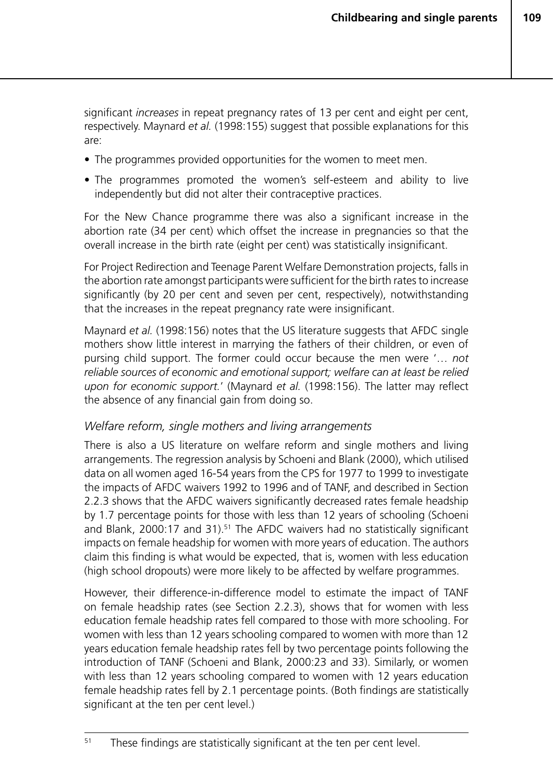significant *increases* in repeat pregnancy rates of 13 per cent and eight per cent, respectively. Maynard *et al.* (1998:155) suggest that possible explanations for this are:

- The programmes provided opportunities for the women to meet men.
- The programmes promoted the women's self-esteem and ability to live independently but did not alter their contraceptive practices.

For the New Chance programme there was also a significant increase in the abortion rate (34 per cent) which offset the increase in pregnancies so that the overall increase in the birth rate (eight per cent) was statistically insignificant.

For Project Redirection and Teenage Parent Welfare Demonstration projects, falls in the abortion rate amongst participants were sufficient for the birth rates to increase significantly (by 20 per cent and seven per cent, respectively), notwithstanding that the increases in the repeat pregnancy rate were insignificant.

Maynard *et al.* (1998:156) notes that the US literature suggests that AFDC single mothers show little interest in marrying the fathers of their children, or even of pursing child support. The former could occur because the men were '… *not reliable sources of economic and emotional support; welfare can at least be relied upon for economic support.*' (Maynard *et al.* (1998:156). The latter may reflect the absence of any financial gain from doing so.

## *Welfare reform, single mothers and living arrangements*

There is also a US literature on welfare reform and single mothers and living arrangements. The regression analysis by Schoeni and Blank (2000), which utilised data on all women aged 16-54 years from the CPS for 1977 to 1999 to investigate the impacts of AFDC waivers 1992 to 1996 and of TANF, and described in Section 2.2.3 shows that the AFDC waivers significantly decreased rates female headship by 1.7 percentage points for those with less than 12 years of schooling (Schoeni and Blank, 2000:17 and 31).<sup>51</sup> The AFDC waivers had no statistically significant impacts on female headship for women with more years of education. The authors claim this finding is what would be expected, that is, women with less education (high school dropouts) were more likely to be affected by welfare programmes.

However, their difference-in-difference model to estimate the impact of TANF on female headship rates (see Section 2.2.3), shows that for women with less education female headship rates fell compared to those with more schooling. For women with less than 12 years schooling compared to women with more than 12 years education female headship rates fell by two percentage points following the introduction of TANF (Schoeni and Blank, 2000:23 and 33). Similarly, or women with less than 12 years schooling compared to women with 12 years education female headship rates fell by 2.1 percentage points. (Both findings are statistically significant at the ten per cent level.)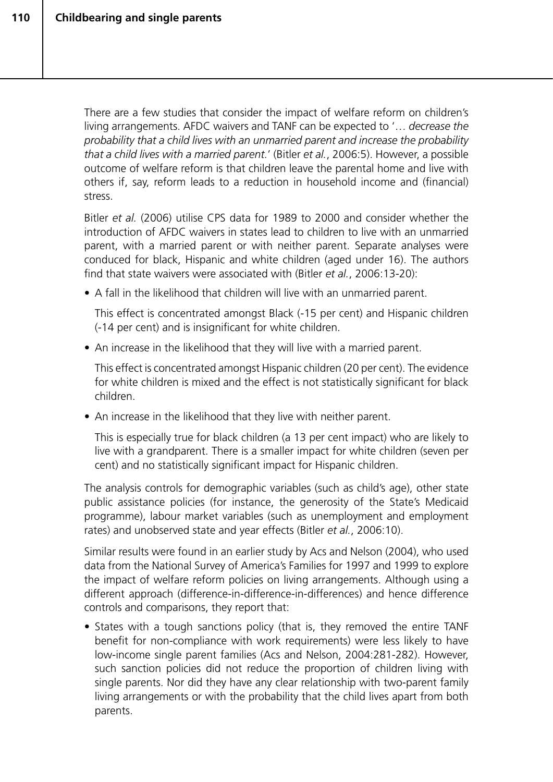There are a few studies that consider the impact of welfare reform on children's living arrangements. AFDC waivers and TANF can be expected to '… *decrease the probability that a child lives with an unmarried parent and increase the probability that a child lives with a married parent.*' (Bitler *et al.*, 2006:5). However, a possible outcome of welfare reform is that children leave the parental home and live with others if, say, reform leads to a reduction in household income and (financial) stress.

Bitler *et al.* (2006) utilise CPS data for 1989 to 2000 and consider whether the introduction of AFDC waivers in states lead to children to live with an unmarried parent, with a married parent or with neither parent. Separate analyses were conduced for black, Hispanic and white children (aged under 16). The authors find that state waivers were associated with (Bitler *et al.*, 2006:13-20):

• A fall in the likelihood that children will live with an unmarried parent.

This effect is concentrated amongst Black (-15 per cent) and Hispanic children (-14 per cent) and is insignificant for white children.

• An increase in the likelihood that they will live with a married parent.

This effect is concentrated amongst Hispanic children (20 per cent). The evidence for white children is mixed and the effect is not statistically significant for black children.

• An increase in the likelihood that they live with neither parent.

This is especially true for black children (a 13 per cent impact) who are likely to live with a grandparent. There is a smaller impact for white children (seven per cent) and no statistically significant impact for Hispanic children.

The analysis controls for demographic variables (such as child's age), other state public assistance policies (for instance, the generosity of the State's Medicaid programme), labour market variables (such as unemployment and employment rates) and unobserved state and year effects (Bitler *et al.*, 2006:10).

Similar results were found in an earlier study by Acs and Nelson (2004), who used data from the National Survey of America's Families for 1997 and 1999 to explore the impact of welfare reform policies on living arrangements. Although using a different approach (difference-in-difference-in-differences) and hence difference controls and comparisons, they report that:

• States with a tough sanctions policy (that is, they removed the entire TANF benefit for non-compliance with work requirements) were less likely to have low-income single parent families (Acs and Nelson, 2004:281-282). However, such sanction policies did not reduce the proportion of children living with single parents. Nor did they have any clear relationship with two-parent family living arrangements or with the probability that the child lives apart from both parents.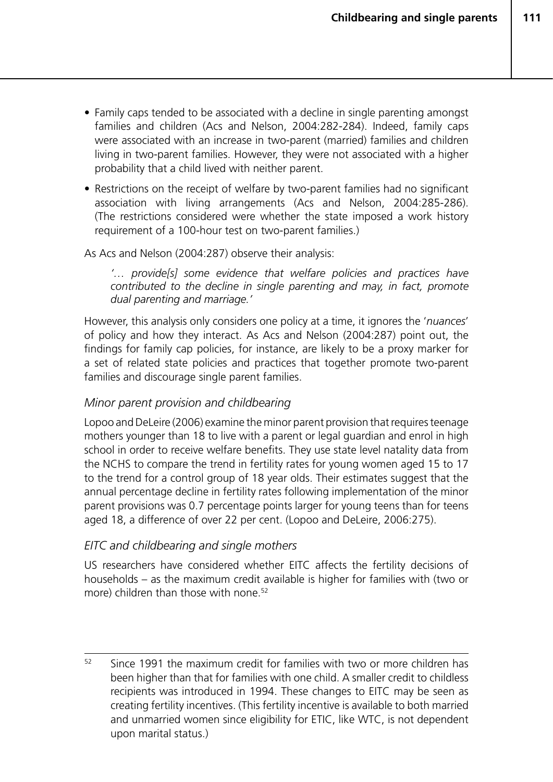- Family caps tended to be associated with a decline in single parenting amongst families and children (Acs and Nelson, 2004:282-284). Indeed, family caps were associated with an increase in two-parent (married) families and children living in two-parent families. However, they were not associated with a higher probability that a child lived with neither parent.
- Restrictions on the receipt of welfare by two-parent families had no significant association with living arrangements (Acs and Nelson, 2004:285-286). (The restrictions considered were whether the state imposed a work history requirement of a 100-hour test on two-parent families.)

#### As Acs and Nelson (2004:287) observe their analysis:

*'… provide[s] some evidence that welfare policies and practices have contributed to the decline in single parenting and may, in fact, promote dual parenting and marriage.'*

However, this analysis only considers one policy at a time, it ignores the '*nuances*' of policy and how they interact. As Acs and Nelson (2004:287) point out, the findings for family cap policies, for instance, are likely to be a proxy marker for a set of related state policies and practices that together promote two-parent families and discourage single parent families.

## *Minor parent provision and childbearing*

Lopoo and DeLeire (2006) examine the minor parent provision that requires teenage mothers younger than 18 to live with a parent or legal guardian and enrol in high school in order to receive welfare benefits. They use state level natality data from the NCHS to compare the trend in fertility rates for young women aged 15 to 17 to the trend for a control group of 18 year olds. Their estimates suggest that the annual percentage decline in fertility rates following implementation of the minor parent provisions was 0.7 percentage points larger for young teens than for teens aged 18, a difference of over 22 per cent. (Lopoo and DeLeire, 2006:275).

## *EITC and childbearing and single mothers*

US researchers have considered whether EITC affects the fertility decisions of households – as the maximum credit available is higher for families with (two or more) children than those with none.<sup>52</sup>

 $52$  Since 1991 the maximum credit for families with two or more children has been higher than that for families with one child. A smaller credit to childless recipients was introduced in 1994. These changes to EITC may be seen as creating fertility incentives. (This fertility incentive is available to both married and unmarried women since eligibility for ETIC, like WTC, is not dependent upon marital status.)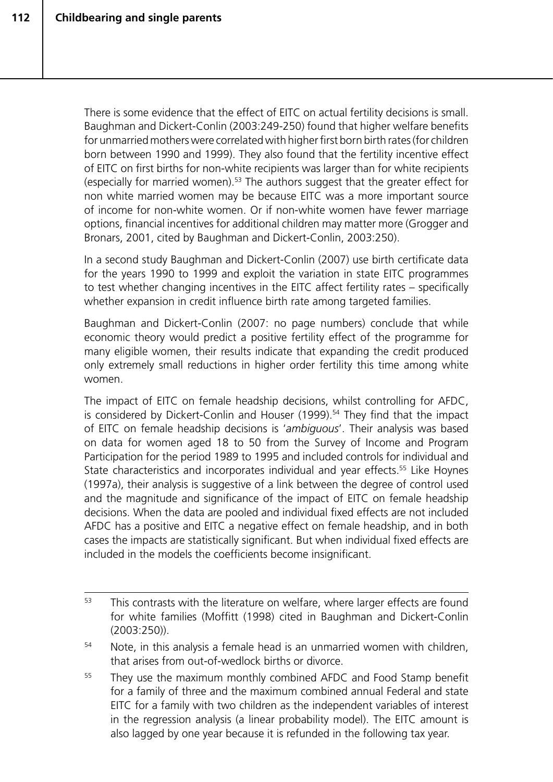There is some evidence that the effect of EITC on actual fertility decisions is small. Baughman and Dickert-Conlin (2003:249-250) found that higher welfare benefits for unmarried mothers were correlated with higher first born birth rates (for children born between 1990 and 1999). They also found that the fertility incentive effect of EITC on first births for non-white recipients was larger than for white recipients (especially for married women).53 The authors suggest that the greater effect for non white married women may be because EITC was a more important source of income for non-white women. Or if non-white women have fewer marriage options, financial incentives for additional children may matter more (Grogger and Bronars, 2001, cited by Baughman and Dickert-Conlin, 2003:250).

In a second study Baughman and Dickert-Conlin (2007) use birth certificate data for the years 1990 to 1999 and exploit the variation in state EITC programmes to test whether changing incentives in the EITC affect fertility rates – specifically whether expansion in credit influence birth rate among targeted families.

Baughman and Dickert-Conlin (2007: no page numbers) conclude that while economic theory would predict a positive fertility effect of the programme for many eligible women, their results indicate that expanding the credit produced only extremely small reductions in higher order fertility this time among white women.

The impact of EITC on female headship decisions, whilst controlling for AFDC, is considered by Dickert-Conlin and Houser (1999).<sup>54</sup> They find that the impact of EITC on female headship decisions is '*ambiguous*'. Their analysis was based on data for women aged 18 to 50 from the Survey of Income and Program Participation for the period 1989 to 1995 and included controls for individual and State characteristics and incorporates individual and year effects.<sup>55</sup> Like Hoynes (1997a), their analysis is suggestive of a link between the degree of control used and the magnitude and significance of the impact of EITC on female headship decisions. When the data are pooled and individual fixed effects are not included AFDC has a positive and EITC a negative effect on female headship, and in both cases the impacts are statistically significant. But when individual fixed effects are included in the models the coefficients become insignificant.

<sup>&</sup>lt;sup>53</sup> This contrasts with the literature on welfare, where larger effects are found for white families (Moffitt (1998) cited in Baughman and Dickert-Conlin (2003:250)).

 $54$  Note, in this analysis a female head is an unmarried women with children, that arises from out-of-wedlock births or divorce.

<sup>&</sup>lt;sup>55</sup> They use the maximum monthly combined AFDC and Food Stamp benefit for a family of three and the maximum combined annual Federal and state EITC for a family with two children as the independent variables of interest in the regression analysis (a linear probability model). The EITC amount is also lagged by one year because it is refunded in the following tax year.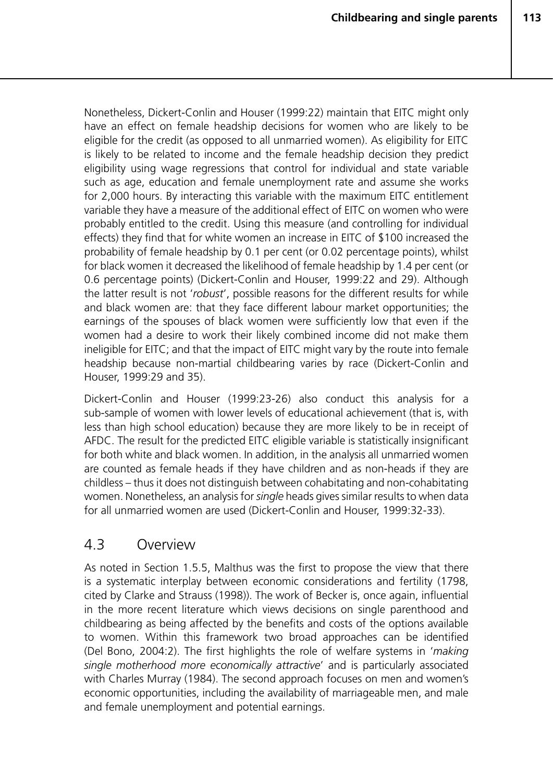Nonetheless, Dickert-Conlin and Houser (1999:22) maintain that EITC might only have an effect on female headship decisions for women who are likely to be eligible for the credit (as opposed to all unmarried women). As eligibility for EITC is likely to be related to income and the female headship decision they predict eligibility using wage regressions that control for individual and state variable such as age, education and female unemployment rate and assume she works for 2,000 hours. By interacting this variable with the maximum EITC entitlement variable they have a measure of the additional effect of EITC on women who were probably entitled to the credit. Using this measure (and controlling for individual effects) they find that for white women an increase in EITC of \$100 increased the probability of female headship by 0.1 per cent (or 0.02 percentage points), whilst for black women it decreased the likelihood of female headship by 1.4 per cent (or 0.6 percentage points) (Dickert-Conlin and Houser, 1999:22 and 29). Although the latter result is not '*robust*', possible reasons for the different results for while and black women are: that they face different labour market opportunities; the earnings of the spouses of black women were sufficiently low that even if the women had a desire to work their likely combined income did not make them ineligible for EITC; and that the impact of EITC might vary by the route into female headship because non-martial childbearing varies by race (Dickert-Conlin and Houser, 1999:29 and 35).

Dickert-Conlin and Houser (1999:23-26) also conduct this analysis for a sub-sample of women with lower levels of educational achievement (that is, with less than high school education) because they are more likely to be in receipt of AFDC. The result for the predicted EITC eligible variable is statistically insignificant for both white and black women. In addition, in the analysis all unmarried women are counted as female heads if they have children and as non-heads if they are childless – thus it does not distinguish between cohabitating and non-cohabitating women. Nonetheless, an analysis for *single* heads gives similar results to when data for all unmarried women are used (Dickert-Conlin and Houser, 1999:32-33).

## 4.3 Overview

As noted in Section 1.5.5, Malthus was the first to propose the view that there is a systematic interplay between economic considerations and fertility (1798, cited by Clarke and Strauss (1998)). The work of Becker is, once again, influential in the more recent literature which views decisions on single parenthood and childbearing as being affected by the benefits and costs of the options available to women. Within this framework two broad approaches can be identified (Del Bono, 2004:2). The first highlights the role of welfare systems in '*making single motherhood more economically attractive*' and is particularly associated with Charles Murray (1984). The second approach focuses on men and women's economic opportunities, including the availability of marriageable men, and male and female unemployment and potential earnings.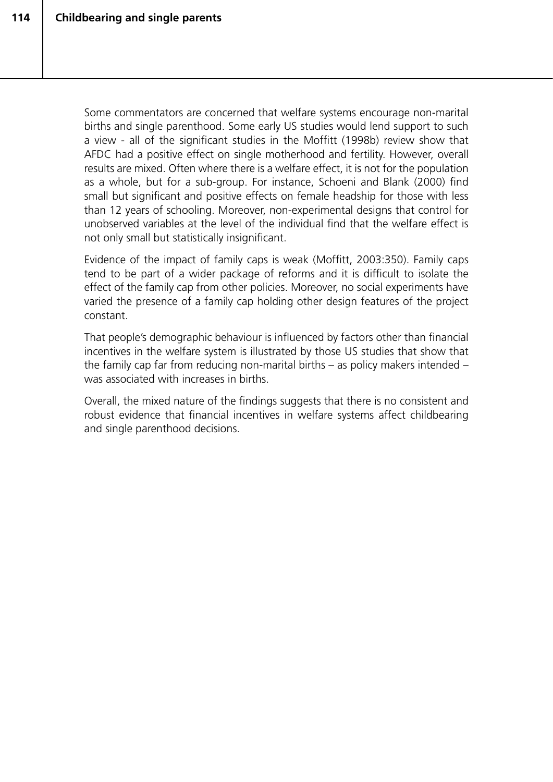Some commentators are concerned that welfare systems encourage non-marital births and single parenthood. Some early US studies would lend support to such a view - all of the significant studies in the Moffitt (1998b) review show that AFDC had a positive effect on single motherhood and fertility. However, overall results are mixed. Often where there is a welfare effect, it is not for the population as a whole, but for a sub-group. For instance, Schoeni and Blank (2000) find small but significant and positive effects on female headship for those with less than 12 years of schooling. Moreover, non-experimental designs that control for unobserved variables at the level of the individual find that the welfare effect is not only small but statistically insignificant.

Evidence of the impact of family caps is weak (Moffitt, 2003:350). Family caps tend to be part of a wider package of reforms and it is difficult to isolate the effect of the family cap from other policies. Moreover, no social experiments have varied the presence of a family cap holding other design features of the project constant.

That people's demographic behaviour is influenced by factors other than financial incentives in the welfare system is illustrated by those US studies that show that the family cap far from reducing non-marital births – as policy makers intended – was associated with increases in births.

Overall, the mixed nature of the findings suggests that there is no consistent and robust evidence that financial incentives in welfare systems affect childbearing and single parenthood decisions.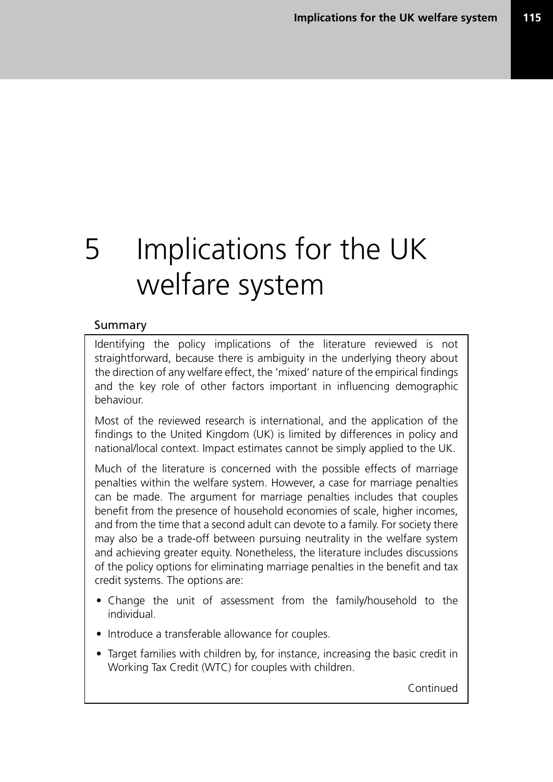# 5 Implications for the UK welfare system

## Summary

Identifying the policy implications of the literature reviewed is not straightforward, because there is ambiguity in the underlying theory about the direction of any welfare effect, the 'mixed' nature of the empirical findings and the key role of other factors important in influencing demographic behaviour.

Most of the reviewed research is international, and the application of the findings to the United Kingdom (UK) is limited by differences in policy and national/local context. Impact estimates cannot be simply applied to the UK.

Much of the literature is concerned with the possible effects of marriage penalties within the welfare system. However, a case for marriage penalties can be made. The argument for marriage penalties includes that couples benefit from the presence of household economies of scale, higher incomes, and from the time that a second adult can devote to a family. For society there may also be a trade-off between pursuing neutrality in the welfare system and achieving greater equity. Nonetheless, the literature includes discussions of the policy options for eliminating marriage penalties in the benefit and tax credit systems. The options are:

- Change the unit of assessment from the family/household to the individual.
- Introduce a transferable allowance for couples.
- Target families with children by, for instance, increasing the basic credit in Working Tax Credit (WTC) for couples with children.

Continued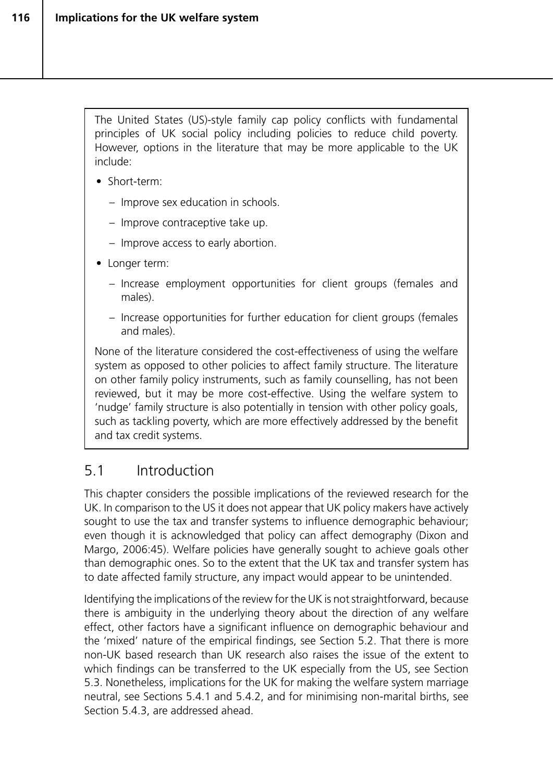The United States (US)-style family cap policy conflicts with fundamental principles of UK social policy including policies to reduce child poverty. However, options in the literature that may be more applicable to the UK include:

- Short-term:
	- Improve sex education in schools.
	- Improve contraceptive take up.
	- Improve access to early abortion.
- Longer term:
	- Increase employment opportunities for client groups (females and males).
	- Increase opportunities for further education for client groups (females and males).

None of the literature considered the cost-effectiveness of using the welfare system as opposed to other policies to affect family structure. The literature on other family policy instruments, such as family counselling, has not been reviewed, but it may be more cost-effective. Using the welfare system to 'nudge' family structure is also potentially in tension with other policy goals, such as tackling poverty, which are more effectively addressed by the benefit and tax credit systems.

## 5.1 Introduction

This chapter considers the possible implications of the reviewed research for the UK. In comparison to the US it does not appear that UK policy makers have actively sought to use the tax and transfer systems to influence demographic behaviour; even though it is acknowledged that policy can affect demography (Dixon and Margo, 2006:45). Welfare policies have generally sought to achieve goals other than demographic ones. So to the extent that the UK tax and transfer system has to date affected family structure, any impact would appear to be unintended.

Identifying the implications of the review for the UK is not straightforward, because there is ambiguity in the underlying theory about the direction of any welfare effect, other factors have a significant influence on demographic behaviour and the 'mixed' nature of the empirical findings, see Section 5.2. That there is more non-UK based research than UK research also raises the issue of the extent to which findings can be transferred to the UK especially from the US, see Section 5.3. Nonetheless, implications for the UK for making the welfare system marriage neutral, see Sections 5.4.1 and 5.4.2, and for minimising non-marital births, see Section 5.4.3, are addressed ahead.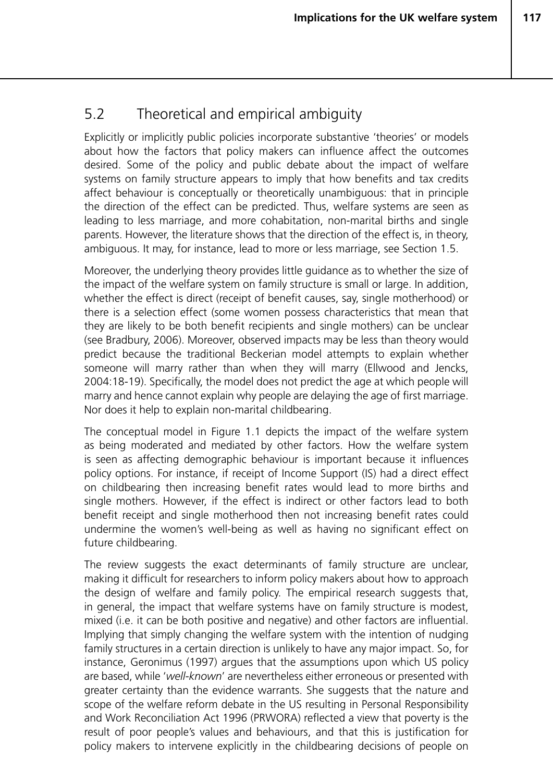# 5.2 Theoretical and empirical ambiguity

Explicitly or implicitly public policies incorporate substantive 'theories' or models about how the factors that policy makers can influence affect the outcomes desired. Some of the policy and public debate about the impact of welfare systems on family structure appears to imply that how benefits and tax credits affect behaviour is conceptually or theoretically unambiguous: that in principle the direction of the effect can be predicted. Thus, welfare systems are seen as leading to less marriage, and more cohabitation, non-marital births and single parents. However, the literature shows that the direction of the effect is, in theory, ambiguous. It may, for instance, lead to more or less marriage, see Section 1.5.

Moreover, the underlying theory provides little guidance as to whether the size of the impact of the welfare system on family structure is small or large. In addition, whether the effect is direct (receipt of benefit causes, say, single motherhood) or there is a selection effect (some women possess characteristics that mean that they are likely to be both benefit recipients and single mothers) can be unclear (see Bradbury, 2006). Moreover, observed impacts may be less than theory would predict because the traditional Beckerian model attempts to explain whether someone will marry rather than when they will marry (Ellwood and Jencks, 2004:18-19). Specifically, the model does not predict the age at which people will marry and hence cannot explain why people are delaying the age of first marriage. Nor does it help to explain non-marital childbearing.

The conceptual model in Figure 1.1 depicts the impact of the welfare system as being moderated and mediated by other factors. How the welfare system is seen as affecting demographic behaviour is important because it influences policy options. For instance, if receipt of Income Support (IS) had a direct effect on childbearing then increasing benefit rates would lead to more births and single mothers. However, if the effect is indirect or other factors lead to both benefit receipt and single motherhood then not increasing benefit rates could undermine the women's well-being as well as having no significant effect on future childbearing.

The review suggests the exact determinants of family structure are unclear, making it difficult for researchers to inform policy makers about how to approach the design of welfare and family policy. The empirical research suggests that, in general, the impact that welfare systems have on family structure is modest, mixed (i.e. it can be both positive and negative) and other factors are influential. Implying that simply changing the welfare system with the intention of nudging family structures in a certain direction is unlikely to have any major impact. So, for instance, Geronimus (1997) argues that the assumptions upon which US policy are based, while '*well-known*' are nevertheless either erroneous or presented with greater certainty than the evidence warrants. She suggests that the nature and scope of the welfare reform debate in the US resulting in Personal Responsibility and Work Reconciliation Act 1996 (PRWORA) reflected a view that poverty is the result of poor people's values and behaviours, and that this is justification for policy makers to intervene explicitly in the childbearing decisions of people on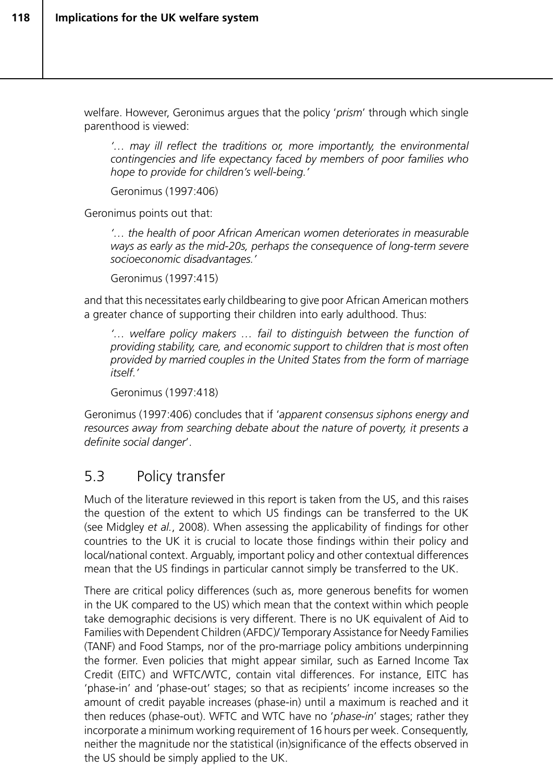welfare. However, Geronimus argues that the policy '*prism*' through which single parenthood is viewed:

*'… may ill reflect the traditions or, more importantly, the environmental contingencies and life expectancy faced by members of poor families who hope to provide for children's well-being.'* 

Geronimus (1997:406)

Geronimus points out that:

*'… the health of poor African American women deteriorates in measurable ways as early as the mid-20s, perhaps the consequence of long-term severe socioeconomic disadvantages.'* 

Geronimus (1997:415)

and that this necessitates early childbearing to give poor African American mothers a greater chance of supporting their children into early adulthood. Thus:

*'… welfare policy makers … fail to distinguish between the function of providing stability, care, and economic support to children that is most often provided by married couples in the United States from the form of marriage itself.'* 

Geronimus (1997:418)

Geronimus (1997:406) concludes that if '*apparent consensus siphons energy and resources away from searching debate about the nature of poverty, it presents a definite social danger*'.

# 5.3 Policy transfer

Much of the literature reviewed in this report is taken from the US, and this raises the question of the extent to which US findings can be transferred to the UK (see Midgley *et al.*, 2008). When assessing the applicability of findings for other countries to the UK it is crucial to locate those findings within their policy and local/national context. Arguably, important policy and other contextual differences mean that the US findings in particular cannot simply be transferred to the UK.

There are critical policy differences (such as, more generous benefits for women in the UK compared to the US) which mean that the context within which people take demographic decisions is very different. There is no UK equivalent of Aid to Families with Dependent Children (AFDC)/ Temporary Assistance for Needy Families (TANF) and Food Stamps, nor of the pro-marriage policy ambitions underpinning the former. Even policies that might appear similar, such as Earned Income Tax Credit (EITC) and WFTC/WTC, contain vital differences. For instance, EITC has 'phase-in' and 'phase-out' stages; so that as recipients' income increases so the amount of credit payable increases (phase-in) until a maximum is reached and it then reduces (phase-out). WFTC and WTC have no '*phase-in*' stages; rather they incorporate a minimum working requirement of 16 hours per week. Consequently, neither the magnitude nor the statistical (in)significance of the effects observed in the US should be simply applied to the UK.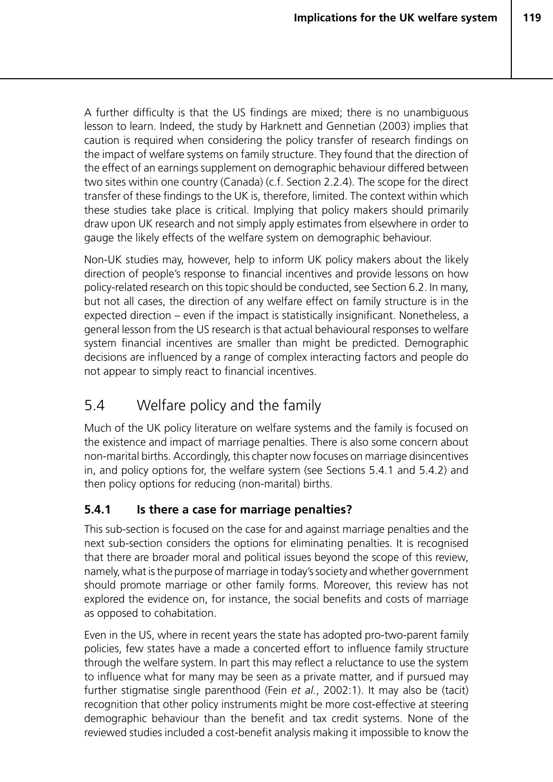A further difficulty is that the US findings are mixed; there is no unambiguous lesson to learn. Indeed, the study by Harknett and Gennetian (2003) implies that caution is required when considering the policy transfer of research findings on the impact of welfare systems on family structure. They found that the direction of the effect of an earnings supplement on demographic behaviour differed between two sites within one country (Canada) (c.f. Section 2.2.4). The scope for the direct transfer of these findings to the UK is, therefore, limited. The context within which these studies take place is critical. Implying that policy makers should primarily draw upon UK research and not simply apply estimates from elsewhere in order to gauge the likely effects of the welfare system on demographic behaviour.

Non-UK studies may, however, help to inform UK policy makers about the likely direction of people's response to financial incentives and provide lessons on how policy-related research on this topic should be conducted, see Section 6.2. In many, but not all cases, the direction of any welfare effect on family structure is in the expected direction – even if the impact is statistically insignificant. Nonetheless, a general lesson from the US research is that actual behavioural responses to welfare system financial incentives are smaller than might be predicted. Demographic decisions are influenced by a range of complex interacting factors and people do not appear to simply react to financial incentives.

# 5.4 Welfare policy and the family

Much of the UK policy literature on welfare systems and the family is focused on the existence and impact of marriage penalties. There is also some concern about non-marital births. Accordingly, this chapter now focuses on marriage disincentives in, and policy options for, the welfare system (see Sections 5.4.1 and 5.4.2) and then policy options for reducing (non-marital) births.

## **5.4.1 Is there a case for marriage penalties?**

This sub-section is focused on the case for and against marriage penalties and the next sub-section considers the options for eliminating penalties. It is recognised that there are broader moral and political issues beyond the scope of this review, namely, what is the purpose of marriage in today's society and whether government should promote marriage or other family forms. Moreover, this review has not explored the evidence on, for instance, the social benefits and costs of marriage as opposed to cohabitation.

Even in the US, where in recent years the state has adopted pro-two-parent family policies, few states have a made a concerted effort to influence family structure through the welfare system. In part this may reflect a reluctance to use the system to influence what for many may be seen as a private matter, and if pursued may further stigmatise single parenthood (Fein *et al.*, 2002:1). It may also be (tacit) recognition that other policy instruments might be more cost-effective at steering demographic behaviour than the benefit and tax credit systems. None of the reviewed studies included a cost-benefit analysis making it impossible to know the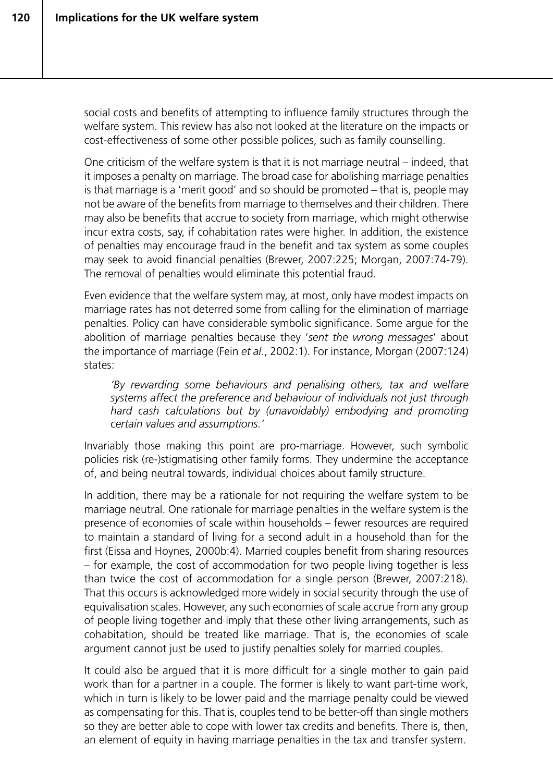social costs and benefits of attempting to influence family structures through the welfare system. This review has also not looked at the literature on the impacts or cost-effectiveness of some other possible polices, such as family counselling.

One criticism of the welfare system is that it is not marriage neutral – indeed, that it imposes a penalty on marriage. The broad case for abolishing marriage penalties is that marriage is a 'merit good' and so should be promoted – that is, people may not be aware of the benefits from marriage to themselves and their children. There may also be benefits that accrue to society from marriage, which might otherwise incur extra costs, say, if cohabitation rates were higher. In addition, the existence of penalties may encourage fraud in the benefit and tax system as some couples may seek to avoid financial penalties (Brewer, 2007:225; Morgan, 2007:74-79). The removal of penalties would eliminate this potential fraud.

Even evidence that the welfare system may, at most, only have modest impacts on marriage rates has not deterred some from calling for the elimination of marriage penalties. Policy can have considerable symbolic significance. Some argue for the abolition of marriage penalties because they '*sent the wrong messages*' about the importance of marriage (Fein *et al.*, 2002:1). For instance, Morgan (2007:124) states:

*'By rewarding some behaviours and penalising others, tax and welfare systems affect the preference and behaviour of individuals not just through hard cash calculations but by (unavoidably) embodying and promoting certain values and assumptions.'*

Invariably those making this point are pro-marriage. However, such symbolic policies risk (re-)stigmatising other family forms. They undermine the acceptance of, and being neutral towards, individual choices about family structure.

In addition, there may be a rationale for not requiring the welfare system to be marriage neutral. One rationale for marriage penalties in the welfare system is the presence of economies of scale within households – fewer resources are required to maintain a standard of living for a second adult in a household than for the first (Eissa and Hoynes, 2000b:4). Married couples benefit from sharing resources – for example, the cost of accommodation for two people living together is less than twice the cost of accommodation for a single person (Brewer, 2007:218). That this occurs is acknowledged more widely in social security through the use of equivalisation scales. However, any such economies of scale accrue from any group of people living together and imply that these other living arrangements, such as cohabitation, should be treated like marriage. That is, the economies of scale argument cannot just be used to justify penalties solely for married couples.

It could also be argued that it is more difficult for a single mother to gain paid work than for a partner in a couple. The former is likely to want part-time work, which in turn is likely to be lower paid and the marriage penalty could be viewed as compensating for this. That is, couples tend to be better-off than single mothers so they are better able to cope with lower tax credits and benefits. There is, then, an element of equity in having marriage penalties in the tax and transfer system.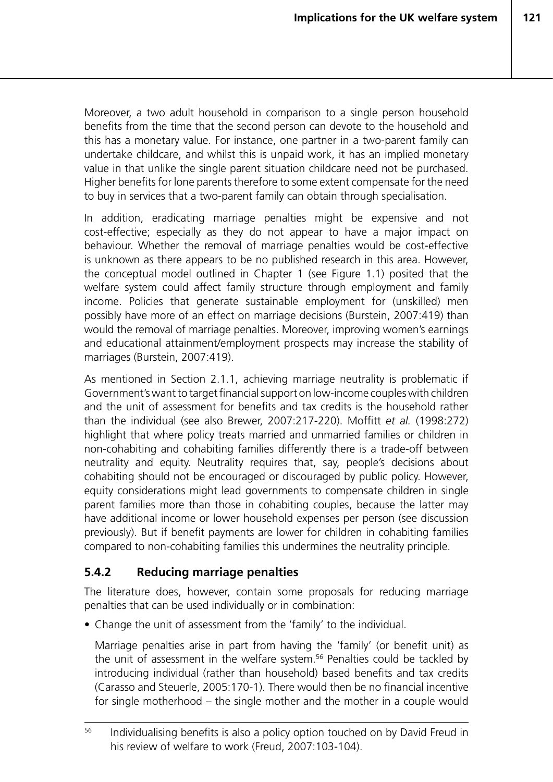Moreover, a two adult household in comparison to a single person household benefits from the time that the second person can devote to the household and this has a monetary value. For instance, one partner in a two-parent family can undertake childcare, and whilst this is unpaid work, it has an implied monetary value in that unlike the single parent situation childcare need not be purchased. Higher benefits for lone parents therefore to some extent compensate for the need to buy in services that a two-parent family can obtain through specialisation.

In addition, eradicating marriage penalties might be expensive and not cost-effective; especially as they do not appear to have a major impact on behaviour. Whether the removal of marriage penalties would be cost-effective is unknown as there appears to be no published research in this area. However, the conceptual model outlined in Chapter 1 (see Figure 1.1) posited that the welfare system could affect family structure through employment and family income. Policies that generate sustainable employment for (unskilled) men possibly have more of an effect on marriage decisions (Burstein, 2007:419) than would the removal of marriage penalties. Moreover, improving women's earnings and educational attainment/employment prospects may increase the stability of marriages (Burstein, 2007:419).

As mentioned in Section 2.1.1, achieving marriage neutrality is problematic if Government's want to target financial support on low-income couples with children and the unit of assessment for benefits and tax credits is the household rather than the individual (see also Brewer, 2007:217-220). Moffitt *et al.* (1998:272) highlight that where policy treats married and unmarried families or children in non-cohabiting and cohabiting families differently there is a trade-off between neutrality and equity. Neutrality requires that, say, people's decisions about cohabiting should not be encouraged or discouraged by public policy. However, equity considerations might lead governments to compensate children in single parent families more than those in cohabiting couples, because the latter may have additional income or lower household expenses per person (see discussion previously). But if benefit payments are lower for children in cohabiting families compared to non-cohabiting families this undermines the neutrality principle.

## **5.4.2 Reducing marriage penalties**

The literature does, however, contain some proposals for reducing marriage penalties that can be used individually or in combination:

• Change the unit of assessment from the 'family' to the individual.

Marriage penalties arise in part from having the 'family' (or benefit unit) as the unit of assessment in the welfare system.<sup>56</sup> Penalties could be tackled by introducing individual (rather than household) based benefits and tax credits (Carasso and Steuerle, 2005:170-1). There would then be no financial incentive for single motherhood – the single mother and the mother in a couple would

<sup>&</sup>lt;sup>56</sup> Individualising benefits is also a policy option touched on by David Freud in his review of welfare to work (Freud, 2007:103-104).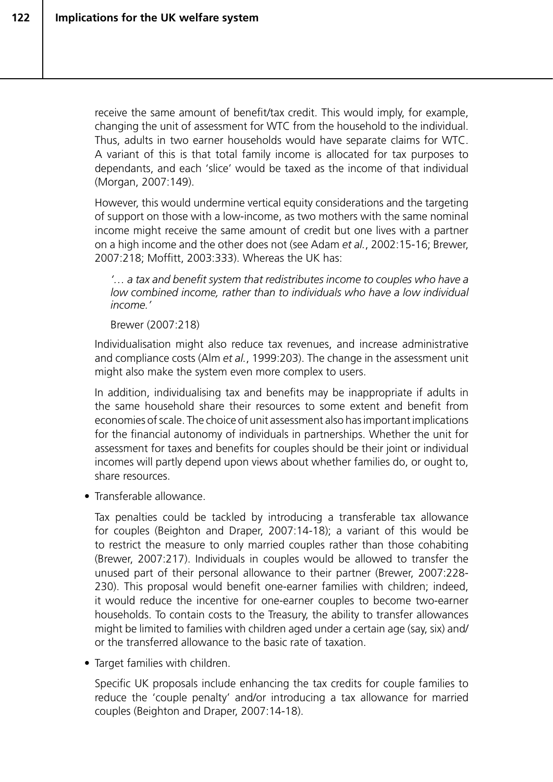receive the same amount of benefit/tax credit. This would imply, for example, changing the unit of assessment for WTC from the household to the individual. Thus, adults in two earner households would have separate claims for WTC. A variant of this is that total family income is allocated for tax purposes to dependants, and each 'slice' would be taxed as the income of that individual (Morgan, 2007:149).

However, this would undermine vertical equity considerations and the targeting of support on those with a low-income, as two mothers with the same nominal income might receive the same amount of credit but one lives with a partner on a high income and the other does not (see Adam *et al.*, 2002:15-16; Brewer, 2007:218; Moffitt, 2003:333). Whereas the UK has:

*'… a tax and benefit system that redistributes income to couples who have a low combined income, rather than to individuals who have a low individual income.'*

Brewer (2007:218)

Individualisation might also reduce tax revenues, and increase administrative and compliance costs (Alm *et al.*, 1999:203). The change in the assessment unit might also make the system even more complex to users.

In addition, individualising tax and benefits may be inappropriate if adults in the same household share their resources to some extent and benefit from economies of scale. The choice of unit assessment also has important implications for the financial autonomy of individuals in partnerships. Whether the unit for assessment for taxes and benefits for couples should be their joint or individual incomes will partly depend upon views about whether families do, or ought to, share resources.

• Transferable allowance.

Tax penalties could be tackled by introducing a transferable tax allowance for couples (Beighton and Draper, 2007:14-18); a variant of this would be to restrict the measure to only married couples rather than those cohabiting (Brewer, 2007:217). Individuals in couples would be allowed to transfer the unused part of their personal allowance to their partner (Brewer, 2007:228- 230). This proposal would benefit one-earner families with children; indeed, it would reduce the incentive for one-earner couples to become two-earner households. To contain costs to the Treasury, the ability to transfer allowances might be limited to families with children aged under a certain age (say, six) and/ or the transferred allowance to the basic rate of taxation.

• Target families with children.

Specific UK proposals include enhancing the tax credits for couple families to reduce the 'couple penalty' and/or introducing a tax allowance for married couples (Beighton and Draper, 2007:14-18).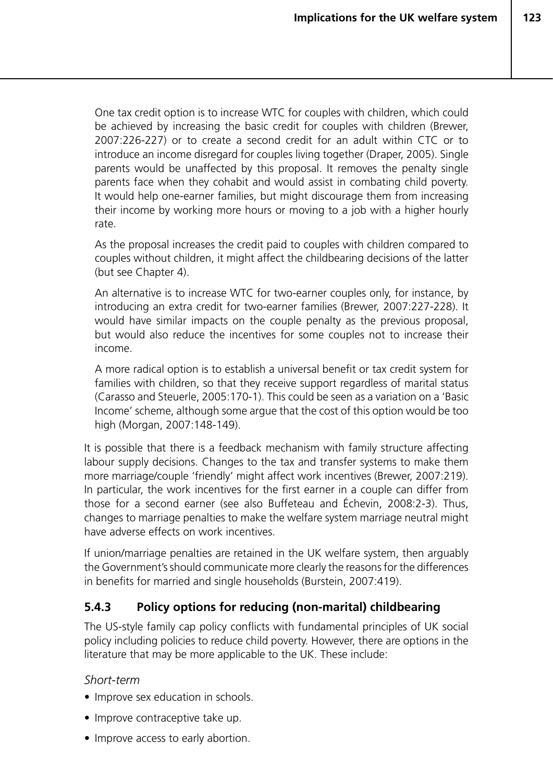One tax credit option is to increase WTC for couples with children, which could be achieved by increasing the basic credit for couples with children (Brewer, 2007:226-227) or to create a second credit for an adult within CTC or to introduce an income disregard for couples living together (Draper, 2005). Single parents would be unaffected by this proposal. It removes the penalty single parents face when they cohabit and would assist in combating child poverty. It would help one-earner families, but might discourage them from increasing their income by working more hours or moving to a job with a higher hourly rate.

As the proposal increases the credit paid to couples with children compared to couples without children, it might affect the childbearing decisions of the latter (but see Chapter 4).

An alternative is to increase WTC for two-earner couples only, for instance, by introducing an extra credit for two-earner families (Brewer, 2007:227-228). It would have similar impacts on the couple penalty as the previous proposal, but would also reduce the incentives for some couples not to increase their income.

A more radical option is to establish a universal benefit or tax credit system for families with children, so that they receive support regardless of marital status (Carasso and Steuerle, 2005:170-1). This could be seen as a variation on a 'Basic Income' scheme, although some argue that the cost of this option would be too high (Morgan, 2007:148-149).

It is possible that there is a feedback mechanism with family structure affecting labour supply decisions. Changes to the tax and transfer systems to make them more marriage/couple 'friendly' might affect work incentives (Brewer, 2007:219). In particular, the work incentives for the first earner in a couple can differ from those for a second earner (see also Buffeteau and Échevin, 2008:2-3). Thus, changes to marriage penalties to make the welfare system marriage neutral might have adverse effects on work incentives.

If union/marriage penalties are retained in the UK welfare system, then arguably the Government's should communicate more clearly the reasons for the differences in benefits for married and single households (Burstein, 2007:419).

## **5.4.3 Policy options for reducing (non-marital) childbearing**

The US-style family cap policy conflicts with fundamental principles of UK social policy including policies to reduce child poverty. However, there are options in the literature that may be more applicable to the UK. These include:

## *Short-term*

- Improve sex education in schools.
- Improve contraceptive take up.
- Improve access to early abortion.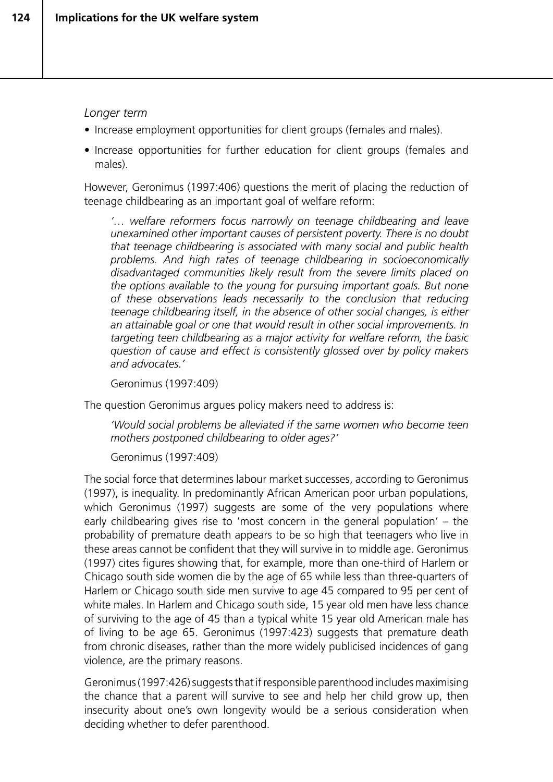*Longer term*

- Increase employment opportunities for client groups (females and males).
- Increase opportunities for further education for client groups (females and males).

However, Geronimus (1997:406) questions the merit of placing the reduction of teenage childbearing as an important goal of welfare reform:

*'… welfare reformers focus narrowly on teenage childbearing and leave unexamined other important causes of persistent poverty. There is no doubt that teenage childbearing is associated with many social and public health problems. And high rates of teenage childbearing in socioeconomically disadvantaged communities likely result from the severe limits placed on the options available to the young for pursuing important goals. But none of these observations leads necessarily to the conclusion that reducing teenage childbearing itself, in the absence of other social changes, is either an attainable goal or one that would result in other social improvements. In targeting teen childbearing as a major activity for welfare reform, the basic question of cause and effect is consistently glossed over by policy makers and advocates.'*

Geronimus (1997:409)

The question Geronimus argues policy makers need to address is:

*'Would social problems be alleviated if the same women who become teen mothers postponed childbearing to older ages?'*

Geronimus (1997:409)

The social force that determines labour market successes, according to Geronimus (1997), is inequality. In predominantly African American poor urban populations, which Geronimus (1997) suggests are some of the very populations where early childbearing gives rise to 'most concern in the general population' – the probability of premature death appears to be so high that teenagers who live in these areas cannot be confident that they will survive in to middle age. Geronimus (1997) cites figures showing that, for example, more than one-third of Harlem or Chicago south side women die by the age of 65 while less than three-quarters of Harlem or Chicago south side men survive to age 45 compared to 95 per cent of white males. In Harlem and Chicago south side, 15 year old men have less chance of surviving to the age of 45 than a typical white 15 year old American male has of living to be age 65. Geronimus (1997:423) suggests that premature death from chronic diseases, rather than the more widely publicised incidences of gang violence, are the primary reasons.

Geronimus (1997:426) suggests that if responsible parenthood includes maximising the chance that a parent will survive to see and help her child grow up, then insecurity about one's own longevity would be a serious consideration when deciding whether to defer parenthood.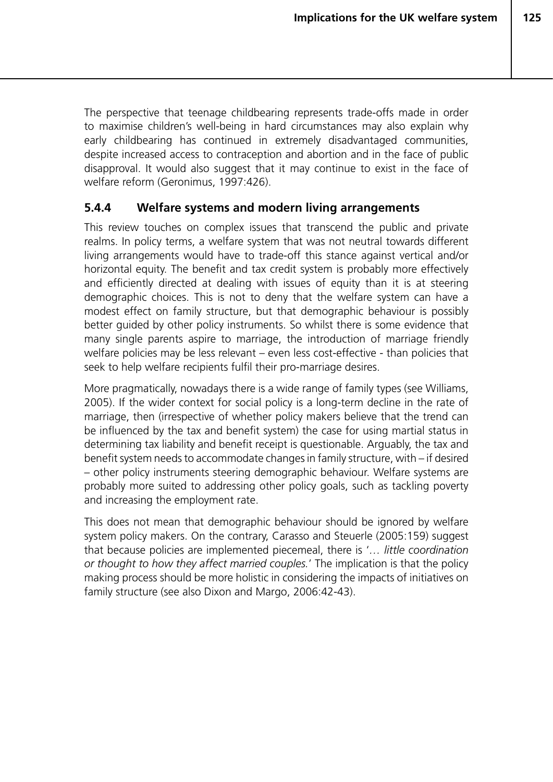The perspective that teenage childbearing represents trade-offs made in order to maximise children's well-being in hard circumstances may also explain why early childbearing has continued in extremely disadvantaged communities, despite increased access to contraception and abortion and in the face of public disapproval. It would also suggest that it may continue to exist in the face of welfare reform (Geronimus, 1997:426).

## **5.4.4 Welfare systems and modern living arrangements**

This review touches on complex issues that transcend the public and private realms. In policy terms, a welfare system that was not neutral towards different living arrangements would have to trade-off this stance against vertical and/or horizontal equity. The benefit and tax credit system is probably more effectively and efficiently directed at dealing with issues of equity than it is at steering demographic choices. This is not to deny that the welfare system can have a modest effect on family structure, but that demographic behaviour is possibly better guided by other policy instruments. So whilst there is some evidence that many single parents aspire to marriage, the introduction of marriage friendly welfare policies may be less relevant – even less cost-effective - than policies that seek to help welfare recipients fulfil their pro-marriage desires.

More pragmatically, nowadays there is a wide range of family types (see Williams, 2005). If the wider context for social policy is a long-term decline in the rate of marriage, then (irrespective of whether policy makers believe that the trend can be influenced by the tax and benefit system) the case for using martial status in determining tax liability and benefit receipt is questionable. Arguably, the tax and benefit system needs to accommodate changes in family structure, with – if desired – other policy instruments steering demographic behaviour. Welfare systems are probably more suited to addressing other policy goals, such as tackling poverty and increasing the employment rate.

This does not mean that demographic behaviour should be ignored by welfare system policy makers. On the contrary, Carasso and Steuerle (2005:159) suggest that because policies are implemented piecemeal, there is '*… little coordination or thought to how they affect married couples.*' The implication is that the policy making process should be more holistic in considering the impacts of initiatives on family structure (see also Dixon and Margo, 2006:42-43).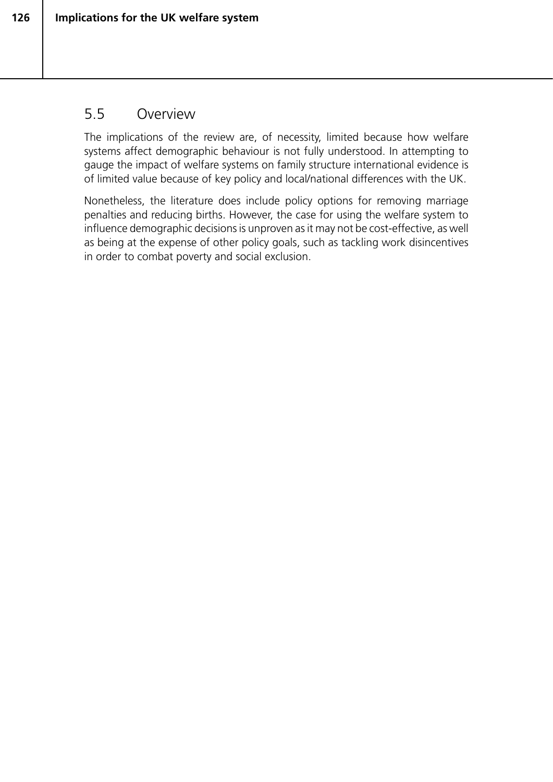## 5.5 Overview

The implications of the review are, of necessity, limited because how welfare systems affect demographic behaviour is not fully understood. In attempting to gauge the impact of welfare systems on family structure international evidence is of limited value because of key policy and local/national differences with the UK.

Nonetheless, the literature does include policy options for removing marriage penalties and reducing births. However, the case for using the welfare system to influence demographic decisions is unproven as it may not be cost-effective, as well as being at the expense of other policy goals, such as tackling work disincentives in order to combat poverty and social exclusion.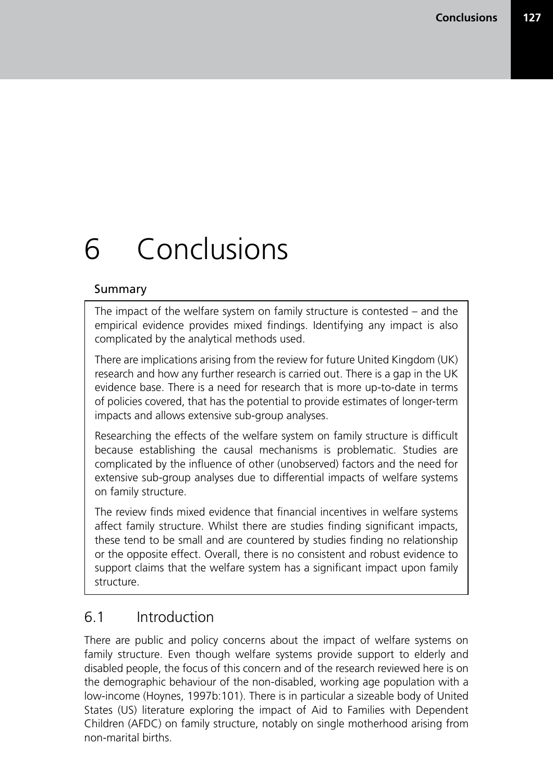# 6 Conclusions

## Summary

The impact of the welfare system on family structure is contested – and the empirical evidence provides mixed findings. Identifying any impact is also complicated by the analytical methods used.

There are implications arising from the review for future United Kingdom (UK) research and how any further research is carried out. There is a gap in the UK evidence base. There is a need for research that is more up-to-date in terms of policies covered, that has the potential to provide estimates of longer-term impacts and allows extensive sub-group analyses.

Researching the effects of the welfare system on family structure is difficult because establishing the causal mechanisms is problematic. Studies are complicated by the influence of other (unobserved) factors and the need for extensive sub-group analyses due to differential impacts of welfare systems on family structure.

The review finds mixed evidence that financial incentives in welfare systems affect family structure. Whilst there are studies finding significant impacts, these tend to be small and are countered by studies finding no relationship or the opposite effect. Overall, there is no consistent and robust evidence to support claims that the welfare system has a significant impact upon family structure.

## 6.1 Introduction

There are public and policy concerns about the impact of welfare systems on family structure. Even though welfare systems provide support to elderly and disabled people, the focus of this concern and of the research reviewed here is on the demographic behaviour of the non-disabled, working age population with a low-income (Hoynes, 1997b:101). There is in particular a sizeable body of United States (US) literature exploring the impact of Aid to Families with Dependent Children (AFDC) on family structure, notably on single motherhood arising from non-marital births.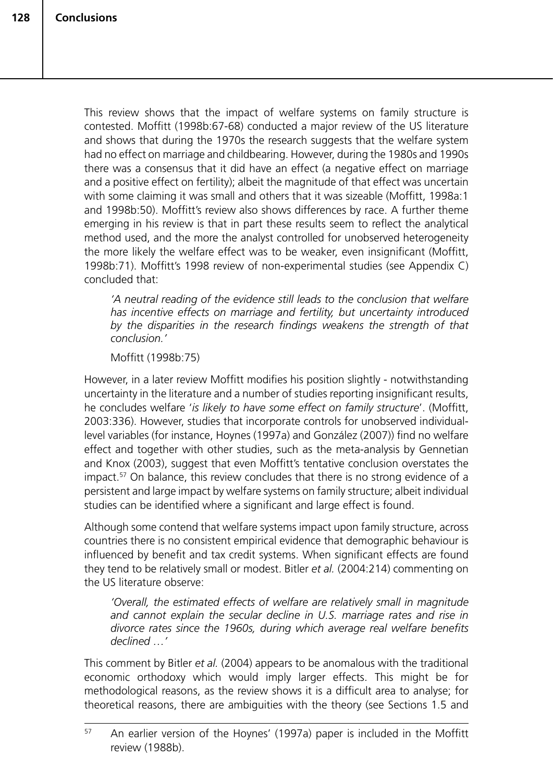This review shows that the impact of welfare systems on family structure is contested. Moffitt (1998b:67-68) conducted a major review of the US literature and shows that during the 1970s the research suggests that the welfare system had no effect on marriage and childbearing. However, during the 1980s and 1990s there was a consensus that it did have an effect (a negative effect on marriage and a positive effect on fertility); albeit the magnitude of that effect was uncertain with some claiming it was small and others that it was sizeable (Moffitt, 1998a:1 and 1998b:50). Moffitt's review also shows differences by race. A further theme emerging in his review is that in part these results seem to reflect the analytical method used, and the more the analyst controlled for unobserved heterogeneity the more likely the welfare effect was to be weaker, even insignificant (Moffitt, 1998b:71). Moffitt's 1998 review of non-experimental studies (see Appendix C) concluded that:

*'A neutral reading of the evidence still leads to the conclusion that welfare has incentive effects on marriage and fertility, but uncertainty introduced by the disparities in the research findings weakens the strength of that conclusion.'*

Moffitt (1998b:75)

However, in a later review Moffitt modifies his position slightly - notwithstanding uncertainty in the literature and a number of studies reporting insignificant results, he concludes welfare '*is likely to have some effect on family structure*'. (Moffitt, 2003:336). However, studies that incorporate controls for unobserved individuallevel variables (for instance, Hoynes (1997a) and González (2007)) find no welfare effect and together with other studies, such as the meta-analysis by Gennetian and Knox (2003), suggest that even Moffitt's tentative conclusion overstates the impact.57 On balance, this review concludes that there is no strong evidence of a persistent and large impact by welfare systems on family structure; albeit individual studies can be identified where a significant and large effect is found.

Although some contend that welfare systems impact upon family structure, across countries there is no consistent empirical evidence that demographic behaviour is influenced by benefit and tax credit systems. When significant effects are found they tend to be relatively small or modest. Bitler *et al.* (2004:214) commenting on the US literature observe:

*'Overall, the estimated effects of welfare are relatively small in magnitude and cannot explain the secular decline in U.S. marriage rates and rise in divorce rates since the 1960s, during which average real welfare benefits declined …'*

This comment by Bitler *et al.* (2004) appears to be anomalous with the traditional economic orthodoxy which would imply larger effects. This might be for methodological reasons, as the review shows it is a difficult area to analyse; for theoretical reasons, there are ambiguities with the theory (see Sections 1.5 and

<sup>&</sup>lt;sup>57</sup> An earlier version of the Hoynes' (1997a) paper is included in the Moffitt review (1988b).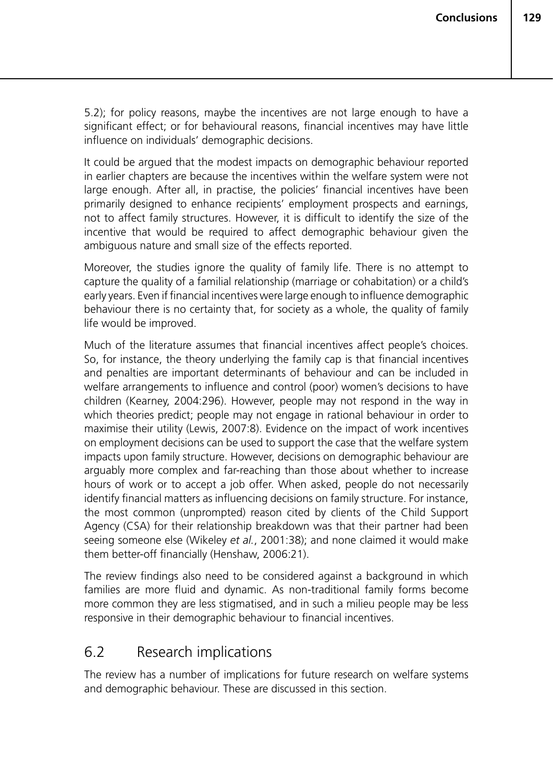5.2); for policy reasons, maybe the incentives are not large enough to have a significant effect; or for behavioural reasons, financial incentives may have little influence on individuals' demographic decisions.

It could be argued that the modest impacts on demographic behaviour reported in earlier chapters are because the incentives within the welfare system were not large enough. After all, in practise, the policies' financial incentives have been primarily designed to enhance recipients' employment prospects and earnings, not to affect family structures. However, it is difficult to identify the size of the incentive that would be required to affect demographic behaviour given the ambiguous nature and small size of the effects reported.

Moreover, the studies ignore the quality of family life. There is no attempt to capture the quality of a familial relationship (marriage or cohabitation) or a child's early years. Even if financial incentives were large enough to influence demographic behaviour there is no certainty that, for society as a whole, the quality of family life would be improved.

Much of the literature assumes that financial incentives affect people's choices. So, for instance, the theory underlying the family cap is that financial incentives and penalties are important determinants of behaviour and can be included in welfare arrangements to influence and control (poor) women's decisions to have children (Kearney, 2004:296). However, people may not respond in the way in which theories predict; people may not engage in rational behaviour in order to maximise their utility (Lewis, 2007:8). Evidence on the impact of work incentives on employment decisions can be used to support the case that the welfare system impacts upon family structure. However, decisions on demographic behaviour are arguably more complex and far-reaching than those about whether to increase hours of work or to accept a job offer. When asked, people do not necessarily identify financial matters as influencing decisions on family structure. For instance, the most common (unprompted) reason cited by clients of the Child Support Agency (CSA) for their relationship breakdown was that their partner had been seeing someone else (Wikeley *et al.*, 2001:38); and none claimed it would make them better-off financially (Henshaw, 2006:21).

The review findings also need to be considered against a background in which families are more fluid and dynamic. As non-traditional family forms become more common they are less stigmatised, and in such a milieu people may be less responsive in their demographic behaviour to financial incentives.

## 6.2 Research implications

The review has a number of implications for future research on welfare systems and demographic behaviour. These are discussed in this section.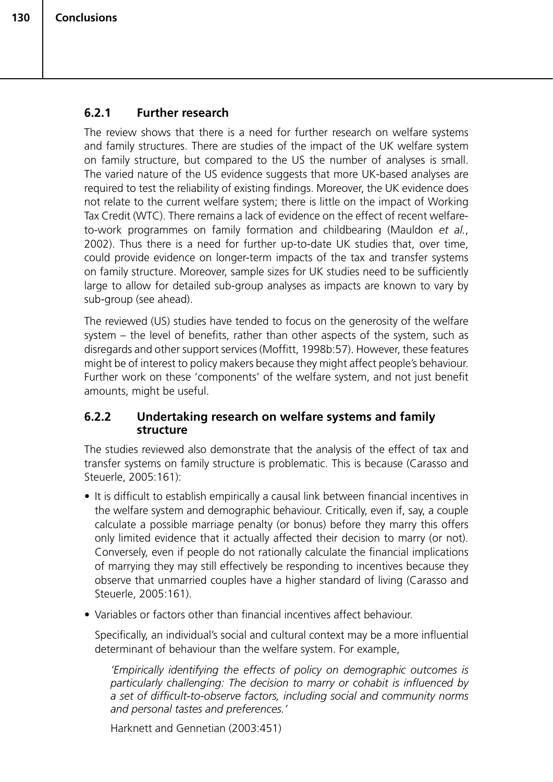## **6.2.1 Further research**

The review shows that there is a need for further research on welfare systems and family structures. There are studies of the impact of the UK welfare system on family structure, but compared to the US the number of analyses is small. The varied nature of the US evidence suggests that more UK-based analyses are required to test the reliability of existing findings. Moreover, the UK evidence does not relate to the current welfare system; there is little on the impact of Working Tax Credit (WTC). There remains a lack of evidence on the effect of recent welfareto-work programmes on family formation and childbearing (Mauldon *et al.*, 2002). Thus there is a need for further up-to-date UK studies that, over time, could provide evidence on longer-term impacts of the tax and transfer systems on family structure. Moreover, sample sizes for UK studies need to be sufficiently large to allow for detailed sub-group analyses as impacts are known to vary by sub-group (see ahead).

The reviewed (US) studies have tended to focus on the generosity of the welfare system – the level of benefits, rather than other aspects of the system, such as disregards and other support services (Moffitt, 1998b:57). However, these features might be of interest to policy makers because they might affect people's behaviour. Further work on these 'components' of the welfare system, and not just benefit amounts, might be useful.

## **6.2.2 Undertaking research on welfare systems and family structure**

The studies reviewed also demonstrate that the analysis of the effect of tax and transfer systems on family structure is problematic. This is because (Carasso and Steuerle, 2005:161):

- It is difficult to establish empirically a causal link between financial incentives in the welfare system and demographic behaviour. Critically, even if, say, a couple calculate a possible marriage penalty (or bonus) before they marry this offers only limited evidence that it actually affected their decision to marry (or not). Conversely, even if people do not rationally calculate the financial implications of marrying they may still effectively be responding to incentives because they observe that unmarried couples have a higher standard of living (Carasso and Steuerle, 2005:161).
- Variables or factors other than financial incentives affect behaviour.

Specifically, an individual's social and cultural context may be a more influential determinant of behaviour than the welfare system. For example,

*'Empirically identifying the effects of policy on demographic outcomes is particularly challenging: The decision to marry or cohabit is influenced by a set of difficult-to-observe factors, including social and community norms and personal tastes and preferences.'*

Harknett and Gennetian (2003:451)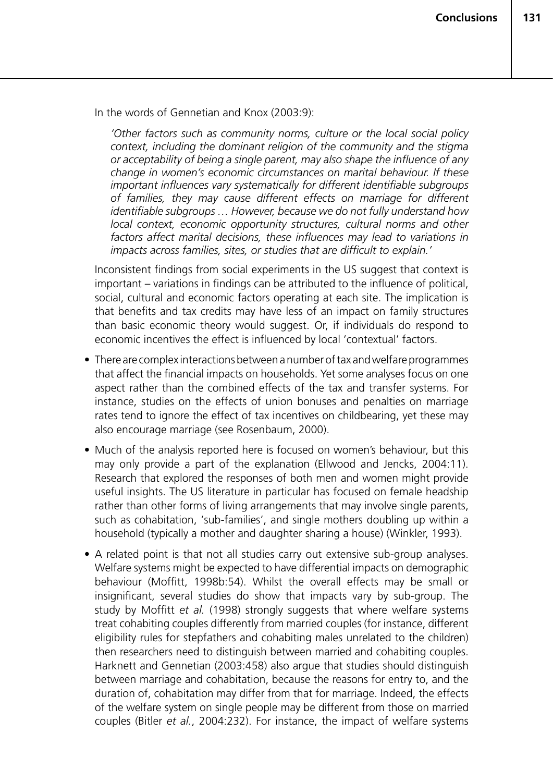In the words of Gennetian and Knox (2003:9):

*'Other factors such as community norms, culture or the local social policy context, including the dominant religion of the community and the stigma or acceptability of being a single parent, may also shape the influence of any change in women's economic circumstances on marital behaviour. If these important influences vary systematically for different identifiable subgroups of families, they may cause different effects on marriage for different identifiable subgroups … However, because we do not fully understand how local context, economic opportunity structures, cultural norms and other*  factors affect marital decisions, these influences may lead to variations in *impacts across families, sites, or studies that are difficult to explain.'*

Inconsistent findings from social experiments in the US suggest that context is important – variations in findings can be attributed to the influence of political, social, cultural and economic factors operating at each site. The implication is that benefits and tax credits may have less of an impact on family structures than basic economic theory would suggest. Or, if individuals do respond to economic incentives the effect is influenced by local 'contextual' factors.

- There are complex interactions between a number of tax and welfare programmes that affect the financial impacts on households. Yet some analyses focus on one aspect rather than the combined effects of the tax and transfer systems. For instance, studies on the effects of union bonuses and penalties on marriage rates tend to ignore the effect of tax incentives on childbearing, yet these may also encourage marriage (see Rosenbaum, 2000).
- Much of the analysis reported here is focused on women's behaviour, but this may only provide a part of the explanation (Ellwood and Jencks, 2004:11). Research that explored the responses of both men and women might provide useful insights. The US literature in particular has focused on female headship rather than other forms of living arrangements that may involve single parents, such as cohabitation, 'sub-families', and single mothers doubling up within a household (typically a mother and daughter sharing a house) (Winkler, 1993).
- A related point is that not all studies carry out extensive sub-group analyses. Welfare systems might be expected to have differential impacts on demographic behaviour (Moffitt, 1998b:54). Whilst the overall effects may be small or insignificant, several studies do show that impacts vary by sub-group. The study by Moffitt *et al.* (1998) strongly suggests that where welfare systems treat cohabiting couples differently from married couples (for instance, different eligibility rules for stepfathers and cohabiting males unrelated to the children) then researchers need to distinguish between married and cohabiting couples. Harknett and Gennetian (2003:458) also argue that studies should distinguish between marriage and cohabitation, because the reasons for entry to, and the duration of, cohabitation may differ from that for marriage. Indeed, the effects of the welfare system on single people may be different from those on married couples (Bitler *et al.*, 2004:232). For instance, the impact of welfare systems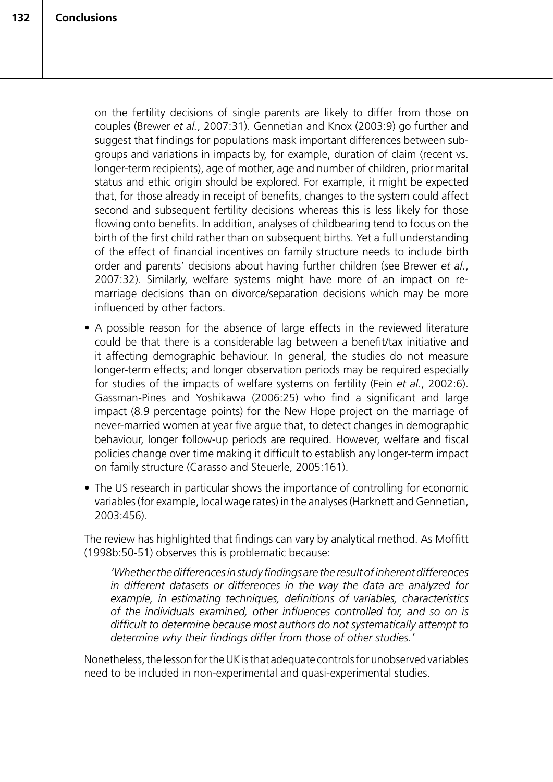on the fertility decisions of single parents are likely to differ from those on couples (Brewer *et al.*, 2007:31). Gennetian and Knox (2003:9) go further and suggest that findings for populations mask important differences between subgroups and variations in impacts by, for example, duration of claim (recent vs. longer-term recipients), age of mother, age and number of children, prior marital status and ethic origin should be explored. For example, it might be expected that, for those already in receipt of benefits, changes to the system could affect second and subsequent fertility decisions whereas this is less likely for those flowing onto benefits. In addition, analyses of childbearing tend to focus on the birth of the first child rather than on subsequent births. Yet a full understanding of the effect of financial incentives on family structure needs to include birth order and parents' decisions about having further children (see Brewer *et al.*, 2007:32). Similarly, welfare systems might have more of an impact on remarriage decisions than on divorce/separation decisions which may be more influenced by other factors.

- A possible reason for the absence of large effects in the reviewed literature could be that there is a considerable lag between a benefit/tax initiative and it affecting demographic behaviour. In general, the studies do not measure longer-term effects; and longer observation periods may be required especially for studies of the impacts of welfare systems on fertility (Fein *et al.*, 2002:6). Gassman-Pines and Yoshikawa (2006:25) who find a significant and large impact (8.9 percentage points) for the New Hope project on the marriage of never-married women at year five argue that, to detect changes in demographic behaviour, longer follow-up periods are required. However, welfare and fiscal policies change over time making it difficult to establish any longer-term impact on family structure (Carasso and Steuerle, 2005:161).
- The US research in particular shows the importance of controlling for economic variables (for example, local wage rates) in the analyses (Harknett and Gennetian, 2003:456).

The review has highlighted that findings can vary by analytical method. As Moffitt (1998b:50-51) observes this is problematic because:

*'Whether the differences in study findings are the result of inherent differences in different datasets or differences in the way the data are analyzed for example, in estimating techniques, definitions of variables, characteristics of the individuals examined, other influences controlled for, and so on is difficult to determine because most authors do not systematically attempt to determine why their findings differ from those of other studies.'*

Nonetheless, the lesson for the UK is that adequate controls for unobserved variables need to be included in non-experimental and quasi-experimental studies.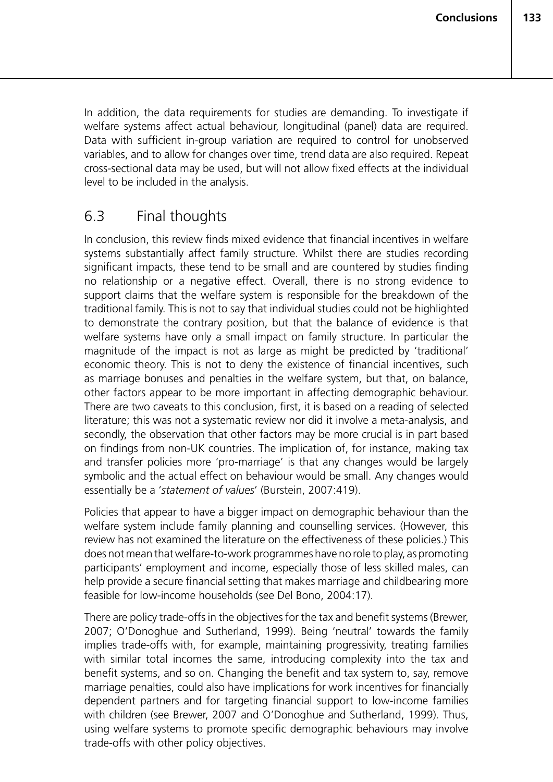In addition, the data requirements for studies are demanding. To investigate if welfare systems affect actual behaviour, longitudinal (panel) data are required. Data with sufficient in-group variation are required to control for unobserved variables, and to allow for changes over time, trend data are also required. Repeat cross-sectional data may be used, but will not allow fixed effects at the individual level to be included in the analysis.

## 6.3 Final thoughts

In conclusion, this review finds mixed evidence that financial incentives in welfare systems substantially affect family structure. Whilst there are studies recording significant impacts, these tend to be small and are countered by studies finding no relationship or a negative effect. Overall, there is no strong evidence to support claims that the welfare system is responsible for the breakdown of the traditional family. This is not to say that individual studies could not be highlighted to demonstrate the contrary position, but that the balance of evidence is that welfare systems have only a small impact on family structure. In particular the magnitude of the impact is not as large as might be predicted by 'traditional' economic theory. This is not to deny the existence of financial incentives, such as marriage bonuses and penalties in the welfare system, but that, on balance, other factors appear to be more important in affecting demographic behaviour. There are two caveats to this conclusion, first, it is based on a reading of selected literature; this was not a systematic review nor did it involve a meta-analysis, and secondly, the observation that other factors may be more crucial is in part based on findings from non-UK countries. The implication of, for instance, making tax and transfer policies more 'pro-marriage' is that any changes would be largely symbolic and the actual effect on behaviour would be small. Any changes would essentially be a '*statement of values*' (Burstein, 2007:419).

Policies that appear to have a bigger impact on demographic behaviour than the welfare system include family planning and counselling services. (However, this review has not examined the literature on the effectiveness of these policies.) This does not mean that welfare-to-work programmes have no role to play, as promoting participants' employment and income, especially those of less skilled males, can help provide a secure financial setting that makes marriage and childbearing more feasible for low-income households (see Del Bono, 2004:17).

There are policy trade-offs in the objectives for the tax and benefit systems (Brewer, 2007; O'Donoghue and Sutherland, 1999). Being 'neutral' towards the family implies trade-offs with, for example, maintaining progressivity, treating families with similar total incomes the same, introducing complexity into the tax and benefit systems, and so on. Changing the benefit and tax system to, say, remove marriage penalties, could also have implications for work incentives for financially dependent partners and for targeting financial support to low-income families with children (see Brewer, 2007 and O'Donoghue and Sutherland, 1999). Thus, using welfare systems to promote specific demographic behaviours may involve trade-offs with other policy objectives.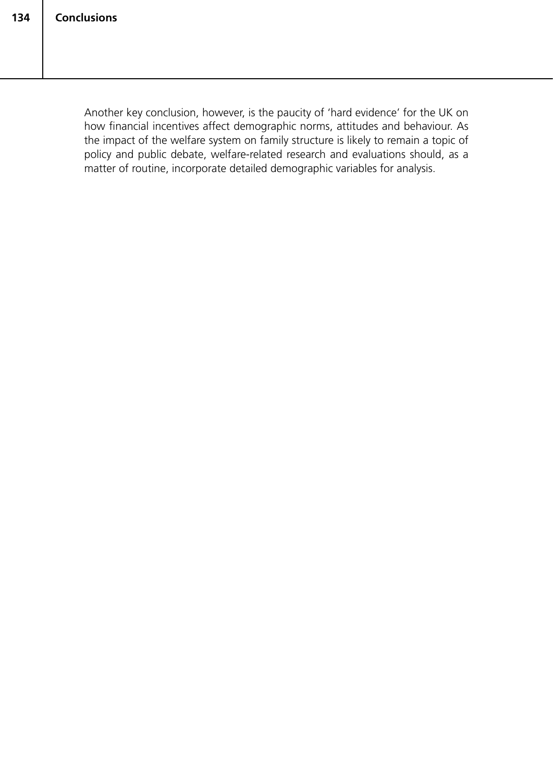Another key conclusion, however, is the paucity of 'hard evidence' for the UK on how financial incentives affect demographic norms, attitudes and behaviour. As the impact of the welfare system on family structure is likely to remain a topic of policy and public debate, welfare-related research and evaluations should, as a matter of routine, incorporate detailed demographic variables for analysis.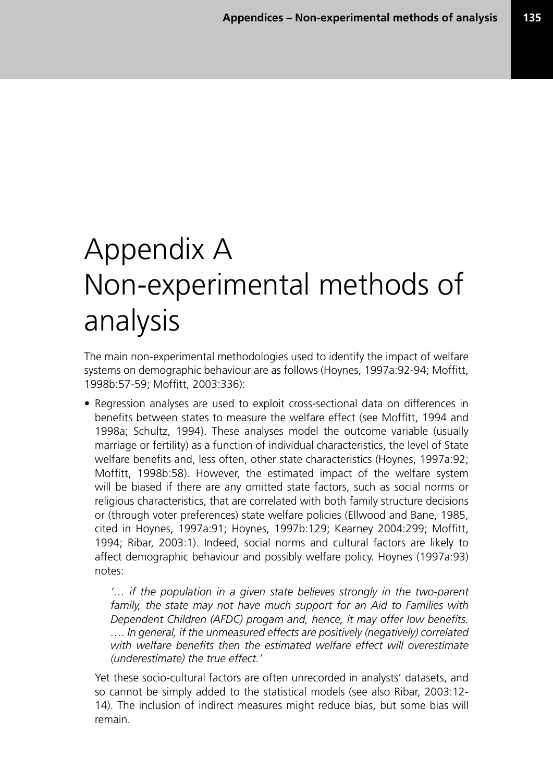# Appendix A Non-experimental methods of analysis

The main non-experimental methodologies used to identify the impact of welfare systems on demographic behaviour are as follows (Hoynes, 1997a:92-94; Moffitt, 1998b:57-59; Moffitt, 2003:336):

• Regression analyses are used to exploit cross-sectional data on differences in benefits between states to measure the welfare effect (see Moffitt, 1994 and 1998a; Schultz, 1994). These analyses model the outcome variable (usually marriage or fertility) as a function of individual characteristics, the level of State welfare benefits and, less often, other state characteristics (Hoynes, 1997a:92; Moffitt, 1998b:58). However, the estimated impact of the welfare system will be biased if there are any omitted state factors, such as social norms or religious characteristics, that are correlated with both family structure decisions or (through voter preferences) state welfare policies (Ellwood and Bane, 1985, cited in Hoynes, 1997a:91; Hoynes, 1997b:129; Kearney 2004:299; Moffitt, 1994; Ribar, 2003:1). Indeed, social norms and cultural factors are likely to affect demographic behaviour and possibly welfare policy. Hoynes (1997a:93) notes:

*'… if the population in a given state believes strongly in the two-parent family, the state may not have much support for an Aid to Families with Dependent Children (AFDC) progam and, hence, it may offer low benefits.*  .... In general, if the unmeasured effects are positively (negatively) correlated with welfare benefits then the estimated welfare effect will overestimate *(underestimate) the true effect.'*

Yet these socio-cultural factors are often unrecorded in analysts' datasets, and so cannot be simply added to the statistical models (see also Ribar, 2003:12- 14). The inclusion of indirect measures might reduce bias, but some bias will remain.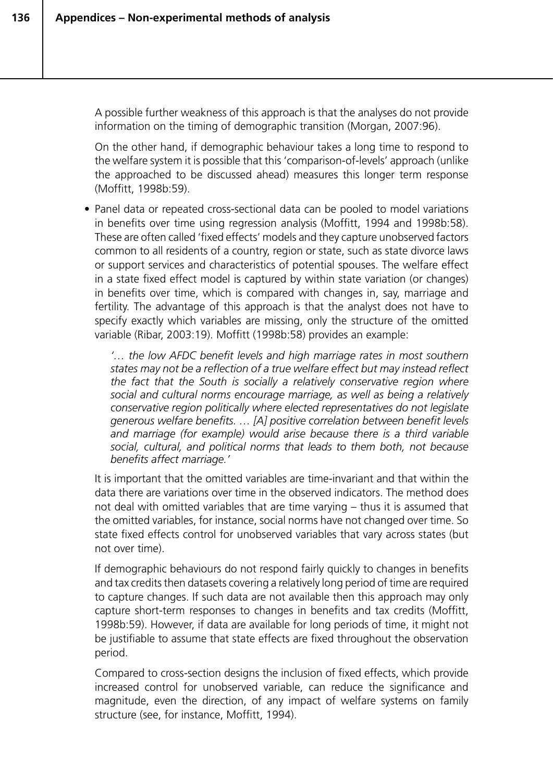A possible further weakness of this approach is that the analyses do not provide information on the timing of demographic transition (Morgan, 2007:96).

On the other hand, if demographic behaviour takes a long time to respond to the welfare system it is possible that this 'comparison-of-levels' approach (unlike the approached to be discussed ahead) measures this longer term response (Moffitt, 1998b:59).

• Panel data or repeated cross-sectional data can be pooled to model variations in benefits over time using regression analysis (Moffitt, 1994 and 1998b:58). These are often called 'fixed effects' models and they capture unobserved factors common to all residents of a country, region or state, such as state divorce laws or support services and characteristics of potential spouses. The welfare effect in a state fixed effect model is captured by within state variation (or changes) in benefits over time, which is compared with changes in, say, marriage and fertility. The advantage of this approach is that the analyst does not have to specify exactly which variables are missing, only the structure of the omitted variable (Ribar, 2003:19). Moffitt (1998b:58) provides an example:

*'… the low AFDC benefit levels and high marriage rates in most southern states may not be a reflection of a true welfare effect but may instead reflect the fact that the South is socially a relatively conservative region where social and cultural norms encourage marriage, as well as being a relatively conservative region politically where elected representatives do not legislate generous welfare benefits. … [A] positive correlation between benefit levels and marriage (for example) would arise because there is a third variable social, cultural, and political norms that leads to them both, not because benefits affect marriage.'*

It is important that the omitted variables are time-invariant and that within the data there are variations over time in the observed indicators. The method does not deal with omitted variables that are time varying – thus it is assumed that the omitted variables, for instance, social norms have not changed over time. So state fixed effects control for unobserved variables that vary across states (but not over time).

If demographic behaviours do not respond fairly quickly to changes in benefits and tax credits then datasets covering a relatively long period of time are required to capture changes. If such data are not available then this approach may only capture short-term responses to changes in benefits and tax credits (Moffitt, 1998b:59). However, if data are available for long periods of time, it might not be justifiable to assume that state effects are fixed throughout the observation period.

Compared to cross-section designs the inclusion of fixed effects, which provide increased control for unobserved variable, can reduce the significance and magnitude, even the direction, of any impact of welfare systems on family structure (see, for instance, Moffitt, 1994).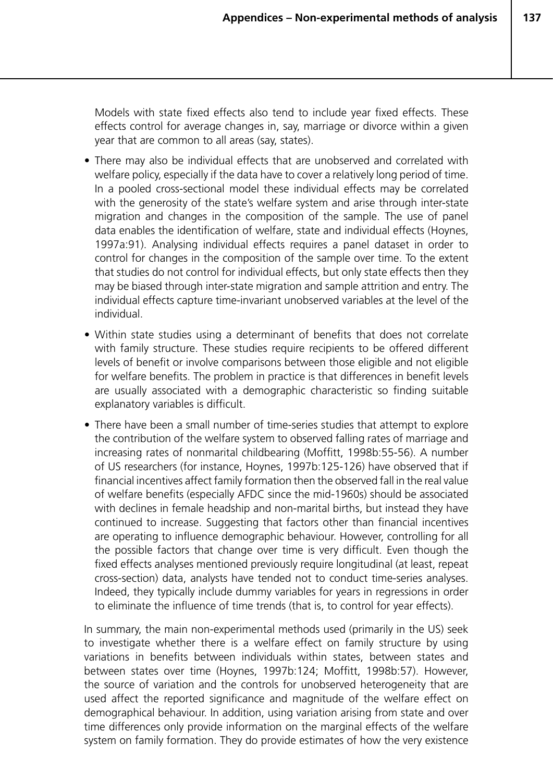**137**

Models with state fixed effects also tend to include year fixed effects. These effects control for average changes in, say, marriage or divorce within a given year that are common to all areas (say, states).

- There may also be individual effects that are unobserved and correlated with welfare policy, especially if the data have to cover a relatively long period of time. In a pooled cross-sectional model these individual effects may be correlated with the generosity of the state's welfare system and arise through inter-state migration and changes in the composition of the sample. The use of panel data enables the identification of welfare, state and individual effects (Hoynes, 1997a:91). Analysing individual effects requires a panel dataset in order to control for changes in the composition of the sample over time. To the extent that studies do not control for individual effects, but only state effects then they may be biased through inter-state migration and sample attrition and entry. The individual effects capture time-invariant unobserved variables at the level of the individual.
- Within state studies using a determinant of benefits that does not correlate with family structure. These studies require recipients to be offered different levels of benefit or involve comparisons between those eligible and not eligible for welfare benefits. The problem in practice is that differences in benefit levels are usually associated with a demographic characteristic so finding suitable explanatory variables is difficult.
- There have been a small number of time-series studies that attempt to explore the contribution of the welfare system to observed falling rates of marriage and increasing rates of nonmarital childbearing (Moffitt, 1998b:55-56). A number of US researchers (for instance, Hoynes, 1997b:125-126) have observed that if financial incentives affect family formation then the observed fall in the real value of welfare benefits (especially AFDC since the mid-1960s) should be associated with declines in female headship and non-marital births, but instead they have continued to increase. Suggesting that factors other than financial incentives are operating to influence demographic behaviour. However, controlling for all the possible factors that change over time is very difficult. Even though the fixed effects analyses mentioned previously require longitudinal (at least, repeat cross-section) data, analysts have tended not to conduct time-series analyses. Indeed, they typically include dummy variables for years in regressions in order to eliminate the influence of time trends (that is, to control for year effects).

In summary, the main non-experimental methods used (primarily in the US) seek to investigate whether there is a welfare effect on family structure by using variations in benefits between individuals within states, between states and between states over time (Hoynes, 1997b:124; Moffitt, 1998b:57). However, the source of variation and the controls for unobserved heterogeneity that are used affect the reported significance and magnitude of the welfare effect on demographical behaviour. In addition, using variation arising from state and over time differences only provide information on the marginal effects of the welfare system on family formation. They do provide estimates of how the very existence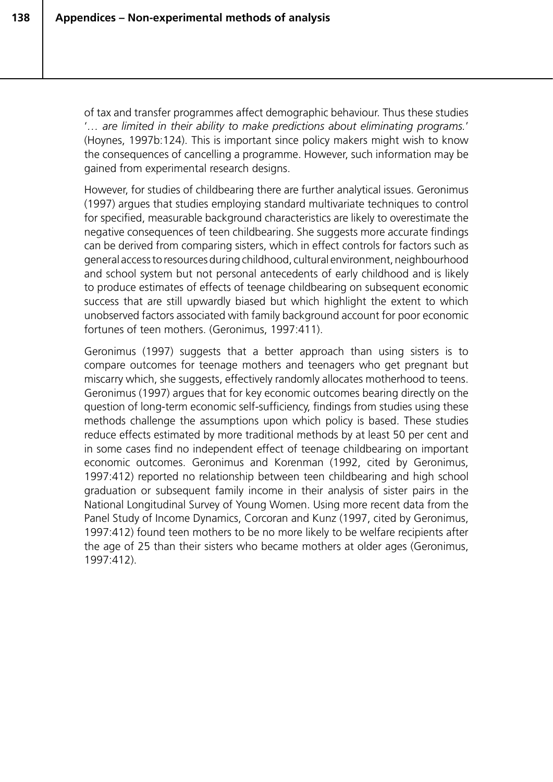of tax and transfer programmes affect demographic behaviour. Thus these studies '*… are limited in their ability to make predictions about eliminating programs.*' (Hoynes, 1997b:124). This is important since policy makers might wish to know the consequences of cancelling a programme. However, such information may be gained from experimental research designs.

However, for studies of childbearing there are further analytical issues. Geronimus (1997) argues that studies employing standard multivariate techniques to control for specified, measurable background characteristics are likely to overestimate the negative consequences of teen childbearing. She suggests more accurate findings can be derived from comparing sisters, which in effect controls for factors such as general access to resources during childhood, cultural environment, neighbourhood and school system but not personal antecedents of early childhood and is likely to produce estimates of effects of teenage childbearing on subsequent economic success that are still upwardly biased but which highlight the extent to which unobserved factors associated with family background account for poor economic fortunes of teen mothers. (Geronimus, 1997:411).

Geronimus (1997) suggests that a better approach than using sisters is to compare outcomes for teenage mothers and teenagers who get pregnant but miscarry which, she suggests, effectively randomly allocates motherhood to teens. Geronimus (1997) argues that for key economic outcomes bearing directly on the question of long-term economic self-sufficiency, findings from studies using these methods challenge the assumptions upon which policy is based. These studies reduce effects estimated by more traditional methods by at least 50 per cent and in some cases find no independent effect of teenage childbearing on important economic outcomes. Geronimus and Korenman (1992, cited by Geronimus, 1997:412) reported no relationship between teen childbearing and high school graduation or subsequent family income in their analysis of sister pairs in the National Longitudinal Survey of Young Women. Using more recent data from the Panel Study of Income Dynamics, Corcoran and Kunz (1997, cited by Geronimus, 1997:412) found teen mothers to be no more likely to be welfare recipients after the age of 25 than their sisters who became mothers at older ages (Geronimus, 1997:412).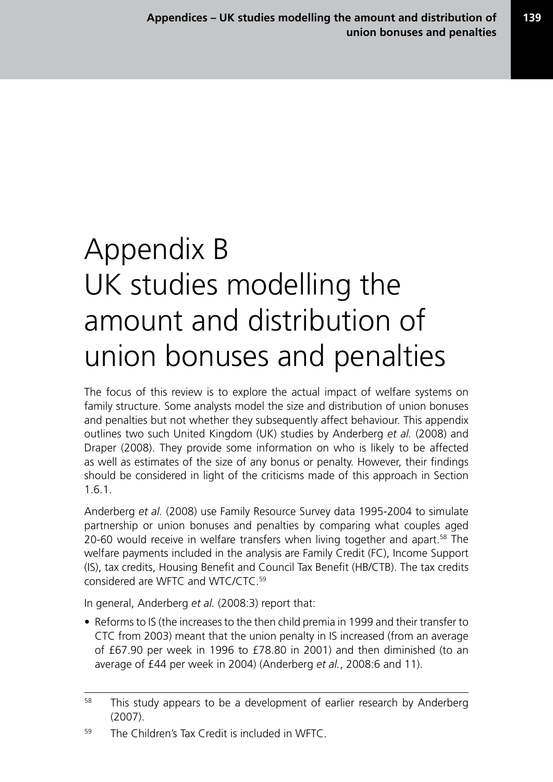### Appendix B UK studies modelling the amount and distribution of union bonuses and penalties

The focus of this review is to explore the actual impact of welfare systems on family structure. Some analysts model the size and distribution of union bonuses and penalties but not whether they subsequently affect behaviour. This appendix outlines two such United Kingdom (UK) studies by Anderberg *et al.* (2008) and Draper (2008). They provide some information on who is likely to be affected as well as estimates of the size of any bonus or penalty. However, their findings should be considered in light of the criticisms made of this approach in Section 1.6.1.

Anderberg *et al.* (2008) use Family Resource Survey data 1995-2004 to simulate partnership or union bonuses and penalties by comparing what couples aged 20-60 would receive in welfare transfers when living together and apart.<sup>58</sup> The welfare payments included in the analysis are Family Credit (FC), Income Support (IS), tax credits, Housing Benefit and Council Tax Benefit (HB/CTB). The tax credits considered are WFTC and WTC/CTC.59

In general, Anderberg *et al.* (2008:3) report that:

• Reforms to IS (the increases to the then child premia in 1999 and their transfer to CTC from 2003) meant that the union penalty in IS increased (from an average of £67.90 per week in 1996 to £78.80 in 2001) and then diminished (to an average of £44 per week in 2004) (Anderberg *et al.*, 2008:6 and 11).

<sup>&</sup>lt;sup>58</sup> This study appears to be a development of earlier research by Anderberg (2007).

<sup>59</sup> The Children's Tax Credit is included in WFTC.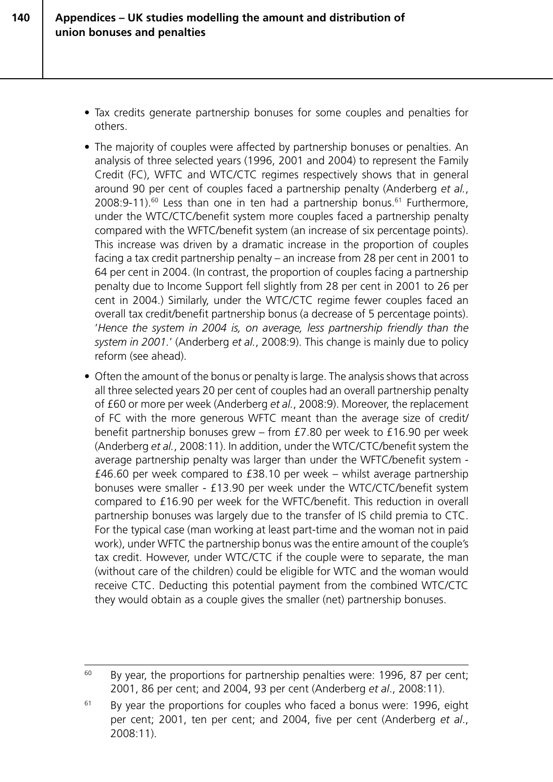- Tax credits generate partnership bonuses for some couples and penalties for others.
- The majority of couples were affected by partnership bonuses or penalties. An analysis of three selected years (1996, 2001 and 2004) to represent the Family Credit (FC), WFTC and WTC/CTC regimes respectively shows that in general around 90 per cent of couples faced a partnership penalty (Anderberg *et al.*,  $2008:9-11$ <sup>60</sup> Less than one in ten had a partnership bonus.<sup>61</sup> Furthermore, under the WTC/CTC/benefit system more couples faced a partnership penalty compared with the WFTC/benefit system (an increase of six percentage points). This increase was driven by a dramatic increase in the proportion of couples facing a tax credit partnership penalty – an increase from 28 per cent in 2001 to 64 per cent in 2004. (In contrast, the proportion of couples facing a partnership penalty due to Income Support fell slightly from 28 per cent in 2001 to 26 per cent in 2004.) Similarly, under the WTC/CTC regime fewer couples faced an overall tax credit/benefit partnership bonus (a decrease of 5 percentage points). '*Hence the system in 2004 is, on average, less partnership friendly than the system in 2001.*' (Anderberg *et al.*, 2008:9). This change is mainly due to policy reform (see ahead).
- Often the amount of the bonus or penalty is large. The analysis shows that across all three selected years 20 per cent of couples had an overall partnership penalty of £60 or more per week (Anderberg *et al.*, 2008:9). Moreover, the replacement of FC with the more generous WFTC meant than the average size of credit/ benefit partnership bonuses grew – from £7.80 per week to £16.90 per week (Anderberg *et al.*, 2008:11). In addition, under the WTC/CTC/benefit system the average partnership penalty was larger than under the WFTC/benefit system - £46.60 per week compared to £38.10 per week – whilst average partnership bonuses were smaller - £13.90 per week under the WTC/CTC/benefit system compared to £16.90 per week for the WFTC/benefit. This reduction in overall partnership bonuses was largely due to the transfer of IS child premia to CTC. For the typical case (man working at least part-time and the woman not in paid work), under WFTC the partnership bonus was the entire amount of the couple's tax credit. However, under WTC/CTC if the couple were to separate, the man (without care of the children) could be eligible for WTC and the woman would receive CTC. Deducting this potential payment from the combined WTC/CTC they would obtain as a couple gives the smaller (net) partnership bonuses.

 $60$  By year, the proportions for partnership penalties were: 1996, 87 per cent; 2001, 86 per cent; and 2004, 93 per cent (Anderberg *et al*., 2008:11).

 $61$  By year the proportions for couples who faced a bonus were: 1996, eight per cent; 2001, ten per cent; and 2004, five per cent (Anderberg *et al*., 2008:11).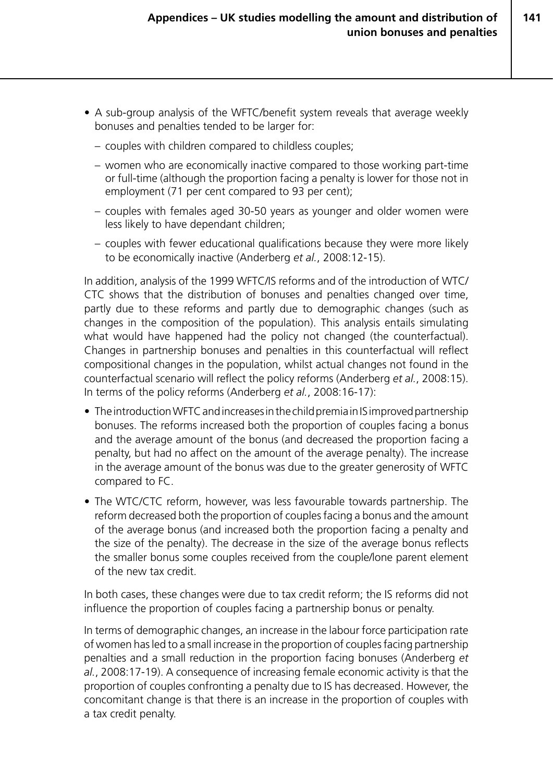**141**

- A sub-group analysis of the WFTC/benefit system reveals that average weekly bonuses and penalties tended to be larger for:
	- couples with children compared to childless couples;
	- women who are economically inactive compared to those working part-time or full-time (although the proportion facing a penalty is lower for those not in employment (71 per cent compared to 93 per cent);
	- couples with females aged 30-50 years as younger and older women were less likely to have dependant children;
	- couples with fewer educational qualifications because they were more likely to be economically inactive (Anderberg *et al.*, 2008:12-15).

In addition, analysis of the 1999 WFTC/IS reforms and of the introduction of WTC/ CTC shows that the distribution of bonuses and penalties changed over time, partly due to these reforms and partly due to demographic changes (such as changes in the composition of the population). This analysis entails simulating what would have happened had the policy not changed (the counterfactual). Changes in partnership bonuses and penalties in this counterfactual will reflect compositional changes in the population, whilst actual changes not found in the counterfactual scenario will reflect the policy reforms (Anderberg *et al.*, 2008:15). In terms of the policy reforms (Anderberg *et al.*, 2008:16-17):

- The introduction WFTC and increases in the child premia in IS improved partnership bonuses. The reforms increased both the proportion of couples facing a bonus and the average amount of the bonus (and decreased the proportion facing a penalty, but had no affect on the amount of the average penalty). The increase in the average amount of the bonus was due to the greater generosity of WFTC compared to FC.
- The WTC/CTC reform, however, was less favourable towards partnership. The reform decreased both the proportion of couples facing a bonus and the amount of the average bonus (and increased both the proportion facing a penalty and the size of the penalty). The decrease in the size of the average bonus reflects the smaller bonus some couples received from the couple/lone parent element of the new tax credit.

In both cases, these changes were due to tax credit reform; the IS reforms did not influence the proportion of couples facing a partnership bonus or penalty.

In terms of demographic changes, an increase in the labour force participation rate of women has led to a small increase in the proportion of couples facing partnership penalties and a small reduction in the proportion facing bonuses (Anderberg *et al.*, 2008:17-19). A consequence of increasing female economic activity is that the proportion of couples confronting a penalty due to IS has decreased. However, the concomitant change is that there is an increase in the proportion of couples with a tax credit penalty.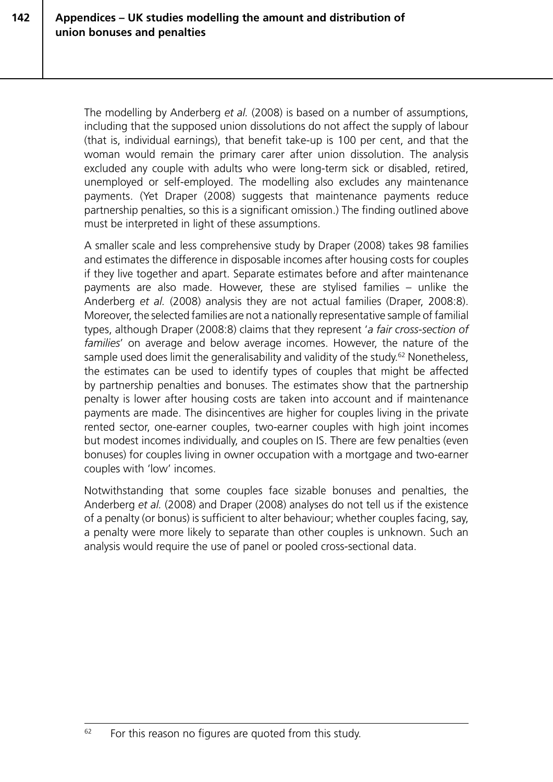The modelling by Anderberg *et al.* (2008) is based on a number of assumptions, including that the supposed union dissolutions do not affect the supply of labour (that is, individual earnings), that benefit take-up is 100 per cent, and that the woman would remain the primary carer after union dissolution. The analysis excluded any couple with adults who were long-term sick or disabled, retired, unemployed or self-employed. The modelling also excludes any maintenance payments. (Yet Draper (2008) suggests that maintenance payments reduce partnership penalties, so this is a significant omission.) The finding outlined above must be interpreted in light of these assumptions.

A smaller scale and less comprehensive study by Draper (2008) takes 98 families and estimates the difference in disposable incomes after housing costs for couples if they live together and apart. Separate estimates before and after maintenance payments are also made. However, these are stylised families – unlike the Anderberg *et al.* (2008) analysis they are not actual families (Draper, 2008:8). Moreover, the selected families are not a nationally representative sample of familial types, although Draper (2008:8) claims that they represent '*a fair cross-section of families*' on average and below average incomes. However, the nature of the sample used does limit the generalisability and validity of the study.<sup>62</sup> Nonetheless, the estimates can be used to identify types of couples that might be affected by partnership penalties and bonuses. The estimates show that the partnership penalty is lower after housing costs are taken into account and if maintenance payments are made. The disincentives are higher for couples living in the private rented sector, one-earner couples, two-earner couples with high joint incomes but modest incomes individually, and couples on IS. There are few penalties (even bonuses) for couples living in owner occupation with a mortgage and two-earner couples with 'low' incomes.

Notwithstanding that some couples face sizable bonuses and penalties, the Anderberg *et al.* (2008) and Draper (2008) analyses do not tell us if the existence of a penalty (or bonus) is sufficient to alter behaviour; whether couples facing, say, a penalty were more likely to separate than other couples is unknown. Such an analysis would require the use of panel or pooled cross-sectional data.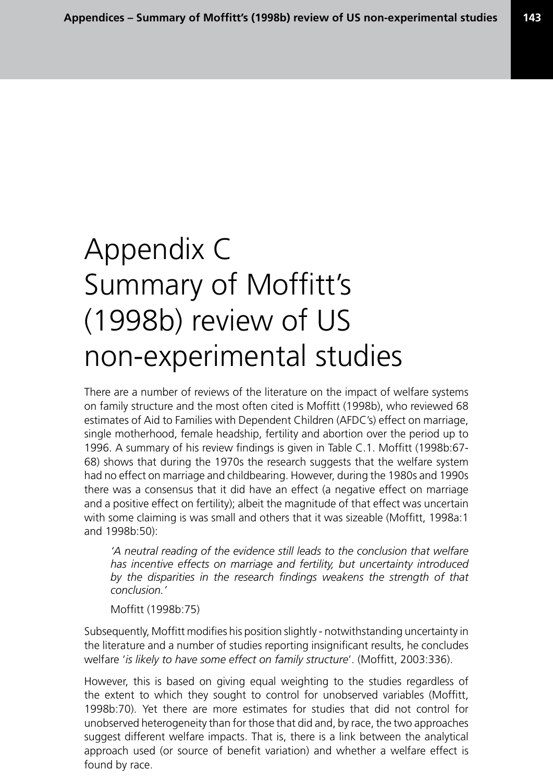#### Appendix C Summary of Moffitt's (1998b) review of US non-experimental studies

There are a number of reviews of the literature on the impact of welfare systems on family structure and the most often cited is Moffitt (1998b), who reviewed 68 estimates of Aid to Families with Dependent Children (AFDC's) effect on marriage, single motherhood, female headship, fertility and abortion over the period up to 1996. A summary of his review findings is given in Table C.1. Moffitt (1998b:67- 68) shows that during the 1970s the research suggests that the welfare system had no effect on marriage and childbearing. However, during the 1980s and 1990s there was a consensus that it did have an effect (a negative effect on marriage and a positive effect on fertility); albeit the magnitude of that effect was uncertain with some claiming is was small and others that it was sizeable (Moffitt, 1998a:1 and 1998b:50):

*'A neutral reading of the evidence still leads to the conclusion that welfare has incentive effects on marriage and fertility, but uncertainty introduced by the disparities in the research findings weakens the strength of that conclusion.'*

Moffitt (1998b:75)

Subsequently, Moffitt modifies his position slightly - notwithstanding uncertainty in the literature and a number of studies reporting insignificant results, he concludes welfare '*is likely to have some effect on family structure*'. (Moffitt, 2003:336).

However, this is based on giving equal weighting to the studies regardless of the extent to which they sought to control for unobserved variables (Moffitt, 1998b:70). Yet there are more estimates for studies that did not control for unobserved heterogeneity than for those that did and, by race, the two approaches suggest different welfare impacts. That is, there is a link between the analytical approach used (or source of benefit variation) and whether a welfare effect is found by race.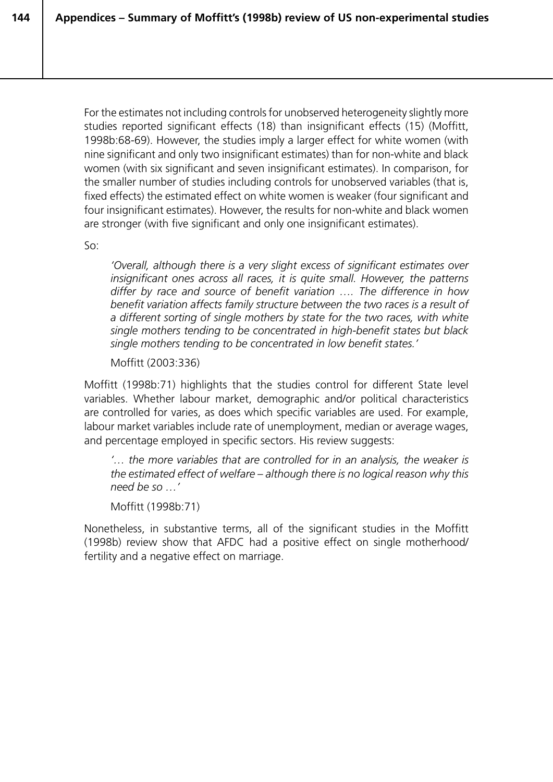For the estimates not including controls for unobserved heterogeneity slightly more studies reported significant effects (18) than insignificant effects (15) (Moffitt, 1998b:68-69). However, the studies imply a larger effect for white women (with nine significant and only two insignificant estimates) than for non-white and black women (with six significant and seven insignificant estimates). In comparison, for the smaller number of studies including controls for unobserved variables (that is, fixed effects) the estimated effect on white women is weaker (four significant and four insignificant estimates). However, the results for non-white and black women are stronger (with five significant and only one insignificant estimates).

So:

*'Overall, although there is a very slight excess of significant estimates over insignificant ones across all races, it is quite small. However, the patterns differ by race and source of benefit variation …. The difference in how benefit variation affects family structure between the two races is a result of*  a different sorting of single mothers by state for the two races, with white *single mothers tending to be concentrated in high-benefit states but black single mothers tending to be concentrated in low benefit states.'*

Moffitt (2003:336)

Moffitt (1998b:71) highlights that the studies control for different State level variables. Whether labour market, demographic and/or political characteristics are controlled for varies, as does which specific variables are used. For example, labour market variables include rate of unemployment, median or average wages, and percentage employed in specific sectors. His review suggests:

*'… the more variables that are controlled for in an analysis, the weaker is the estimated effect of welfare* – *although there is no logical reason why this need be so …'*

Moffitt (1998b:71)

Nonetheless, in substantive terms, all of the significant studies in the Moffitt (1998b) review show that AFDC had a positive effect on single motherhood/ fertility and a negative effect on marriage.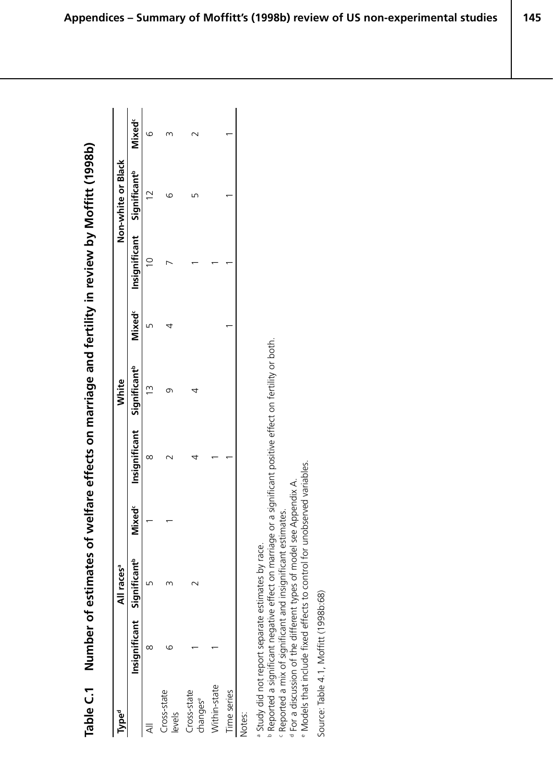| mates of welfare effects on marriage and fertility in review by Moffitt (13. |
|------------------------------------------------------------------------------|
|                                                                              |
|                                                                              |
|                                                                              |
|                                                                              |
|                                                                              |
|                                                                              |

| lype <sup>d</sup>                   |                                        | All races <sup>a</sup> |      |                                        | White |                                                                              | Non-white or Black |   |
|-------------------------------------|----------------------------------------|------------------------|------|----------------------------------------|-------|------------------------------------------------------------------------------|--------------------|---|
|                                     | Insignificant Significant <sup>b</sup> |                        | Mixe | Insignificant Significant <sup>b</sup> |       | Mixed <sup>c</sup> Insignificant Significant <sup>e</sup> Mixed <sup>c</sup> |                    |   |
|                                     |                                        |                        |      |                                        |       |                                                                              |                    |   |
| Cross-state<br>levels               |                                        |                        |      |                                        |       |                                                                              |                    |   |
| Cross-state<br>changes <sup>e</sup> |                                        |                        |      |                                        | 4     |                                                                              |                    | ┌ |
| Nithin-state                        |                                        |                        |      |                                        |       |                                                                              |                    |   |
| ime series                          |                                        |                        |      |                                        |       |                                                                              |                    |   |
| <b>Jotes:</b>                       |                                        |                        |      |                                        |       |                                                                              |                    |   |

<sup>a</sup> Study did not report separate estimates by race. a Study did not report separate estimates by race.

<sup>b</sup> Reported a significant negative effect on marriage or a significant positive effect on fertility or both. b Reported a significant negative effect on marriage or a significant positive effect on fertility or both.

c Reported a mix of significant and insignificant estimates. <sup>c</sup> Reported a mix of significant and insignificant estimates.

d For a discussion of the different types of model see Appendix A.

<sup>d</sup> For a discussion of the different types of model see Appendix A.<br>• Models that include fixed effects to control for unobserved variables. e Models that include fixed effects to control for unobserved variables.

Source: Table 4.1, Moffitt (1998b:68) Source: Table 4.1, Moffitt (1998b:68)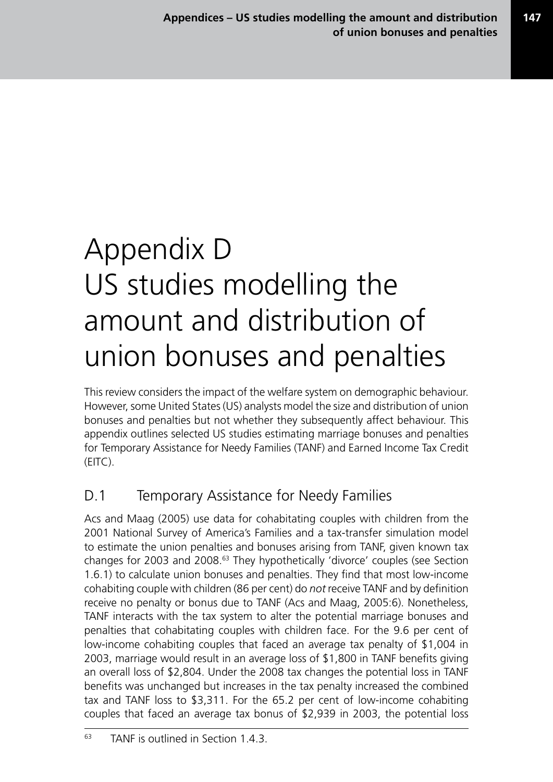# Appendix D US studies modelling the amount and distribution of union bonuses and penalties

This review considers the impact of the welfare system on demographic behaviour. However, some United States (US) analysts model the size and distribution of union bonuses and penalties but not whether they subsequently affect behaviour. This appendix outlines selected US studies estimating marriage bonuses and penalties for Temporary Assistance for Needy Families (TANF) and Earned Income Tax Credit (EITC).

#### D.1 Temporary Assistance for Needy Families

Acs and Maag (2005) use data for cohabitating couples with children from the 2001 National Survey of America's Families and a tax-transfer simulation model to estimate the union penalties and bonuses arising from TANF, given known tax changes for 2003 and 2008.63 They hypothetically 'divorce' couples (see Section 1.6.1) to calculate union bonuses and penalties. They find that most low-income cohabiting couple with children (86 per cent) do *not* receive TANF and by definition receive no penalty or bonus due to TANF (Acs and Maag, 2005:6). Nonetheless, TANF interacts with the tax system to alter the potential marriage bonuses and penalties that cohabitating couples with children face. For the 9.6 per cent of low-income cohabiting couples that faced an average tax penalty of \$1,004 in 2003, marriage would result in an average loss of \$1,800 in TANF benefits giving an overall loss of \$2,804. Under the 2008 tax changes the potential loss in TANF benefits was unchanged but increases in the tax penalty increased the combined tax and TANF loss to \$3,311. For the 65.2 per cent of low-income cohabiting couples that faced an average tax bonus of \$2,939 in 2003, the potential loss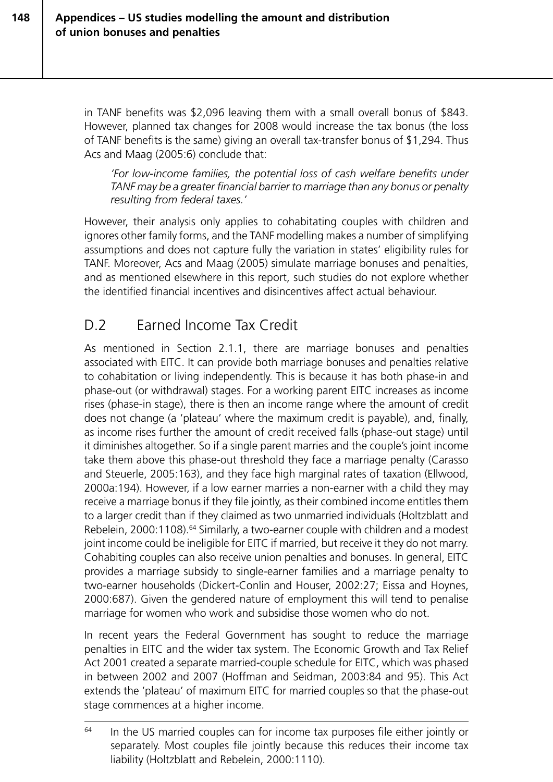in TANF benefits was \$2,096 leaving them with a small overall bonus of \$843. However, planned tax changes for 2008 would increase the tax bonus (the loss of TANF benefits is the same) giving an overall tax-transfer bonus of \$1,294. Thus Acs and Maag (2005:6) conclude that:

*'For low-income families, the potential loss of cash welfare benefits under TANF may be a greater financial barrier to marriage than any bonus or penalty resulting from federal taxes.'*

However, their analysis only applies to cohabitating couples with children and ignores other family forms, and the TANF modelling makes a number of simplifying assumptions and does not capture fully the variation in states' eligibility rules for TANF. Moreover, Acs and Maag (2005) simulate marriage bonuses and penalties, and as mentioned elsewhere in this report, such studies do not explore whether the identified financial incentives and disincentives affect actual behaviour.

#### D.2 Earned Income Tax Credit

As mentioned in Section 2.1.1, there are marriage bonuses and penalties associated with EITC. It can provide both marriage bonuses and penalties relative to cohabitation or living independently. This is because it has both phase-in and phase-out (or withdrawal) stages. For a working parent EITC increases as income rises (phase-in stage), there is then an income range where the amount of credit does not change (a 'plateau' where the maximum credit is payable), and, finally, as income rises further the amount of credit received falls (phase-out stage) until it diminishes altogether. So if a single parent marries and the couple's joint income take them above this phase-out threshold they face a marriage penalty (Carasso and Steuerle, 2005:163), and they face high marginal rates of taxation (Ellwood, 2000a:194). However, if a low earner marries a non-earner with a child they may receive a marriage bonus if they file jointly, as their combined income entitles them to a larger credit than if they claimed as two unmarried individuals (Holtzblatt and Rebelein, 2000:1108).<sup>64</sup> Similarly, a two-earner couple with children and a modest joint income could be ineligible for EITC if married, but receive it they do not marry. Cohabiting couples can also receive union penalties and bonuses. In general, EITC provides a marriage subsidy to single-earner families and a marriage penalty to two-earner households (Dickert-Conlin and Houser, 2002:27; Eissa and Hoynes, 2000:687). Given the gendered nature of employment this will tend to penalise marriage for women who work and subsidise those women who do not.

In recent years the Federal Government has sought to reduce the marriage penalties in EITC and the wider tax system. The Economic Growth and Tax Relief Act 2001 created a separate married-couple schedule for EITC, which was phased in between 2002 and 2007 (Hoffman and Seidman, 2003:84 and 95). This Act extends the 'plateau' of maximum EITC for married couples so that the phase-out stage commences at a higher income.

 $64$  In the US married couples can for income tax purposes file either jointly or separately. Most couples file jointly because this reduces their income tax liability (Holtzblatt and Rebelein, 2000:1110).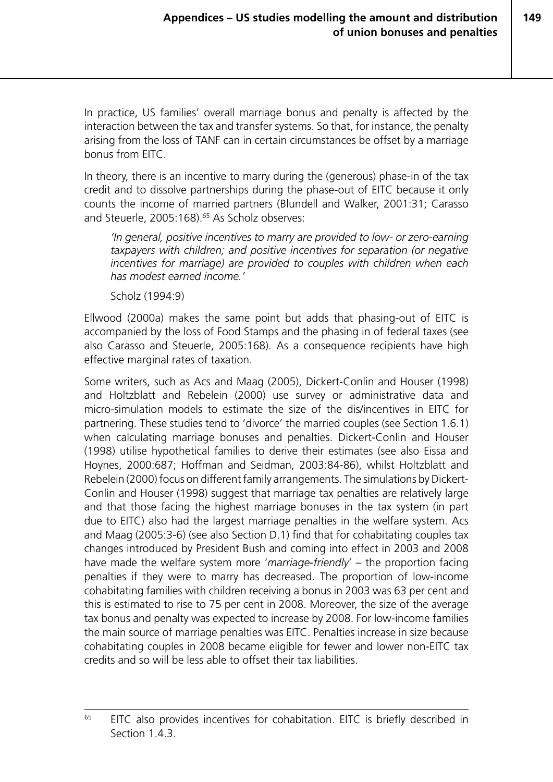In practice, US families' overall marriage bonus and penalty is affected by the interaction between the tax and transfer systems. So that, for instance, the penalty arising from the loss of TANF can in certain circumstances be offset by a marriage bonus from EITC.

In theory, there is an incentive to marry during the (generous) phase-in of the tax credit and to dissolve partnerships during the phase-out of EITC because it only counts the income of married partners (Blundell and Walker, 2001:31; Carasso and Steuerle, 2005:168).<sup>65</sup> As Scholz observes:

*'In general, positive incentives to marry are provided to low- or zero-earning taxpayers with children; and positive incentives for separation (or negative incentives for marriage) are provided to couples with children when each has modest earned income.'*

Scholz (1994:9)

Ellwood (2000a) makes the same point but adds that phasing-out of EITC is accompanied by the loss of Food Stamps and the phasing in of federal taxes (see also Carasso and Steuerle, 2005:168). As a consequence recipients have high effective marginal rates of taxation.

Some writers, such as Acs and Maag (2005), Dickert-Conlin and Houser (1998) and Holtzblatt and Rebelein (2000) use survey or administrative data and micro-simulation models to estimate the size of the dis/incentives in EITC for partnering. These studies tend to 'divorce' the married couples (see Section 1.6.1) when calculating marriage bonuses and penalties. Dickert-Conlin and Houser (1998) utilise hypothetical families to derive their estimates (see also Eissa and Hoynes, 2000:687; Hoffman and Seidman, 2003:84-86), whilst Holtzblatt and Rebelein (2000) focus on different family arrangements. The simulations by Dickert-Conlin and Houser (1998) suggest that marriage tax penalties are relatively large and that those facing the highest marriage bonuses in the tax system (in part due to EITC) also had the largest marriage penalties in the welfare system. Acs and Maag (2005:3-6) (see also Section D.1) find that for cohabitating couples tax changes introduced by President Bush and coming into effect in 2003 and 2008 have made the welfare system more '*marriage-friendly*' – the proportion facing penalties if they were to marry has decreased. The proportion of low-income cohabitating families with children receiving a bonus in 2003 was 63 per cent and this is estimated to rise to 75 per cent in 2008. Moreover, the size of the average tax bonus and penalty was expected to increase by 2008. For low-income families the main source of marriage penalties was EITC. Penalties increase in size because cohabitating couples in 2008 became eligible for fewer and lower non-EITC tax credits and so will be less able to offset their tax liabilities.

<sup>&</sup>lt;sup>65</sup> EITC also provides incentives for cohabitation. EITC is briefly described in Section 1.4.3.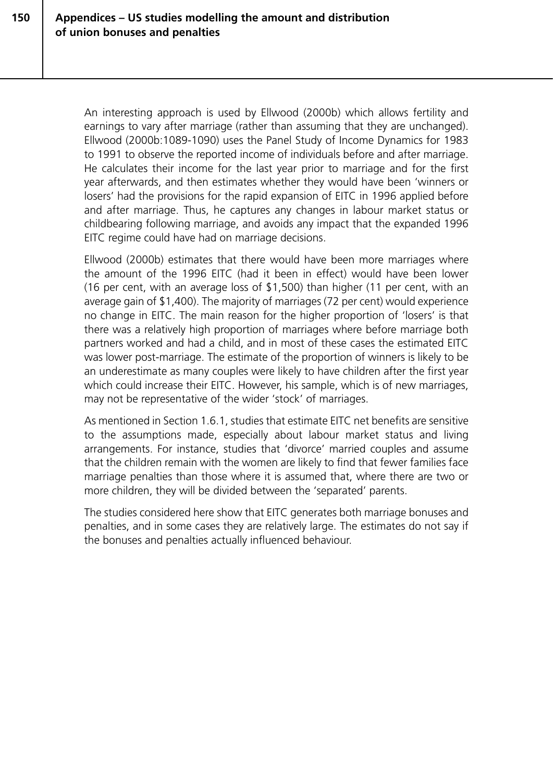An interesting approach is used by Ellwood (2000b) which allows fertility and earnings to vary after marriage (rather than assuming that they are unchanged). Ellwood (2000b:1089-1090) uses the Panel Study of Income Dynamics for 1983 to 1991 to observe the reported income of individuals before and after marriage. He calculates their income for the last year prior to marriage and for the first year afterwards, and then estimates whether they would have been 'winners or losers' had the provisions for the rapid expansion of EITC in 1996 applied before and after marriage. Thus, he captures any changes in labour market status or childbearing following marriage, and avoids any impact that the expanded 1996 EITC regime could have had on marriage decisions.

Ellwood (2000b) estimates that there would have been more marriages where the amount of the 1996 EITC (had it been in effect) would have been lower (16 per cent, with an average loss of \$1,500) than higher (11 per cent, with an average gain of \$1,400). The majority of marriages (72 per cent) would experience no change in EITC. The main reason for the higher proportion of 'losers' is that there was a relatively high proportion of marriages where before marriage both partners worked and had a child, and in most of these cases the estimated EITC was lower post-marriage. The estimate of the proportion of winners is likely to be an underestimate as many couples were likely to have children after the first year which could increase their EITC. However, his sample, which is of new marriages, may not be representative of the wider 'stock' of marriages.

As mentioned in Section 1.6.1, studies that estimate EITC net benefits are sensitive to the assumptions made, especially about labour market status and living arrangements. For instance, studies that 'divorce' married couples and assume that the children remain with the women are likely to find that fewer families face marriage penalties than those where it is assumed that, where there are two or more children, they will be divided between the 'separated' parents.

The studies considered here show that EITC generates both marriage bonuses and penalties, and in some cases they are relatively large. The estimates do not say if the bonuses and penalties actually influenced behaviour.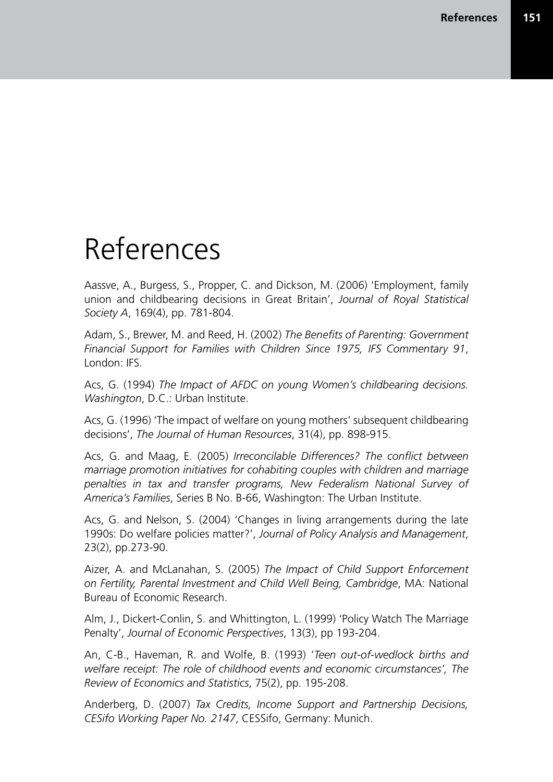#### References

Aassve, A., Burgess, S., Propper, C. and Dickson, M. (2006) 'Employment, family union and childbearing decisions in Great Britain', *Journal of Royal Statistical Society A*, 169(4), pp. 781-804.

Adam, S., Brewer, M. and Reed, H. (2002) *The Benefits of Parenting: Government Financial Support for Families with Children Since 1975, IFS Commentary 91*, London: IFS.

Acs, G. (1994) *The Impact of AFDC on young Women's childbearing decisions. Washington*, D.C.: Urban Institute.

Acs, G. (1996) 'The impact of welfare on young mothers' subsequent childbearing decisions', *The Journal of Human Resources*, 31(4), pp. 898-915.

Acs, G. and Maag, E. (2005) *Irreconcilable Differences? The conflict between marriage promotion initiatives for cohabiting couples with children and marriage penalties in tax and transfer programs, New Federalism National Survey of America's Families*, Series B No. B-66, Washington: The Urban Institute.

Acs, G. and Nelson, S. (2004) 'Changes in living arrangements during the late 1990s: Do welfare policies matter?', *Journal of Policy Analysis and Management*, 23(2), pp.273-90.

Aizer, A. and McLanahan, S. (2005) *The Impact of Child Support Enforcement on Fertility, Parental Investment and Child Well Being, Cambridge*, MA: National Bureau of Economic Research.

Alm, J., Dickert-Conlin, S. and Whittington, L. (1999) 'Policy Watch The Marriage Penalty', *Journal of Economic Perspectives*, 13(3), pp 193-204.

An, C-B., Haveman, R. and Wolfe, B. (1993) '*Teen out-of-wedlock births and welfare receipt: The role of childhood events and economic circumstances', The Review of Economics and Statistics*, 75(2), pp. 195-208.

Anderberg, D. (2007) *Tax Credits, Income Support and Partnership Decisions, CESifo Working Paper No. 2147*, CESSifo, Germany: Munich.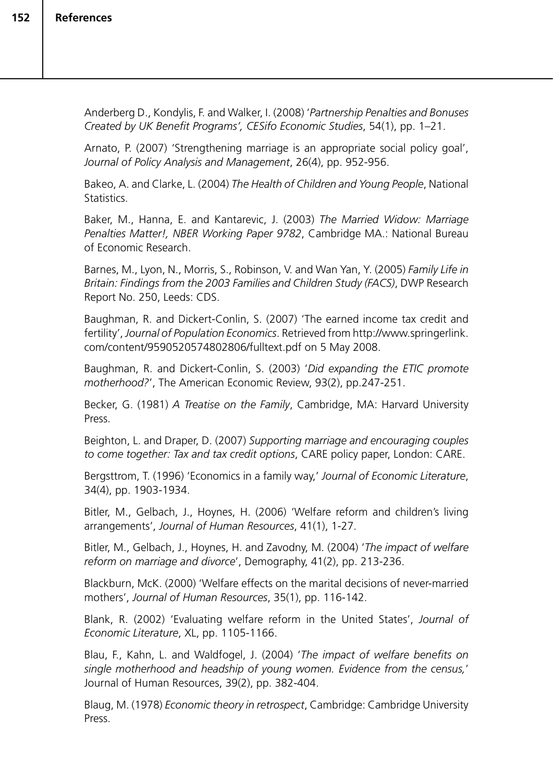Anderberg D., Kondylis, F. and Walker, I. (2008) '*Partnership Penalties and Bonuses Created by UK Benefit Programs', CESifo Economic Studies*, 54(1), pp. 1–21.

Arnato, P. (2007) 'Strengthening marriage is an appropriate social policy goal', *Journal of Policy Analysis and Management*, 26(4), pp. 952-956.

Bakeo, A. and Clarke, L. (2004) *The Health of Children and Young People*, National Statistics.

Baker, M., Hanna, E. and Kantarevic, J. (2003) *The Married Widow: Marriage Penalties Matter!, NBER Working Paper 9782*, Cambridge MA.: National Bureau of Economic Research.

Barnes, M., Lyon, N., Morris, S., Robinson, V. and Wan Yan, Y. (2005) *Family Life in Britain: Findings from the 2003 Families and Children Study (FACS)*, DWP Research Report No. 250, Leeds: CDS.

Baughman, R. and Dickert-Conlin, S. (2007) 'The earned income tax credit and fertility', *Journal of Population Economics*. Retrieved from http://www.springerlink. com/content/9590520574802806/fulltext.pdf on 5 May 2008.

Baughman, R. and Dickert-Conlin, S. (2003) '*Did expanding the ETIC promote motherhood?*', The American Economic Review, 93(2), pp.247-251.

Becker, G. (1981) *A Treatise on the Family*, Cambridge, MA: Harvard University Press.

Beighton, L. and Draper, D. (2007) *Supporting marriage and encouraging couples to come together: Tax and tax credit options*, CARE policy paper, London: CARE.

Bergsttrom, T. (1996) 'Economics in a family way,' *Journal of Economic Literature*, 34(4), pp. 1903-1934.

Bitler, M., Gelbach, J., Hoynes, H. (2006) 'Welfare reform and children's living arrangements', *Journal of Human Resources*, 41(1), 1-27.

Bitler, M., Gelbach, J., Hoynes, H. and Zavodny, M. (2004) '*The impact of welfare reform on marriage and divorce*', Demography, 41(2), pp. 213-236.

Blackburn, McK. (2000) 'Welfare effects on the marital decisions of never-married mothers', *Journal of Human Resources*, 35(1), pp. 116-142.

Blank, R. (2002) 'Evaluating welfare reform in the United States', *Journal of Economic Literature*, XL, pp. 1105-1166.

Blau, F., Kahn, L. and Waldfogel, J. (2004) '*The impact of welfare benefits on single motherhood and headship of young women. Evidence from the census,*' Journal of Human Resources, 39(2), pp. 382-404.

Blaug, M. (1978) *Economic theory in retrospect*, Cambridge: Cambridge University Press.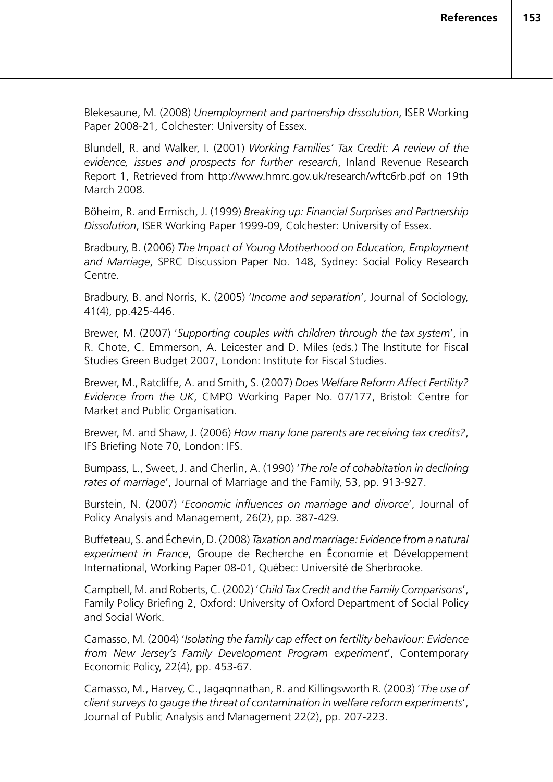Blekesaune, M. (2008) *Unemployment and partnership dissolution*, ISER Working Paper 2008-21, Colchester: University of Essex.

Blundell, R. and Walker, I. (2001) *Working Families' Tax Credit: A review of the evidence, issues and prospects for further research*, Inland Revenue Research Report 1, Retrieved from http://www.hmrc.gov.uk/research/wftc6rb.pdf on 19th March 2008.

Böheim, R. and Ermisch, J. (1999) *Breaking up: Financial Surprises and Partnership Dissolution*, ISER Working Paper 1999-09, Colchester: University of Essex.

Bradbury, B. (2006) *The Impact of Young Motherhood on Education, Employment and Marriage*, SPRC Discussion Paper No. 148, Sydney: Social Policy Research Centre.

Bradbury, B. and Norris, K. (2005) '*Income and separation*', Journal of Sociology, 41(4), pp.425-446.

Brewer, M. (2007) '*Supporting couples with children through the tax system*', in R. Chote, C. Emmerson, A. Leicester and D. Miles (eds.) The Institute for Fiscal Studies Green Budget 2007, London: Institute for Fiscal Studies.

Brewer, M., Ratcliffe, A. and Smith, S. (2007) *Does Welfare Reform Affect Fertility? Evidence from the UK*, CMPO Working Paper No. 07/177, Bristol: Centre for Market and Public Organisation.

Brewer, M. and Shaw, J. (2006) *How many lone parents are receiving tax credits?*, IFS Briefing Note 70, London: IFS.

Bumpass, L., Sweet, J. and Cherlin, A. (1990) '*The role of cohabitation in declining rates of marriage*', Journal of Marriage and the Family, 53, pp. 913-927.

Burstein, N. (2007) '*Economic influences on marriage and divorce*', Journal of Policy Analysis and Management, 26(2), pp. 387-429.

Buffeteau, S. and Échevin, D. (2008) *Taxation and marriage: Evidence from a natural experiment in France*, Groupe de Recherche en Économie et Développement International, Working Paper 08-01, Québec: Université de Sherbrooke.

Campbell, M. and Roberts, C. (2002) '*Child Tax Credit and the Family Comparisons*', Family Policy Briefing 2, Oxford: University of Oxford Department of Social Policy and Social Work.

Camasso, M. (2004) '*Isolating the family cap effect on fertility behaviour: Evidence from New Jersey's Family Development Program experiment*', Contemporary Economic Policy, 22(4), pp. 453-67.

Camasso, M., Harvey, C., Jagaqnnathan, R. and Killingsworth R. (2003) '*The use of client surveys to gauge the threat of contamination in welfare reform experiments*', Journal of Public Analysis and Management 22(2), pp. 207-223.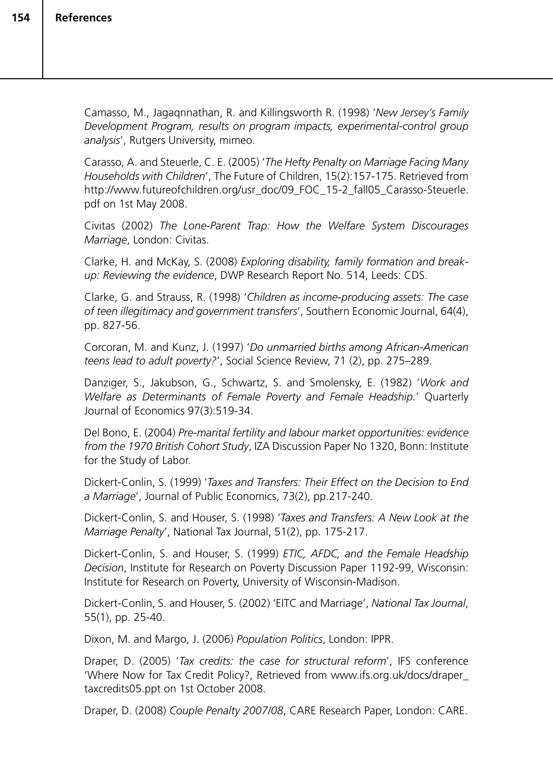Camasso, M., Jagaqnnathan, R. and Killingsworth R. (1998) '*New Jersey's Family Development Program, results on program impacts, experimental-control group analysis*', Rutgers University, mimeo.

Carasso, A. and Steuerle, C. E. (2005) '*The Hefty Penalty on Marriage Facing Many Households with Children*', The Future of Children, 15(2):157-175. Retrieved from http://www.futureofchildren.org/usr\_doc/09\_FOC\_15-2\_fall05\_Carasso-Steuerle. pdf on 1st May 2008.

Civitas (2002) *The Lone-Parent Trap: How the Welfare System Discourages Marriage*, London: Civitas.

Clarke, H. and McKay, S. (2008) *Exploring disability, family formation and breakup: Reviewing the evidence*, DWP Research Report No. 514, Leeds: CDS.

Clarke, G. and Strauss, R. (1998) '*Children as income-producing assets: The case of teen illegitimacy and government transfers*', Southern Economic Journal, 64(4), pp. 827-56.

Corcoran, M. and Kunz, J. (1997) '*Do unmarried births among African-American teens lead to adult poverty?*', Social Science Review, 71 (2), pp. 275–289.

Danziger, S., Jakubson, G., Schwartz, S. and Smolensky, E. (1982) '*Work and Welfare as Determinants of Female Poverty and Female Headship.*' Quarterly Journal of Economics 97(3):519-34.

Del Bono, E. (2004) *Pre-marital fertility and labour market opportunities: evidence from the 1970 British Cohort Study*, IZA Discussion Paper No 1320, Bonn: Institute for the Study of Labor.

Dickert-Conlin, S. (1999) '*Taxes and Transfers: Their Effect on the Decision to End a Marriage*', Journal of Public Economics, 73(2), pp.217-240.

Dickert-Conlin, S. and Houser, S. (1998) '*Taxes and Transfers: A New Look at the Marriage Penalty*', National Tax Journal, 51(2), pp. 175-217.

Dickert-Conlin, S. and Houser, S. (1999) *ETIC, AFDC, and the Female Headship Decision*, Institute for Research on Poverty Discussion Paper 1192-99, Wisconsin: Institute for Research on Poverty, University of Wisconsin-Madison.

Dickert-Conlin, S. and Houser, S. (2002) 'EITC and Marriage', *National Tax Journal*, 55(1), pp. 25-40.

Dixon, M. and Margo, J. (2006) *Population Politics*, London: IPPR.

Draper, D. (2005) '*Tax credits: the case for structural reform*', IFS conference 'Where Now for Tax Credit Policy?, Retrieved from www.ifs.org.uk/docs/draper\_ taxcredits05.ppt on 1st October 2008.

Draper, D. (2008) *Couple Penalty 2007/08*, CARE Research Paper, London: CARE.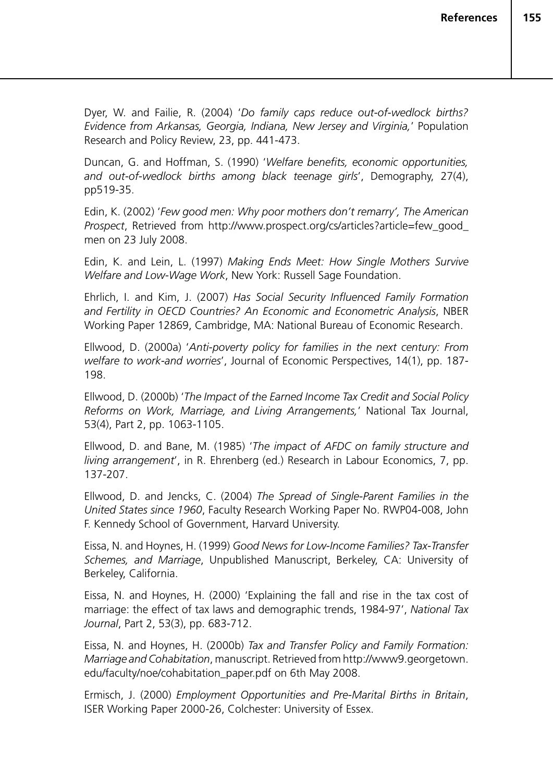Dyer, W. and Failie, R. (2004) '*Do family caps reduce out-of-wedlock births? Evidence from Arkansas, Georgia, Indiana, New Jersey and Virginia,*' Population Research and Policy Review, 23, pp. 441-473.

Duncan, G. and Hoffman, S. (1990) '*Welfare benefits, economic opportunities, and out-of-wedlock births among black teenage girls*', Demography, 27(4), pp519-35.

Edin, K. (2002) '*Few good men: Why poor mothers don't remarry', The American Prospect*, Retrieved from http://www.prospect.org/cs/articles?article=few\_good\_ men on 23 July 2008.

Edin, K. and Lein, L. (1997) *Making Ends Meet: How Single Mothers Survive Welfare and Low-Wage Work*, New York: Russell Sage Foundation.

Ehrlich, I. and Kim, J. (2007) *Has Social Security Influenced Family Formation and Fertility in OECD Countries? An Economic and Econometric Analysis*, NBER Working Paper 12869, Cambridge, MA: National Bureau of Economic Research.

Ellwood, D. (2000a) '*Anti-poverty policy for families in the next century: From welfare to work-and worries*', Journal of Economic Perspectives, 14(1), pp. 187- 198.

Ellwood, D. (2000b) '*The Impact of the Earned Income Tax Credit and Social Policy Reforms on Work, Marriage, and Living Arrangements,*' National Tax Journal, 53(4), Part 2, pp. 1063-1105.

Ellwood, D. and Bane, M. (1985) '*The impact of AFDC on family structure and living arrangement*', in R. Ehrenberg (ed.) Research in Labour Economics, 7, pp. 137-207.

Ellwood, D. and Jencks, C. (2004) *The Spread of Single-Parent Families in the United States since 1960*, Faculty Research Working Paper No. RWP04-008, John F. Kennedy School of Government, Harvard University.

Eissa, N. and Hoynes, H. (1999) *Good News for Low-Income Families? Tax-Transfer Schemes, and Marriage*, Unpublished Manuscript, Berkeley, CA: University of Berkeley, California.

Eissa, N. and Hoynes, H. (2000) 'Explaining the fall and rise in the tax cost of marriage: the effect of tax laws and demographic trends, 1984-97', *National Tax Journal*, Part 2, 53(3), pp. 683-712.

Eissa, N. and Hoynes, H. (2000b) *Tax and Transfer Policy and Family Formation: Marriage and Cohabitation*, manuscript. Retrieved from http://www9.georgetown. edu/faculty/noe/cohabitation\_paper.pdf on 6th May 2008.

Ermisch, J. (2000) *Employment Opportunities and Pre-Marital Births in Britain*, ISER Working Paper 2000-26, Colchester: University of Essex.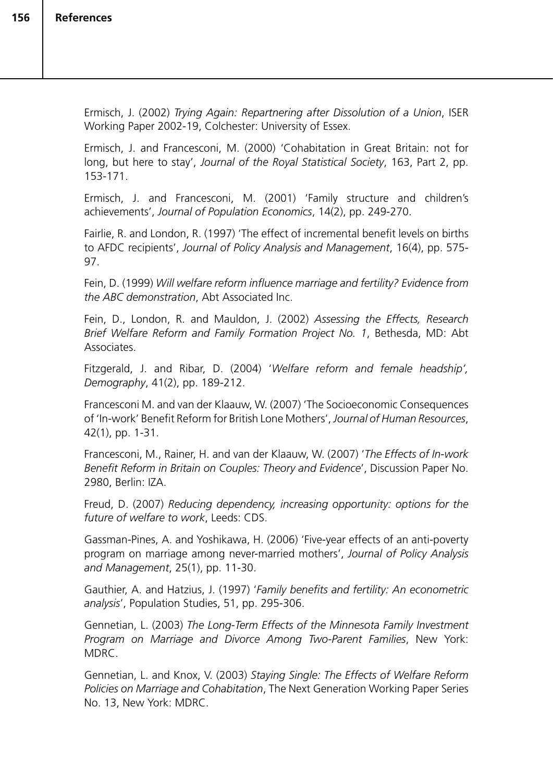Ermisch, J. (2002) *Trying Again: Repartnering after Dissolution of a Union*, ISER Working Paper 2002-19, Colchester: University of Essex.

Ermisch, J. and Francesconi, M. (2000) 'Cohabitation in Great Britain: not for long, but here to stay', *Journal of the Royal Statistical Society*, 163, Part 2, pp. 153-171.

Ermisch, J. and Francesconi, M. (2001) 'Family structure and children's achievements', *Journal of Population Economics*, 14(2), pp. 249-270.

Fairlie, R. and London, R. (1997) 'The effect of incremental benefit levels on births to AFDC recipients', *Journal of Policy Analysis and Management*, 16(4), pp. 575- 97.

Fein, D. (1999) *Will welfare reform influence marriage and fertility? Evidence from the ABC demonstration*, Abt Associated Inc.

Fein, D., London, R. and Mauldon, J. (2002) *Assessing the Effects, Research Brief Welfare Reform and Family Formation Project No. 1*, Bethesda, MD: Abt Associates.

Fitzgerald, J. and Ribar, D. (2004) '*Welfare reform and female headship', Demography*, 41(2), pp. 189-212.

Francesconi M. and van der Klaauw, W. (2007) 'The Socioeconomic Consequences of 'In-work' Benefit Reform for British Lone Mothers', *Journal of Human Resources*, 42(1), pp. 1-31.

Francesconi, M., Rainer, H. and van der Klaauw, W. (2007) '*The Effects of In-work Benefit Reform in Britain on Couples: Theory and Evidence*', Discussion Paper No. 2980, Berlin: IZA.

Freud, D. (2007) *Reducing dependency, increasing opportunity: options for the future of welfare to work*, Leeds: CDS.

Gassman-Pines, A. and Yoshikawa, H. (2006) 'Five-year effects of an anti-poverty program on marriage among never-married mothers', *Journal of Policy Analysis and Management*, 25(1), pp. 11-30.

Gauthier, A. and Hatzius, J. (1997) '*Family benefits and fertility: An econometric analysis*', Population Studies, 51, pp. 295-306.

Gennetian, L. (2003) *The Long-Term Effects of the Minnesota Family Investment Program on Marriage and Divorce Among Two-Parent Families*, New York: MDRC.

Gennetian, L. and Knox, V. (2003) *Staying Single: The Effects of Welfare Reform Policies on Marriage and Cohabitation*, The Next Generation Working Paper Series No. 13, New York: MDRC.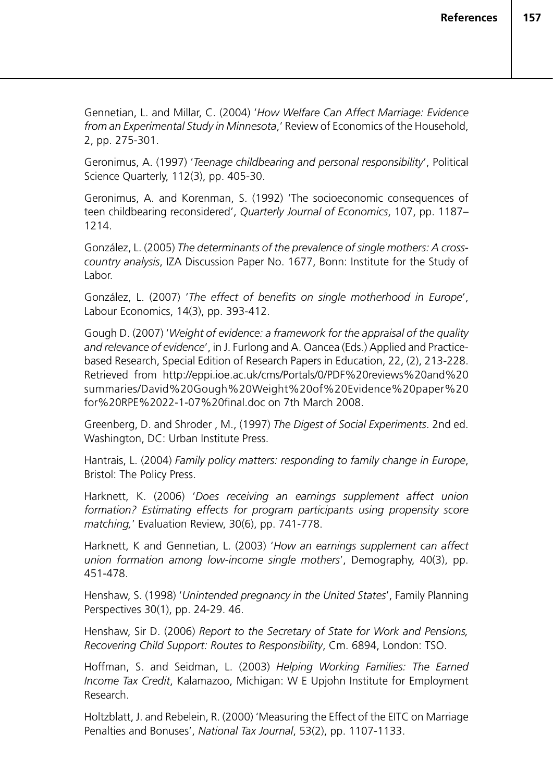Gennetian, L. and Millar, C. (2004) '*How Welfare Can Affect Marriage: Evidence from an Experimental Study in Minnesota*,' Review of Economics of the Household, 2, pp. 275-301.

Geronimus, A. (1997) '*Teenage childbearing and personal responsibility*', Political Science Quarterly, 112(3), pp. 405-30.

Geronimus, A. and Korenman, S. (1992) 'The socioeconomic consequences of teen childbearing reconsidered', *Quarterly Journal of Economics*, 107, pp. 1187– 1214.

González, L. (2005) *The determinants of the prevalence of single mothers: A crosscountry analysis*, IZA Discussion Paper No. 1677, Bonn: Institute for the Study of Labor.

González, L. (2007) '*The effect of benefits on single motherhood in Europe*', Labour Economics, 14(3), pp. 393-412.

Gough D. (2007) '*Weight of evidence: a framework for the appraisal of the quality and relevance of evidence*', in J. Furlong and A. Oancea (Eds.) Applied and Practicebased Research, Special Edition of Research Papers in Education, 22, (2), 213-228. Retrieved from http://eppi.ioe.ac.uk/cms/Portals/0/PDF%20reviews%20and%20 summaries/David%20Gough%20Weight%20of%20Evidence%20paper%20 for%20RPE%2022-1-07%20final.doc on 7th March 2008.

Greenberg, D. and Shroder , M., (1997) *The Digest of Social Experiments*. 2nd ed. Washington, DC: Urban Institute Press.

Hantrais, L. (2004) *Family policy matters: responding to family change in Europe*, Bristol: The Policy Press.

Harknett, K. (2006) '*Does receiving an earnings supplement affect union formation? Estimating effects for program participants using propensity score matching,*' Evaluation Review, 30(6), pp. 741-778.

Harknett, K and Gennetian, L. (2003) '*How an earnings supplement can affect union formation among low-income single mothers*', Demography, 40(3), pp. 451-478.

Henshaw, S. (1998) '*Unintended pregnancy in the United States*', Family Planning Perspectives 30(1), pp. 24-29. 46.

Henshaw, Sir D. (2006) *Report to the Secretary of State for Work and Pensions, Recovering Child Support: Routes to Responsibility*, Cm. 6894, London: TSO.

Hoffman, S. and Seidman, L. (2003) *Helping Working Families: The Earned Income Tax Credit*, Kalamazoo, Michigan: W E Upjohn Institute for Employment Research.

Holtzblatt, J. and Rebelein, R. (2000) 'Measuring the Effect of the EITC on Marriage Penalties and Bonuses', *National Tax Journal*, 53(2), pp. 1107-1133.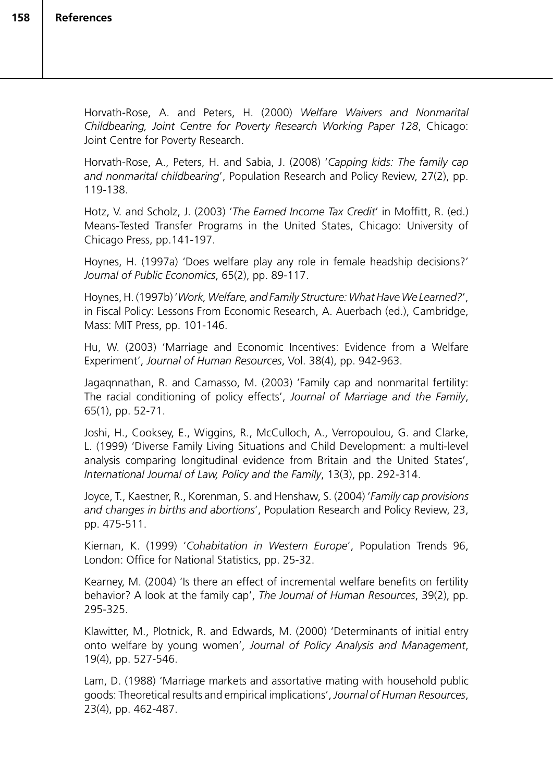Horvath-Rose, A. and Peters, H. (2000) *Welfare Waivers and Nonmarital Childbearing, Joint Centre for Poverty Research Working Paper 128*, Chicago: Joint Centre for Poverty Research.

Horvath-Rose, A., Peters, H. and Sabia, J. (2008) '*Capping kids: The family cap and nonmarital childbearing*', Population Research and Policy Review, 27(2), pp. 119-138.

Hotz, V. and Scholz, J. (2003) '*The Earned Income Tax Credit*' in Moffitt, R. (ed.) Means-Tested Transfer Programs in the United States, Chicago: University of Chicago Press, pp.141-197.

Hoynes, H. (1997a) 'Does welfare play any role in female headship decisions?' *Journal of Public Economics*, 65(2), pp. 89-117.

Hoynes, H. (1997b) '*Work, Welfare, and Family Structure: What Have We Learned?*', in Fiscal Policy: Lessons From Economic Research, A. Auerbach (ed.), Cambridge, Mass: MIT Press, pp. 101-146.

Hu, W. (2003) 'Marriage and Economic Incentives: Evidence from a Welfare Experiment', *Journal of Human Resources*, Vol. 38(4), pp. 942-963.

Jagaqnnathan, R. and Camasso, M. (2003) 'Family cap and nonmarital fertility: The racial conditioning of policy effects', *Journal of Marriage and the Family*, 65(1), pp. 52-71.

Joshi, H., Cooksey, E., Wiggins, R., McCulloch, A., Verropoulou, G. and Clarke, L. (1999) 'Diverse Family Living Situations and Child Development: a multi-level analysis comparing longitudinal evidence from Britain and the United States', *International Journal of Law, Policy and the Family*, 13(3), pp. 292-314.

Joyce, T., Kaestner, R., Korenman, S. and Henshaw, S. (2004) '*Family cap provisions and changes in births and abortions*', Population Research and Policy Review, 23, pp. 475-511.

Kiernan, K. (1999) '*Cohabitation in Western Europe*', Population Trends 96, London: Office for National Statistics, pp. 25-32.

Kearney, M. (2004) 'Is there an effect of incremental welfare benefits on fertility behavior? A look at the family cap', *The Journal of Human Resources*, 39(2), pp. 295-325.

Klawitter, M., Plotnick, R. and Edwards, M. (2000) 'Determinants of initial entry onto welfare by young women', *Journal of Policy Analysis and Management*, 19(4), pp. 527-546.

Lam, D. (1988) 'Marriage markets and assortative mating with household public goods: Theoretical results and empirical implications', *Journal of Human Resources*, 23(4), pp. 462-487.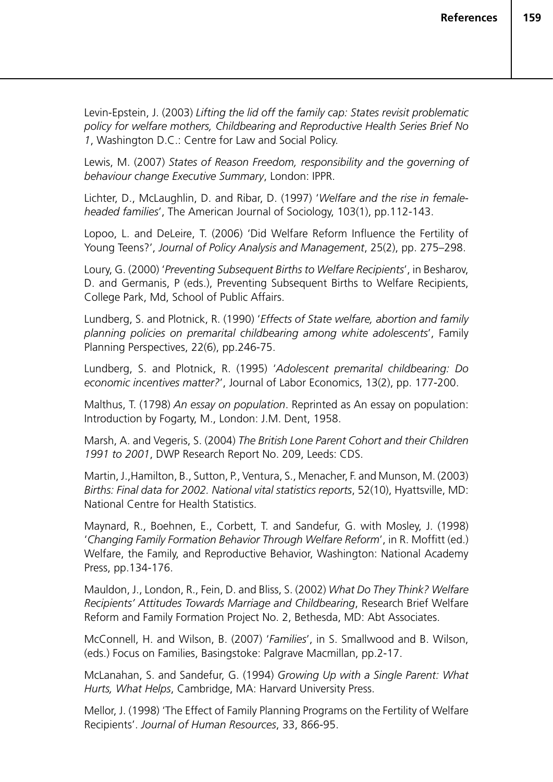Levin-Epstein, J. (2003) *Lifting the lid off the family cap: States revisit problematic policy for welfare mothers, Childbearing and Reproductive Health Series Brief No 1*, Washington D.C.: Centre for Law and Social Policy.

Lewis, M. (2007) *States of Reason Freedom, responsibility and the governing of behaviour change Executive Summary*, London: IPPR.

Lichter, D., McLaughlin, D. and Ribar, D. (1997) '*Welfare and the rise in femaleheaded families*', The American Journal of Sociology, 103(1), pp.112-143.

Lopoo, L. and DeLeire, T. (2006) 'Did Welfare Reform Influence the Fertility of Young Teens?', *Journal of Policy Analysis and Management*, 25(2), pp. 275–298.

Loury, G. (2000) '*Preventing Subsequent Births to Welfare Recipients*', in Besharov, D. and Germanis, P (eds.), Preventing Subsequent Births to Welfare Recipients, College Park, Md, School of Public Affairs.

Lundberg, S. and Plotnick, R. (1990) '*Effects of State welfare, abortion and family planning policies on premarital childbearing among white adolescents*', Family Planning Perspectives, 22(6), pp.246-75.

Lundberg, S. and Plotnick, R. (1995) '*Adolescent premarital childbearing: Do economic incentives matter?*', Journal of Labor Economics, 13(2), pp. 177-200.

Malthus, T. (1798) *An essay on population*. Reprinted as An essay on population: Introduction by Fogarty, M., London: J.M. Dent, 1958.

Marsh, A. and Vegeris, S. (2004) *The British Lone Parent Cohort and their Children 1991 to 2001*, DWP Research Report No. 209, Leeds: CDS.

Martin, J.,Hamilton, B., Sutton, P., Ventura, S., Menacher, F. and Munson, M. (2003) *Births: Final data for 2002. National vital statistics reports*, 52(10), Hyattsville, MD: National Centre for Health Statistics.

Maynard, R., Boehnen, E., Corbett, T. and Sandefur, G. with Mosley, J. (1998) '*Changing Family Formation Behavior Through Welfare Reform*', in R. Moffitt (ed.) Welfare, the Family, and Reproductive Behavior, Washington: National Academy Press, pp.134-176.

Mauldon, J., London, R., Fein, D. and Bliss, S. (2002) *What Do They Think? Welfare Recipients' Attitudes Towards Marriage and Childbearing*, Research Brief Welfare Reform and Family Formation Project No. 2, Bethesda, MD: Abt Associates.

McConnell, H. and Wilson, B. (2007) '*Families*', in S. Smallwood and B. Wilson, (eds.) Focus on Families, Basingstoke: Palgrave Macmillan, pp.2-17.

McLanahan, S. and Sandefur, G. (1994) *Growing Up with a Single Parent: What Hurts, What Helps*, Cambridge, MA: Harvard University Press.

Mellor, J. (1998) 'The Effect of Family Planning Programs on the Fertility of Welfare Recipients'. *Journal of Human Resources*, 33, 866-95.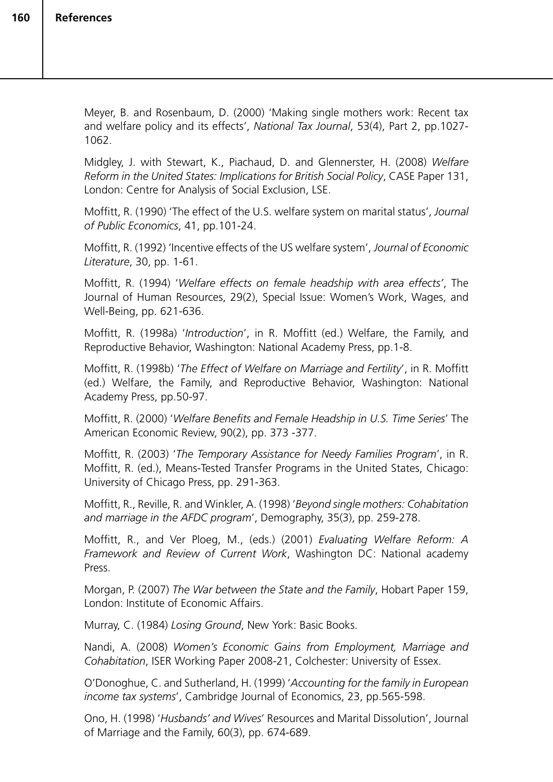Meyer, B. and Rosenbaum, D. (2000) 'Making single mothers work: Recent tax and welfare policy and its effects', *National Tax Journal*, 53(4), Part 2, pp.1027- 1062.

Midgley, J. with Stewart, K., Piachaud, D. and Glennerster, H. (2008) *Welfare Reform in the United States: Implications for British Social Policy*, CASE Paper 131, London: Centre for Analysis of Social Exclusion, LSE.

Moffitt, R. (1990) 'The effect of the U.S. welfare system on marital status', *Journal of Public Economics*, 41, pp.101-24.

Moffitt, R. (1992) 'Incentive effects of the US welfare system', *Journal of Economic Literature*, 30, pp. 1-61.

Moffitt, R. (1994) '*Welfare effects on female headship with area effects'*, The Journal of Human Resources, 29(2), Special Issue: Women's Work, Wages, and Well-Being, pp. 621-636.

Moffitt, R. (1998a) '*Introduction*', in R. Moffitt (ed.) Welfare, the Family, and Reproductive Behavior, Washington: National Academy Press, pp.1-8.

Moffitt, R. (1998b) '*The Effect of Welfare on Marriage and Fertility*', in R. Moffitt (ed.) Welfare, the Family, and Reproductive Behavior, Washington: National Academy Press, pp.50-97.

Moffitt, R. (2000) '*Welfare Benefits and Female Headship in U.S. Time Series*' The American Economic Review, 90(2), pp. 373 -377.

Moffitt, R. (2003) '*The Temporary Assistance for Needy Families Program*', in R. Moffitt, R. (ed.), Means-Tested Transfer Programs in the United States, Chicago: University of Chicago Press, pp. 291-363.

Moffitt, R., Reville, R. and Winkler, A. (1998) '*Beyond single mothers: Cohabitation and marriage in the AFDC program*', Demography, 35(3), pp. 259-278.

Moffitt, R., and Ver Ploeg, M., (eds.) (2001) *Evaluating Welfare Reform: A Framework and Review of Current Work*, Washington DC: National academy Press.

Morgan, P. (2007) *The War between the State and the Family*, Hobart Paper 159, London: Institute of Economic Affairs.

Murray, C. (1984) *Losing Ground*, New York: Basic Books.

Nandi, A. (2008) *Women's Economic Gains from Employment, Marriage and Cohabitation*, ISER Working Paper 2008-21, Colchester: University of Essex.

O'Donoghue, C. and Sutherland, H. (1999) '*Accounting for the family in European income tax systems*', Cambridge Journal of Economics, 23, pp.565-598.

Ono, H. (1998) '*Husbands' and Wives*' Resources and Marital Dissolution', Journal of Marriage and the Family, 60(3), pp. 674-689.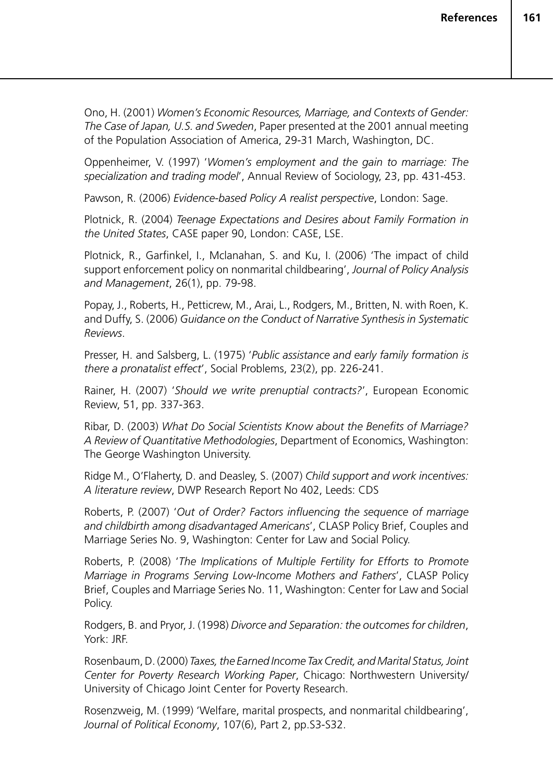Ono, H. (2001) *Women's Economic Resources, Marriage, and Contexts of Gender: The Case of Japan, U.S. and Sweden*, Paper presented at the 2001 annual meeting of the Population Association of America, 29-31 March, Washington, DC.

Oppenheimer, V. (1997) '*Women's employment and the gain to marriage: The specialization and trading model*', Annual Review of Sociology, 23, pp. 431-453.

Pawson, R. (2006) *Evidence-based Policy A realist perspective*, London: Sage.

Plotnick, R. (2004) *Teenage Expectations and Desires about Family Formation in the United States*, CASE paper 90, London: CASE, LSE.

Plotnick, R., Garfinkel, I., Mclanahan, S. and Ku, I. (2006) 'The impact of child support enforcement policy on nonmarital childbearing', *Journal of Policy Analysis and Management*, 26(1), pp. 79-98.

Popay, J., Roberts, H., Petticrew, M., Arai, L., Rodgers, M., Britten, N. with Roen, K. and Duffy, S. (2006) *Guidance on the Conduct of Narrative Synthesis in Systematic Reviews*.

Presser, H. and Salsberg, L. (1975) '*Public assistance and early family formation is there a pronatalist effect*', Social Problems, 23(2), pp. 226-241.

Rainer, H. (2007) '*Should we write prenuptial contracts?*', European Economic Review, 51, pp. 337-363.

Ribar, D. (2003) *What Do Social Scientists Know about the Benefits of Marriage? A Review of Quantitative Methodologies*, Department of Economics, Washington: The George Washington University.

Ridge M., O'Flaherty, D. and Deasley, S. (2007) *Child support and work incentives: A literature review*, DWP Research Report No 402, Leeds: CDS

Roberts, P. (2007) '*Out of Order? Factors influencing the sequence of marriage and childbirth among disadvantaged Americans*', CLASP Policy Brief, Couples and Marriage Series No. 9, Washington: Center for Law and Social Policy.

Roberts, P. (2008) '*The Implications of Multiple Fertility for Efforts to Promote Marriage in Programs Serving Low-Income Mothers and Fathers*', CLASP Policy Brief, Couples and Marriage Series No. 11, Washington: Center for Law and Social Policy.

Rodgers, B. and Pryor, J. (1998) *Divorce and Separation: the outcomes for children*, York: JRF.

Rosenbaum, D. (2000) *Taxes, the Earned Income Tax Credit, and Marital Status, Joint Center for Poverty Research Working Paper*, Chicago: Northwestern University/ University of Chicago Joint Center for Poverty Research.

Rosenzweig, M. (1999) 'Welfare, marital prospects, and nonmarital childbearing', *Journal of Political Economy*, 107(6), Part 2, pp.S3-S32.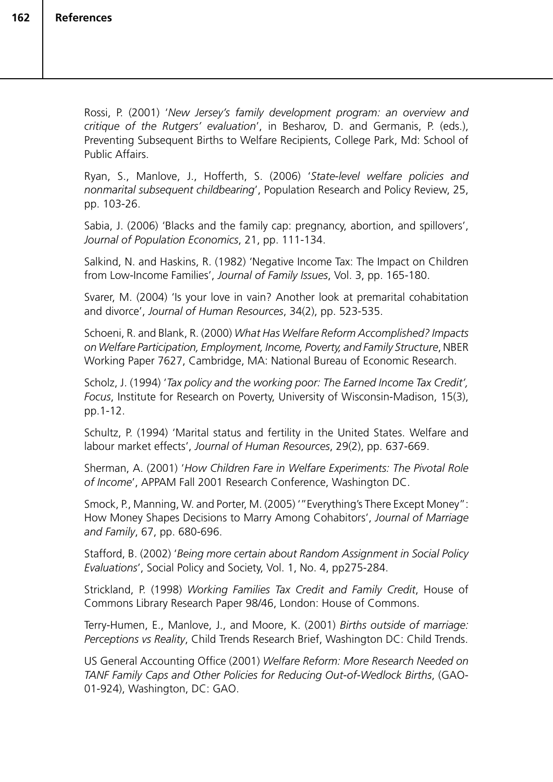Rossi, P. (2001) '*New Jersey's family development program: an overview and critique of the Rutgers' evaluation*', in Besharov, D. and Germanis, P. (eds.), Preventing Subsequent Births to Welfare Recipients, College Park, Md: School of Public Affairs.

Ryan, S., Manlove, J., Hofferth, S. (2006) '*State-level welfare policies and nonmarital subsequent childbearing*', Population Research and Policy Review, 25, pp. 103-26.

Sabia, J. (2006) 'Blacks and the family cap: pregnancy, abortion, and spillovers', *Journal of Population Economics*, 21, pp. 111-134.

Salkind, N. and Haskins, R. (1982) 'Negative Income Tax: The Impact on Children from Low-Income Families', *Journal of Family Issues*, Vol. 3, pp. 165-180.

Svarer, M. (2004) 'Is your love in vain? Another look at premarital cohabitation and divorce', *Journal of Human Resources*, 34(2), pp. 523-535.

Schoeni, R. and Blank, R. (2000) *What Has Welfare Reform Accomplished? Impacts on Welfare Participation, Employment, Income, Poverty, and Family Structure*, NBER Working Paper 7627, Cambridge, MA: National Bureau of Economic Research.

Scholz, J. (1994) '*Tax policy and the working poor: The Earned Income Tax Credit', Focus*, Institute for Research on Poverty, University of Wisconsin-Madison, 15(3), pp.1-12.

Schultz, P. (1994) 'Marital status and fertility in the United States. Welfare and labour market effects', *Journal of Human Resources*, 29(2), pp. 637-669.

Sherman, A. (2001) '*How Children Fare in Welfare Experiments: The Pivotal Role of Income*', APPAM Fall 2001 Research Conference, Washington DC.

Smock, P., Manning, W. and Porter, M. (2005) '"Everything's There Except Money": How Money Shapes Decisions to Marry Among Cohabitors', *Journal of Marriage and Family*, 67, pp. 680-696.

Stafford, B. (2002) '*Being more certain about Random Assignment in Social Policy Evaluations*', Social Policy and Society, Vol. 1, No. 4, pp275-284.

Strickland, P. (1998) *Working Families Tax Credit and Family Credit*, House of Commons Library Research Paper 98/46, London: House of Commons.

Terry-Humen, E., Manlove, J., and Moore, K. (2001) *Births outside of marriage: Perceptions vs Reality*, Child Trends Research Brief, Washington DC: Child Trends.

US General Accounting Office (2001) *Welfare Reform: More Research Needed on TANF Family Caps and Other Policies for Reducing Out-of-Wedlock Births*, (GAO-01-924), Washington, DC: GAO.